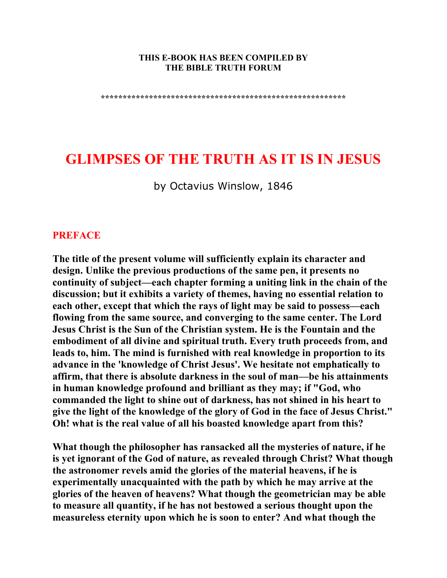#### **THIS E-BOOK HAS BEEN COMPILED BY THE BIBLE TRUTH FORUM**

**\*\*\*\*\*\*\*\*\*\*\*\*\*\*\*\*\*\*\*\*\*\*\*\*\*\*\*\*\*\*\*\*\*\*\*\*\*\*\*\*\*\*\*\*\*\*\*\*\*\*\*\*\*\*\*\*** 

# **GLIMPSES OF THE TRUTH AS IT IS IN JESUS**

by Octavius Winslow, 1846

#### **PREFACE**

**The title of the present volume will sufficiently explain its character and design. Unlike the previous productions of the same pen, it presents no continuity of subject—each chapter forming a uniting link in the chain of the discussion; but it exhibits a variety of themes, having no essential relation to each other, except that which the rays of light may be said to possess—each flowing from the same source, and converging to the same center. The Lord Jesus Christ is the Sun of the Christian system. He is the Fountain and the embodiment of all divine and spiritual truth. Every truth proceeds from, and leads to, him. The mind is furnished with real knowledge in proportion to its advance in the 'knowledge of Christ Jesus'. We hesitate not emphatically to affirm, that there is absolute darkness in the soul of man—be his attainments in human knowledge profound and brilliant as they may; if "God, who commanded the light to shine out of darkness, has not shined in his heart to give the light of the knowledge of the glory of God in the face of Jesus Christ." Oh! what is the real value of all his boasted knowledge apart from this?** 

**What though the philosopher has ransacked all the mysteries of nature, if he is yet ignorant of the God of nature, as revealed through Christ? What though the astronomer revels amid the glories of the material heavens, if he is experimentally unacquainted with the path by which he may arrive at the glories of the heaven of heavens? What though the geometrician may be able to measure all quantity, if he has not bestowed a serious thought upon the measureless eternity upon which he is soon to enter? And what though the**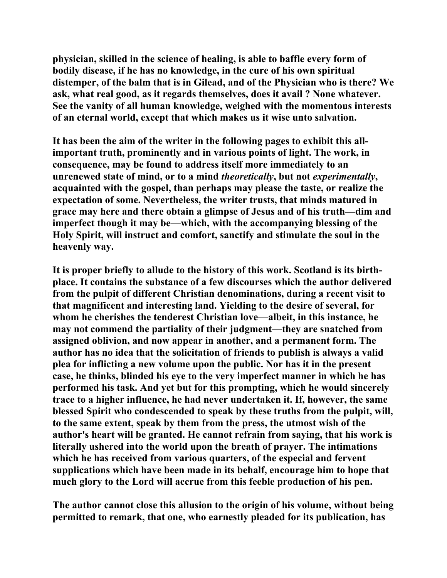**physician, skilled in the science of healing, is able to baffle every form of bodily disease, if he has no knowledge, in the cure of his own spiritual distemper, of the balm that is in Gilead, and of the Physician who is there? We ask, what real good, as it regards themselves, does it avail ? None whatever. See the vanity of all human knowledge, weighed with the momentous interests of an eternal world, except that which makes us it wise unto salvation.** 

**It has been the aim of the writer in the following pages to exhibit this allimportant truth, prominently and in various points of light. The work, in consequence, may be found to address itself more immediately to an unrenewed state of mind, or to a mind** *theoretically***, but not** *experimentally***, acquainted with the gospel, than perhaps may please the taste, or realize the expectation of some. Nevertheless, the writer trusts, that minds matured in grace may here and there obtain a glimpse of Jesus and of his truth—dim and imperfect though it may be—which, with the accompanying blessing of the Holy Spirit, will instruct and comfort, sanctify and stimulate the soul in the heavenly way.** 

**It is proper briefly to allude to the history of this work. Scotland is its birthplace. It contains the substance of a few discourses which the author delivered from the pulpit of different Christian denominations, during a recent visit to that magnificent and interesting land. Yielding to the desire of several, for whom he cherishes the tenderest Christian love—albeit, in this instance, he may not commend the partiality of their judgment—they are snatched from assigned oblivion, and now appear in another, and a permanent form. The author has no idea that the solicitation of friends to publish is always a valid plea for inflicting a new volume upon the public. Nor has it in the present case, he thinks, blinded his eye to the very imperfect manner in which he has performed his task. And yet but for this prompting, which he would sincerely trace to a higher influence, he had never undertaken it. If, however, the same blessed Spirit who condescended to speak by these truths from the pulpit, will, to the same extent, speak by them from the press, the utmost wish of the author's heart will be granted. He cannot refrain from saying, that his work is literally ushered into the world upon the breath of prayer. The intimations which he has received from various quarters, of the especial and fervent supplications which have been made in its behalf, encourage him to hope that much glory to the Lord will accrue from this feeble production of his pen.** 

**The author cannot close this allusion to the origin of his volume, without being permitted to remark, that one, who earnestly pleaded for its publication, has**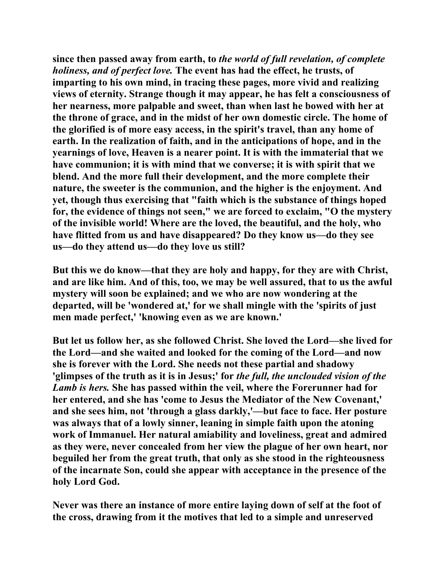**since then passed away from earth, to** *the world of full revelation, of complete holiness, and of perfect love.* **The event has had the effect, he trusts, of imparting to his own mind, in tracing these pages, more vivid and realizing views of eternity. Strange though it may appear, he has felt a consciousness of her nearness, more palpable and sweet, than when last he bowed with her at the throne of grace, and in the midst of her own domestic circle. The home of the glorified is of more easy access, in the spirit's travel, than any home of earth. In the realization of faith, and in the anticipations of hope, and in the yearnings of love, Heaven is a nearer point. It is with the immaterial that we have communion; it is with mind that we converse; it is with spirit that we blend. And the more full their development, and the more complete their nature, the sweeter is the communion, and the higher is the enjoyment. And yet, though thus exercising that "faith which is the substance of things hoped for, the evidence of things not seen," we are forced to exclaim, "O the mystery of the invisible world! Where are the loved, the beautiful, and the holy, who have flitted from us and have disappeared? Do they know us—do they see us—do they attend us—do they love us still?** 

**But this we do know—that they are holy and happy, for they are with Christ, and are like him. And of this, too, we may be well assured, that to us the awful mystery will soon be explained; and we who are now wondering at the departed, will be 'wondered at,' for we shall mingle with the 'spirits of just men made perfect,' 'knowing even as we are known.'** 

**But let us follow her, as she followed Christ. She loved the Lord—she lived for the Lord—and she waited and looked for the coming of the Lord—and now she is forever with the Lord. She needs not these partial and shadowy 'glimpses of the truth as it is in Jesus;' for** *the full, the unclouded vision of the Lamb is hers.* **She has passed within the veil, where the Forerunner had for her entered, and she has 'come to Jesus the Mediator of the New Covenant,' and she sees him, not 'through a glass darkly,'—but face to face. Her posture was always that of a lowly sinner, leaning in simple faith upon the atoning work of Immanuel. Her natural amiability and loveliness, great and admired as they were, never concealed from her view the plague of her own heart, nor beguiled her from the great truth, that only as she stood in the righteousness of the incarnate Son, could she appear with acceptance in the presence of the holy Lord God.** 

**Never was there an instance of more entire laying down of self at the foot of the cross, drawing from it the motives that led to a simple and unreserved**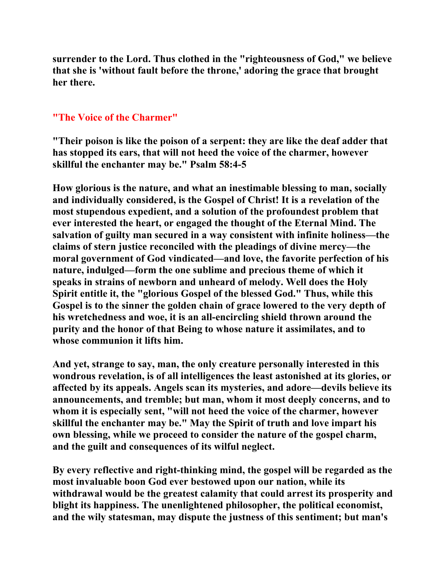**surrender to the Lord. Thus clothed in the "righteousness of God," we believe that she is 'without fault before the throne,' adoring the grace that brought her there.** 

### **"The Voice of the Charmer"**

**"Their poison is like the poison of a serpent: they are like the deaf adder that has stopped its ears, that will not heed the voice of the charmer, however skillful the enchanter may be." Psalm 58:4-5** 

**How glorious is the nature, and what an inestimable blessing to man, socially and individually considered, is the Gospel of Christ! It is a revelation of the most stupendous expedient, and a solution of the profoundest problem that ever interested the heart, or engaged the thought of the Eternal Mind. The salvation of guilty man secured in a way consistent with infinite holiness—the claims of stern justice reconciled with the pleadings of divine mercy—the moral government of God vindicated—and love, the favorite perfection of his nature, indulged—form the one sublime and precious theme of which it speaks in strains of newborn and unheard of melody. Well does the Holy Spirit entitle it, the "glorious Gospel of the blessed God." Thus, while this Gospel is to the sinner the golden chain of grace lowered to the very depth of his wretchedness and woe, it is an all-encircling shield thrown around the purity and the honor of that Being to whose nature it assimilates, and to whose communion it lifts him.** 

**And yet, strange to say, man, the only creature personally interested in this wondrous revelation, is of all intelligences the least astonished at its glories, or affected by its appeals. Angels scan its mysteries, and adore—devils believe its announcements, and tremble; but man, whom it most deeply concerns, and to whom it is especially sent, "will not heed the voice of the charmer, however skillful the enchanter may be." May the Spirit of truth and love impart his own blessing, while we proceed to consider the nature of the gospel charm, and the guilt and consequences of its wilful neglect.** 

**By every reflective and right-thinking mind, the gospel will be regarded as the most invaluable boon God ever bestowed upon our nation, while its withdrawal would be the greatest calamity that could arrest its prosperity and blight its happiness. The unenlightened philosopher, the political economist, and the wily statesman, may dispute the justness of this sentiment; but man's**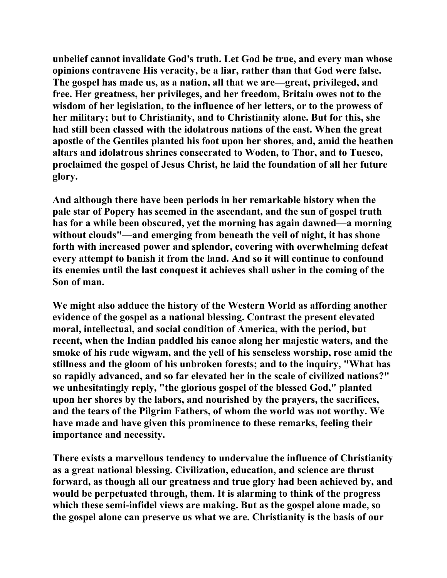**unbelief cannot invalidate God's truth. Let God be true, and every man whose opinions contravene His veracity, be a liar, rather than that God were false. The gospel has made us, as a nation, all that we are—great, privileged, and free. Her greatness, her privileges, and her freedom, Britain owes not to the wisdom of her legislation, to the influence of her letters, or to the prowess of her military; but to Christianity, and to Christianity alone. But for this, she had still been classed with the idolatrous nations of the east. When the great apostle of the Gentiles planted his foot upon her shores, and, amid the heathen altars and idolatrous shrines consecrated to Woden, to Thor, and to Tuesco, proclaimed the gospel of Jesus Christ, he laid the foundation of all her future glory.** 

**And although there have been periods in her remarkable history when the pale star of Popery has seemed in the ascendant, and the sun of gospel truth has for a while been obscured, yet the morning has again dawned—a morning without clouds"—and emerging from beneath the veil of night, it has shone forth with increased power and splendor, covering with overwhelming defeat every attempt to banish it from the land. And so it will continue to confound its enemies until the last conquest it achieves shall usher in the coming of the Son of man.** 

**We might also adduce the history of the Western World as affording another evidence of the gospel as a national blessing. Contrast the present elevated moral, intellectual, and social condition of America, with the period, but recent, when the Indian paddled his canoe along her majestic waters, and the smoke of his rude wigwam, and the yell of his senseless worship, rose amid the stillness and the gloom of his unbroken forests; and to the inquiry, "What has so rapidly advanced, and so far elevated her in the scale of civilized nations?" we unhesitatingly reply, "the glorious gospel of the blessed God," planted upon her shores by the labors, and nourished by the prayers, the sacrifices, and the tears of the Pilgrim Fathers, of whom the world was not worthy. We have made and have given this prominence to these remarks, feeling their importance and necessity.** 

**There exists a marvellous tendency to undervalue the influence of Christianity as a great national blessing. Civilization, education, and science are thrust forward, as though all our greatness and true glory had been achieved by, and would be perpetuated through, them. It is alarming to think of the progress which these semi-infidel views are making. But as the gospel alone made, so the gospel alone can preserve us what we are. Christianity is the basis of our**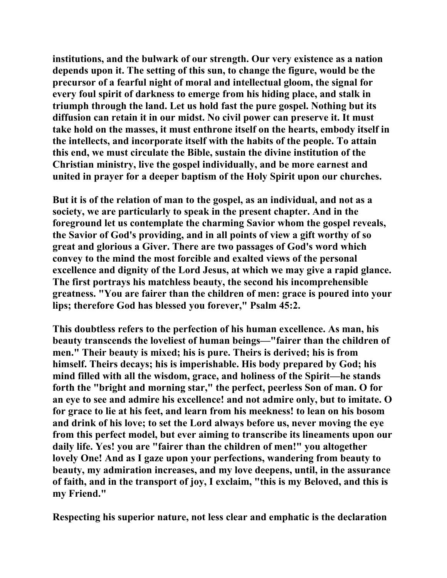**institutions, and the bulwark of our strength. Our very existence as a nation depends upon it. The setting of this sun, to change the figure, would be the precursor of a fearful night of moral and intellectual gloom, the signal for every foul spirit of darkness to emerge from his hiding place, and stalk in triumph through the land. Let us hold fast the pure gospel. Nothing but its diffusion can retain it in our midst. No civil power can preserve it. It must take hold on the masses, it must enthrone itself on the hearts, embody itself in the intellects, and incorporate itself with the habits of the people. To attain this end, we must circulate the Bible, sustain the divine institution of the Christian ministry, live the gospel individually, and be more earnest and united in prayer for a deeper baptism of the Holy Spirit upon our churches.** 

**But it is of the relation of man to the gospel, as an individual, and not as a society, we are particularly to speak in the present chapter. And in the foreground let us contemplate the charming Savior whom the gospel reveals, the Savior of God's providing, and in all points of view a gift worthy of so great and glorious a Giver. There are two passages of God's word which convey to the mind the most forcible and exalted views of the personal excellence and dignity of the Lord Jesus, at which we may give a rapid glance. The first portrays his matchless beauty, the second his incomprehensible greatness. "You are fairer than the children of men: grace is poured into your lips; therefore God has blessed you forever," Psalm 45:2.** 

**This doubtless refers to the perfection of his human excellence. As man, his beauty transcends the loveliest of human beings—"fairer than the children of men." Their beauty is mixed; his is pure. Theirs is derived; his is from himself. Theirs decays; his is imperishable. His body prepared by God; his mind filled with all the wisdom, grace, and holiness of the Spirit—he stands forth the "bright and morning star," the perfect, peerless Son of man. O for an eye to see and admire his excellence! and not admire only, but to imitate. O for grace to lie at his feet, and learn from his meekness! to lean on his bosom and drink of his love; to set the Lord always before us, never moving the eye from this perfect model, but ever aiming to transcribe its lineaments upon our daily life. Yes! you are "fairer than the children of men!" you altogether lovely One! And as I gaze upon your perfections, wandering from beauty to beauty, my admiration increases, and my love deepens, until, in the assurance of faith, and in the transport of joy, I exclaim, "this is my Beloved, and this is my Friend."** 

**Respecting his superior nature, not less clear and emphatic is the declaration**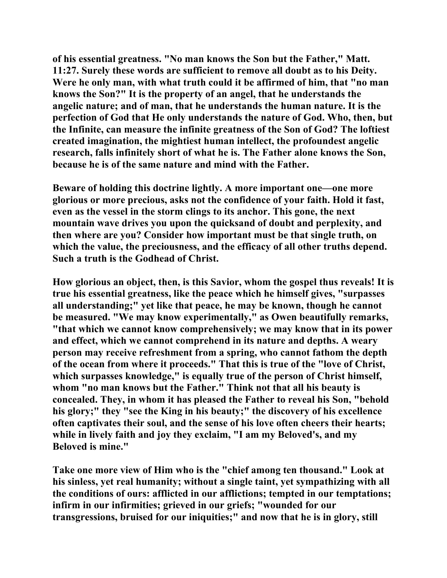**of his essential greatness. "No man knows the Son but the Father," Matt. 11:27. Surely these words are sufficient to remove all doubt as to his Deity. Were he only man, with what truth could it be affirmed of him, that "no man knows the Son?" It is the property of an angel, that he understands the angelic nature; and of man, that he understands the human nature. It is the perfection of God that He only understands the nature of God. Who, then, but the Infinite, can measure the infinite greatness of the Son of God? The loftiest created imagination, the mightiest human intellect, the profoundest angelic research, falls infinitely short of what he is. The Father alone knows the Son, because he is of the same nature and mind with the Father.** 

**Beware of holding this doctrine lightly. A more important one—one more glorious or more precious, asks not the confidence of your faith. Hold it fast, even as the vessel in the storm clings to its anchor. This gone, the next mountain wave drives you upon the quicksand of doubt and perplexity, and then where are you? Consider how important must be that single truth, on which the value, the preciousness, and the efficacy of all other truths depend. Such a truth is the Godhead of Christ.** 

**How glorious an object, then, is this Savior, whom the gospel thus reveals! It is true his essential greatness, like the peace which he himself gives, "surpasses all understanding;" yet like that peace, he may be known, though he cannot be measured. "We may know experimentally," as Owen beautifully remarks, "that which we cannot know comprehensively; we may know that in its power and effect, which we cannot comprehend in its nature and depths. A weary person may receive refreshment from a spring, who cannot fathom the depth of the ocean from where it proceeds." That this is true of the "love of Christ, which surpasses knowledge," is equally true of the person of Christ himself, whom "no man knows but the Father." Think not that all his beauty is concealed. They, in whom it has pleased the Father to reveal his Son, "behold his glory;" they "see the King in his beauty;" the discovery of his excellence often captivates their soul, and the sense of his love often cheers their hearts; while in lively faith and joy they exclaim, "I am my Beloved's, and my Beloved is mine."** 

**Take one more view of Him who is the "chief among ten thousand." Look at his sinless, yet real humanity; without a single taint, yet sympathizing with all the conditions of ours: afflicted in our afflictions; tempted in our temptations; infirm in our infirmities; grieved in our griefs; "wounded for our transgressions, bruised for our iniquities;" and now that he is in glory, still**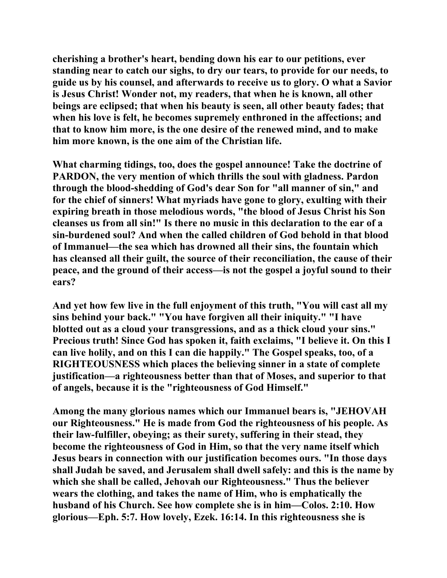**cherishing a brother's heart, bending down his ear to our petitions, ever standing near to catch our sighs, to dry our tears, to provide for our needs, to guide us by his counsel, and afterwards to receive us to glory. O what a Savior is Jesus Christ! Wonder not, my readers, that when he is known, all other beings are eclipsed; that when his beauty is seen, all other beauty fades; that when his love is felt, he becomes supremely enthroned in the affections; and that to know him more, is the one desire of the renewed mind, and to make him more known, is the one aim of the Christian life.** 

**What charming tidings, too, does the gospel announce! Take the doctrine of PARDON, the very mention of which thrills the soul with gladness. Pardon through the blood-shedding of God's dear Son for "all manner of sin," and for the chief of sinners! What myriads have gone to glory, exulting with their expiring breath in those melodious words, "the blood of Jesus Christ his Son cleanses us from all sin!" Is there no music in this declaration to the ear of a sin-burdened soul? And when the called children of God behold in that blood of Immanuel—the sea which has drowned all their sins, the fountain which has cleansed all their guilt, the source of their reconciliation, the cause of their peace, and the ground of their access—is not the gospel a joyful sound to their ears?** 

**And yet how few live in the full enjoyment of this truth, "You will cast all my sins behind your back." "You have forgiven all their iniquity." "I have blotted out as a cloud your transgressions, and as a thick cloud your sins." Precious truth! Since God has spoken it, faith exclaims, "I believe it. On this I can live holily, and on this I can die happily." The Gospel speaks, too, of a RIGHTEOUSNESS which places the believing sinner in a state of complete justification—a righteousness better than that of Moses, and superior to that of angels, because it is the "righteousness of God Himself."** 

**Among the many glorious names which our Immanuel bears is, "JEHOVAH our Righteousness." He is made from God the righteousness of his people. As their law-fulfiller, obeying; as their surety, suffering in their stead, they become the righteousness of God in Him, so that the very name itself which Jesus bears in connection with our justification becomes ours. "In those days shall Judah be saved, and Jerusalem shall dwell safely: and this is the name by which she shall be called, Jehovah our Righteousness." Thus the believer wears the clothing, and takes the name of Him, who is emphatically the husband of his Church. See how complete she is in him—Colos. 2:10. How glorious—Eph. 5:7. How lovely, Ezek. 16:14. In this righteousness she is**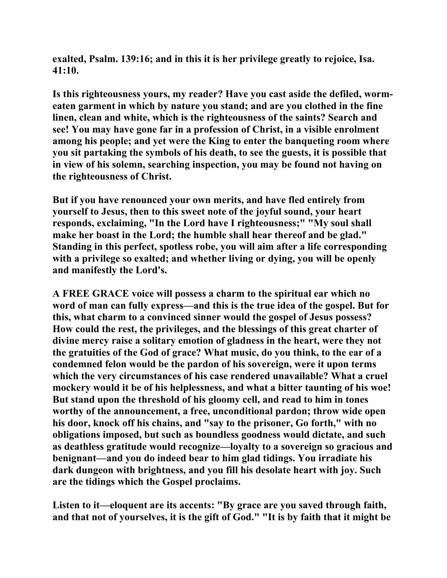**exalted, Psalm. 139:16; and in this it is her privilege greatly to rejoice, Isa. 41:10.** 

**Is this righteousness yours, my reader? Have you cast aside the defiled, wormeaten garment in which by nature you stand; and are you clothed in the fine linen, clean and white, which is the righteousness of the saints? Search and see! You may have gone far in a profession of Christ, in a visible enrolment among his people; and yet were the King to enter the banqueting room where you sit partaking the symbols of his death, to see the guests, it is possible that in view of his solemn, searching inspection, you may be found not having on the righteousness of Christ.** 

**But if you have renounced your own merits, and have fled entirely from yourself to Jesus, then to this sweet note of the joyful sound, your heart responds, exclaiming, "In the Lord have I righteousness;" "My soul shall make her boast in the Lord; the humble shall hear thereof and be glad." Standing in this perfect, spotless robe, you will aim after a life corresponding with a privilege so exalted; and whether living or dying, you will be openly and manifestly the Lord's.** 

**A FREE GRACE voice will possess a charm to the spiritual ear which no word of man can fully express—and this is the true idea of the gospel. But for this, what charm to a convinced sinner would the gospel of Jesus possess? How could the rest, the privileges, and the blessings of this great charter of divine mercy raise a solitary emotion of gladness in the heart, were they not the gratuities of the God of grace? What music, do you think, to the ear of a condemned felon would be the pardon of his sovereign, were it upon terms which the very circumstances of his case rendered unavailable? What a cruel mockery would it be of his helplessness, and what a bitter taunting of his woe! But stand upon the threshold of his gloomy cell, and read to him in tones worthy of the announcement, a free, unconditional pardon; throw wide open his door, knock off his chains, and "say to the prisoner, Go forth," with no obligations imposed, but such as boundless goodness would dictate, and such as deathless gratitude would recognize—loyalty to a sovereign so gracious and benignant—and you do indeed bear to him glad tidings. You irradiate his dark dungeon with brightness, and you fill his desolate heart with joy. Such are the tidings which the Gospel proclaims.** 

**Listen to it—eloquent are its accents: "By grace are you saved through faith, and that not of yourselves, it is the gift of God." "It is by faith that it might be**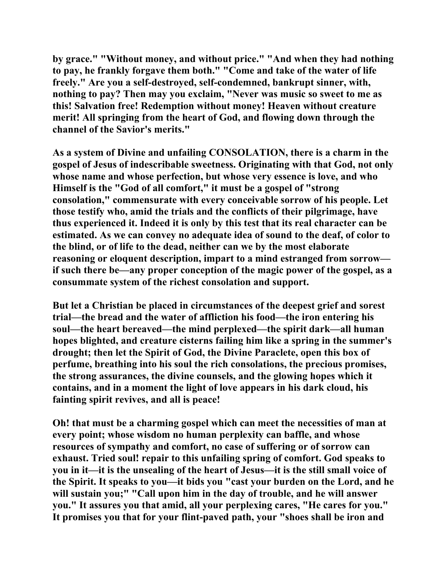**by grace." "Without money, and without price." "And when they had nothing to pay, he frankly forgave them both." "Come and take of the water of life freely." Are you a self-destroyed, self-condemned, bankrupt sinner, with, nothing to pay? Then may you exclaim, "Never was music so sweet to me as this! Salvation free! Redemption without money! Heaven without creature merit! All springing from the heart of God, and flowing down through the channel of the Savior's merits."** 

**As a system of Divine and unfailing CONSOLATION, there is a charm in the gospel of Jesus of indescribable sweetness. Originating with that God, not only whose name and whose perfection, but whose very essence is love, and who Himself is the "God of all comfort," it must be a gospel of "strong consolation," commensurate with every conceivable sorrow of his people. Let those testify who, amid the trials and the conflicts of their pilgrimage, have thus experienced it. Indeed it is only by this test that its real character can be estimated. As we can convey no adequate idea of sound to the deaf, of color to the blind, or of life to the dead, neither can we by the most elaborate reasoning or eloquent description, impart to a mind estranged from sorrow if such there be—any proper conception of the magic power of the gospel, as a consummate system of the richest consolation and support.** 

**But let a Christian be placed in circumstances of the deepest grief and sorest trial—the bread and the water of affliction his food—the iron entering his soul—the heart bereaved—the mind perplexed—the spirit dark—all human hopes blighted, and creature cisterns failing him like a spring in the summer's drought; then let the Spirit of God, the Divine Paraclete, open this box of perfume, breathing into his soul the rich consolations, the precious promises, the strong assurances, the divine counsels, and the glowing hopes which it contains, and in a moment the light of love appears in his dark cloud, his fainting spirit revives, and all is peace!** 

**Oh! that must be a charming gospel which can meet the necessities of man at every point; whose wisdom no human perplexity can baffle, and whose resources of sympathy and comfort, no case of suffering or of sorrow can exhaust. Tried soul! repair to this unfailing spring of comfort. God speaks to you in it—it is the unsealing of the heart of Jesus—it is the still small voice of the Spirit. It speaks to you—it bids you "cast your burden on the Lord, and he will sustain you;" "Call upon him in the day of trouble, and he will answer you." It assures you that amid, all your perplexing cares, "He cares for you." It promises you that for your flint-paved path, your "shoes shall be iron and**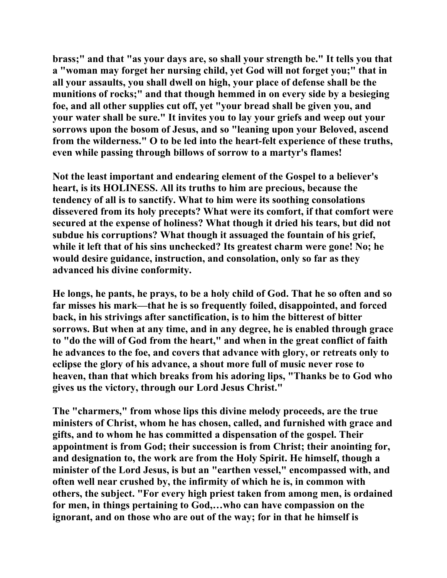**brass;" and that "as your days are, so shall your strength be." It tells you that a "woman may forget her nursing child, yet God will not forget you;" that in all your assaults, you shall dwell on high, your place of defense shall be the munitions of rocks;" and that though hemmed in on every side by a besieging foe, and all other supplies cut off, yet "your bread shall be given you, and your water shall be sure." It invites you to lay your griefs and weep out your sorrows upon the bosom of Jesus, and so "leaning upon your Beloved, ascend from the wilderness." O to be led into the heart-felt experience of these truths, even while passing through billows of sorrow to a martyr's flames!** 

**Not the least important and endearing element of the Gospel to a believer's heart, is its HOLINESS. All its truths to him are precious, because the tendency of all is to sanctify. What to him were its soothing consolations dissevered from its holy precepts? What were its comfort, if that comfort were secured at the expense of holiness? What though it dried his tears, but did not subdue his corruptions? What though it assuaged the fountain of his grief, while it left that of his sins unchecked? Its greatest charm were gone! No; he would desire guidance, instruction, and consolation, only so far as they advanced his divine conformity.** 

**He longs, he pants, he prays, to be a holy child of God. That he so often and so far misses his mark—that he is so frequently foiled, disappointed, and forced back, in his strivings after sanctification, is to him the bitterest of bitter sorrows. But when at any time, and in any degree, he is enabled through grace to "do the will of God from the heart," and when in the great conflict of faith he advances to the foe, and covers that advance with glory, or retreats only to eclipse the glory of his advance, a shout more full of music never rose to heaven, than that which breaks from his adoring lips, "Thanks be to God who gives us the victory, through our Lord Jesus Christ."** 

**The "charmers," from whose lips this divine melody proceeds, are the true ministers of Christ, whom he has chosen, called, and furnished with grace and gifts, and to whom he has committed a dispensation of the gospel. Their appointment is from God; their succession is from Christ; their anointing for, and designation to, the work are from the Holy Spirit. He himself, though a minister of the Lord Jesus, is but an "earthen vessel," encompassed with, and often well near crushed by, the infirmity of which he is, in common with others, the subject. "For every high priest taken from among men, is ordained for men, in things pertaining to God,…who can have compassion on the ignorant, and on those who are out of the way; for in that he himself is**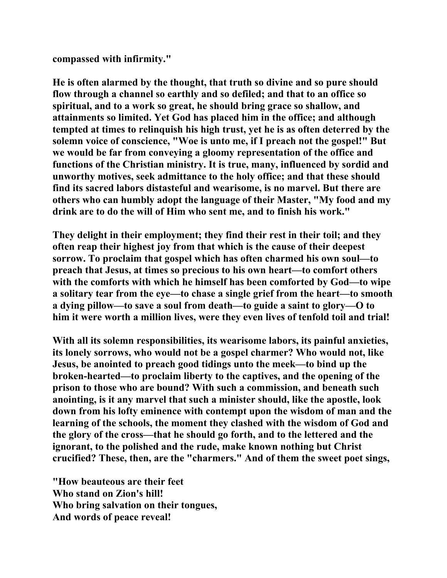**compassed with infirmity."** 

**He is often alarmed by the thought, that truth so divine and so pure should flow through a channel so earthly and so defiled; and that to an office so spiritual, and to a work so great, he should bring grace so shallow, and attainments so limited. Yet God has placed him in the office; and although tempted at times to relinquish his high trust, yet he is as often deterred by the solemn voice of conscience, "Woe is unto me, if I preach not the gospel!" But we would be far from conveying a gloomy representation of the office and functions of the Christian ministry. It is true, many, influenced by sordid and unworthy motives, seek admittance to the holy office; and that these should find its sacred labors distasteful and wearisome, is no marvel. But there are others who can humbly adopt the language of their Master, "My food and my drink are to do the will of Him who sent me, and to finish his work."** 

**They delight in their employment; they find their rest in their toil; and they often reap their highest joy from that which is the cause of their deepest sorrow. To proclaim that gospel which has often charmed his own soul—to preach that Jesus, at times so precious to his own heart—to comfort others with the comforts with which he himself has been comforted by God—to wipe a solitary tear from the eye—to chase a single grief from the heart—to smooth a dying pillow—to save a soul from death—to guide a saint to glory—O to him it were worth a million lives, were they even lives of tenfold toil and trial!** 

**With all its solemn responsibilities, its wearisome labors, its painful anxieties, its lonely sorrows, who would not be a gospel charmer? Who would not, like Jesus, be anointed to preach good tidings unto the meek—to bind up the broken-hearted—to proclaim liberty to the captives, and the opening of the prison to those who are bound? With such a commission, and beneath such anointing, is it any marvel that such a minister should, like the apostle, look down from his lofty eminence with contempt upon the wisdom of man and the learning of the schools, the moment they clashed with the wisdom of God and the glory of the cross—that he should go forth, and to the lettered and the ignorant, to the polished and the rude, make known nothing but Christ crucified? These, then, are the "charmers." And of them the sweet poet sings,** 

**"How beauteous are their feet Who stand on Zion's hill! Who bring salvation on their tongues, And words of peace reveal!**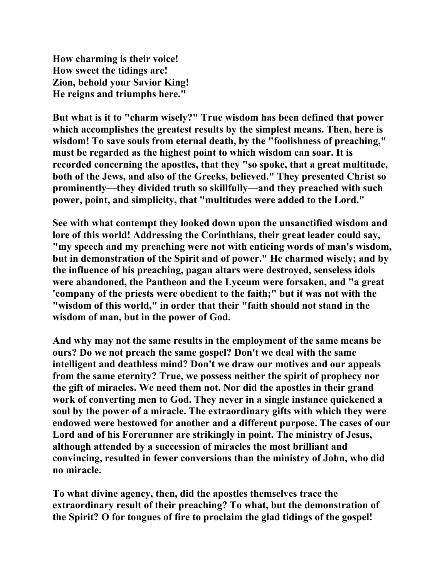**How charming is their voice! How sweet the tidings are! Zion, behold your Savior King! He reigns and triumphs here."** 

**But what is it to "charm wisely?" True wisdom has been defined that power which accomplishes the greatest results by the simplest means. Then, here is wisdom! To save souls from eternal death, by the "foolishness of preaching," must be regarded as the highest point to which wisdom can soar. It is recorded concerning the apostles, that they "so spoke, that a great multitude, both of the Jews, and also of the Greeks, believed." They presented Christ so prominently—they divided truth so skillfully—and they preached with such power, point, and simplicity, that "multitudes were added to the Lord."** 

**See with what contempt they looked down upon the unsanctified wisdom and lore of this world! Addressing the Corinthians, their great leader could say, "my speech and my preaching were not with enticing words of man's wisdom, but in demonstration of the Spirit and of power." He charmed wisely; and by the influence of his preaching, pagan altars were destroyed, senseless idols were abandoned, the Pantheon and the Lyceum were forsaken, and "a great 'company of the priests were obedient to the faith;" but it was not with the "wisdom of this world," in order that their "faith should not stand in the wisdom of man, but in the power of God.** 

**And why may not the same results in the employment of the same means be ours? Do we not preach the same gospel? Don't we deal with the same intelligent and deathless mind? Don't we draw our motives and our appeals from the same eternity? True, we possess neither the spirit of prophecy nor the gift of miracles. We need them not. Nor did the apostles in their grand work of converting men to God. They never in a single instance quickened a soul by the power of a miracle. The extraordinary gifts with which they were endowed were bestowed for another and a different purpose. The cases of our Lord and of his Forerunner are strikingly in point. The ministry of Jesus, although attended by a succession of miracles the most brilliant and convincing, resulted in fewer conversions than the ministry of John, who did no miracle.** 

**To what divine agency, then, did the apostles themselves trace the extraordinary result of their preaching? To what, but the demonstration of the Spirit? O for tongues of fire to proclaim the glad tidings of the gospel!**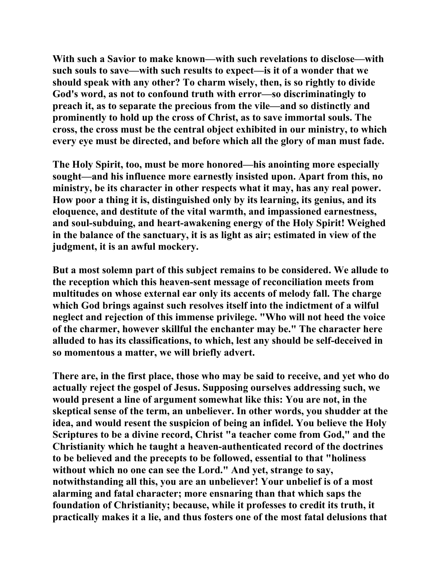**With such a Savior to make known—with such revelations to disclose—with such souls to save—with such results to expect—is it of a wonder that we should speak with any other? To charm wisely, then, is so rightly to divide God's word, as not to confound truth with error—so discriminatingly to preach it, as to separate the precious from the vile—and so distinctly and prominently to hold up the cross of Christ, as to save immortal souls. The cross, the cross must be the central object exhibited in our ministry, to which every eye must be directed, and before which all the glory of man must fade.** 

**The Holy Spirit, too, must be more honored—his anointing more especially sought—and his influence more earnestly insisted upon. Apart from this, no ministry, be its character in other respects what it may, has any real power. How poor a thing it is, distinguished only by its learning, its genius, and its eloquence, and destitute of the vital warmth, and impassioned earnestness, and soul-subduing, and heart-awakening energy of the Holy Spirit! Weighed in the balance of the sanctuary, it is as light as air; estimated in view of the judgment, it is an awful mockery.** 

**But a most solemn part of this subject remains to be considered. We allude to the reception which this heaven-sent message of reconciliation meets from multitudes on whose external ear only its accents of melody fall. The charge which God brings against such resolves itself into the indictment of a wilful neglect and rejection of this immense privilege. "Who will not heed the voice of the charmer, however skillful the enchanter may be." The character here alluded to has its classifications, to which, lest any should be self-deceived in so momentous a matter, we will briefly advert.** 

**There are, in the first place, those who may be said to receive, and yet who do actually reject the gospel of Jesus. Supposing ourselves addressing such, we would present a line of argument somewhat like this: You are not, in the skeptical sense of the term, an unbeliever. In other words, you shudder at the idea, and would resent the suspicion of being an infidel. You believe the Holy Scriptures to be a divine record, Christ "a teacher come from God," and the Christianity which he taught a heaven-authenticated record of the doctrines to be believed and the precepts to be followed, essential to that "holiness without which no one can see the Lord." And yet, strange to say, notwithstanding all this, you are an unbeliever! Your unbelief is of a most alarming and fatal character; more ensnaring than that which saps the foundation of Christianity; because, while it professes to credit its truth, it practically makes it a lie, and thus fosters one of the most fatal delusions that**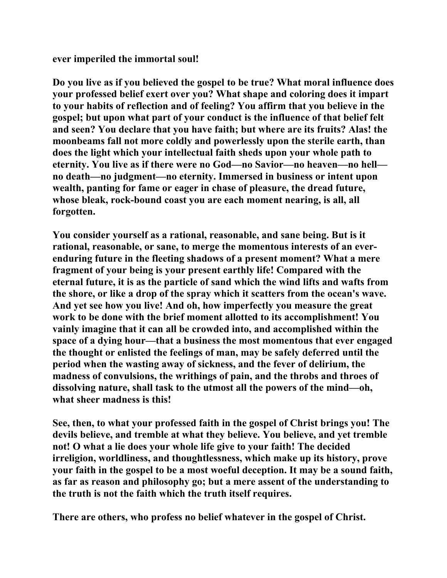**ever imperiled the immortal soul!** 

**Do you live as if you believed the gospel to be true? What moral influence does your professed belief exert over you? What shape and coloring does it impart to your habits of reflection and of feeling? You affirm that you believe in the gospel; but upon what part of your conduct is the influence of that belief felt and seen? You declare that you have faith; but where are its fruits? Alas! the moonbeams fall not more coldly and powerlessly upon the sterile earth, than does the light which your intellectual faith sheds upon your whole path to eternity. You live as if there were no God—no Savior—no heaven—no hell no death—no judgment—no eternity. Immersed in business or intent upon wealth, panting for fame or eager in chase of pleasure, the dread future, whose bleak, rock-bound coast you are each moment nearing, is all, all forgotten.** 

**You consider yourself as a rational, reasonable, and sane being. But is it rational, reasonable, or sane, to merge the momentous interests of an everenduring future in the fleeting shadows of a present moment? What a mere fragment of your being is your present earthly life! Compared with the eternal future, it is as the particle of sand which the wind lifts and wafts from the shore, or like a drop of the spray which it scatters from the ocean's wave. And yet see how you live! And oh, how imperfectly you measure the great work to be done with the brief moment allotted to its accomplishment! You vainly imagine that it can all be crowded into, and accomplished within the space of a dying hour—that a business the most momentous that ever engaged the thought or enlisted the feelings of man, may be safely deferred until the period when the wasting away of sickness, and the fever of delirium, the madness of convulsions, the writhings of pain, and the throbs and throes of dissolving nature, shall task to the utmost all the powers of the mind—oh, what sheer madness is this!** 

**See, then, to what your professed faith in the gospel of Christ brings you! The devils believe, and tremble at what they believe. You believe, and yet tremble not! O what a lie does your whole life give to your faith! The decided irreligion, worldliness, and thoughtlessness, which make up its history, prove your faith in the gospel to be a most woeful deception. It may be a sound faith, as far as reason and philosophy go; but a mere assent of the understanding to the truth is not the faith which the truth itself requires.** 

**There are others, who profess no belief whatever in the gospel of Christ.**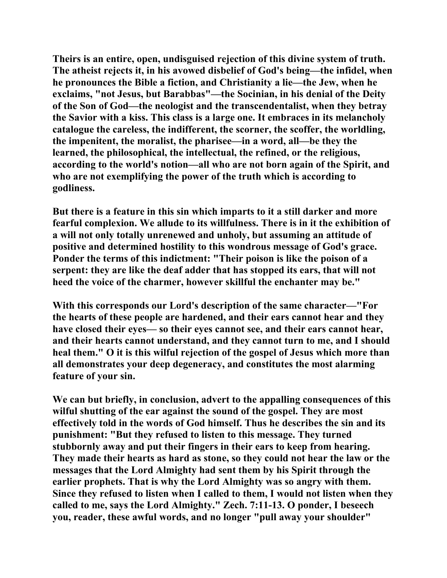**Theirs is an entire, open, undisguised rejection of this divine system of truth. The atheist rejects it, in his avowed disbelief of God's being—the infidel, when he pronounces the Bible a fiction, and Christianity a lie—the Jew, when he exclaims, "not Jesus, but Barabbas"—the Socinian, in his denial of the Deity of the Son of God—the neologist and the transcendentalist, when they betray the Savior with a kiss. This class is a large one. It embraces in its melancholy catalogue the careless, the indifferent, the scorner, the scoffer, the worldling, the impenitent, the moralist, the pharisee—in a word, all—be they the learned, the philosophical, the intellectual, the refined, or the religious, according to the world's notion—all who are not born again of the Spirit, and who are not exemplifying the power of the truth which is according to godliness.** 

**But there is a feature in this sin which imparts to it a still darker and more fearful complexion. We allude to its willfulness. There is in it the exhibition of a will not only totally unrenewed and unholy, but assuming an attitude of positive and determined hostility to this wondrous message of God's grace. Ponder the terms of this indictment: "Their poison is like the poison of a serpent: they are like the deaf adder that has stopped its ears, that will not heed the voice of the charmer, however skillful the enchanter may be."** 

**With this corresponds our Lord's description of the same character—"For the hearts of these people are hardened, and their ears cannot hear and they have closed their eyes— so their eyes cannot see, and their ears cannot hear, and their hearts cannot understand, and they cannot turn to me, and I should heal them." O it is this wilful rejection of the gospel of Jesus which more than all demonstrates your deep degeneracy, and constitutes the most alarming feature of your sin.** 

**We can but briefly, in conclusion, advert to the appalling consequences of this wilful shutting of the ear against the sound of the gospel. They are most effectively told in the words of God himself. Thus he describes the sin and its punishment: "But they refused to listen to this message. They turned stubbornly away and put their fingers in their ears to keep from hearing. They made their hearts as hard as stone, so they could not hear the law or the messages that the Lord Almighty had sent them by his Spirit through the earlier prophets. That is why the Lord Almighty was so angry with them. Since they refused to listen when I called to them, I would not listen when they called to me, says the Lord Almighty." Zech. 7:11-13. O ponder, I beseech you, reader, these awful words, and no longer "pull away your shoulder"**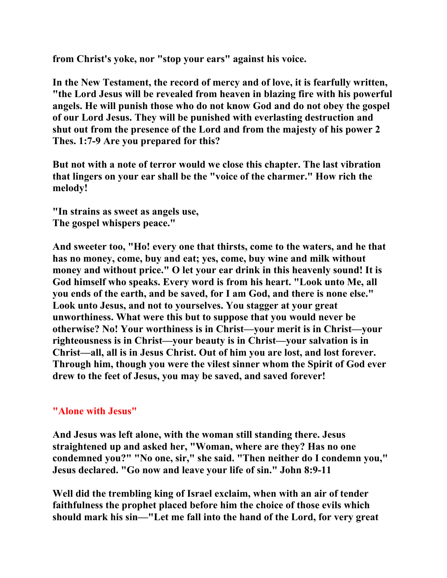**from Christ's yoke, nor "stop your ears" against his voice.** 

**In the New Testament, the record of mercy and of love, it is fearfully written, "the Lord Jesus will be revealed from heaven in blazing fire with his powerful angels. He will punish those who do not know God and do not obey the gospel of our Lord Jesus. They will be punished with everlasting destruction and shut out from the presence of the Lord and from the majesty of his power 2 Thes. 1:7-9 Are you prepared for this?** 

**But not with a note of terror would we close this chapter. The last vibration that lingers on your ear shall be the "voice of the charmer." How rich the melody!** 

**"In strains as sweet as angels use, The gospel whispers peace."** 

**And sweeter too, "Ho! every one that thirsts, come to the waters, and he that has no money, come, buy and eat; yes, come, buy wine and milk without money and without price." O let your ear drink in this heavenly sound! It is God himself who speaks. Every word is from his heart. "Look unto Me, all you ends of the earth, and be saved, for I am God, and there is none else." Look unto Jesus, and not to yourselves. You stagger at your great unworthiness. What were this but to suppose that you would never be otherwise? No! Your worthiness is in Christ—your merit is in Christ—your righteousness is in Christ—your beauty is in Christ—your salvation is in Christ—all, all is in Jesus Christ. Out of him you are lost, and lost forever. Through him, though you were the vilest sinner whom the Spirit of God ever drew to the feet of Jesus, you may be saved, and saved forever!** 

## **"Alone with Jesus"**

**And Jesus was left alone, with the woman still standing there. Jesus straightened up and asked her, "Woman, where are they? Has no one condemned you?" "No one, sir," she said. "Then neither do I condemn you," Jesus declared. "Go now and leave your life of sin." John 8:9-11** 

**Well did the trembling king of Israel exclaim, when with an air of tender faithfulness the prophet placed before him the choice of those evils which should mark his sin—"Let me fall into the hand of the Lord, for very great**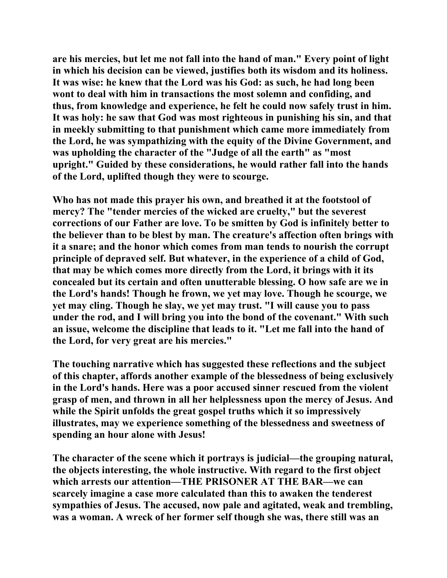**are his mercies, but let me not fall into the hand of man." Every point of light in which his decision can be viewed, justifies both its wisdom and its holiness. It was wise: he knew that the Lord was his God: as such, he had long been wont to deal with him in transactions the most solemn and confiding, and thus, from knowledge and experience, he felt he could now safely trust in him. It was holy: he saw that God was most righteous in punishing his sin, and that in meekly submitting to that punishment which came more immediately from the Lord, he was sympathizing with the equity of the Divine Government, and was upholding the character of the "Judge of all the earth" as "most upright." Guided by these considerations, he would rather fall into the hands of the Lord, uplifted though they were to scourge.** 

**Who has not made this prayer his own, and breathed it at the footstool of mercy? The "tender mercies of the wicked are cruelty," but the severest corrections of our Father are love. To be smitten by God is infinitely better to the believer than to be blest by man. The creature's affection often brings with it a snare; and the honor which comes from man tends to nourish the corrupt principle of depraved self. But whatever, in the experience of a child of God, that may be which comes more directly from the Lord, it brings with it its concealed but its certain and often unutterable blessing. O how safe are we in the Lord's hands! Though he frown, we yet may love. Though he scourge, we yet may cling. Though he slay, we yet may trust. "I will cause you to pass under the rod, and I will bring you into the bond of the covenant." With such an issue, welcome the discipline that leads to it. "Let me fall into the hand of the Lord, for very great are his mercies."** 

**The touching narrative which has suggested these reflections and the subject of this chapter, affords another example of the blessedness of being exclusively in the Lord's hands. Here was a poor accused sinner rescued from the violent grasp of men, and thrown in all her helplessness upon the mercy of Jesus. And while the Spirit unfolds the great gospel truths which it so impressively illustrates, may we experience something of the blessedness and sweetness of spending an hour alone with Jesus!** 

**The character of the scene which it portrays is judicial—the grouping natural, the objects interesting, the whole instructive. With regard to the first object which arrests our attention—THE PRISONER AT THE BAR—we can scarcely imagine a case more calculated than this to awaken the tenderest sympathies of Jesus. The accused, now pale and agitated, weak and trembling, was a woman. A wreck of her former self though she was, there still was an**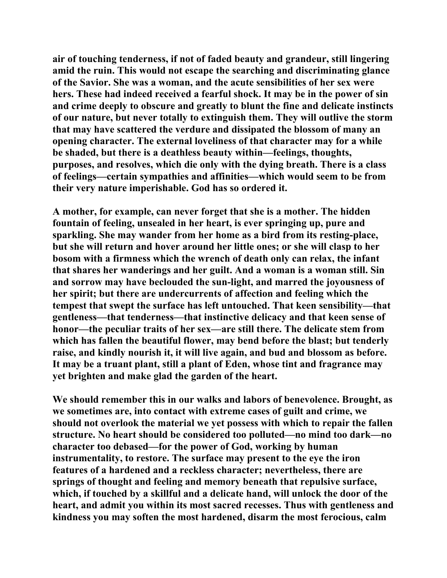**air of touching tenderness, if not of faded beauty and grandeur, still lingering amid the ruin. This would not escape the searching and discriminating glance of the Savior. She was a woman, and the acute sensibilities of her sex were hers. These had indeed received a fearful shock. It may be in the power of sin and crime deeply to obscure and greatly to blunt the fine and delicate instincts of our nature, but never totally to extinguish them. They will outlive the storm that may have scattered the verdure and dissipated the blossom of many an opening character. The external loveliness of that character may for a while be shaded, but there is a deathless beauty within—feelings, thoughts, purposes, and resolves, which die only with the dying breath. There is a class of feelings—certain sympathies and affinities—which would seem to be from their very nature imperishable. God has so ordered it.** 

**A mother, for example, can never forget that she is a mother. The hidden fountain of feeling, unsealed in her heart, is ever springing up, pure and sparkling. She may wander from her home as a bird from its resting-place, but she will return and hover around her little ones; or she will clasp to her bosom with a firmness which the wrench of death only can relax, the infant that shares her wanderings and her guilt. And a woman is a woman still. Sin and sorrow may have beclouded the sun-light, and marred the joyousness of her spirit; but there are undercurrents of affection and feeling which the tempest that swept the surface has left untouched. That keen sensibility—that gentleness—that tenderness—that instinctive delicacy and that keen sense of honor—the peculiar traits of her sex—are still there. The delicate stem from which has fallen the beautiful flower, may bend before the blast; but tenderly raise, and kindly nourish it, it will live again, and bud and blossom as before. It may be a truant plant, still a plant of Eden, whose tint and fragrance may yet brighten and make glad the garden of the heart.** 

**We should remember this in our walks and labors of benevolence. Brought, as we sometimes are, into contact with extreme cases of guilt and crime, we should not overlook the material we yet possess with which to repair the fallen structure. No heart should be considered too polluted—no mind too dark—no character too debased—for the power of God, working by human instrumentality, to restore. The surface may present to the eye the iron features of a hardened and a reckless character; nevertheless, there are springs of thought and feeling and memory beneath that repulsive surface, which, if touched by a skillful and a delicate hand, will unlock the door of the heart, and admit you within its most sacred recesses. Thus with gentleness and kindness you may soften the most hardened, disarm the most ferocious, calm**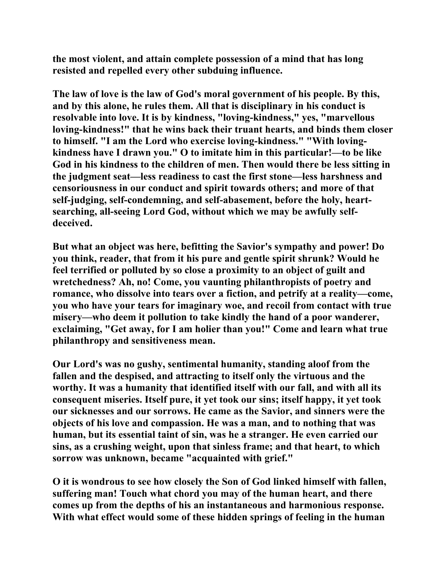**the most violent, and attain complete possession of a mind that has long resisted and repelled every other subduing influence.** 

**The law of love is the law of God's moral government of his people. By this, and by this alone, he rules them. All that is disciplinary in his conduct is resolvable into love. It is by kindness, "loving-kindness," yes, "marvellous loving-kindness!" that he wins back their truant hearts, and binds them closer to himself. "I am the Lord who exercise loving-kindness." "With lovingkindness have I drawn you." O to imitate him in this particular!—to be like God in his kindness to the children of men. Then would there be less sitting in the judgment seat—less readiness to cast the first stone—less harshness and censoriousness in our conduct and spirit towards others; and more of that self-judging, self-condemning, and self-abasement, before the holy, heartsearching, all-seeing Lord God, without which we may be awfully selfdeceived.** 

**But what an object was here, befitting the Savior's sympathy and power! Do you think, reader, that from it his pure and gentle spirit shrunk? Would he feel terrified or polluted by so close a proximity to an object of guilt and wretchedness? Ah, no! Come, you vaunting philanthropists of poetry and romance, who dissolve into tears over a fiction, and petrify at a reality—come, you who have your tears for imaginary woe, and recoil from contact with true misery—who deem it pollution to take kindly the hand of a poor wanderer, exclaiming, "Get away, for I am holier than you!" Come and learn what true philanthropy and sensitiveness mean.** 

**Our Lord's was no gushy, sentimental humanity, standing aloof from the fallen and the despised, and attracting to itself only the virtuous and the worthy. It was a humanity that identified itself with our fall, and with all its consequent miseries. Itself pure, it yet took our sins; itself happy, it yet took our sicknesses and our sorrows. He came as the Savior, and sinners were the objects of his love and compassion. He was a man, and to nothing that was human, but its essential taint of sin, was he a stranger. He even carried our sins, as a crushing weight, upon that sinless frame; and that heart, to which sorrow was unknown, became "acquainted with grief."** 

**O it is wondrous to see how closely the Son of God linked himself with fallen, suffering man! Touch what chord you may of the human heart, and there comes up from the depths of his an instantaneous and harmonious response. With what effect would some of these hidden springs of feeling in the human**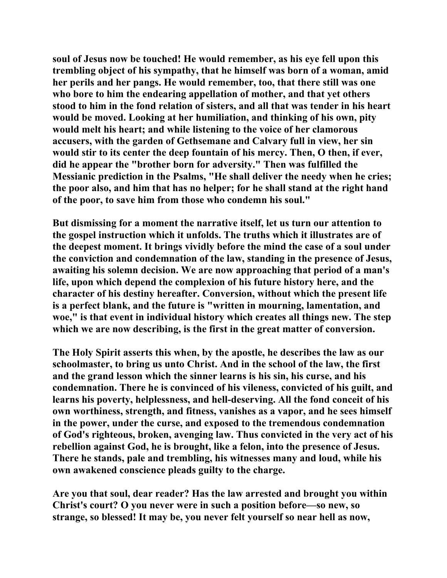**soul of Jesus now be touched! He would remember, as his eye fell upon this trembling object of his sympathy, that he himself was born of a woman, amid her perils and her pangs. He would remember, too, that there still was one who bore to him the endearing appellation of mother, and that yet others stood to him in the fond relation of sisters, and all that was tender in his heart would be moved. Looking at her humiliation, and thinking of his own, pity would melt his heart; and while listening to the voice of her clamorous accusers, with the garden of Gethsemane and Calvary full in view, her sin would stir to its center the deep fountain of his mercy. Then, O then, if ever, did he appear the "brother born for adversity." Then was fulfilled the Messianic prediction in the Psalms, "He shall deliver the needy when he cries; the poor also, and him that has no helper; for he shall stand at the right hand of the poor, to save him from those who condemn his soul."** 

**But dismissing for a moment the narrative itself, let us turn our attention to the gospel instruction which it unfolds. The truths which it illustrates are of the deepest moment. It brings vividly before the mind the case of a soul under the conviction and condemnation of the law, standing in the presence of Jesus, awaiting his solemn decision. We are now approaching that period of a man's life, upon which depend the complexion of his future history here, and the character of his destiny hereafter. Conversion, without which the present life is a perfect blank, and the future is "written in mourning, lamentation, and woe," is that event in individual history which creates all things new. The step which we are now describing, is the first in the great matter of conversion.** 

**The Holy Spirit asserts this when, by the apostle, he describes the law as our schoolmaster, to bring us unto Christ. And in the school of the law, the first and the grand lesson which the sinner learns is his sin, his curse, and his condemnation. There he is convinced of his vileness, convicted of his guilt, and learns his poverty, helplessness, and hell-deserving. All the fond conceit of his own worthiness, strength, and fitness, vanishes as a vapor, and he sees himself in the power, under the curse, and exposed to the tremendous condemnation of God's righteous, broken, avenging law. Thus convicted in the very act of his rebellion against God, he is brought, like a felon, into the presence of Jesus. There he stands, pale and trembling, his witnesses many and loud, while his own awakened conscience pleads guilty to the charge.** 

**Are you that soul, dear reader? Has the law arrested and brought you within Christ's court? O you never were in such a position before—so new, so strange, so blessed! It may be, you never felt yourself so near hell as now,**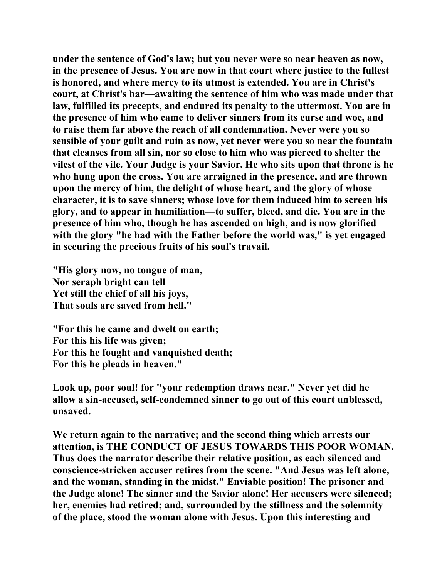**under the sentence of God's law; but you never were so near heaven as now, in the presence of Jesus. You are now in that court where justice to the fullest is honored, and where mercy to its utmost is extended. You are in Christ's court, at Christ's bar—awaiting the sentence of him who was made under that law, fulfilled its precepts, and endured its penalty to the uttermost. You are in the presence of him who came to deliver sinners from its curse and woe, and to raise them far above the reach of all condemnation. Never were you so sensible of your guilt and ruin as now, yet never were you so near the fountain that cleanses from all sin, nor so close to him who was pierced to shelter the vilest of the vile. Your Judge is your Savior. He who sits upon that throne is he who hung upon the cross. You are arraigned in the presence, and are thrown upon the mercy of him, the delight of whose heart, and the glory of whose character, it is to save sinners; whose love for them induced him to screen his glory, and to appear in humiliation—to suffer, bleed, and die. You are in the presence of him who, though he has ascended on high, and is now glorified with the glory "he had with the Father before the world was," is yet engaged in securing the precious fruits of his soul's travail.** 

**"His glory now, no tongue of man, Nor seraph bright can tell Yet still the chief of all his joys, That souls are saved from hell."** 

**"For this he came and dwelt on earth; For this his life was given; For this he fought and vanquished death; For this he pleads in heaven."** 

**Look up, poor soul! for "your redemption draws near." Never yet did he allow a sin-accused, self-condemned sinner to go out of this court unblessed, unsaved.** 

**We return again to the narrative; and the second thing which arrests our attention, is THE CONDUCT OF JESUS TOWARDS THIS POOR WOMAN. Thus does the narrator describe their relative position, as each silenced and conscience-stricken accuser retires from the scene. "And Jesus was left alone, and the woman, standing in the midst." Enviable position! The prisoner and the Judge alone! The sinner and the Savior alone! Her accusers were silenced; her, enemies had retired; and, surrounded by the stillness and the solemnity of the place, stood the woman alone with Jesus. Upon this interesting and**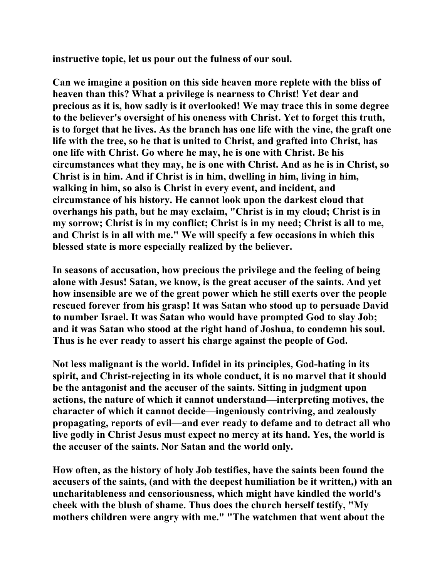**instructive topic, let us pour out the fulness of our soul.** 

**Can we imagine a position on this side heaven more replete with the bliss of heaven than this? What a privilege is nearness to Christ! Yet dear and precious as it is, how sadly is it overlooked! We may trace this in some degree to the believer's oversight of his oneness with Christ. Yet to forget this truth, is to forget that he lives. As the branch has one life with the vine, the graft one life with the tree, so he that is united to Christ, and grafted into Christ, has one life with Christ. Go where he may, he is one with Christ. Be his circumstances what they may, he is one with Christ. And as he is in Christ, so Christ is in him. And if Christ is in him, dwelling in him, living in him, walking in him, so also is Christ in every event, and incident, and circumstance of his history. He cannot look upon the darkest cloud that overhangs his path, but he may exclaim, "Christ is in my cloud; Christ is in my sorrow; Christ is in my conflict; Christ is in my need; Christ is all to me, and Christ is in all with me." We will specify a few occasions in which this blessed state is more especially realized by the believer.** 

**In seasons of accusation, how precious the privilege and the feeling of being alone with Jesus! Satan, we know, is the great accuser of the saints. And yet how insensible are we of the great power which he still exerts over the people rescued forever from his grasp! It was Satan who stood up to persuade David to number Israel. It was Satan who would have prompted God to slay Job; and it was Satan who stood at the right hand of Joshua, to condemn his soul. Thus is he ever ready to assert his charge against the people of God.** 

**Not less malignant is the world. Infidel in its principles, God-hating in its spirit, and Christ-rejecting in its whole conduct, it is no marvel that it should be the antagonist and the accuser of the saints. Sitting in judgment upon actions, the nature of which it cannot understand—interpreting motives, the character of which it cannot decide—ingeniously contriving, and zealously propagating, reports of evil—and ever ready to defame and to detract all who live godly in Christ Jesus must expect no mercy at its hand. Yes, the world is the accuser of the saints. Nor Satan and the world only.** 

**How often, as the history of holy Job testifies, have the saints been found the accusers of the saints, (and with the deepest humiliation be it written,) with an uncharitableness and censoriousness, which might have kindled the world's cheek with the blush of shame. Thus does the church herself testify, "My mothers children were angry with me." "The watchmen that went about the**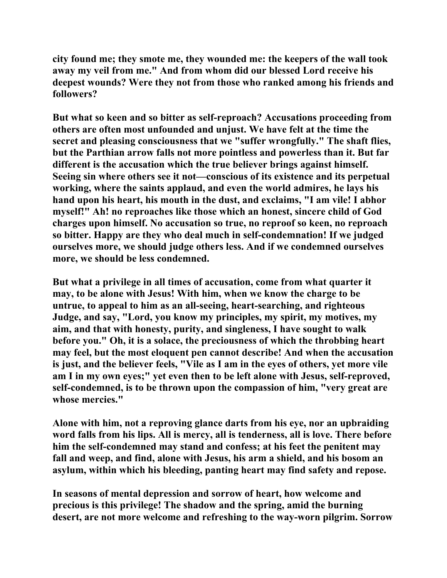**city found me; they smote me, they wounded me: the keepers of the wall took away my veil from me." And from whom did our blessed Lord receive his deepest wounds? Were they not from those who ranked among his friends and followers?** 

**But what so keen and so bitter as self-reproach? Accusations proceeding from others are often most unfounded and unjust. We have felt at the time the secret and pleasing consciousness that we "suffer wrongfully." The shaft flies, but the Parthian arrow falls not more pointless and powerless than it. But far different is the accusation which the true believer brings against himself. Seeing sin where others see it not—conscious of its existence and its perpetual working, where the saints applaud, and even the world admires, he lays his hand upon his heart, his mouth in the dust, and exclaims, "I am vile! I abhor myself!" Ah! no reproaches like those which an honest, sincere child of God charges upon himself. No accusation so true, no reproof so keen, no reproach so bitter. Happy are they who deal much in self-condemnation! If we judged ourselves more, we should judge others less. And if we condemned ourselves more, we should be less condemned.** 

**But what a privilege in all times of accusation, come from what quarter it may, to be alone with Jesus! With him, when we know the charge to be untrue, to appeal to him as an all-seeing, heart-searching, and righteous Judge, and say, "Lord, you know my principles, my spirit, my motives, my aim, and that with honesty, purity, and singleness, I have sought to walk before you." Oh, it is a solace, the preciousness of which the throbbing heart may feel, but the most eloquent pen cannot describe! And when the accusation is just, and the believer feels, "Vile as I am in the eyes of others, yet more vile am I in my own eyes;" yet even then to be left alone with Jesus, self-reproved, self-condemned, is to be thrown upon the compassion of him, "very great are whose mercies."** 

**Alone with him, not a reproving glance darts from his eye, nor an upbraiding word falls from his lips. All is mercy, all is tenderness, all is love. There before him the self-condemned may stand and confess; at his feet the penitent may fall and weep, and find, alone with Jesus, his arm a shield, and his bosom an asylum, within which his bleeding, panting heart may find safety and repose.** 

**In seasons of mental depression and sorrow of heart, how welcome and precious is this privilege! The shadow and the spring, amid the burning desert, are not more welcome and refreshing to the way-worn pilgrim. Sorrow**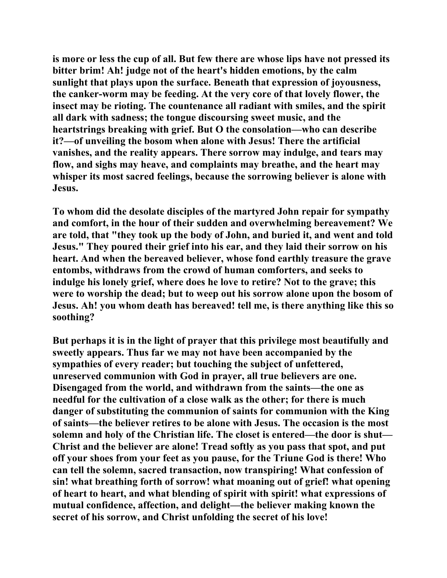**is more or less the cup of all. But few there are whose lips have not pressed its bitter brim! Ah! judge not of the heart's hidden emotions, by the calm sunlight that plays upon the surface. Beneath that expression of joyousness, the canker-worm may be feeding. At the very core of that lovely flower, the insect may be rioting. The countenance all radiant with smiles, and the spirit all dark with sadness; the tongue discoursing sweet music, and the heartstrings breaking with grief. But O the consolation—who can describe it?—of unveiling the bosom when alone with Jesus! There the artificial vanishes, and the reality appears. There sorrow may indulge, and tears may flow, and sighs may heave, and complaints may breathe, and the heart may whisper its most sacred feelings, because the sorrowing believer is alone with Jesus.** 

**To whom did the desolate disciples of the martyred John repair for sympathy and comfort, in the hour of their sudden and overwhelming bereavement? We are told, that "they took up the body of John, and buried it, and went and told Jesus." They poured their grief into his ear, and they laid their sorrow on his heart. And when the bereaved believer, whose fond earthly treasure the grave entombs, withdraws from the crowd of human comforters, and seeks to indulge his lonely grief, where does he love to retire? Not to the grave; this were to worship the dead; but to weep out his sorrow alone upon the bosom of Jesus. Ah! you whom death has bereaved! tell me, is there anything like this so soothing?** 

**But perhaps it is in the light of prayer that this privilege most beautifully and sweetly appears. Thus far we may not have been accompanied by the sympathies of every reader; but touching the subject of unfettered, unreserved communion with God in prayer, all true believers are one. Disengaged from the world, and withdrawn from the saints—the one as needful for the cultivation of a close walk as the other; for there is much danger of substituting the communion of saints for communion with the King of saints—the believer retires to be alone with Jesus. The occasion is the most solemn and holy of the Christian life. The closet is entered—the door is shut— Christ and the believer are alone! Tread softly as you pass that spot, and put off your shoes from your feet as you pause, for the Triune God is there! Who can tell the solemn, sacred transaction, now transpiring! What confession of sin! what breathing forth of sorrow! what moaning out of grief! what opening of heart to heart, and what blending of spirit with spirit! what expressions of mutual confidence, affection, and delight—the believer making known the secret of his sorrow, and Christ unfolding the secret of his love!**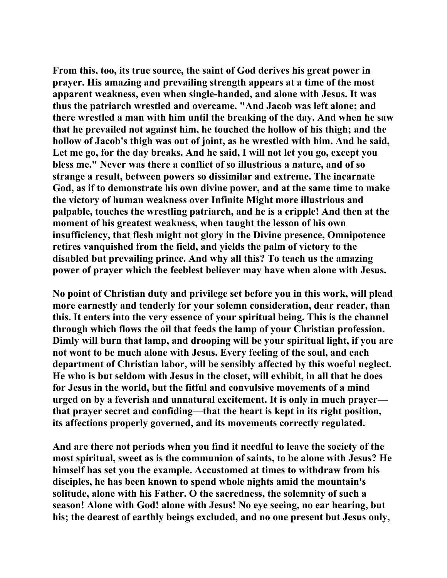**From this, too, its true source, the saint of God derives his great power in prayer. His amazing and prevailing strength appears at a time of the most apparent weakness, even when single-handed, and alone with Jesus. It was thus the patriarch wrestled and overcame. "And Jacob was left alone; and there wrestled a man with him until the breaking of the day. And when he saw that he prevailed not against him, he touched the hollow of his thigh; and the hollow of Jacob's thigh was out of joint, as he wrestled with him. And he said, Let me go, for the day breaks. And he said, I will not let you go, except you bless me." Never was there a conflict of so illustrious a nature, and of so strange a result, between powers so dissimilar and extreme. The incarnate God, as if to demonstrate his own divine power, and at the same time to make the victory of human weakness over Infinite Might more illustrious and palpable, touches the wrestling patriarch, and he is a cripple! And then at the moment of his greatest weakness, when taught the lesson of his own insufficiency, that flesh might not glory in the Divine presence, Omnipotence retires vanquished from the field, and yields the palm of victory to the disabled but prevailing prince. And why all this? To teach us the amazing power of prayer which the feeblest believer may have when alone with Jesus.** 

**No point of Christian duty and privilege set before you in this work, will plead more earnestly and tenderly for your solemn consideration, dear reader, than this. It enters into the very essence of your spiritual being. This is the channel through which flows the oil that feeds the lamp of your Christian profession. Dimly will burn that lamp, and drooping will be your spiritual light, if you are not wont to be much alone with Jesus. Every feeling of the soul, and each department of Christian labor, will be sensibly affected by this woeful neglect. He who is but seldom with Jesus in the closet, will exhibit, in all that he does for Jesus in the world, but the fitful and convulsive movements of a mind urged on by a feverish and unnatural excitement. It is only in much prayer that prayer secret and confiding—that the heart is kept in its right position, its affections properly governed, and its movements correctly regulated.** 

**And are there not periods when you find it needful to leave the society of the most spiritual, sweet as is the communion of saints, to be alone with Jesus? He himself has set you the example. Accustomed at times to withdraw from his disciples, he has been known to spend whole nights amid the mountain's solitude, alone with his Father. O the sacredness, the solemnity of such a season! Alone with God! alone with Jesus! No eye seeing, no ear hearing, but his; the dearest of earthly beings excluded, and no one present but Jesus only,**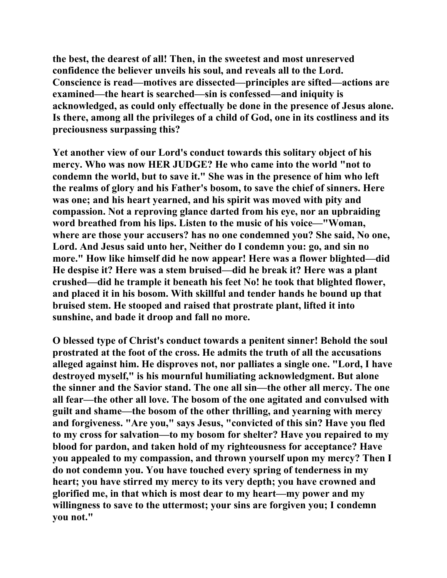**the best, the dearest of all! Then, in the sweetest and most unreserved confidence the believer unveils his soul, and reveals all to the Lord. Conscience is read—motives are dissected—principles are sifted—actions are examined—the heart is searched—sin is confessed—and iniquity is acknowledged, as could only effectually be done in the presence of Jesus alone. Is there, among all the privileges of a child of God, one in its costliness and its preciousness surpassing this?** 

**Yet another view of our Lord's conduct towards this solitary object of his mercy. Who was now HER JUDGE? He who came into the world "not to condemn the world, but to save it." She was in the presence of him who left the realms of glory and his Father's bosom, to save the chief of sinners. Here was one; and his heart yearned, and his spirit was moved with pity and compassion. Not a reproving glance darted from his eye, nor an upbraiding word breathed from his lips. Listen to the music of his voice—"Woman, where are those your accusers? has no one condemned you? She said, No one, Lord. And Jesus said unto her, Neither do I condemn you: go, and sin no more." How like himself did he now appear! Here was a flower blighted—did He despise it? Here was a stem bruised—did he break it? Here was a plant crushed—did he trample it beneath his feet No! he took that blighted flower, and placed it in his bosom. With skillful and tender hands he bound up that bruised stem. He stooped and raised that prostrate plant, lifted it into sunshine, and bade it droop and fall no more.** 

**O blessed type of Christ's conduct towards a penitent sinner! Behold the soul prostrated at the foot of the cross. He admits the truth of all the accusations alleged against him. He disproves not, nor palliates a single one. "Lord, I have destroyed myself," is his mournful humiliating acknowledgment. But alone the sinner and the Savior stand. The one all sin—the other all mercy. The one all fear—the other all love. The bosom of the one agitated and convulsed with guilt and shame—the bosom of the other thrilling, and yearning with mercy and forgiveness. "Are you," says Jesus, "convicted of this sin? Have you fled to my cross for salvation—to my bosom for shelter? Have you repaired to my blood for pardon, and taken hold of my righteousness for acceptance? Have you appealed to my compassion, and thrown yourself upon my mercy? Then I do not condemn you. You have touched every spring of tenderness in my heart; you have stirred my mercy to its very depth; you have crowned and glorified me, in that which is most dear to my heart—my power and my willingness to save to the uttermost; your sins are forgiven you; I condemn you not."**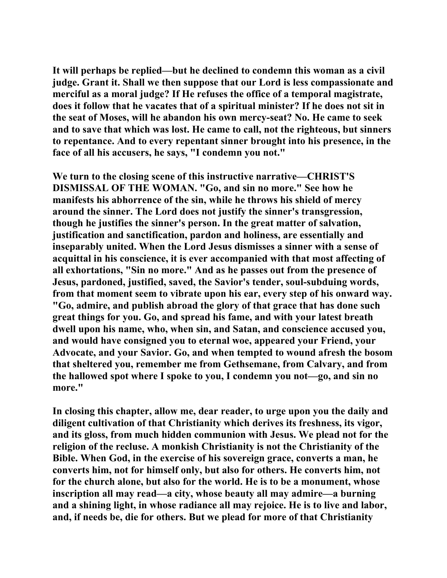**It will perhaps be replied—but he declined to condemn this woman as a civil judge. Grant it. Shall we then suppose that our Lord is less compassionate and merciful as a moral judge? If He refuses the office of a temporal magistrate, does it follow that he vacates that of a spiritual minister? If he does not sit in the seat of Moses, will he abandon his own mercy-seat? No. He came to seek and to save that which was lost. He came to call, not the righteous, but sinners to repentance. And to every repentant sinner brought into his presence, in the face of all his accusers, he says, "I condemn you not."** 

**We turn to the closing scene of this instructive narrative—CHRIST'S DISMISSAL OF THE WOMAN. "Go, and sin no more." See how he manifests his abhorrence of the sin, while he throws his shield of mercy around the sinner. The Lord does not justify the sinner's transgression, though he justifies the sinner's person. In the great matter of salvation, justification and sanctification, pardon and holiness, are essentially and inseparably united. When the Lord Jesus dismisses a sinner with a sense of acquittal in his conscience, it is ever accompanied with that most affecting of all exhortations, "Sin no more." And as he passes out from the presence of Jesus, pardoned, justified, saved, the Savior's tender, soul-subduing words, from that moment seem to vibrate upon his ear, every step of his onward way. "Go, admire, and publish abroad the glory of that grace that has done such great things for you. Go, and spread his fame, and with your latest breath dwell upon his name, who, when sin, and Satan, and conscience accused you, and would have consigned you to eternal woe, appeared your Friend, your Advocate, and your Savior. Go, and when tempted to wound afresh the bosom that sheltered you, remember me from Gethsemane, from Calvary, and from the hallowed spot where I spoke to you, I condemn you not—go, and sin no more."** 

**In closing this chapter, allow me, dear reader, to urge upon you the daily and diligent cultivation of that Christianity which derives its freshness, its vigor, and its gloss, from much hidden communion with Jesus. We plead not for the religion of the recluse. A monkish Christianity is not the Christianity of the Bible. When God, in the exercise of his sovereign grace, converts a man, he converts him, not for himself only, but also for others. He converts him, not for the church alone, but also for the world. He is to be a monument, whose inscription all may read—a city, whose beauty all may admire—a burning and a shining light, in whose radiance all may rejoice. He is to live and labor, and, if needs be, die for others. But we plead for more of that Christianity**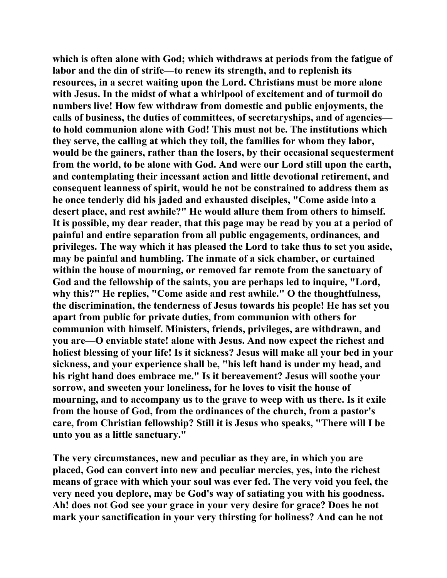**which is often alone with God; which withdraws at periods from the fatigue of labor and the din of strife—to renew its strength, and to replenish its resources, in a secret waiting upon the Lord. Christians must be more alone with Jesus. In the midst of what a whirlpool of excitement and of turmoil do numbers live! How few withdraw from domestic and public enjoyments, the calls of business, the duties of committees, of secretaryships, and of agencies to hold communion alone with God! This must not be. The institutions which they serve, the calling at which they toil, the families for whom they labor, would be the gainers, rather than the losers, by their occasional sequesterment from the world, to be alone with God. And were our Lord still upon the earth, and contemplating their incessant action and little devotional retirement, and consequent leanness of spirit, would he not be constrained to address them as he once tenderly did his jaded and exhausted disciples, "Come aside into a desert place, and rest awhile?" He would allure them from others to himself. It is possible, my dear reader, that this page may be read by you at a period of painful and entire separation from all public engagements, ordinances, and privileges. The way which it has pleased the Lord to take thus to set you aside, may be painful and humbling. The inmate of a sick chamber, or curtained within the house of mourning, or removed far remote from the sanctuary of God and the fellowship of the saints, you are perhaps led to inquire, "Lord, why this?" He replies, "Come aside and rest awhile." O the thoughtfulness, the discrimination, the tenderness of Jesus towards his people! He has set you apart from public for private duties, from communion with others for communion with himself. Ministers, friends, privileges, are withdrawn, and you are—O enviable state! alone with Jesus. And now expect the richest and holiest blessing of your life! Is it sickness? Jesus will make all your bed in your sickness, and your experience shall be, "his left hand is under my head, and his right hand does embrace me." Is it bereavement? Jesus will soothe your sorrow, and sweeten your loneliness, for he loves to visit the house of mourning, and to accompany us to the grave to weep with us there. Is it exile from the house of God, from the ordinances of the church, from a pastor's care, from Christian fellowship? Still it is Jesus who speaks, "There will I be unto you as a little sanctuary."** 

**The very circumstances, new and peculiar as they are, in which you are placed, God can convert into new and peculiar mercies, yes, into the richest means of grace with which your soul was ever fed. The very void you feel, the very need you deplore, may be God's way of satiating you with his goodness. Ah! does not God see your grace in your very desire for grace? Does he not mark your sanctification in your very thirsting for holiness? And can he not**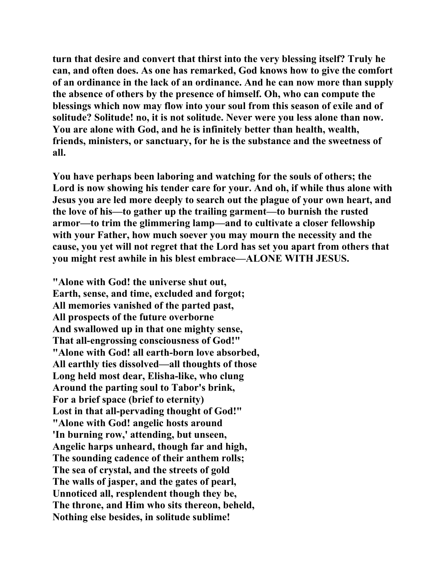**turn that desire and convert that thirst into the very blessing itself? Truly he can, and often does. As one has remarked, God knows how to give the comfort of an ordinance in the lack of an ordinance. And he can now more than supply the absence of others by the presence of himself. Oh, who can compute the blessings which now may flow into your soul from this season of exile and of solitude? Solitude! no, it is not solitude. Never were you less alone than now. You are alone with God, and he is infinitely better than health, wealth, friends, ministers, or sanctuary, for he is the substance and the sweetness of all.** 

**You have perhaps been laboring and watching for the souls of others; the Lord is now showing his tender care for your. And oh, if while thus alone with Jesus you are led more deeply to search out the plague of your own heart, and the love of his—to gather up the trailing garment—to burnish the rusted armor—to trim the glimmering lamp—and to cultivate a closer fellowship with your Father, how much soever you may mourn the necessity and the cause, you yet will not regret that the Lord has set you apart from others that you might rest awhile in his blest embrace—ALONE WITH JESUS.** 

**"Alone with God! the universe shut out, Earth, sense, and time, excluded and forgot; All memories vanished of the parted past, All prospects of the future overborne And swallowed up in that one mighty sense, That all-engrossing consciousness of God!" "Alone with God! all earth-born love absorbed, All earthly ties dissolved—all thoughts of those Long held most dear, Elisha-like, who clung Around the parting soul to Tabor's brink, For a brief space (brief to eternity) Lost in that all-pervading thought of God!" "Alone with God! angelic hosts around 'In burning row,' attending, but unseen, Angelic harps unheard, though far and high, The sounding cadence of their anthem rolls; The sea of crystal, and the streets of gold The walls of jasper, and the gates of pearl, Unnoticed all, resplendent though they be, The throne, and Him who sits thereon, beheld, Nothing else besides, in solitude sublime!**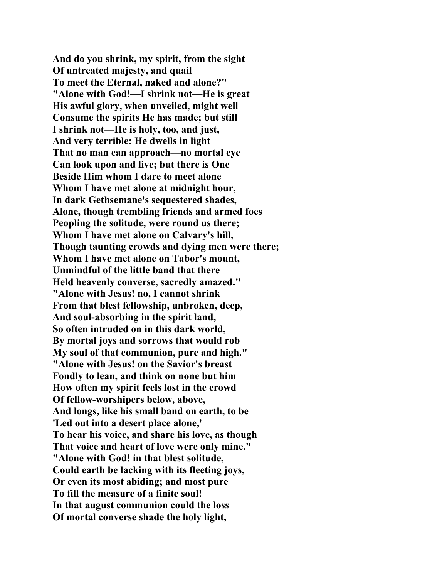**And do you shrink, my spirit, from the sight Of untreated majesty, and quail To meet the Eternal, naked and alone?" "Alone with God!—I shrink not—He is great His awful glory, when unveiled, might well Consume the spirits He has made; but still I shrink not—He is holy, too, and just, And very terrible: He dwells in light That no man can approach—no mortal eye Can look upon and live; but there is One Beside Him whom I dare to meet alone Whom I have met alone at midnight hour, In dark Gethsemane's sequestered shades, Alone, though trembling friends and armed foes Peopling the solitude, were round us there; Whom I have met alone on Calvary's hill, Though taunting crowds and dying men were there; Whom I have met alone on Tabor's mount, Unmindful of the little band that there Held heavenly converse, sacredly amazed." "Alone with Jesus! no, I cannot shrink From that blest fellowship, unbroken, deep, And soul-absorbing in the spirit land, So often intruded on in this dark world, By mortal joys and sorrows that would rob My soul of that communion, pure and high." "Alone with Jesus! on the Savior's breast Fondly to lean, and think on none but him How often my spirit feels lost in the crowd Of fellow-worshipers below, above, And longs, like his small band on earth, to be 'Led out into a desert place alone,' To hear his voice, and share his love, as though That voice and heart of love were only mine." "Alone with God! in that blest solitude, Could earth be lacking with its fleeting joys, Or even its most abiding; and most pure To fill the measure of a finite soul! In that august communion could the loss Of mortal converse shade the holy light,**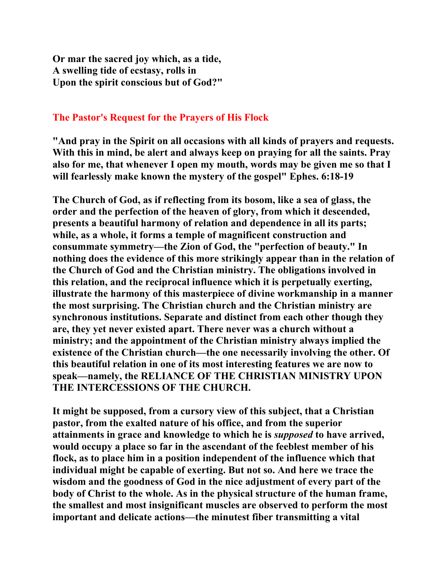**Or mar the sacred joy which, as a tide, A swelling tide of ecstasy, rolls in Upon the spirit conscious but of God?"** 

#### **The Pastor's Request for the Prayers of His Flock**

**"And pray in the Spirit on all occasions with all kinds of prayers and requests. With this in mind, be alert and always keep on praying for all the saints. Pray also for me, that whenever I open my mouth, words may be given me so that I will fearlessly make known the mystery of the gospel" Ephes. 6:18-19** 

**The Church of God, as if reflecting from its bosom, like a sea of glass, the order and the perfection of the heaven of glory, from which it descended, presents a beautiful harmony of relation and dependence in all its parts; while, as a whole, it forms a temple of magnificent construction and consummate symmetry—the Zion of God, the "perfection of beauty." In nothing does the evidence of this more strikingly appear than in the relation of the Church of God and the Christian ministry. The obligations involved in this relation, and the reciprocal influence which it is perpetually exerting, illustrate the harmony of this masterpiece of divine workmanship in a manner the most surprising. The Christian church and the Christian ministry are synchronous institutions. Separate and distinct from each other though they are, they yet never existed apart. There never was a church without a ministry; and the appointment of the Christian ministry always implied the existence of the Christian church—the one necessarily involving the other. Of this beautiful relation in one of its most interesting features we are now to speak—namely, the RELIANCE OF THE CHRISTIAN MINISTRY UPON THE INTERCESSIONS OF THE CHURCH.** 

**It might be supposed, from a cursory view of this subject, that a Christian pastor, from the exalted nature of his office, and from the superior attainments in grace and knowledge to which he is** *supposed* **to have arrived, would occupy a place so far in the ascendant of the feeblest member of his flock, as to place him in a position independent of the influence which that individual might be capable of exerting. But not so. And here we trace the wisdom and the goodness of God in the nice adjustment of every part of the body of Christ to the whole. As in the physical structure of the human frame, the smallest and most insignificant muscles are observed to perform the most important and delicate actions—the minutest fiber transmitting a vital**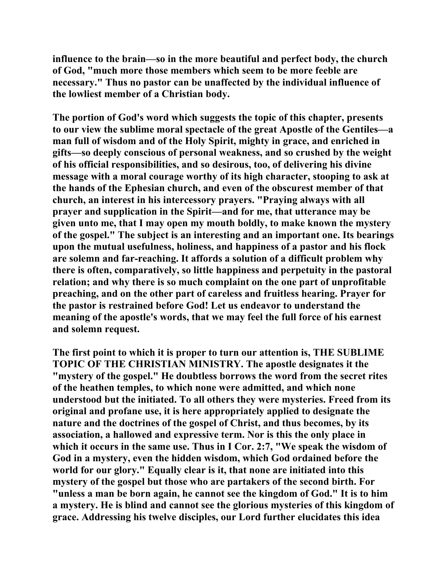**influence to the brain—so in the more beautiful and perfect body, the church of God, "much more those members which seem to be more feeble are necessary." Thus no pastor can be unaffected by the individual influence of the lowliest member of a Christian body.** 

**The portion of God's word which suggests the topic of this chapter, presents to our view the sublime moral spectacle of the great Apostle of the Gentiles—a man full of wisdom and of the Holy Spirit, mighty in grace, and enriched in gifts—so deeply conscious of personal weakness, and so crushed by the weight of his official responsibilities, and so desirous, too, of delivering his divine message with a moral courage worthy of its high character, stooping to ask at the hands of the Ephesian church, and even of the obscurest member of that church, an interest in his intercessory prayers. "Praying always with all prayer and supplication in the Spirit—and for me, that utterance may be given unto me, that I may open my mouth boldly, to make known the mystery of the gospel." The subject is an interesting and an important one. Its bearings upon the mutual usefulness, holiness, and happiness of a pastor and his flock are solemn and far-reaching. It affords a solution of a difficult problem why there is often, comparatively, so little happiness and perpetuity in the pastoral relation; and why there is so much complaint on the one part of unprofitable preaching, and on the other part of careless and fruitless hearing. Prayer for the pastor is restrained before God! Let us endeavor to understand the meaning of the apostle's words, that we may feel the full force of his earnest and solemn request.** 

**The first point to which it is proper to turn our attention is, THE SUBLIME TOPIC OF THE CHRISTIAN MINISTRY. The apostle designates it the "mystery of the gospel." He doubtless borrows the word from the secret rites of the heathen temples, to which none were admitted, and which none understood but the initiated. To all others they were mysteries. Freed from its original and profane use, it is here appropriately applied to designate the nature and the doctrines of the gospel of Christ, and thus becomes, by its association, a hallowed and expressive term. Nor is this the only place in which it occurs in the same use. Thus in I Cor. 2:7, "We speak the wisdom of God in a mystery, even the hidden wisdom, which God ordained before the world for our glory." Equally clear is it, that none are initiated into this mystery of the gospel but those who are partakers of the second birth. For "unless a man be born again, he cannot see the kingdom of God." It is to him a mystery. He is blind and cannot see the glorious mysteries of this kingdom of grace. Addressing his twelve disciples, our Lord further elucidates this idea**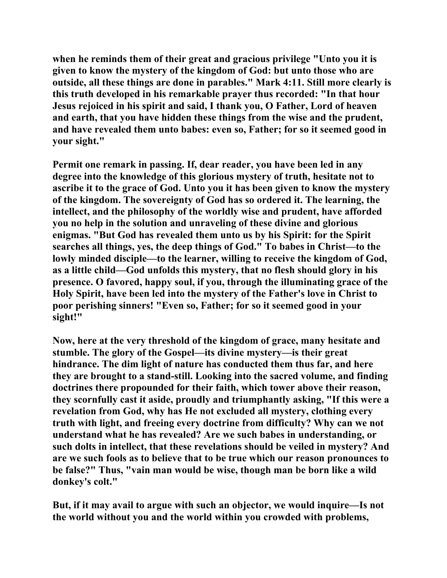**when he reminds them of their great and gracious privilege "Unto you it is given to know the mystery of the kingdom of God: but unto those who are outside, all these things are done in parables." Mark 4:11. Still more clearly is this truth developed in his remarkable prayer thus recorded: "In that hour Jesus rejoiced in his spirit and said, I thank you, O Father, Lord of heaven and earth, that you have hidden these things from the wise and the prudent, and have revealed them unto babes: even so, Father; for so it seemed good in your sight."** 

**Permit one remark in passing. If, dear reader, you have been led in any degree into the knowledge of this glorious mystery of truth, hesitate not to ascribe it to the grace of God. Unto you it has been given to know the mystery of the kingdom. The sovereignty of God has so ordered it. The learning, the intellect, and the philosophy of the worldly wise and prudent, have afforded you no help in the solution and unraveling of these divine and glorious enigmas. "But God has revealed them unto us by his Spirit: for the Spirit searches all things, yes, the deep things of God." To babes in Christ—to the lowly minded disciple—to the learner, willing to receive the kingdom of God, as a little child—God unfolds this mystery, that no flesh should glory in his presence. O favored, happy soul, if you, through the illuminating grace of the Holy Spirit, have been led into the mystery of the Father's love in Christ to poor perishing sinners! "Even so, Father; for so it seemed good in your sight!"** 

**Now, here at the very threshold of the kingdom of grace, many hesitate and stumble. The glory of the Gospel—its divine mystery—is their great hindrance. The dim light of nature has conducted them thus far, and here they are brought to a stand-still. Looking into the sacred volume, and finding doctrines there propounded for their faith, which tower above their reason, they scornfully cast it aside, proudly and triumphantly asking, "If this were a revelation from God, why has He not excluded all mystery, clothing every truth with light, and freeing every doctrine from difficulty? Why can we not understand what he has revealed? Are we such babes in understanding, or such dolts in intellect, that these revelations should be veiled in mystery? And are we such fools as to believe that to be true which our reason pronounces to be false?" Thus, "vain man would be wise, though man be born like a wild donkey's colt."** 

**But, if it may avail to argue with such an objector, we would inquire—Is not the world without you and the world within you crowded with problems,**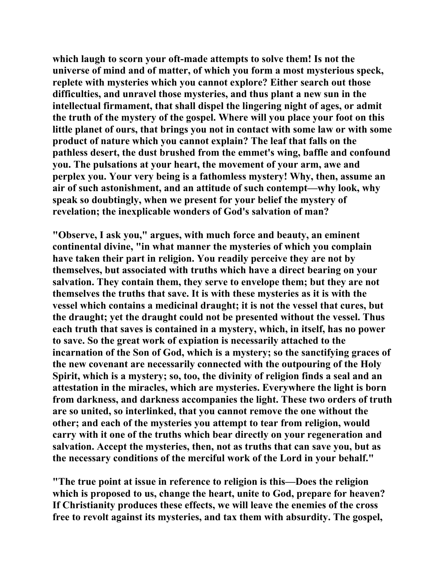**which laugh to scorn your oft-made attempts to solve them! Is not the universe of mind and of matter, of which you form a most mysterious speck, replete with mysteries which you cannot explore? Either search out those difficulties, and unravel those mysteries, and thus plant a new sun in the intellectual firmament, that shall dispel the lingering night of ages, or admit the truth of the mystery of the gospel. Where will you place your foot on this little planet of ours, that brings you not in contact with some law or with some product of nature which you cannot explain? The leaf that falls on the pathless desert, the dust brushed from the emmet's wing, baffle and confound you. The pulsations at your heart, the movement of your arm, awe and perplex you. Your very being is a fathomless mystery! Why, then, assume an air of such astonishment, and an attitude of such contempt—why look, why speak so doubtingly, when we present for your belief the mystery of revelation; the inexplicable wonders of God's salvation of man?** 

**"Observe, I ask you," argues, with much force and beauty, an eminent continental divine, "in what manner the mysteries of which you complain have taken their part in religion. You readily perceive they are not by themselves, but associated with truths which have a direct bearing on your salvation. They contain them, they serve to envelope them; but they are not themselves the truths that save. It is with these mysteries as it is with the vessel which contains a medicinal draught; it is not the vessel that cures, but the draught; yet the draught could not be presented without the vessel. Thus each truth that saves is contained in a mystery, which, in itself, has no power to save. So the great work of expiation is necessarily attached to the incarnation of the Son of God, which is a mystery; so the sanctifying graces of the new covenant are necessarily connected with the outpouring of the Holy Spirit, which is a mystery; so, too, the divinity of religion finds a seal and an attestation in the miracles, which are mysteries. Everywhere the light is born from darkness, and darkness accompanies the light. These two orders of truth are so united, so interlinked, that you cannot remove the one without the other; and each of the mysteries you attempt to tear from religion, would carry with it one of the truths which bear directly on your regeneration and salvation. Accept the mysteries, then, not as truths that can save you, but as the necessary conditions of the merciful work of the Lord in your behalf."** 

**"The true point at issue in reference to religion is this—Does the religion which is proposed to us, change the heart, unite to God, prepare for heaven? If Christianity produces these effects, we will leave the enemies of the cross free to revolt against its mysteries, and tax them with absurdity. The gospel,**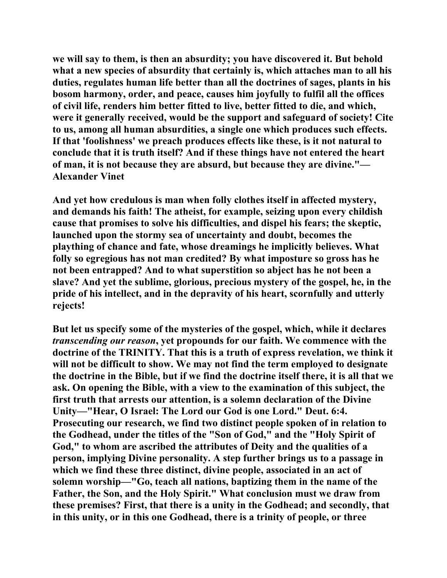**we will say to them, is then an absurdity; you have discovered it. But behold what a new species of absurdity that certainly is, which attaches man to all his duties, regulates human life better than all the doctrines of sages, plants in his bosom harmony, order, and peace, causes him joyfully to fulfil all the offices of civil life, renders him better fitted to live, better fitted to die, and which, were it generally received, would be the support and safeguard of society! Cite to us, among all human absurdities, a single one which produces such effects. If that 'foolishness' we preach produces effects like these, is it not natural to conclude that it is truth itself? And if these things have not entered the heart of man, it is not because they are absurd, but because they are divine."— Alexander Vinet** 

**And yet how credulous is man when folly clothes itself in affected mystery, and demands his faith! The atheist, for example, seizing upon every childish cause that promises to solve his difficulties, and dispel his fears; the skeptic, launched upon the stormy sea of uncertainty and doubt, becomes the plaything of chance and fate, whose dreamings he implicitly believes. What folly so egregious has not man credited? By what imposture so gross has he not been entrapped? And to what superstition so abject has he not been a slave? And yet the sublime, glorious, precious mystery of the gospel, he, in the pride of his intellect, and in the depravity of his heart, scornfully and utterly rejects!** 

**But let us specify some of the mysteries of the gospel, which, while it declares**  *transcending our reason***, yet propounds for our faith. We commence with the doctrine of the TRINITY. That this is a truth of express revelation, we think it will not be difficult to show. We may not find the term employed to designate the doctrine in the Bible, but if we find the doctrine itself there, it is all that we ask. On opening the Bible, with a view to the examination of this subject, the first truth that arrests our attention, is a solemn declaration of the Divine Unity—"Hear, O Israel: The Lord our God is one Lord." Deut. 6:4. Prosecuting our research, we find two distinct people spoken of in relation to the Godhead, under the titles of the "Son of God," and the "Holy Spirit of God," to whom are ascribed the attributes of Deity and the qualities of a person, implying Divine personality. A step further brings us to a passage in which we find these three distinct, divine people, associated in an act of solemn worship—"Go, teach all nations, baptizing them in the name of the Father, the Son, and the Holy Spirit." What conclusion must we draw from these premises? First, that there is a unity in the Godhead; and secondly, that in this unity, or in this one Godhead, there is a trinity of people, or three**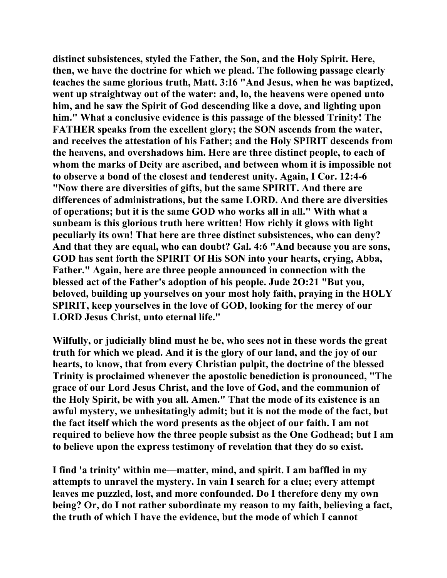**distinct subsistences, styled the Father, the Son, and the Holy Spirit. Here, then, we have the doctrine for which we plead. The following passage clearly teaches the same glorious truth, Matt. 3:I6 "And Jesus, when he was baptized, went up straightway out of the water: and, lo, the heavens were opened unto him, and he saw the Spirit of God descending like a dove, and lighting upon him." What a conclusive evidence is this passage of the blessed Trinity! The FATHER speaks from the excellent glory; the SON ascends from the water, and receives the attestation of his Father; and the Holy SPIRIT descends from the heavens, and overshadows him. Here are three distinct people, to each of whom the marks of Deity are ascribed, and between whom it is impossible not to observe a bond of the closest and tenderest unity. Again, I Cor. 12:4-6 "Now there are diversities of gifts, but the same SPIRIT. And there are differences of administrations, but the same LORD. And there are diversities of operations; but it is the same GOD who works all in all." With what a sunbeam is this glorious truth here written! How richly it glows with light peculiarly its own! That here are three distinct subsistences, who can deny? And that they are equal, who can doubt? Gal. 4:6 "And because you are sons, GOD has sent forth the SPIRIT Of His SON into your hearts, crying, Abba, Father." Again, here are three people announced in connection with the blessed act of the Father's adoption of his people. Jude 2O:21 "But you, beloved, building up yourselves on your most holy faith, praying in the HOLY SPIRIT, keep yourselves in the love of GOD, looking for the mercy of our LORD Jesus Christ, unto eternal life."** 

**Wilfully, or judicially blind must he be, who sees not in these words the great truth for which we plead. And it is the glory of our land, and the joy of our hearts, to know, that from every Christian pulpit, the doctrine of the blessed Trinity is proclaimed whenever the apostolic benediction is pronounced, "The grace of our Lord Jesus Christ, and the love of God, and the communion of the Holy Spirit, be with you all. Amen." That the mode of its existence is an awful mystery, we unhesitatingly admit; but it is not the mode of the fact, but the fact itself which the word presents as the object of our faith. I am not required to believe how the three people subsist as the One Godhead; but I am to believe upon the express testimony of revelation that they do so exist.** 

**I find 'a trinity' within me—matter, mind, and spirit. I am baffled in my attempts to unravel the mystery. In vain I search for a clue; every attempt leaves me puzzled, lost, and more confounded. Do I therefore deny my own being? Or, do I not rather subordinate my reason to my faith, believing a fact, the truth of which I have the evidence, but the mode of which I cannot**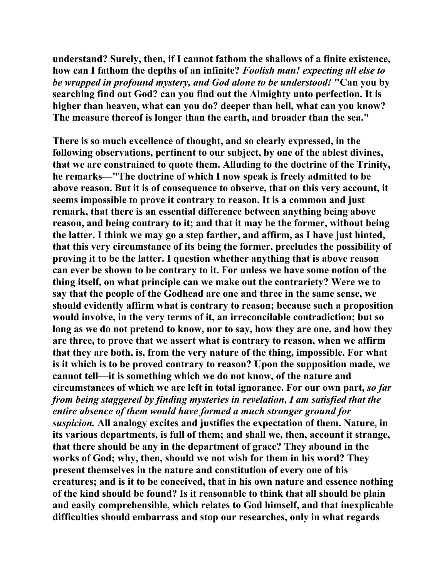**understand? Surely, then, if I cannot fathom the shallows of a finite existence, how can I fathom the depths of an infinite?** *Foolish man! expecting all else to be wrapped in profound mystery, and God alone to be understood!* **"Can you by searching find out God? can you find out the Almighty unto perfection. It is higher than heaven, what can you do? deeper than hell, what can you know? The measure thereof is longer than the earth, and broader than the sea."** 

**There is so much excellence of thought, and so clearly expressed, in the following observations, pertinent to our subject, by one of the ablest divines, that we are constrained to quote them. Alluding to the doctrine of the Trinity, he remarks—"The doctrine of which I now speak is freely admitted to be above reason. But it is of consequence to observe, that on this very account, it seems impossible to prove it contrary to reason. It is a common and just remark, that there is an essential difference between anything being above reason, and being contrary to it; and that it may be the former, without being the latter. I think we may go a step farther, and affirm, as I have just hinted, that this very circumstance of its being the former, precludes the possibility of proving it to be the latter. I question whether anything that is above reason can ever be shown to be contrary to it. For unless we have some notion of the thing itself, on what principle can we make out the contrariety? Were we to say that the people of the Godhead are one and three in the same sense, we should evidently affirm what is contrary to reason; because such a proposition would involve, in the very terms of it, an irreconcilable contradiction; but so long as we do not pretend to know, nor to say, how they are one, and how they are three, to prove that we assert what is contrary to reason, when we affirm that they are both, is, from the very nature of the thing, impossible. For what is it which is to be proved contrary to reason? Upon the supposition made, we cannot tell—it is something which we do not know, of the nature and circumstances of which we are left in total ignorance. For our own part,** *so far from being staggered by finding mysteries in revelation, I am satisfied that the entire absence of them would have formed a much stronger ground for suspicion.* **All analogy excites and justifies the expectation of them. Nature, in its various departments, is full of them; and shall we, then, account it strange, that there should be any in the department of grace? They abound in the works of God; why, then, should we not wish for them in his word? They present themselves in the nature and constitution of every one of his creatures; and is it to be conceived, that in his own nature and essence nothing of the kind should be found? Is it reasonable to think that all should be plain and easily comprehensible, which relates to God himself, and that inexplicable difficulties should embarrass and stop our researches, only in what regards**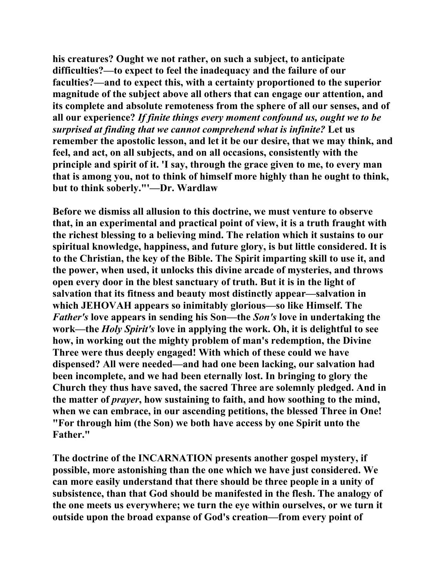**his creatures? Ought we not rather, on such a subject, to anticipate difficulties?—to expect to feel the inadequacy and the failure of our faculties?—and to expect this, with a certainty proportioned to the superior magnitude of the subject above all others that can engage our attention, and its complete and absolute remoteness from the sphere of all our senses, and of all our experience?** *If finite things every moment confound us, ought we to be surprised at finding that we cannot comprehend what is infinite?* **Let us remember the apostolic lesson, and let it be our desire, that we may think, and feel, and act, on all subjects, and on all occasions, consistently with the principle and spirit of it. 'I say, through the grace given to me, to every man that is among you, not to think of himself more highly than he ought to think, but to think soberly."'—Dr. Wardlaw** 

**Before we dismiss all allusion to this doctrine, we must venture to observe that, in an experimental and practical point of view, it is a truth fraught with the richest blessing to a believing mind. The relation which it sustains to our spiritual knowledge, happiness, and future glory, is but little considered. It is to the Christian, the key of the Bible. The Spirit imparting skill to use it, and the power, when used, it unlocks this divine arcade of mysteries, and throws open every door in the blest sanctuary of truth. But it is in the light of salvation that its fitness and beauty most distinctly appear—salvation in which JEHOVAH appears so inimitably glorious—so like Himself. The**  *Father's* **love appears in sending his Son—the** *Son's* **love in undertaking the work—the** *Holy Spirit's* **love in applying the work. Oh, it is delightful to see how, in working out the mighty problem of man's redemption, the Divine Three were thus deeply engaged! With which of these could we have dispensed? All were needed—and had one been lacking, our salvation had been incomplete, and we had been eternally lost. In bringing to glory the Church they thus have saved, the sacred Three are solemnly pledged. And in the matter of** *prayer***, how sustaining to faith, and how soothing to the mind, when we can embrace, in our ascending petitions, the blessed Three in One! "For through him (the Son) we both have access by one Spirit unto the Father."** 

**The doctrine of the INCARNATION presents another gospel mystery, if possible, more astonishing than the one which we have just considered. We can more easily understand that there should be three people in a unity of subsistence, than that God should be manifested in the flesh. The analogy of the one meets us everywhere; we turn the eye within ourselves, or we turn it outside upon the broad expanse of God's creation—from every point of**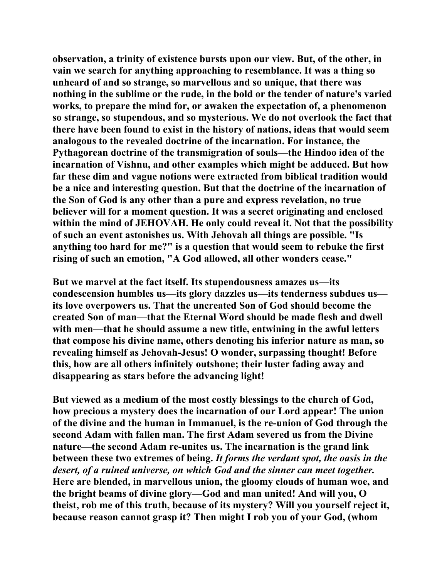**observation, a trinity of existence bursts upon our view. But, of the other, in vain we search for anything approaching to resemblance. It was a thing so unheard of and so strange, so marvellous and so unique, that there was nothing in the sublime or the rude, in the bold or the tender of nature's varied works, to prepare the mind for, or awaken the expectation of, a phenomenon so strange, so stupendous, and so mysterious. We do not overlook the fact that there have been found to exist in the history of nations, ideas that would seem analogous to the revealed doctrine of the incarnation. For instance, the Pythagorean doctrine of the transmigration of souls—the Hindoo idea of the incarnation of Vishnu, and other examples which might be adduced. But how far these dim and vague notions were extracted from biblical tradition would be a nice and interesting question. But that the doctrine of the incarnation of the Son of God is any other than a pure and express revelation, no true believer will for a moment question. It was a secret originating and enclosed within the mind of JEHOVAH. He only could reveal it. Not that the possibility of such an event astonishes us. With Jehovah all things are possible. "Is anything too hard for me?" is a question that would seem to rebuke the first rising of such an emotion, "A God allowed, all other wonders cease."** 

**But we marvel at the fact itself. Its stupendousness amazes us—its condescension humbles us—its glory dazzles us—its tenderness subdues us its love overpowers us. That the uncreated Son of God should become the created Son of man—that the Eternal Word should be made flesh and dwell with men—that he should assume a new title, entwining in the awful letters that compose his divine name, others denoting his inferior nature as man, so revealing himself as Jehovah-Jesus! O wonder, surpassing thought! Before this, how are all others infinitely outshone; their luster fading away and disappearing as stars before the advancing light!** 

**But viewed as a medium of the most costly blessings to the church of God, how precious a mystery does the incarnation of our Lord appear! The union of the divine and the human in Immanuel, is the re-union of God through the second Adam with fallen man. The first Adam severed us from the Divine nature—the second Adam re-unites us. The incarnation is the grand link between these two extremes of being.** *It forms the verdant spot, the oasis in the desert, of a ruined universe, on which God and the sinner can meet together.*  **Here are blended, in marvellous union, the gloomy clouds of human woe, and the bright beams of divine glory—God and man united! And will you, O theist, rob me of this truth, because of its mystery? Will you yourself reject it, because reason cannot grasp it? Then might I rob you of your God, (whom**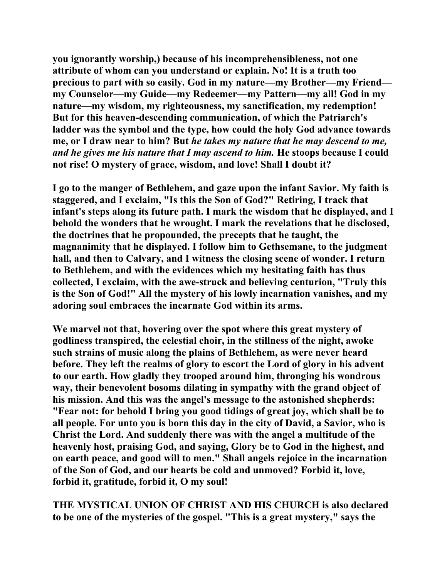**you ignorantly worship,) because of his incomprehensibleness, not one attribute of whom can you understand or explain. No! It is a truth too precious to part with so easily. God in my nature—my Brother—my Friend my Counselor—my Guide—my Redeemer—my Pattern—my all! God in my nature—my wisdom, my righteousness, my sanctification, my redemption! But for this heaven-descending communication, of which the Patriarch's ladder was the symbol and the type, how could the holy God advance towards me, or I draw near to him? But** *he takes my nature that he may descend to me, and he gives me his nature that I may ascend to him.* **He stoops because I could not rise! O mystery of grace, wisdom, and love! Shall I doubt it?** 

**I go to the manger of Bethlehem, and gaze upon the infant Savior. My faith is staggered, and I exclaim, "Is this the Son of God?" Retiring, I track that infant's steps along its future path. I mark the wisdom that he displayed, and I behold the wonders that he wrought. I mark the revelations that he disclosed, the doctrines that he propounded, the precepts that he taught, the magnanimity that he displayed. I follow him to Gethsemane, to the judgment hall, and then to Calvary, and I witness the closing scene of wonder. I return to Bethlehem, and with the evidences which my hesitating faith has thus collected, I exclaim, with the awe-struck and believing centurion, "Truly this is the Son of God!" All the mystery of his lowly incarnation vanishes, and my adoring soul embraces the incarnate God within its arms.** 

**We marvel not that, hovering over the spot where this great mystery of godliness transpired, the celestial choir, in the stillness of the night, awoke such strains of music along the plains of Bethlehem, as were never heard before. They left the realms of glory to escort the Lord of glory in his advent to our earth. How gladly they trooped around him, thronging his wondrous way, their benevolent bosoms dilating in sympathy with the grand object of his mission. And this was the angel's message to the astonished shepherds: "Fear not: for behold I bring you good tidings of great joy, which shall be to all people. For unto you is born this day in the city of David, a Savior, who is Christ the Lord. And suddenly there was with the angel a multitude of the heavenly host, praising God, and saying, Glory be to God in the highest, and on earth peace, and good will to men." Shall angels rejoice in the incarnation of the Son of God, and our hearts be cold and unmoved? Forbid it, love, forbid it, gratitude, forbid it, O my soul!** 

**THE MYSTICAL UNION OF CHRIST AND HIS CHURCH is also declared to be one of the mysteries of the gospel. "This is a great mystery," says the**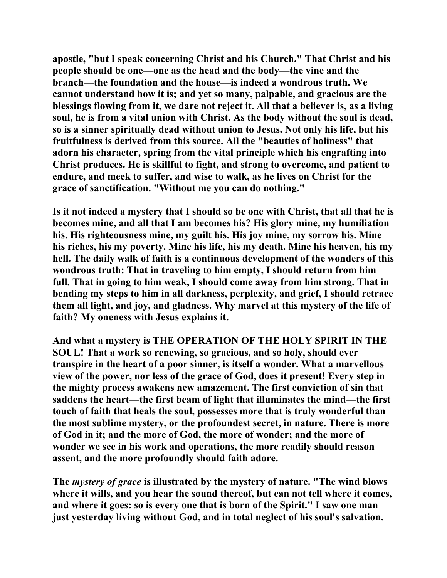**apostle, "but I speak concerning Christ and his Church." That Christ and his people should be one—one as the head and the body—the vine and the branch—the foundation and the house—is indeed a wondrous truth. We cannot understand how it is; and yet so many, palpable, and gracious are the blessings flowing from it, we dare not reject it. All that a believer is, as a living soul, he is from a vital union with Christ. As the body without the soul is dead, so is a sinner spiritually dead without union to Jesus. Not only his life, but his fruitfulness is derived from this source. All the "beauties of holiness" that adorn his character, spring from the vital principle which his engrafting into Christ produces. He is skillful to fight, and strong to overcome, and patient to endure, and meek to suffer, and wise to walk, as he lives on Christ for the grace of sanctification. "Without me you can do nothing."** 

**Is it not indeed a mystery that I should so be one with Christ, that all that he is becomes mine, and all that I am becomes his? His glory mine, my humiliation his. His righteousness mine, my guilt his. His joy mine, my sorrow his. Mine his riches, his my poverty. Mine his life, his my death. Mine his heaven, his my hell. The daily walk of faith is a continuous development of the wonders of this wondrous truth: That in traveling to him empty, I should return from him full. That in going to him weak, I should come away from him strong. That in bending my steps to him in all darkness, perplexity, and grief, I should retrace them all light, and joy, and gladness. Why marvel at this mystery of the life of faith? My oneness with Jesus explains it.** 

**And what a mystery is THE OPERATION OF THE HOLY SPIRIT IN THE SOUL! That a work so renewing, so gracious, and so holy, should ever transpire in the heart of a poor sinner, is itself a wonder. What a marvellous view of the power, nor less of the grace of God, does it present! Every step in the mighty process awakens new amazement. The first conviction of sin that saddens the heart—the first beam of light that illuminates the mind—the first touch of faith that heals the soul, possesses more that is truly wonderful than the most sublime mystery, or the profoundest secret, in nature. There is more of God in it; and the more of God, the more of wonder; and the more of wonder we see in his work and operations, the more readily should reason assent, and the more profoundly should faith adore.** 

**The** *mystery of grace* **is illustrated by the mystery of nature. "The wind blows where it wills, and you hear the sound thereof, but can not tell where it comes, and where it goes: so is every one that is born of the Spirit." I saw one man just yesterday living without God, and in total neglect of his soul's salvation.**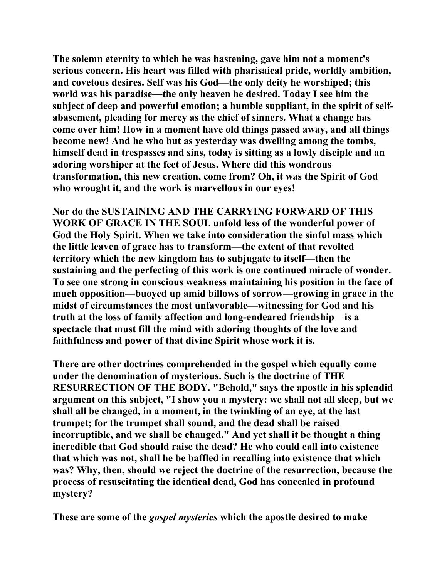**The solemn eternity to which he was hastening, gave him not a moment's serious concern. His heart was filled with pharisaical pride, worldly ambition, and covetous desires. Self was his God—the only deity he worshiped; this world was his paradise—the only heaven he desired. Today I see him the subject of deep and powerful emotion; a humble suppliant, in the spirit of selfabasement, pleading for mercy as the chief of sinners. What a change has come over him! How in a moment have old things passed away, and all things become new! And he who but as yesterday was dwelling among the tombs, himself dead in trespasses and sins, today is sitting as a lowly disciple and an adoring worshiper at the feet of Jesus. Where did this wondrous transformation, this new creation, come from? Oh, it was the Spirit of God who wrought it, and the work is marvellous in our eyes!** 

**Nor do the SUSTAINING AND THE CARRYING FORWARD OF THIS WORK OF GRACE IN THE SOUL unfold less of the wonderful power of God the Holy Spirit. When we take into consideration the sinful mass which the little leaven of grace has to transform—the extent of that revolted territory which the new kingdom has to subjugate to itself—then the sustaining and the perfecting of this work is one continued miracle of wonder. To see one strong in conscious weakness maintaining his position in the face of much opposition—buoyed up amid billows of sorrow—growing in grace in the midst of circumstances the most unfavorable—witnessing for God and his truth at the loss of family affection and long-endeared friendship—is a spectacle that must fill the mind with adoring thoughts of the love and faithfulness and power of that divine Spirit whose work it is.** 

**There are other doctrines comprehended in the gospel which equally come under the denomination of mysterious. Such is the doctrine of THE RESURRECTION OF THE BODY. "Behold," says the apostle in his splendid argument on this subject, "I show you a mystery: we shall not all sleep, but we shall all be changed, in a moment, in the twinkling of an eye, at the last trumpet; for the trumpet shall sound, and the dead shall be raised incorruptible, and we shall be changed." And yet shall it be thought a thing incredible that God should raise the dead? He who could call into existence that which was not, shall he be baffled in recalling into existence that which was? Why, then, should we reject the doctrine of the resurrection, because the process of resuscitating the identical dead, God has concealed in profound mystery?** 

**These are some of the** *gospel mysteries* **which the apostle desired to make**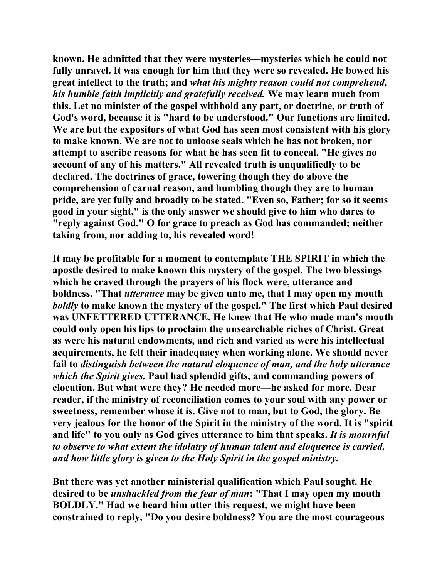**known. He admitted that they were mysteries—mysteries which he could not fully unravel. It was enough for him that they were so revealed. He bowed his great intellect to the truth; and** *what his mighty reason could not comprehend, his humble faith implicitly and gratefully received.* **We may learn much from this. Let no minister of the gospel withhold any part, or doctrine, or truth of God's word, because it is "hard to be understood." Our functions are limited. We are but the expositors of what God has seen most consistent with his glory to make known. We are not to unloose seals which he has not broken, nor attempt to ascribe reasons for what he has seen fit to conceal. "He gives no account of any of his matters." All revealed truth is unqualifiedly to be declared. The doctrines of grace, towering though they do above the comprehension of carnal reason, and humbling though they are to human pride, are yet fully and broadly to be stated. "Even so, Father; for so it seems good in your sight," is the only answer we should give to him who dares to "reply against God." O for grace to preach as God has commanded; neither taking from, nor adding to, his revealed word!** 

**It may be profitable for a moment to contemplate THE SPIRIT in which the apostle desired to make known this mystery of the gospel. The two blessings which he craved through the prayers of his flock were, utterance and boldness. "That** *utterance* **may be given unto me, that I may open my mouth**  *boldly* **to make known the mystery of the gospel." The first which Paul desired was UNFETTERED UTTERANCE. He knew that He who made man's mouth could only open his lips to proclaim the unsearchable riches of Christ. Great as were his natural endowments, and rich and varied as were his intellectual acquirements, he felt their inadequacy when working alone. We should never fail to** *distinguish between the natural eloquence of man, and the holy utterance which the Spirit gives.* **Paul had splendid gifts, and commanding powers of elocution. But what were they? He needed more—he asked for more. Dear reader, if the ministry of reconciliation comes to your soul with any power or sweetness, remember whose it is. Give not to man, but to God, the glory. Be very jealous for the honor of the Spirit in the ministry of the word. It is "spirit and life" to you only as God gives utterance to him that speaks.** *It is mournful to observe to what extent the idolatry of human talent and eloquence is carried, and how little glory is given to the Holy Spirit in the gospel ministry.* 

**But there was yet another ministerial qualification which Paul sought. He desired to be** *unshackled from the fear of man***: "That I may open my mouth BOLDLY." Had we heard him utter this request, we might have been constrained to reply, "Do you desire boldness? You are the most courageous**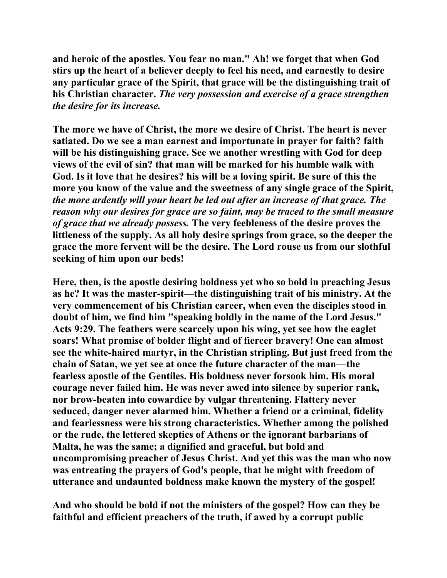**and heroic of the apostles. You fear no man." Ah! we forget that when God stirs up the heart of a believer deeply to feel his need, and earnestly to desire any particular grace of the Spirit, that grace will be the distinguishing trait of his Christian character.** *The very possession and exercise of a grace strengthen the desire for its increase.*

**The more we have of Christ, the more we desire of Christ. The heart is never satiated. Do we see a man earnest and importunate in prayer for faith? faith will be his distinguishing grace. See we another wrestling with God for deep views of the evil of sin? that man will be marked for his humble walk with God. Is it love that he desires? his will be a loving spirit. Be sure of this the more you know of the value and the sweetness of any single grace of the Spirit,**  *the more ardently will your heart be led out after an increase of that grace. The reason why our desires for grace are so faint, may be traced to the small measure of grace that we already possess.* **The very feebleness of the desire proves the littleness of the supply. As all holy desire springs from grace, so the deeper the grace the more fervent will be the desire. The Lord rouse us from our slothful seeking of him upon our beds!** 

**Here, then, is the apostle desiring boldness yet who so bold in preaching Jesus as he? It was the master-spirit—the distinguishing trait of his ministry. At the very commencement of his Christian career, when even the disciples stood in doubt of him, we find him "speaking boldly in the name of the Lord Jesus." Acts 9:29. The feathers were scarcely upon his wing, yet see how the eaglet soars! What promise of bolder flight and of fiercer bravery! One can almost see the white-haired martyr, in the Christian stripling. But just freed from the chain of Satan, we yet see at once the future character of the man—the fearless apostle of the Gentiles. His boldness never forsook him. His moral courage never failed him. He was never awed into silence by superior rank, nor brow-beaten into cowardice by vulgar threatening. Flattery never seduced, danger never alarmed him. Whether a friend or a criminal, fidelity and fearlessness were his strong characteristics. Whether among the polished or the rude, the lettered skeptics of Athens or the ignorant barbarians of Malta, he was the same; a dignified and graceful, but bold and uncompromising preacher of Jesus Christ. And yet this was the man who now was entreating the prayers of God's people, that he might with freedom of utterance and undaunted boldness make known the mystery of the gospel!** 

**And who should be bold if not the ministers of the gospel? How can they be faithful and efficient preachers of the truth, if awed by a corrupt public**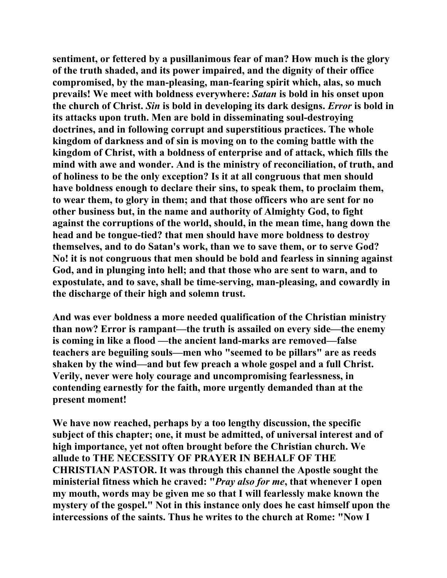**sentiment, or fettered by a pusillanimous fear of man? How much is the glory of the truth shaded, and its power impaired, and the dignity of their office compromised, by the man-pleasing, man-fearing spirit which, alas, so much prevails! We meet with boldness everywhere:** *Satan* **is bold in his onset upon the church of Christ.** *Sin* **is bold in developing its dark designs.** *Error* **is bold in its attacks upon truth. Men are bold in disseminating soul-destroying doctrines, and in following corrupt and superstitious practices. The whole kingdom of darkness and of sin is moving on to the coming battle with the kingdom of Christ, with a boldness of enterprise and of attack, which fills the mind with awe and wonder. And is the ministry of reconciliation, of truth, and of holiness to be the only exception? Is it at all congruous that men should have boldness enough to declare their sins, to speak them, to proclaim them, to wear them, to glory in them; and that those officers who are sent for no other business but, in the name and authority of Almighty God, to fight against the corruptions of the world, should, in the mean time, hang down the head and be tongue-tied? that men should have more boldness to destroy themselves, and to do Satan's work, than we to save them, or to serve God? No! it is not congruous that men should be bold and fearless in sinning against God, and in plunging into hell; and that those who are sent to warn, and to expostulate, and to save, shall be time-serving, man-pleasing, and cowardly in the discharge of their high and solemn trust.** 

**And was ever boldness a more needed qualification of the Christian ministry than now? Error is rampant—the truth is assailed on every side—the enemy is coming in like a flood —the ancient land-marks are removed—false teachers are beguiling souls—men who "seemed to be pillars" are as reeds shaken by the wind—and but few preach a whole gospel and a full Christ. Verily, never were holy courage and uncompromising fearlessness, in contending earnestly for the faith, more urgently demanded than at the present moment!** 

**We have now reached, perhaps by a too lengthy discussion, the specific subject of this chapter; one, it must be admitted, of universal interest and of high importance, yet not often brought before the Christian church. We allude to THE NECESSITY OF PRAYER IN BEHALF OF THE CHRISTIAN PASTOR. It was through this channel the Apostle sought the ministerial fitness which he craved: "***Pray also for me***, that whenever I open my mouth, words may be given me so that I will fearlessly make known the mystery of the gospel." Not in this instance only does he cast himself upon the intercessions of the saints. Thus he writes to the church at Rome: "Now I**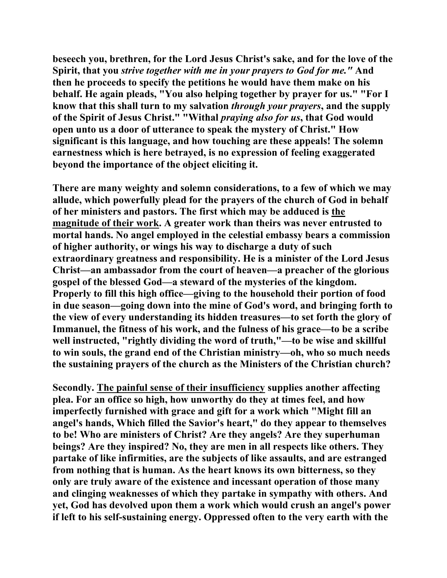**beseech you, brethren, for the Lord Jesus Christ's sake, and for the love of the Spirit, that you** *strive together with me in your prayers to God for me."* **And then he proceeds to specify the petitions he would have them make on his behalf. He again pleads, "You also helping together by prayer for us." "For I know that this shall turn to my salvation** *through your prayers***, and the supply of the Spirit of Jesus Christ." "Withal** *praying also for us***, that God would open unto us a door of utterance to speak the mystery of Christ." How significant is this language, and how touching are these appeals! The solemn earnestness which is here betrayed, is no expression of feeling exaggerated beyond the importance of the object eliciting it.** 

**There are many weighty and solemn considerations, to a few of which we may allude, which powerfully plead for the prayers of the church of God in behalf of her ministers and pastors. The first which may be adduced is the magnitude of their work. A greater work than theirs was never entrusted to mortal hands. No angel employed in the celestial embassy bears a commission of higher authority, or wings his way to discharge a duty of such extraordinary greatness and responsibility. He is a minister of the Lord Jesus Christ—an ambassador from the court of heaven—a preacher of the glorious gospel of the blessed God—a steward of the mysteries of the kingdom. Properly to fill this high office—giving to the household their portion of food in due season—going down into the mine of God's word, and bringing forth to the view of every understanding its hidden treasures—to set forth the glory of Immanuel, the fitness of his work, and the fulness of his grace—to be a scribe well instructed, "rightly dividing the word of truth,"—to be wise and skillful to win souls, the grand end of the Christian ministry—oh, who so much needs the sustaining prayers of the church as the Ministers of the Christian church?** 

**Secondly. The painful sense of their insufficiency supplies another affecting plea. For an office so high, how unworthy do they at times feel, and how imperfectly furnished with grace and gift for a work which "Might fill an angel's hands, Which filled the Savior's heart," do they appear to themselves to be! Who are ministers of Christ? Are they angels? Are they superhuman beings? Are they inspired? No, they are men in all respects like others. They partake of like infirmities, are the subjects of like assaults, and are estranged from nothing that is human. As the heart knows its own bitterness, so they only are truly aware of the existence and incessant operation of those many and clinging weaknesses of which they partake in sympathy with others. And yet, God has devolved upon them a work which would crush an angel's power if left to his self-sustaining energy. Oppressed often to the very earth with the**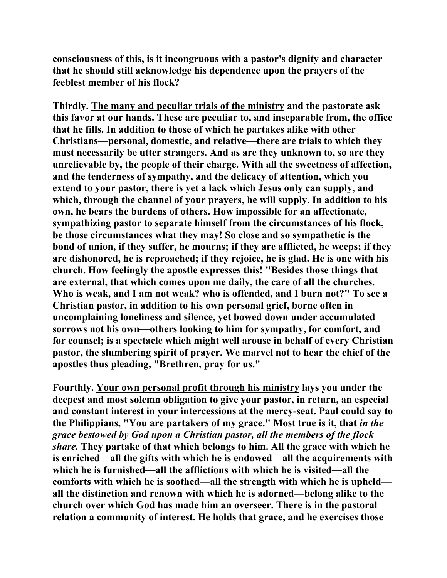**consciousness of this, is it incongruous with a pastor's dignity and character that he should still acknowledge his dependence upon the prayers of the feeblest member of his flock?** 

**Thirdly. The many and peculiar trials of the ministry and the pastorate ask this favor at our hands. These are peculiar to, and inseparable from, the office that he fills. In addition to those of which he partakes alike with other Christians—personal, domestic, and relative—there are trials to which they must necessarily be utter strangers. And as are they unknown to, so are they unrelievable by, the people of their charge. With all the sweetness of affection, and the tenderness of sympathy, and the delicacy of attention, which you extend to your pastor, there is yet a lack which Jesus only can supply, and which, through the channel of your prayers, he will supply. In addition to his own, he bears the burdens of others. How impossible for an affectionate, sympathizing pastor to separate himself from the circumstances of his flock, be those circumstances what they may! So close and so sympathetic is the bond of union, if they suffer, he mourns; if they are afflicted, he weeps; if they are dishonored, he is reproached; if they rejoice, he is glad. He is one with his church. How feelingly the apostle expresses this! "Besides those things that are external, that which comes upon me daily, the care of all the churches. Who is weak, and I am not weak? who is offended, and I burn not?" To see a Christian pastor, in addition to his own personal grief, borne often in uncomplaining loneliness and silence, yet bowed down under accumulated sorrows not his own—others looking to him for sympathy, for comfort, and for counsel; is a spectacle which might well arouse in behalf of every Christian pastor, the slumbering spirit of prayer. We marvel not to hear the chief of the apostles thus pleading, "Brethren, pray for us."** 

**Fourthly. Your own personal profit through his ministry lays you under the deepest and most solemn obligation to give your pastor, in return, an especial and constant interest in your intercessions at the mercy-seat. Paul could say to the Philippians, "You are partakers of my grace." Most true is it, that** *in the grace bestowed by God upon a Christian pastor, all the members of the flock share.* **They partake of that which belongs to him. All the grace with which he is enriched—all the gifts with which he is endowed—all the acquirements with which he is furnished—all the afflictions with which he is visited—all the comforts with which he is soothed—all the strength with which he is upheld all the distinction and renown with which he is adorned—belong alike to the church over which God has made him an overseer. There is in the pastoral relation a community of interest. He holds that grace, and he exercises those**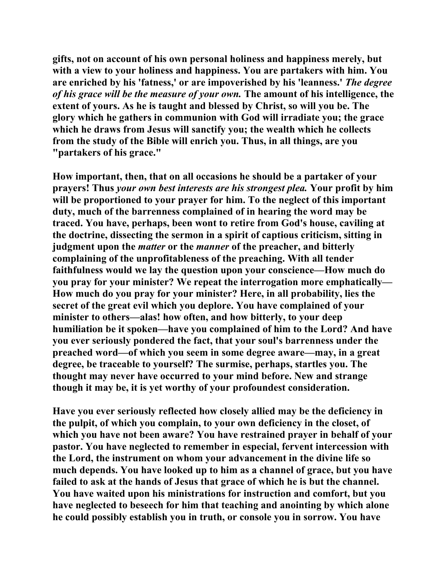**gifts, not on account of his own personal holiness and happiness merely, but with a view to your holiness and happiness. You are partakers with him. You are enriched by his 'fatness,' or are impoverished by his 'leanness.'** *The degree of his grace will be the measure of your own.* **The amount of his intelligence, the extent of yours. As he is taught and blessed by Christ, so will you be. The glory which he gathers in communion with God will irradiate you; the grace which he draws from Jesus will sanctify you; the wealth which he collects from the study of the Bible will enrich you. Thus, in all things, are you "partakers of his grace."** 

**How important, then, that on all occasions he should be a partaker of your prayers! Thus** *your own best interests are his strongest plea.* **Your profit by him will be proportioned to your prayer for him. To the neglect of this important duty, much of the barrenness complained of in hearing the word may be traced. You have, perhaps, been wont to retire from God's house, caviling at the doctrine, dissecting the sermon in a spirit of captious criticism, sitting in judgment upon the** *matter* **or the** *manner* **of the preacher, and bitterly complaining of the unprofitableness of the preaching. With all tender faithfulness would we lay the question upon your conscience—How much do you pray for your minister? We repeat the interrogation more emphatically— How much do you pray for your minister? Here, in all probability, lies the secret of the great evil which you deplore. You have complained of your minister to others—alas! how often, and how bitterly, to your deep humiliation be it spoken—have you complained of him to the Lord? And have you ever seriously pondered the fact, that your soul's barrenness under the preached word—of which you seem in some degree aware—may, in a great degree, be traceable to yourself? The surmise, perhaps, startles you. The thought may never have occurred to your mind before. New and strange though it may be, it is yet worthy of your profoundest consideration.** 

**Have you ever seriously reflected how closely allied may be the deficiency in the pulpit, of which you complain, to your own deficiency in the closet, of which you have not been aware? You have restrained prayer in behalf of your pastor. You have neglected to remember in especial, fervent intercession with the Lord, the instrument on whom your advancement in the divine life so much depends. You have looked up to him as a channel of grace, but you have failed to ask at the hands of Jesus that grace of which he is but the channel. You have waited upon his ministrations for instruction and comfort, but you have neglected to beseech for him that teaching and anointing by which alone he could possibly establish you in truth, or console you in sorrow. You have**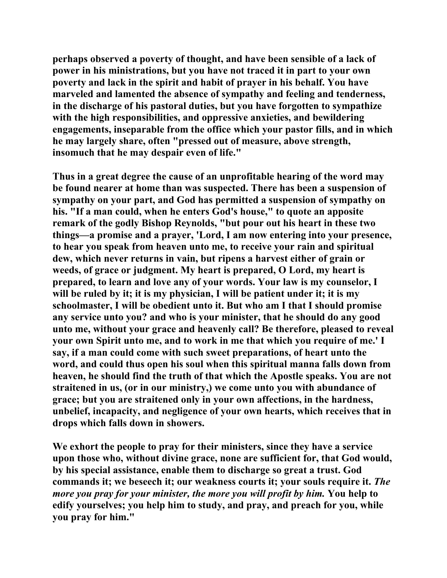**perhaps observed a poverty of thought, and have been sensible of a lack of power in his ministrations, but you have not traced it in part to your own poverty and lack in the spirit and habit of prayer in his behalf. You have marveled and lamented the absence of sympathy and feeling and tenderness, in the discharge of his pastoral duties, but you have forgotten to sympathize with the high responsibilities, and oppressive anxieties, and bewildering engagements, inseparable from the office which your pastor fills, and in which he may largely share, often "pressed out of measure, above strength, insomuch that he may despair even of life."** 

**Thus in a great degree the cause of an unprofitable hearing of the word may be found nearer at home than was suspected. There has been a suspension of sympathy on your part, and God has permitted a suspension of sympathy on his. "If a man could, when he enters God's house," to quote an apposite remark of the godly Bishop Reynolds, "but pour out his heart in these two things—a promise and a prayer, 'Lord, I am now entering into your presence, to hear you speak from heaven unto me, to receive your rain and spiritual dew, which never returns in vain, but ripens a harvest either of grain or weeds, of grace or judgment. My heart is prepared, O Lord, my heart is prepared, to learn and love any of your words. Your law is my counselor, I will be ruled by it; it is my physician, I will be patient under it; it is my schoolmaster, I will be obedient unto it. But who am I that I should promise any service unto you? and who is your minister, that he should do any good unto me, without your grace and heavenly call? Be therefore, pleased to reveal your own Spirit unto me, and to work in me that which you require of me.' I say, if a man could come with such sweet preparations, of heart unto the word, and could thus open his soul when this spiritual manna falls down from heaven, he should find the truth of that which the Apostle speaks. You are not straitened in us, (or in our ministry,) we come unto you with abundance of grace; but you are straitened only in your own affections, in the hardness, unbelief, incapacity, and negligence of your own hearts, which receives that in drops which falls down in showers.** 

**We exhort the people to pray for their ministers, since they have a service upon those who, without divine grace, none are sufficient for, that God would, by his special assistance, enable them to discharge so great a trust. God commands it; we beseech it; our weakness courts it; your souls require it.** *The more you pray for your minister, the more you will profit by him.* **You help to edify yourselves; you help him to study, and pray, and preach for you, while you pray for him."**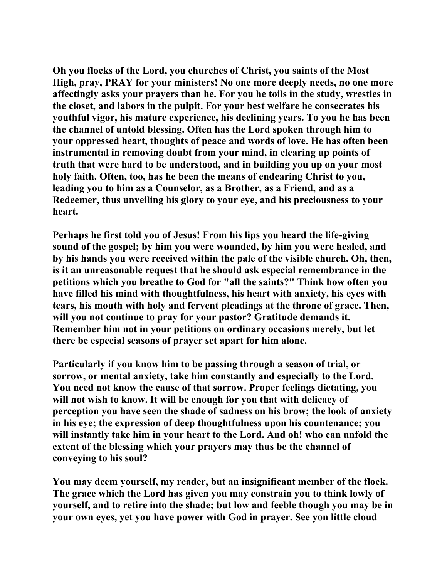**Oh you flocks of the Lord, you churches of Christ, you saints of the Most High, pray, PRAY for your ministers! No one more deeply needs, no one more affectingly asks your prayers than he. For you he toils in the study, wrestles in the closet, and labors in the pulpit. For your best welfare he consecrates his youthful vigor, his mature experience, his declining years. To you he has been the channel of untold blessing. Often has the Lord spoken through him to your oppressed heart, thoughts of peace and words of love. He has often been instrumental in removing doubt from your mind, in clearing up points of truth that were hard to be understood, and in building you up on your most holy faith. Often, too, has he been the means of endearing Christ to you, leading you to him as a Counselor, as a Brother, as a Friend, and as a Redeemer, thus unveiling his glory to your eye, and his preciousness to your heart.** 

**Perhaps he first told you of Jesus! From his lips you heard the life-giving sound of the gospel; by him you were wounded, by him you were healed, and by his hands you were received within the pale of the visible church. Oh, then, is it an unreasonable request that he should ask especial remembrance in the petitions which you breathe to God for "all the saints?" Think how often you have filled his mind with thoughtfulness, his heart with anxiety, his eyes with tears, his mouth with holy and fervent pleadings at the throne of grace. Then, will you not continue to pray for your pastor? Gratitude demands it. Remember him not in your petitions on ordinary occasions merely, but let there be especial seasons of prayer set apart for him alone.** 

**Particularly if you know him to be passing through a season of trial, or sorrow, or mental anxiety, take him constantly and especially to the Lord. You need not know the cause of that sorrow. Proper feelings dictating, you will not wish to know. It will be enough for you that with delicacy of perception you have seen the shade of sadness on his brow; the look of anxiety in his eye; the expression of deep thoughtfulness upon his countenance; you will instantly take him in your heart to the Lord. And oh! who can unfold the extent of the blessing which your prayers may thus be the channel of conveying to his soul?** 

**You may deem yourself, my reader, but an insignificant member of the flock. The grace which the Lord has given you may constrain you to think lowly of yourself, and to retire into the shade; but low and feeble though you may be in your own eyes, yet you have power with God in prayer. See yon little cloud**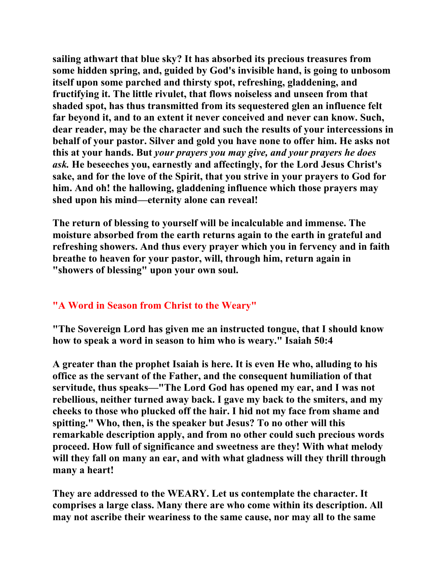**sailing athwart that blue sky? It has absorbed its precious treasures from some hidden spring, and, guided by God's invisible hand, is going to unbosom itself upon some parched and thirsty spot, refreshing, gladdening, and fructifying it. The little rivulet, that flows noiseless and unseen from that shaded spot, has thus transmitted from its sequestered glen an influence felt far beyond it, and to an extent it never conceived and never can know. Such, dear reader, may be the character and such the results of your intercessions in behalf of your pastor. Silver and gold you have none to offer him. He asks not this at your hands. But** *your prayers you may give, and your prayers he does ask.* **He beseeches you, earnestly and affectingly, for the Lord Jesus Christ's sake, and for the love of the Spirit, that you strive in your prayers to God for him. And oh! the hallowing, gladdening influence which those prayers may shed upon his mind—eternity alone can reveal!** 

**The return of blessing to yourself will be incalculable and immense. The moisture absorbed from the earth returns again to the earth in grateful and refreshing showers. And thus every prayer which you in fervency and in faith breathe to heaven for your pastor, will, through him, return again in "showers of blessing" upon your own soul.** 

## **"A Word in Season from Christ to the Weary"**

**"The Sovereign Lord has given me an instructed tongue, that I should know how to speak a word in season to him who is weary." Isaiah 50:4** 

**A greater than the prophet Isaiah is here. It is even He who, alluding to his office as the servant of the Father, and the consequent humiliation of that servitude, thus speaks—"The Lord God has opened my ear, and I was not rebellious, neither turned away back. I gave my back to the smiters, and my cheeks to those who plucked off the hair. I hid not my face from shame and spitting." Who, then, is the speaker but Jesus? To no other will this remarkable description apply, and from no other could such precious words proceed. How full of significance and sweetness are they! With what melody will they fall on many an ear, and with what gladness will they thrill through many a heart!** 

**They are addressed to the WEARY. Let us contemplate the character. It comprises a large class. Many there are who come within its description. All may not ascribe their weariness to the same cause, nor may all to the same**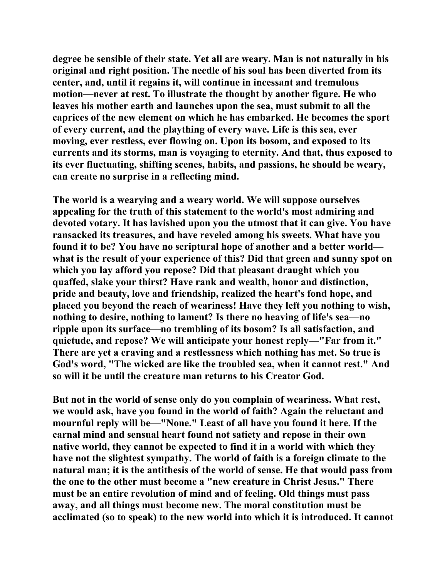**degree be sensible of their state. Yet all are weary. Man is not naturally in his original and right position. The needle of his soul has been diverted from its center, and, until it regains it, will continue in incessant and tremulous motion—never at rest. To illustrate the thought by another figure. He who leaves his mother earth and launches upon the sea, must submit to all the caprices of the new element on which he has embarked. He becomes the sport of every current, and the plaything of every wave. Life is this sea, ever moving, ever restless, ever flowing on. Upon its bosom, and exposed to its currents and its storms, man is voyaging to eternity. And that, thus exposed to its ever fluctuating, shifting scenes, habits, and passions, he should be weary, can create no surprise in a reflecting mind.** 

**The world is a wearying and a weary world. We will suppose ourselves appealing for the truth of this statement to the world's most admiring and devoted votary. It has lavished upon you the utmost that it can give. You have ransacked its treasures, and have reveled among his sweets. What have you found it to be? You have no scriptural hope of another and a better world what is the result of your experience of this? Did that green and sunny spot on which you lay afford you repose? Did that pleasant draught which you quaffed, slake your thirst? Have rank and wealth, honor and distinction, pride and beauty, love and friendship, realized the heart's fond hope, and placed you beyond the reach of weariness! Have they left you nothing to wish, nothing to desire, nothing to lament? Is there no heaving of life's sea—no ripple upon its surface—no trembling of its bosom? Is all satisfaction, and quietude, and repose? We will anticipate your honest reply—"Far from it." There are yet a craving and a restlessness which nothing has met. So true is God's word, "The wicked are like the troubled sea, when it cannot rest." And so will it be until the creature man returns to his Creator God.** 

**But not in the world of sense only do you complain of weariness. What rest, we would ask, have you found in the world of faith? Again the reluctant and mournful reply will be—"None." Least of all have you found it here. If the carnal mind and sensual heart found not satiety and repose in their own native world, they cannot be expected to find it in a world with which they have not the slightest sympathy. The world of faith is a foreign climate to the natural man; it is the antithesis of the world of sense. He that would pass from the one to the other must become a "new creature in Christ Jesus." There must be an entire revolution of mind and of feeling. Old things must pass away, and all things must become new. The moral constitution must be acclimated (so to speak) to the new world into which it is introduced. It cannot**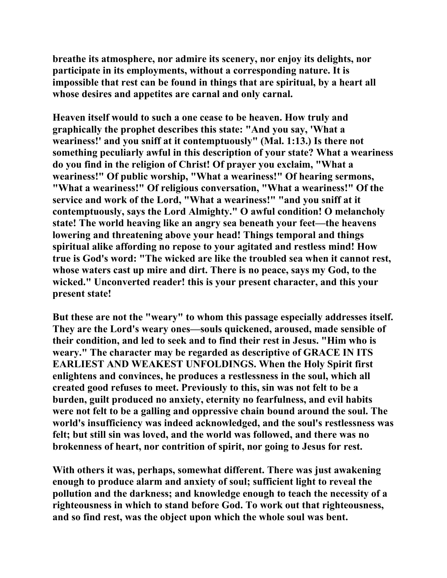**breathe its atmosphere, nor admire its scenery, nor enjoy its delights, nor participate in its employments, without a corresponding nature. It is impossible that rest can be found in things that are spiritual, by a heart all whose desires and appetites are carnal and only carnal.** 

**Heaven itself would to such a one cease to be heaven. How truly and graphically the prophet describes this state: "And you say, 'What a weariness!' and you sniff at it contemptuously" (Mal. 1:13.) Is there not something peculiarly awful in this description of your state? What a weariness do you find in the religion of Christ! Of prayer you exclaim, "What a weariness!" Of public worship, "What a weariness!" Of hearing sermons, "What a weariness!" Of religious conversation, "What a weariness!" Of the service and work of the Lord, "What a weariness!" "and you sniff at it contemptuously, says the Lord Almighty." O awful condition! O melancholy state! The world heaving like an angry sea beneath your feet—the heavens lowering and threatening above your head! Things temporal and things spiritual alike affording no repose to your agitated and restless mind! How true is God's word: "The wicked are like the troubled sea when it cannot rest, whose waters cast up mire and dirt. There is no peace, says my God, to the wicked." Unconverted reader! this is your present character, and this your present state!** 

**But these are not the "weary" to whom this passage especially addresses itself. They are the Lord's weary ones—souls quickened, aroused, made sensible of their condition, and led to seek and to find their rest in Jesus. "Him who is weary." The character may be regarded as descriptive of GRACE IN ITS EARLIEST AND WEAKEST UNFOLDINGS. When the Holy Spirit first enlightens and convinces, he produces a restlessness in the soul, which all created good refuses to meet. Previously to this, sin was not felt to be a burden, guilt produced no anxiety, eternity no fearfulness, and evil habits were not felt to be a galling and oppressive chain bound around the soul. The world's insufficiency was indeed acknowledged, and the soul's restlessness was felt; but still sin was loved, and the world was followed, and there was no brokenness of heart, nor contrition of spirit, nor going to Jesus for rest.** 

**With others it was, perhaps, somewhat different. There was just awakening enough to produce alarm and anxiety of soul; sufficient light to reveal the pollution and the darkness; and knowledge enough to teach the necessity of a righteousness in which to stand before God. To work out that righteousness, and so find rest, was the object upon which the whole soul was bent.**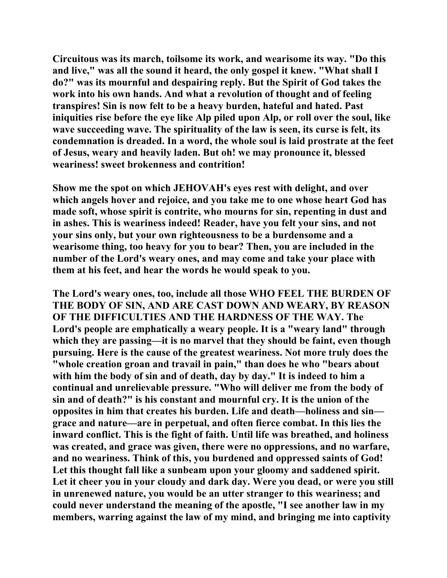**Circuitous was its march, toilsome its work, and wearisome its way. "Do this and live," was all the sound it heard, the only gospel it knew. "What shall I do?" was its mournful and despairing reply. But the Spirit of God takes the work into his own hands. And what a revolution of thought and of feeling transpires! Sin is now felt to be a heavy burden, hateful and hated. Past iniquities rise before the eye like Alp piled upon Alp, or roll over the soul, like wave succeeding wave. The spirituality of the law is seen, its curse is felt, its condemnation is dreaded. In a word, the whole soul is laid prostrate at the feet of Jesus, weary and heavily laden. But oh! we may pronounce it, blessed weariness! sweet brokenness and contrition!** 

**Show me the spot on which JEHOVAH's eyes rest with delight, and over which angels hover and rejoice, and you take me to one whose heart God has made soft, whose spirit is contrite, who mourns for sin, repenting in dust and in ashes. This is weariness indeed! Reader, have you felt your sins, and not your sins only, but your own righteousness to be a burdensome and a wearisome thing, too heavy for you to bear? Then, you are included in the number of the Lord's weary ones, and may come and take your place with them at his feet, and hear the words he would speak to you.** 

**The Lord's weary ones, too, include all those WHO FEEL THE BURDEN OF THE BODY OF SIN, AND ARE CAST DOWN AND WEARY, BY REASON OF THE DIFFICULTIES AND THE HARDNESS OF THE WAY. The Lord's people are emphatically a weary people. It is a "weary land" through which they are passing—it is no marvel that they should be faint, even though pursuing. Here is the cause of the greatest weariness. Not more truly does the "whole creation groan and travail in pain," than does he who "bears about with him the body of sin and of death, day by day." It is indeed to him a continual and unrelievable pressure. "Who will deliver me from the body of sin and of death?" is his constant and mournful cry. It is the union of the opposites in him that creates his burden. Life and death—holiness and sin grace and nature—are in perpetual, and often fierce combat. In this lies the inward conflict. This is the fight of faith. Until life was breathed, and holiness was created, and grace was given, there were no oppressions, and no warfare, and no weariness. Think of this, you burdened and oppressed saints of God! Let this thought fall like a sunbeam upon your gloomy and saddened spirit. Let it cheer you in your cloudy and dark day. Were you dead, or were you still in unrenewed nature, you would be an utter stranger to this weariness; and could never understand the meaning of the apostle, "I see another law in my members, warring against the law of my mind, and bringing me into captivity**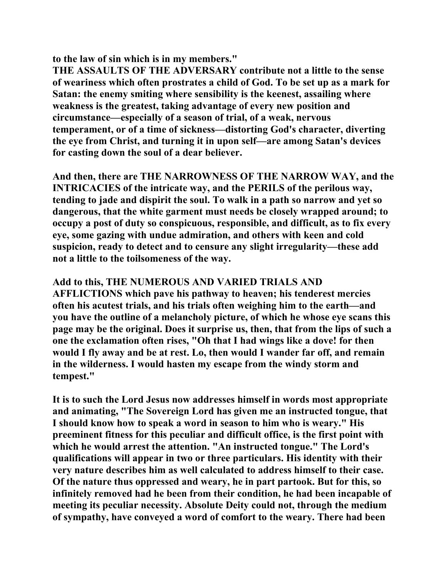**to the law of sin which is in my members."** 

**THE ASSAULTS OF THE ADVERSARY contribute not a little to the sense of weariness which often prostrates a child of God. To be set up as a mark for Satan: the enemy smiting where sensibility is the keenest, assailing where weakness is the greatest, taking advantage of every new position and circumstance—especially of a season of trial, of a weak, nervous temperament, or of a time of sickness—distorting God's character, diverting the eye from Christ, and turning it in upon self—are among Satan's devices for casting down the soul of a dear believer.** 

**And then, there are THE NARROWNESS OF THE NARROW WAY, and the INTRICACIES of the intricate way, and the PERILS of the perilous way, tending to jade and dispirit the soul. To walk in a path so narrow and yet so dangerous, that the white garment must needs be closely wrapped around; to occupy a post of duty so conspicuous, responsible, and difficult, as to fix every eye, some gazing with undue admiration, and others with keen and cold suspicion, ready to detect and to censure any slight irregularity—these add not a little to the toilsomeness of the way.** 

## **Add to this, THE NUMEROUS AND VARIED TRIALS AND**

**AFFLICTIONS which pave his pathway to heaven; his tenderest mercies often his acutest trials, and his trials often weighing him to the earth—and you have the outline of a melancholy picture, of which he whose eye scans this page may be the original. Does it surprise us, then, that from the lips of such a one the exclamation often rises, "Oh that I had wings like a dove! for then would I fly away and be at rest. Lo, then would I wander far off, and remain in the wilderness. I would hasten my escape from the windy storm and tempest."** 

**It is to such the Lord Jesus now addresses himself in words most appropriate and animating, "The Sovereign Lord has given me an instructed tongue, that I should know how to speak a word in season to him who is weary." His preeminent fitness for this peculiar and difficult office, is the first point with which he would arrest the attention. "An instructed tongue." The Lord's qualifications will appear in two or three particulars. His identity with their very nature describes him as well calculated to address himself to their case. Of the nature thus oppressed and weary, he in part partook. But for this, so infinitely removed had he been from their condition, he had been incapable of meeting its peculiar necessity. Absolute Deity could not, through the medium of sympathy, have conveyed a word of comfort to the weary. There had been**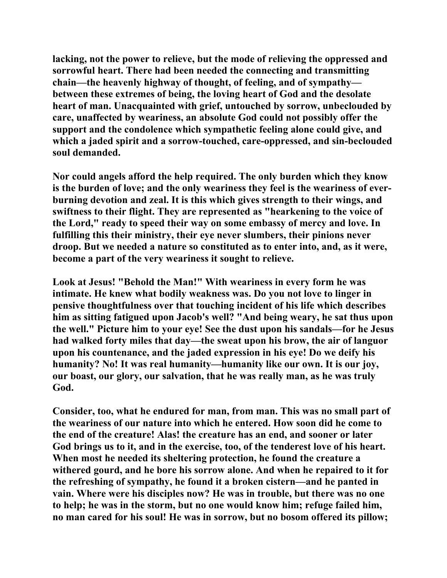**lacking, not the power to relieve, but the mode of relieving the oppressed and sorrowful heart. There had been needed the connecting and transmitting chain—the heavenly highway of thought, of feeling, and of sympathy between these extremes of being, the loving heart of God and the desolate heart of man. Unacquainted with grief, untouched by sorrow, unbeclouded by care, unaffected by weariness, an absolute God could not possibly offer the support and the condolence which sympathetic feeling alone could give, and which a jaded spirit and a sorrow-touched, care-oppressed, and sin-beclouded soul demanded.** 

**Nor could angels afford the help required. The only burden which they know is the burden of love; and the only weariness they feel is the weariness of everburning devotion and zeal. It is this which gives strength to their wings, and swiftness to their flight. They are represented as "hearkening to the voice of the Lord," ready to speed their way on some embassy of mercy and love. In fulfilling this their ministry, their eye never slumbers, their pinions never droop. But we needed a nature so constituted as to enter into, and, as it were, become a part of the very weariness it sought to relieve.** 

**Look at Jesus! "Behold the Man!" With weariness in every form he was intimate. He knew what bodily weakness was. Do you not love to linger in pensive thoughtfulness over that touching incident of his life which describes him as sitting fatigued upon Jacob's well? "And being weary, he sat thus upon the well." Picture him to your eye! See the dust upon his sandals—for he Jesus had walked forty miles that day—the sweat upon his brow, the air of languor upon his countenance, and the jaded expression in his eye! Do we deify his humanity? No! It was real humanity—humanity like our own. It is our joy, our boast, our glory, our salvation, that he was really man, as he was truly God.** 

**Consider, too, what he endured for man, from man. This was no small part of the weariness of our nature into which he entered. How soon did he come to the end of the creature! Alas! the creature has an end, and sooner or later God brings us to it, and in the exercise, too, of the tenderest love of his heart. When most he needed its sheltering protection, he found the creature a withered gourd, and he bore his sorrow alone. And when he repaired to it for the refreshing of sympathy, he found it a broken cistern—and he panted in vain. Where were his disciples now? He was in trouble, but there was no one to help; he was in the storm, but no one would know him; refuge failed him, no man cared for his soul! He was in sorrow, but no bosom offered its pillow;**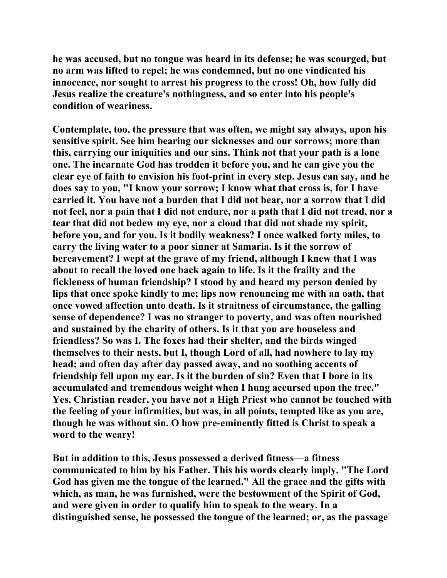**he was accused, but no tongue was heard in its defense; he was scourged, but no arm was lifted to repel; he was condemned, but no one vindicated his innocence, nor sought to arrest his progress to the cross! Oh, how fully did Jesus realize the creature's nothingness, and so enter into his people's condition of weariness.** 

**Contemplate, too, the pressure that was often, we might say always, upon his sensitive spirit. See him bearing our sicknesses and our sorrows; more than this, carrying our iniquities and our sins. Think not that your path is a lone one. The incarnate God has trodden it before you, and he can give you the clear eye of faith to envision his foot-print in every step. Jesus can say, and he does say to you, "I know your sorrow; I know what that cross is, for I have carried it. You have not a burden that I did not bear, nor a sorrow that I did not feel, nor a pain that I did not endure, nor a path that I did not tread, nor a tear that did not bedew my eye, nor a cloud that did not shade my spirit, before you, and for you. Is it bodily weakness? I once walked forty miles, to carry the living water to a poor sinner at Samaria. Is it the sorrow of bereavement? I wept at the grave of my friend, although I knew that I was about to recall the loved one back again to life. Is it the frailty and the fickleness of human friendship? I stood by and heard my person denied by lips that once spoke kindly to me; lips now renouncing me with an oath, that once vowed affection unto death. Is it straitness of circumstance, the galling sense of dependence? I was no stranger to poverty, and was often nourished and sustained by the charity of others. Is it that you are houseless and friendless? So was I. The foxes had their shelter, and the birds winged themselves to their nests, but I, though Lord of all, had nowhere to lay my head; and often day after day passed away, and no soothing accents of friendship fell upon my ear. Is it the burden of sin? Even that I bore in its accumulated and tremendous weight when I hung accursed upon the tree." Yes, Christian reader, you have not a High Priest who cannot be touched with the feeling of your infirmities, but was, in all points, tempted like as you are, though he was without sin. O how pre-eminently fitted is Christ to speak a word to the weary!** 

**But in addition to this, Jesus possessed a derived fitness—a fitness communicated to him by his Father. This his words clearly imply. "The Lord God has given me the tongue of the learned." All the grace and the gifts with which, as man, he was furnished, were the bestowment of the Spirit of God, and were given in order to qualify him to speak to the weary. In a distinguished sense, he possessed the tongue of the learned; or, as the passage**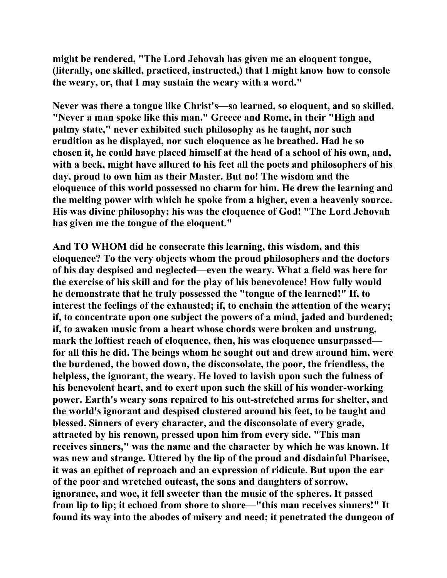**might be rendered, "The Lord Jehovah has given me an eloquent tongue, (literally, one skilled, practiced, instructed,) that I might know how to console the weary, or, that I may sustain the weary with a word."** 

**Never was there a tongue like Christ's—so learned, so eloquent, and so skilled. "Never a man spoke like this man." Greece and Rome, in their "High and palmy state," never exhibited such philosophy as he taught, nor such erudition as he displayed, nor such eloquence as he breathed. Had he so chosen it, he could have placed himself at the head of a school of his own, and, with a beck, might have allured to his feet all the poets and philosophers of his day, proud to own him as their Master. But no! The wisdom and the eloquence of this world possessed no charm for him. He drew the learning and the melting power with which he spoke from a higher, even a heavenly source. His was divine philosophy; his was the eloquence of God! "The Lord Jehovah has given me the tongue of the eloquent."** 

**And TO WHOM did he consecrate this learning, this wisdom, and this eloquence? To the very objects whom the proud philosophers and the doctors of his day despised and neglected—even the weary. What a field was here for the exercise of his skill and for the play of his benevolence! How fully would he demonstrate that he truly possessed the "tongue of the learned!" If, to interest the feelings of the exhausted; if, to enchain the attention of the weary; if, to concentrate upon one subject the powers of a mind, jaded and burdened; if, to awaken music from a heart whose chords were broken and unstrung, mark the loftiest reach of eloquence, then, his was eloquence unsurpassed for all this he did. The beings whom he sought out and drew around him, were the burdened, the bowed down, the disconsolate, the poor, the friendless, the helpless, the ignorant, the weary. He loved to lavish upon such the fulness of his benevolent heart, and to exert upon such the skill of his wonder-working power. Earth's weary sons repaired to his out-stretched arms for shelter, and the world's ignorant and despised clustered around his feet, to be taught and blessed. Sinners of every character, and the disconsolate of every grade, attracted by his renown, pressed upon him from every side. "This man receives sinners," was the name and the character by which he was known. It was new and strange. Uttered by the lip of the proud and disdainful Pharisee, it was an epithet of reproach and an expression of ridicule. But upon the ear of the poor and wretched outcast, the sons and daughters of sorrow, ignorance, and woe, it fell sweeter than the music of the spheres. It passed from lip to lip; it echoed from shore to shore—"this man receives sinners!" It found its way into the abodes of misery and need; it penetrated the dungeon of**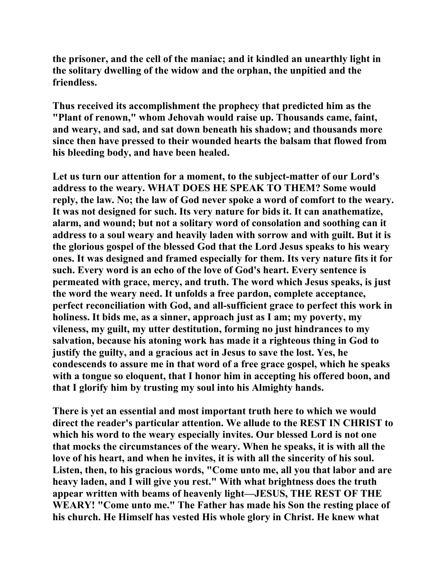**the prisoner, and the cell of the maniac; and it kindled an unearthly light in the solitary dwelling of the widow and the orphan, the unpitied and the friendless.** 

**Thus received its accomplishment the prophecy that predicted him as the "Plant of renown," whom Jehovah would raise up. Thousands came, faint, and weary, and sad, and sat down beneath his shadow; and thousands more since then have pressed to their wounded hearts the balsam that flowed from his bleeding body, and have been healed.** 

**Let us turn our attention for a moment, to the subject-matter of our Lord's address to the weary. WHAT DOES HE SPEAK TO THEM? Some would reply, the law. No; the law of God never spoke a word of comfort to the weary. It was not designed for such. Its very nature for bids it. It can anathematize, alarm, and wound; but not a solitary word of consolation and soothing can it address to a soul weary and heavily laden with sorrow and with guilt. But it is the glorious gospel of the blessed God that the Lord Jesus speaks to his weary ones. It was designed and framed especially for them. Its very nature fits it for such. Every word is an echo of the love of God's heart. Every sentence is permeated with grace, mercy, and truth. The word which Jesus speaks, is just the word the weary need. It unfolds a free pardon, complete acceptance, perfect reconciliation with God, and all-sufficient grace to perfect this work in holiness. It bids me, as a sinner, approach just as I am; my poverty, my vileness, my guilt, my utter destitution, forming no just hindrances to my salvation, because his atoning work has made it a righteous thing in God to justify the guilty, and a gracious act in Jesus to save the lost. Yes, he condescends to assure me in that word of a free grace gospel, which he speaks with a tongue so eloquent, that I honor him in accepting his offered boon, and that I glorify him by trusting my soul into his Almighty hands.** 

**There is yet an essential and most important truth here to which we would direct the reader's particular attention. We allude to the REST IN CHRIST to which his word to the weary especially invites. Our blessed Lord is not one that mocks the circumstances of the weary. When he speaks, it is with all the love of his heart, and when he invites, it is with all the sincerity of his soul. Listen, then, to his gracious words, "Come unto me, all you that labor and are heavy laden, and I will give you rest." With what brightness does the truth appear written with beams of heavenly light—JESUS, THE REST OF THE WEARY! "Come unto me." The Father has made his Son the resting place of his church. He Himself has vested His whole glory in Christ. He knew what**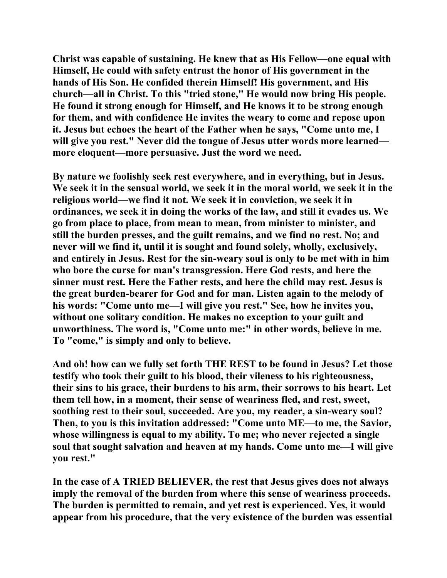**Christ was capable of sustaining. He knew that as His Fellow—one equal with Himself, He could with safety entrust the honor of His government in the hands of His Son. He confided therein Himself! His government, and His church—all in Christ. To this "tried stone," He would now bring His people. He found it strong enough for Himself, and He knows it to be strong enough for them, and with confidence He invites the weary to come and repose upon it. Jesus but echoes the heart of the Father when he says, "Come unto me, I will give you rest." Never did the tongue of Jesus utter words more learned more eloquent—more persuasive. Just the word we need.** 

**By nature we foolishly seek rest everywhere, and in everything, but in Jesus. We seek it in the sensual world, we seek it in the moral world, we seek it in the religious world—we find it not. We seek it in conviction, we seek it in ordinances, we seek it in doing the works of the law, and still it evades us. We go from place to place, from mean to mean, from minister to minister, and still the burden presses, and the guilt remains, and we find no rest. No; and never will we find it, until it is sought and found solely, wholly, exclusively, and entirely in Jesus. Rest for the sin-weary soul is only to be met with in him who bore the curse for man's transgression. Here God rests, and here the sinner must rest. Here the Father rests, and here the child may rest. Jesus is the great burden-bearer for God and for man. Listen again to the melody of his words: "Come unto me—I will give you rest." See, how he invites you, without one solitary condition. He makes no exception to your guilt and unworthiness. The word is, "Come unto me:" in other words, believe in me. To "come," is simply and only to believe.** 

**And oh! how can we fully set forth THE REST to be found in Jesus? Let those testify who took their guilt to his blood, their vileness to his righteousness, their sins to his grace, their burdens to his arm, their sorrows to his heart. Let them tell how, in a moment, their sense of weariness fled, and rest, sweet, soothing rest to their soul, succeeded. Are you, my reader, a sin-weary soul? Then, to you is this invitation addressed: "Come unto ME—to me, the Savior, whose willingness is equal to my ability. To me; who never rejected a single soul that sought salvation and heaven at my hands. Come unto me—I will give you rest."** 

**In the case of A TRIED BELIEVER, the rest that Jesus gives does not always imply the removal of the burden from where this sense of weariness proceeds. The burden is permitted to remain, and yet rest is experienced. Yes, it would appear from his procedure, that the very existence of the burden was essential**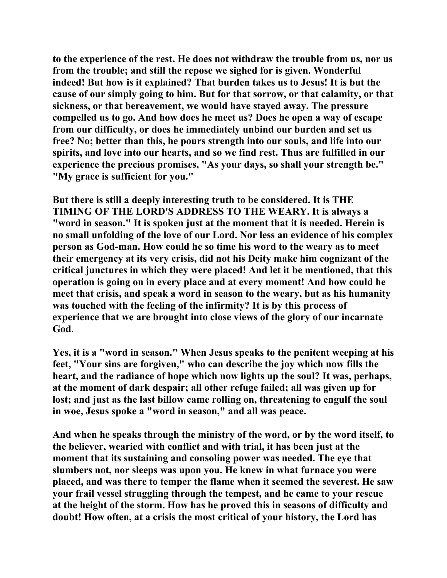**to the experience of the rest. He does not withdraw the trouble from us, nor us from the trouble; and still the repose we sighed for is given. Wonderful indeed! But how is it explained? That burden takes us to Jesus! It is but the cause of our simply going to him. But for that sorrow, or that calamity, or that sickness, or that bereavement, we would have stayed away. The pressure compelled us to go. And how does he meet us? Does he open a way of escape from our difficulty, or does he immediately unbind our burden and set us free? No; better than this, he pours strength into our souls, and life into our spirits, and love into our hearts, and so we find rest. Thus are fulfilled in our experience the precious promises, "As your days, so shall your strength be." "My grace is sufficient for you."** 

**But there is still a deeply interesting truth to be considered. It is THE TIMING OF THE LORD'S ADDRESS TO THE WEARY. It is always a "word in season." It is spoken just at the moment that it is needed. Herein is no small unfolding of the love of our Lord. Nor less an evidence of his complex person as God-man. How could he so time his word to the weary as to meet their emergency at its very crisis, did not his Deity make him cognizant of the critical junctures in which they were placed! And let it be mentioned, that this operation is going on in every place and at every moment! And how could he meet that crisis, and speak a word in season to the weary, but as his humanity was touched with the feeling of the infirmity? It is by this process of experience that we are brought into close views of the glory of our incarnate God.** 

**Yes, it is a "word in season." When Jesus speaks to the penitent weeping at his feet, "Your sins are forgiven," who can describe the joy which now fills the heart, and the radiance of hope which now lights up the soul? It was, perhaps, at the moment of dark despair; all other refuge failed; all was given up for lost; and just as the last billow came rolling on, threatening to engulf the soul in woe, Jesus spoke a "word in season," and all was peace.** 

**And when he speaks through the ministry of the word, or by the word itself, to the believer, wearied with conflict and with trial, it has been just at the moment that its sustaining and consoling power was needed. The eye that slumbers not, nor sleeps was upon you. He knew in what furnace you were placed, and was there to temper the flame when it seemed the severest. He saw your frail vessel struggling through the tempest, and he came to your rescue at the height of the storm. How has he proved this in seasons of difficulty and doubt! How often, at a crisis the most critical of your history, the Lord has**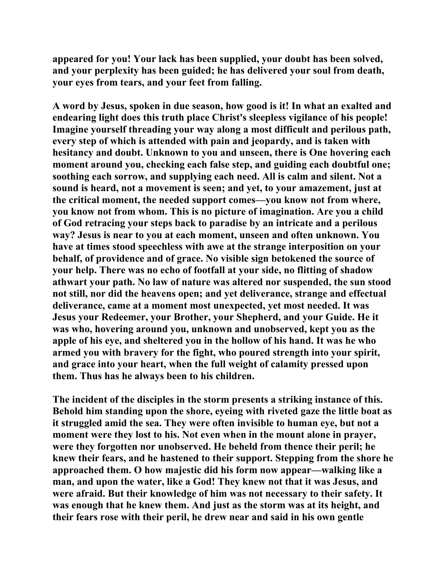**appeared for you! Your lack has been supplied, your doubt has been solved, and your perplexity has been guided; he has delivered your soul from death, your eyes from tears, and your feet from falling.** 

**A word by Jesus, spoken in due season, how good is it! In what an exalted and endearing light does this truth place Christ's sleepless vigilance of his people! Imagine yourself threading your way along a most difficult and perilous path, every step of which is attended with pain and jeopardy, and is taken with hesitancy and doubt. Unknown to you and unseen, there is One hovering each moment around you, checking each false step, and guiding each doubtful one; soothing each sorrow, and supplying each need. All is calm and silent. Not a sound is heard, not a movement is seen; and yet, to your amazement, just at the critical moment, the needed support comes—you know not from where, you know not from whom. This is no picture of imagination. Are you a child of God retracing your steps back to paradise by an intricate and a perilous way? Jesus is near to you at each moment, unseen and often unknown. You have at times stood speechless with awe at the strange interposition on your behalf, of providence and of grace. No visible sign betokened the source of your help. There was no echo of footfall at your side, no flitting of shadow athwart your path. No law of nature was altered nor suspended, the sun stood not still, nor did the heavens open; and yet deliverance, strange and effectual deliverance, came at a moment most unexpected, yet most needed. It was Jesus your Redeemer, your Brother, your Shepherd, and your Guide. He it was who, hovering around you, unknown and unobserved, kept you as the apple of his eye, and sheltered you in the hollow of his hand. It was he who armed you with bravery for the fight, who poured strength into your spirit, and grace into your heart, when the full weight of calamity pressed upon them. Thus has he always been to his children.** 

**The incident of the disciples in the storm presents a striking instance of this. Behold him standing upon the shore, eyeing with riveted gaze the little boat as it struggled amid the sea. They were often invisible to human eye, but not a moment were they lost to his. Not even when in the mount alone in prayer, were they forgotten nor unobserved. He beheld from thence their peril; he knew their fears, and he hastened to their support. Stepping from the shore he approached them. O how majestic did his form now appear—walking like a man, and upon the water, like a God! They knew not that it was Jesus, and were afraid. But their knowledge of him was not necessary to their safety. It was enough that he knew them. And just as the storm was at its height, and their fears rose with their peril, he drew near and said in his own gentle**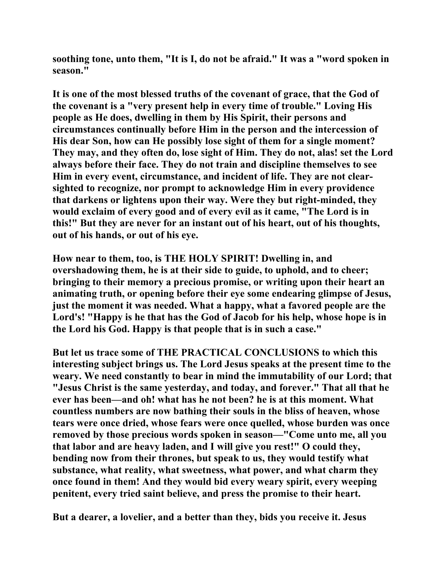**soothing tone, unto them, "It is I, do not be afraid." It was a "word spoken in season."** 

**It is one of the most blessed truths of the covenant of grace, that the God of the covenant is a "very present help in every time of trouble." Loving His people as He does, dwelling in them by His Spirit, their persons and circumstances continually before Him in the person and the intercession of His dear Son, how can He possibly lose sight of them for a single moment? They may, and they often do, lose sight of Him. They do not, alas! set the Lord always before their face. They do not train and discipline themselves to see Him in every event, circumstance, and incident of life. They are not clearsighted to recognize, nor prompt to acknowledge Him in every providence that darkens or lightens upon their way. Were they but right-minded, they would exclaim of every good and of every evil as it came, "The Lord is in this!" But they are never for an instant out of his heart, out of his thoughts, out of his hands, or out of his eye.** 

**How near to them, too, is THE HOLY SPIRIT! Dwelling in, and overshadowing them, he is at their side to guide, to uphold, and to cheer; bringing to their memory a precious promise, or writing upon their heart an animating truth, or opening before their eye some endearing glimpse of Jesus, just the moment it was needed. What a happy, what a favored people are the Lord's! "Happy is he that has the God of Jacob for his help, whose hope is in the Lord his God. Happy is that people that is in such a case."** 

**But let us trace some of THE PRACTICAL CONCLUSIONS to which this interesting subject brings us. The Lord Jesus speaks at the present time to the weary. We need constantly to bear in mind the immutability of our Lord; that "Jesus Christ is the same yesterday, and today, and forever." That all that he ever has been—and oh! what has he not been? he is at this moment. What countless numbers are now bathing their souls in the bliss of heaven, whose tears were once dried, whose fears were once quelled, whose burden was once removed by those precious words spoken in season—"Come unto me, all you that labor and are heavy laden, and I will give you rest!" O could they, bending now from their thrones, but speak to us, they would testify what substance, what reality, what sweetness, what power, and what charm they once found in them! And they would bid every weary spirit, every weeping penitent, every tried saint believe, and press the promise to their heart.** 

**But a dearer, a lovelier, and a better than they, bids you receive it. Jesus**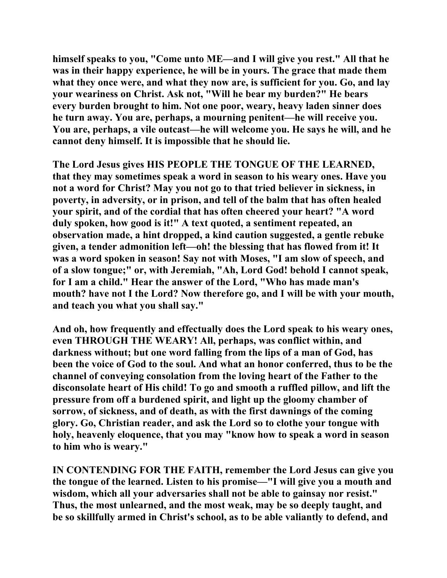**himself speaks to you, "Come unto ME—and I will give you rest." All that he was in their happy experience, he will be in yours. The grace that made them what they once were, and what they now are, is sufficient for you. Go, and lay your weariness on Christ. Ask not, "Will he bear my burden?" He bears every burden brought to him. Not one poor, weary, heavy laden sinner does he turn away. You are, perhaps, a mourning penitent—he will receive you. You are, perhaps, a vile outcast—he will welcome you. He says he will, and he cannot deny himself. It is impossible that he should lie.** 

**The Lord Jesus gives HIS PEOPLE THE TONGUE OF THE LEARNED, that they may sometimes speak a word in season to his weary ones. Have you not a word for Christ? May you not go to that tried believer in sickness, in poverty, in adversity, or in prison, and tell of the balm that has often healed your spirit, and of the cordial that has often cheered your heart? "A word duly spoken, how good is it!" A text quoted, a sentiment repeated, an observation made, a hint dropped, a kind caution suggested, a gentle rebuke given, a tender admonition left—oh! the blessing that has flowed from it! It was a word spoken in season! Say not with Moses, "I am slow of speech, and of a slow tongue;" or, with Jeremiah, "Ah, Lord God! behold I cannot speak, for I am a child." Hear the answer of the Lord, "Who has made man's mouth? have not I the Lord? Now therefore go, and I will be with your mouth, and teach you what you shall say."** 

**And oh, how frequently and effectually does the Lord speak to his weary ones, even THROUGH THE WEARY! All, perhaps, was conflict within, and darkness without; but one word falling from the lips of a man of God, has been the voice of God to the soul. And what an honor conferred, thus to be the channel of conveying consolation from the loving heart of the Father to the disconsolate heart of His child! To go and smooth a ruffled pillow, and lift the pressure from off a burdened spirit, and light up the gloomy chamber of sorrow, of sickness, and of death, as with the first dawnings of the coming glory. Go, Christian reader, and ask the Lord so to clothe your tongue with holy, heavenly eloquence, that you may "know how to speak a word in season to him who is weary."** 

**IN CONTENDING FOR THE FAITH, remember the Lord Jesus can give you the tongue of the learned. Listen to his promise—"I will give you a mouth and wisdom, which all your adversaries shall not be able to gainsay nor resist." Thus, the most unlearned, and the most weak, may be so deeply taught, and be so skillfully armed in Christ's school, as to be able valiantly to defend, and**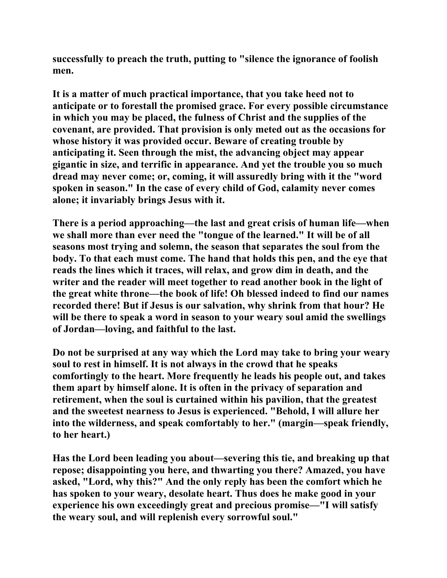**successfully to preach the truth, putting to "silence the ignorance of foolish men.** 

**It is a matter of much practical importance, that you take heed not to anticipate or to forestall the promised grace. For every possible circumstance in which you may be placed, the fulness of Christ and the supplies of the covenant, are provided. That provision is only meted out as the occasions for whose history it was provided occur. Beware of creating trouble by anticipating it. Seen through the mist, the advancing object may appear gigantic in size, and terrific in appearance. And yet the trouble you so much dread may never come; or, coming, it will assuredly bring with it the "word spoken in season." In the case of every child of God, calamity never comes alone; it invariably brings Jesus with it.** 

**There is a period approaching—the last and great crisis of human life—when we shall more than ever need the "tongue of the learned." It will be of all seasons most trying and solemn, the season that separates the soul from the body. To that each must come. The hand that holds this pen, and the eye that reads the lines which it traces, will relax, and grow dim in death, and the writer and the reader will meet together to read another book in the light of the great white throne—the book of life! Oh blessed indeed to find our names recorded there! But if Jesus is our salvation, why shrink from that hour? He will be there to speak a word in season to your weary soul amid the swellings of Jordan—loving, and faithful to the last.** 

**Do not be surprised at any way which the Lord may take to bring your weary soul to rest in himself. It is not always in the crowd that he speaks comfortingly to the heart. More frequently he leads his people out, and takes them apart by himself alone. It is often in the privacy of separation and retirement, when the soul is curtained within his pavilion, that the greatest and the sweetest nearness to Jesus is experienced. "Behold, I will allure her into the wilderness, and speak comfortably to her." (margin—speak friendly, to her heart.)** 

**Has the Lord been leading you about—severing this tie, and breaking up that repose; disappointing you here, and thwarting you there? Amazed, you have asked, "Lord, why this?" And the only reply has been the comfort which he has spoken to your weary, desolate heart. Thus does he make good in your experience his own exceedingly great and precious promise—"I will satisfy the weary soul, and will replenish every sorrowful soul."**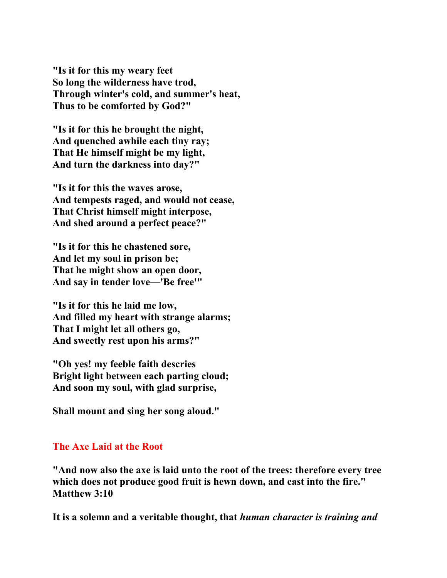**"Is it for this my weary feet So long the wilderness have trod, Through winter's cold, and summer's heat, Thus to be comforted by God?"** 

**"Is it for this he brought the night, And quenched awhile each tiny ray; That He himself might be my light, And turn the darkness into day?"** 

**"Is it for this the waves arose, And tempests raged, and would not cease, That Christ himself might interpose, And shed around a perfect peace?"** 

**"Is it for this he chastened sore, And let my soul in prison be; That he might show an open door, And say in tender love—'Be free'"** 

**"Is it for this he laid me low, And filled my heart with strange alarms; That I might let all others go, And sweetly rest upon his arms?"** 

**"Oh yes! my feeble faith descries Bright light between each parting cloud; And soon my soul, with glad surprise,** 

**Shall mount and sing her song aloud."** 

## **The Axe Laid at the Root**

**"And now also the axe is laid unto the root of the trees: therefore every tree which does not produce good fruit is hewn down, and cast into the fire." Matthew 3:10** 

**It is a solemn and a veritable thought, that** *human character is training and*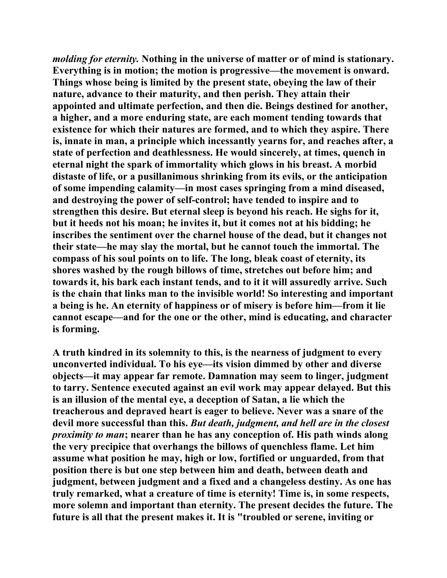*molding for eternity.* **Nothing in the universe of matter or of mind is stationary. Everything is in motion; the motion is progressive—the movement is onward. Things whose being is limited by the present state, obeying the law of their nature, advance to their maturity, and then perish. They attain their appointed and ultimate perfection, and then die. Beings destined for another, a higher, and a more enduring state, are each moment tending towards that existence for which their natures are formed, and to which they aspire. There is, innate in man, a principle which incessantly yearns for, and reaches after, a state of perfection and deathlessness. He would sincerely, at times, quench in eternal night the spark of immortality which glows in his breast. A morbid distaste of life, or a pusillanimous shrinking from its evils, or the anticipation of some impending calamity—in most cases springing from a mind diseased, and destroying the power of self-control; have tended to inspire and to strengthen this desire. But eternal sleep is beyond his reach. He sighs for it, but it heeds not his moan; he invites it, but it comes not at his bidding; he inscribes the sentiment over the charnel house of the dead, but it changes not their state—he may slay the mortal, but he cannot touch the immortal. The compass of his soul points on to life. The long, bleak coast of eternity, its shores washed by the rough billows of time, stretches out before him; and towards it, his bark each instant tends, and to it it will assuredly arrive. Such is the chain that links man to the invisible world! So interesting and important a being is he. An eternity of happiness or of misery is before him—from it lie cannot escape—and for the one or the other, mind is educating, and character is forming.** 

**A truth kindred in its solemnity to this, is the nearness of judgment to every unconverted individual. To his eye—its vision dimmed by other and diverse objects—it may appear far remote. Damnation may seem to linger, judgment to tarry. Sentence executed against an evil work may appear delayed. But this is an illusion of the mental eye, a deception of Satan, a lie which the treacherous and depraved heart is eager to believe. Never was a snare of the devil more successful than this.** *But death, judgment, and hell are in the closest proximity to man***; nearer than he has any conception of. His path winds along the very precipice that overhangs the billows of quenchless flame. Let him assume what position he may, high or low, fortified or unguarded, from that position there is but one step between him and death, between death and judgment, between judgment and a fixed and a changeless destiny. As one has truly remarked, what a creature of time is eternity! Time is, in some respects, more solemn and important than eternity. The present decides the future. The future is all that the present makes it. It is "troubled or serene, inviting or**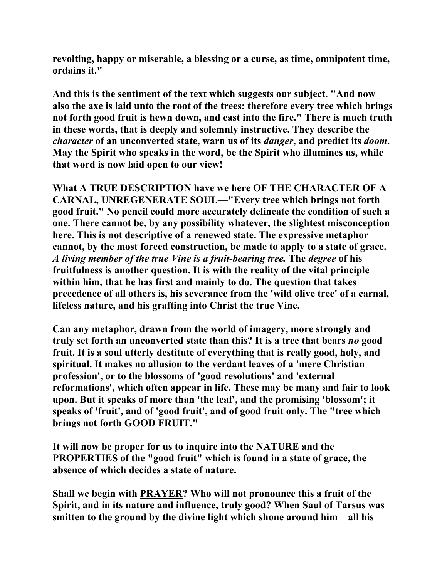**revolting, happy or miserable, a blessing or a curse, as time, omnipotent time, ordains it."** 

**And this is the sentiment of the text which suggests our subject. "And now also the axe is laid unto the root of the trees: therefore every tree which brings not forth good fruit is hewn down, and cast into the fire." There is much truth in these words, that is deeply and solemnly instructive. They describe the**  *character* **of an unconverted state, warn us of its** *danger***, and predict its** *doom***. May the Spirit who speaks in the word, be the Spirit who illumines us, while that word is now laid open to our view!** 

**What A TRUE DESCRIPTION have we here OF THE CHARACTER OF A CARNAL, UNREGENERATE SOUL—"Every tree which brings not forth good fruit." No pencil could more accurately delineate the condition of such a one. There cannot be, by any possibility whatever, the slightest misconception here. This is not descriptive of a renewed state. The expressive metaphor cannot, by the most forced construction, be made to apply to a state of grace.** *A living member of the true Vine is a fruit-bearing tree.* **The** *degree* **of his fruitfulness is another question. It is with the reality of the vital principle within him, that he has first and mainly to do. The question that takes precedence of all others is, his severance from the 'wild olive tree' of a carnal, lifeless nature, and his grafting into Christ the true Vine.** 

**Can any metaphor, drawn from the world of imagery, more strongly and truly set forth an unconverted state than this? It is a tree that bears** *no* **good fruit. It is a soul utterly destitute of everything that is really good, holy, and spiritual. It makes no allusion to the verdant leaves of a 'mere Christian profession', or to the blossoms of 'good resolutions' and 'external reformations', which often appear in life. These may be many and fair to look upon. But it speaks of more than 'the leaf', and the promising 'blossom'; it speaks of 'fruit', and of 'good fruit', and of good fruit only. The "tree which brings not forth GOOD FRUIT."** 

**It will now be proper for us to inquire into the NATURE and the PROPERTIES of the "good fruit" which is found in a state of grace, the absence of which decides a state of nature.** 

**Shall we begin with PRAYER? Who will not pronounce this a fruit of the Spirit, and in its nature and influence, truly good? When Saul of Tarsus was smitten to the ground by the divine light which shone around him—all his**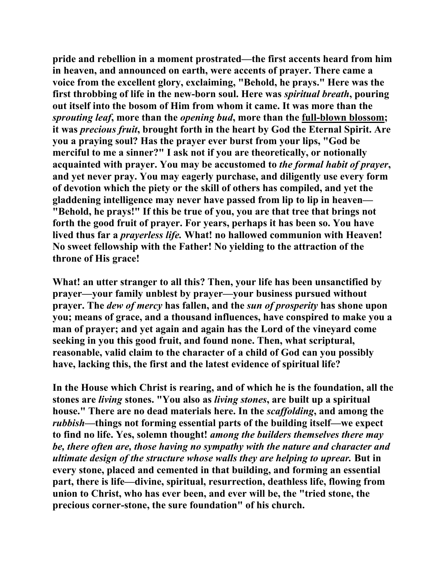**pride and rebellion in a moment prostrated—the first accents heard from him in heaven, and announced on earth, were accents of prayer. There came a voice from the excellent glory, exclaiming, "Behold, he prays." Here was the first throbbing of life in the new-born soul. Here was** *spiritual breath***, pouring out itself into the bosom of Him from whom it came. It was more than the**  *sprouting leaf***, more than the** *opening bud***, more than the full-blown blossom; it was** *precious fruit***, brought forth in the heart by God the Eternal Spirit. Are you a praying soul? Has the prayer ever burst from your lips, "God be merciful to me a sinner?" I ask not if you are theoretically, or notionally acquainted with prayer. You may be accustomed to** *the formal habit of prayer***, and yet never pray. You may eagerly purchase, and diligently use every form of devotion which the piety or the skill of others has compiled, and yet the gladdening intelligence may never have passed from lip to lip in heaven— "Behold, he prays!" If this be true of you, you are that tree that brings not forth the good fruit of prayer. For years, perhaps it has been so. You have lived thus far a** *prayerless life.* **What! no hallowed communion with Heaven! No sweet fellowship with the Father! No yielding to the attraction of the throne of His grace!** 

**What! an utter stranger to all this? Then, your life has been unsanctified by prayer—your family unblest by prayer—your business pursued without prayer. The** *dew of mercy* **has fallen, and the** *sun of prosperity* **has shone upon you; means of grace, and a thousand influences, have conspired to make you a man of prayer; and yet again and again has the Lord of the vineyard come seeking in you this good fruit, and found none. Then, what scriptural, reasonable, valid claim to the character of a child of God can you possibly have, lacking this, the first and the latest evidence of spiritual life?** 

**In the House which Christ is rearing, and of which he is the foundation, all the stones are** *living* **stones. "You also as** *living stones***, are built up a spiritual house." There are no dead materials here. In the** *scaffolding***, and among the**  *rubbish***—things not forming essential parts of the building itself—we expect to find no life. Yes, solemn thought!** *among the builders themselves there may be, there often are, those having no sympathy with the nature and character and ultimate design of the structure whose walls they are helping to uprear.* **But in every stone, placed and cemented in that building, and forming an essential part, there is life—divine, spiritual, resurrection, deathless life, flowing from union to Christ, who has ever been, and ever will be, the "tried stone, the precious corner-stone, the sure foundation" of his church.**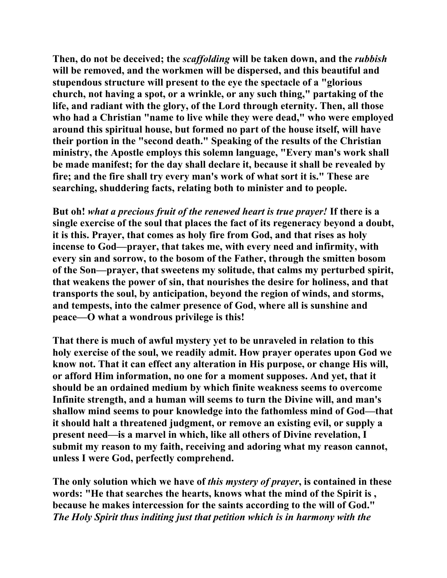**Then, do not be deceived; the** *scaffolding* **will be taken down, and the** *rubbish* **will be removed, and the workmen will be dispersed, and this beautiful and stupendous structure will present to the eye the spectacle of a "glorious church, not having a spot, or a wrinkle, or any such thing," partaking of the life, and radiant with the glory, of the Lord through eternity. Then, all those who had a Christian "name to live while they were dead," who were employed around this spiritual house, but formed no part of the house itself, will have their portion in the "second death." Speaking of the results of the Christian ministry, the Apostle employs this solemn language, "Every man's work shall be made manifest; for the day shall declare it, because it shall be revealed by fire; and the fire shall try every man's work of what sort it is." These are searching, shuddering facts, relating both to minister and to people.** 

**But oh!** *what a precious fruit of the renewed heart is true prayer!* **If there is a single exercise of the soul that places the fact of its regeneracy beyond a doubt, it is this. Prayer, that comes as holy fire from God, and that rises as holy incense to God—prayer, that takes me, with every need and infirmity, with every sin and sorrow, to the bosom of the Father, through the smitten bosom of the Son—prayer, that sweetens my solitude, that calms my perturbed spirit, that weakens the power of sin, that nourishes the desire for holiness, and that transports the soul, by anticipation, beyond the region of winds, and storms, and tempests, into the calmer presence of God, where all is sunshine and peace—O what a wondrous privilege is this!** 

**That there is much of awful mystery yet to be unraveled in relation to this holy exercise of the soul, we readily admit. How prayer operates upon God we know not. That it can effect any alteration in His purpose, or change His will, or afford Him information, no one for a moment supposes. And yet, that it should be an ordained medium by which finite weakness seems to overcome Infinite strength, and a human will seems to turn the Divine will, and man's shallow mind seems to pour knowledge into the fathomless mind of God—that it should halt a threatened judgment, or remove an existing evil, or supply a present need—is a marvel in which, like all others of Divine revelation, I submit my reason to my faith, receiving and adoring what my reason cannot, unless I were God, perfectly comprehend.** 

**The only solution which we have of** *this mystery of prayer***, is contained in these words: "He that searches the hearts, knows what the mind of the Spirit is , because he makes intercession for the saints according to the will of God."**  *The Holy Spirit thus inditing just that petition which is in harmony with the*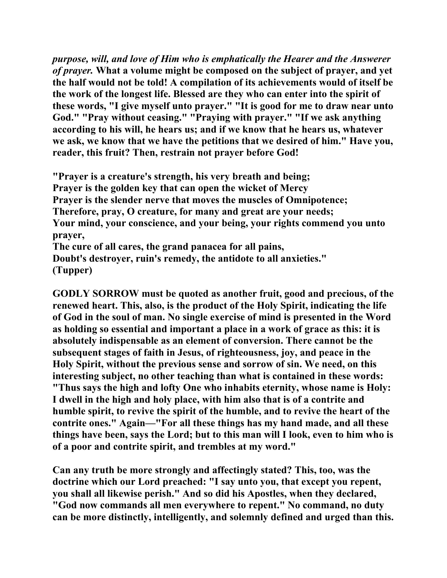*purpose, will, and love of Him who is emphatically the Hearer and the Answerer of prayer.* **What a volume might be composed on the subject of prayer, and yet the half would not be told! A compilation of its achievements would of itself be the work of the longest life. Blessed are they who can enter into the spirit of these words, "I give myself unto prayer." "It is good for me to draw near unto God." "Pray without ceasing." "Praying with prayer." "If we ask anything according to his will, he hears us; and if we know that he hears us, whatever we ask, we know that we have the petitions that we desired of him." Have you, reader, this fruit? Then, restrain not prayer before God!** 

**"Prayer is a creature's strength, his very breath and being; Prayer is the golden key that can open the wicket of Mercy Prayer is the slender nerve that moves the muscles of Omnipotence; Therefore, pray, O creature, for many and great are your needs; Your mind, your conscience, and your being, your rights commend you unto prayer, The cure of all cares, the grand panacea for all pains, Doubt's destroyer, ruin's remedy, the antidote to all anxieties." (Tupper)** 

**GODLY SORROW must be quoted as another fruit, good and precious, of the renewed heart. This, also, is the product of the Holy Spirit, indicating the life of God in the soul of man. No single exercise of mind is presented in the Word as holding so essential and important a place in a work of grace as this: it is absolutely indispensable as an element of conversion. There cannot be the subsequent stages of faith in Jesus, of righteousness, joy, and peace in the Holy Spirit, without the previous sense and sorrow of sin. We need, on this interesting subject, no other teaching than what is contained in these words: "Thus says the high and lofty One who inhabits eternity, whose name is Holy: I dwell in the high and holy place, with him also that is of a contrite and humble spirit, to revive the spirit of the humble, and to revive the heart of the contrite ones." Again—"For all these things has my hand made, and all these things have been, says the Lord; but to this man will I look, even to him who is of a poor and contrite spirit, and trembles at my word."** 

**Can any truth be more strongly and affectingly stated? This, too, was the doctrine which our Lord preached: "I say unto you, that except you repent, you shall all likewise perish." And so did his Apostles, when they declared, "God now commands all men everywhere to repent." No command, no duty can be more distinctly, intelligently, and solemnly defined and urged than this.**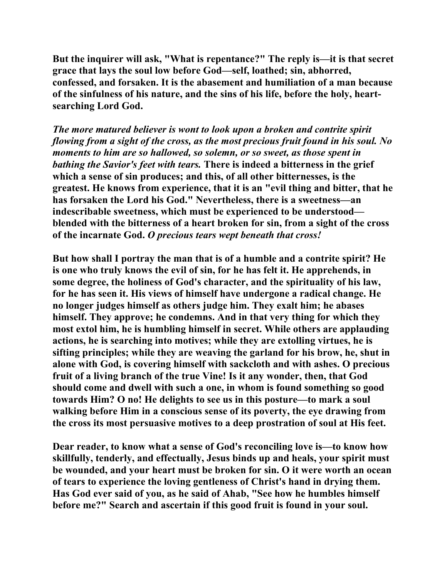**But the inquirer will ask, "What is repentance?" The reply is—it is that secret grace that lays the soul low before God—self, loathed; sin, abhorred, confessed, and forsaken. It is the abasement and humiliation of a man because of the sinfulness of his nature, and the sins of his life, before the holy, heartsearching Lord God.** 

*The more matured believer is wont to look upon a broken and contrite spirit flowing from a sight of the cross, as the most precious fruit found in his soul. No moments to him are so hallowed, so solemn, or so sweet, as those spent in bathing the Savior's feet with tears.* **There is indeed a bitterness in the grief which a sense of sin produces; and this, of all other bitternesses, is the greatest. He knows from experience, that it is an "evil thing and bitter, that he has forsaken the Lord his God." Nevertheless, there is a sweetness—an indescribable sweetness, which must be experienced to be understood blended with the bitterness of a heart broken for sin, from a sight of the cross of the incarnate God.** *O precious tears wept beneath that cross!* 

**But how shall I portray the man that is of a humble and a contrite spirit? He is one who truly knows the evil of sin, for he has felt it. He apprehends, in some degree, the holiness of God's character, and the spirituality of his law, for he has seen it. His views of himself have undergone a radical change. He no longer judges himself as others judge him. They exalt him; he abases himself. They approve; he condemns. And in that very thing for which they most extol him, he is humbling himself in secret. While others are applauding actions, he is searching into motives; while they are extolling virtues, he is sifting principles; while they are weaving the garland for his brow, he, shut in alone with God, is covering himself with sackcloth and with ashes. O precious fruit of a living branch of the true Vine! Is it any wonder, then, that God should come and dwell with such a one, in whom is found something so good towards Him? O no! He delights to see us in this posture—to mark a soul walking before Him in a conscious sense of its poverty, the eye drawing from the cross its most persuasive motives to a deep prostration of soul at His feet.** 

**Dear reader, to know what a sense of God's reconciling love is—to know how skillfully, tenderly, and effectually, Jesus binds up and heals, your spirit must be wounded, and your heart must be broken for sin. O it were worth an ocean of tears to experience the loving gentleness of Christ's hand in drying them. Has God ever said of you, as he said of Ahab, "See how he humbles himself before me?" Search and ascertain if this good fruit is found in your soul.**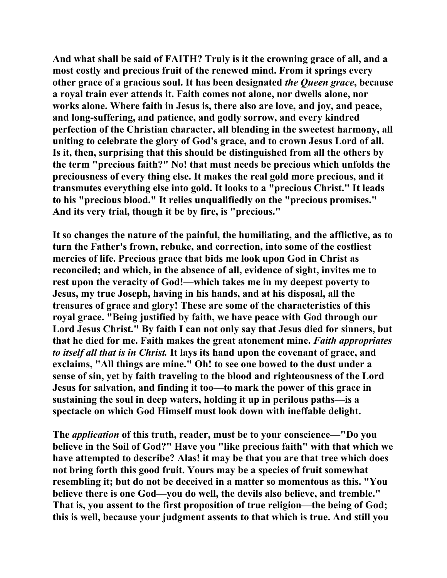**And what shall be said of FAITH? Truly is it the crowning grace of all, and a most costly and precious fruit of the renewed mind. From it springs every other grace of a gracious soul. It has been designated** *the Queen grace***, because a royal train ever attends it. Faith comes not alone, nor dwells alone, nor works alone. Where faith in Jesus is, there also are love, and joy, and peace, and long-suffering, and patience, and godly sorrow, and every kindred perfection of the Christian character, all blending in the sweetest harmony, all uniting to celebrate the glory of God's grace, and to crown Jesus Lord of all. Is it, then, surprising that this should be distinguished from all the others by the term "precious faith?" No! that must needs be precious which unfolds the preciousness of every thing else. It makes the real gold more precious, and it transmutes everything else into gold. It looks to a "precious Christ." It leads to his "precious blood." It relies unqualifiedly on the "precious promises." And its very trial, though it be by fire, is "precious."** 

**It so changes the nature of the painful, the humiliating, and the afflictive, as to turn the Father's frown, rebuke, and correction, into some of the costliest mercies of life. Precious grace that bids me look upon God in Christ as reconciled; and which, in the absence of all, evidence of sight, invites me to rest upon the veracity of God!—which takes me in my deepest poverty to Jesus, my true Joseph, having in his hands, and at his disposal, all the treasures of grace and glory! These are some of the characteristics of this royal grace. "Being justified by faith, we have peace with God through our Lord Jesus Christ." By faith I can not only say that Jesus died for sinners, but that he died for me. Faith makes the great atonement mine.** *Faith appropriates to itself all that is in Christ.* **It lays its hand upon the covenant of grace, and exclaims, "All things are mine." Oh! to see one bowed to the dust under a sense of sin, yet by faith traveling to the blood and righteousness of the Lord Jesus for salvation, and finding it too—to mark the power of this grace in sustaining the soul in deep waters, holding it up in perilous paths—is a spectacle on which God Himself must look down with ineffable delight.** 

**The** *application* **of this truth, reader, must be to your conscience—"Do you believe in the Soil of God?" Have you "like precious faith" with that which we have attempted to describe? Alas! it may be that you are that tree which does not bring forth this good fruit. Yours may be a species of fruit somewhat resembling it; but do not be deceived in a matter so momentous as this. "You believe there is one God—you do well, the devils also believe, and tremble." That is, you assent to the first proposition of true religion—the being of God; this is well, because your judgment assents to that which is true. And still you**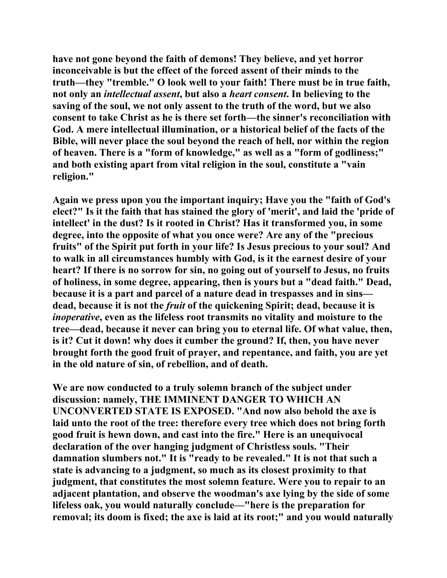**have not gone beyond the faith of demons! They believe, and yet horror inconceivable is but the effect of the forced assent of their minds to the truth—they "tremble." O look well to your faith! There must be in true faith, not only an** *intellectual assent***, but also a** *heart consent***. In believing to the saving of the soul, we not only assent to the truth of the word, but we also consent to take Christ as he is there set forth—the sinner's reconciliation with God. A mere intellectual illumination, or a historical belief of the facts of the Bible, will never place the soul beyond the reach of hell, nor within the region of heaven. There is a "form of knowledge," as well as a "form of godliness;" and both existing apart from vital religion in the soul, constitute a "vain religion."** 

**Again we press upon you the important inquiry; Have you the "faith of God's elect?" Is it the faith that has stained the glory of 'merit', and laid the 'pride of intellect' in the dust? Is it rooted in Christ? Has it transformed you, in some degree, into the opposite of what you once were? Are any of the "precious fruits" of the Spirit put forth in your life? Is Jesus precious to your soul? And to walk in all circumstances humbly with God, is it the earnest desire of your heart? If there is no sorrow for sin, no going out of yourself to Jesus, no fruits of holiness, in some degree, appearing, then is yours but a "dead faith." Dead, because it is a part and parcel of a nature dead in trespasses and in sins dead, because it is not the** *fruit* **of the quickening Spirit; dead, because it is**  *inoperative***, even as the lifeless root transmits no vitality and moisture to the tree—dead, because it never can bring you to eternal life. Of what value, then, is it? Cut it down! why does it cumber the ground? If, then, you have never brought forth the good fruit of prayer, and repentance, and faith, you are yet in the old nature of sin, of rebellion, and of death.** 

**We are now conducted to a truly solemn branch of the subject under discussion: namely, THE IMMINENT DANGER TO WHICH AN UNCONVERTED STATE IS EXPOSED. "And now also behold the axe is laid unto the root of the tree: therefore every tree which does not bring forth good fruit is hewn down, and cast into the fire." Here is an unequivocal declaration of the over hanging judgment of Christless souls. "Their damnation slumbers not." It is "ready to be revealed." It is not that such a state is advancing to a judgment, so much as its closest proximity to that judgment, that constitutes the most solemn feature. Were you to repair to an adjacent plantation, and observe the woodman's axe lying by the side of some lifeless oak, you would naturally conclude—"here is the preparation for removal; its doom is fixed; the axe is laid at its root;" and you would naturally**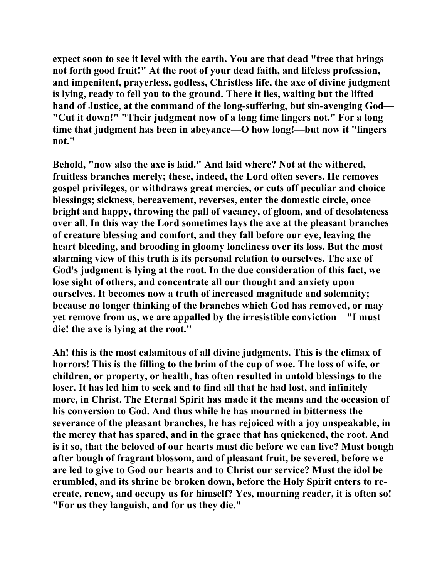**expect soon to see it level with the earth. You are that dead "tree that brings not forth good fruit!" At the root of your dead faith, and lifeless profession, and impenitent, prayerless, godless, Christless life, the axe of divine judgment is lying, ready to fell you to the ground. There it lies, waiting but the lifted hand of Justice, at the command of the long-suffering, but sin-avenging God— "Cut it down!" "Their judgment now of a long time lingers not." For a long time that judgment has been in abeyance—O how long!—but now it "lingers not."** 

**Behold, "now also the axe is laid." And laid where? Not at the withered, fruitless branches merely; these, indeed, the Lord often severs. He removes gospel privileges, or withdraws great mercies, or cuts off peculiar and choice blessings; sickness, bereavement, reverses, enter the domestic circle, once bright and happy, throwing the pall of vacancy, of gloom, and of desolateness over all. In this way the Lord sometimes lays the axe at the pleasant branches of creature blessing and comfort, and they fall before our eye, leaving the heart bleeding, and brooding in gloomy loneliness over its loss. But the most alarming view of this truth is its personal relation to ourselves. The axe of God's judgment is lying at the root. In the due consideration of this fact, we lose sight of others, and concentrate all our thought and anxiety upon ourselves. It becomes now a truth of increased magnitude and solemnity; because no longer thinking of the branches which God has removed, or may yet remove from us, we are appalled by the irresistible conviction—"I must die! the axe is lying at the root."** 

**Ah! this is the most calamitous of all divine judgments. This is the climax of horrors! This is the filling to the brim of the cup of woe. The loss of wife, or children, or property, or health, has often resulted in untold blessings to the loser. It has led him to seek and to find all that he had lost, and infinitely more, in Christ. The Eternal Spirit has made it the means and the occasion of his conversion to God. And thus while he has mourned in bitterness the severance of the pleasant branches, he has rejoiced with a joy unspeakable, in the mercy that has spared, and in the grace that has quickened, the root. And is it so, that the beloved of our hearts must die before we can live? Must bough after bough of fragrant blossom, and of pleasant fruit, be severed, before we are led to give to God our hearts and to Christ our service? Must the idol be crumbled, and its shrine be broken down, before the Holy Spirit enters to recreate, renew, and occupy us for himself? Yes, mourning reader, it is often so! "For us they languish, and for us they die."**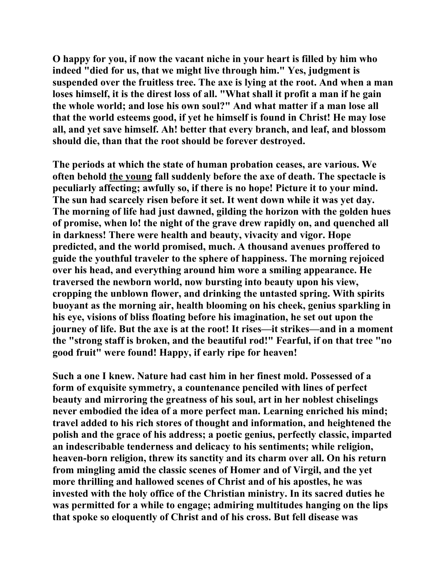**O happy for you, if now the vacant niche in your heart is filled by him who indeed "died for us, that we might live through him." Yes, judgment is suspended over the fruitless tree. The axe is lying at the root. And when a man loses himself, it is the direst loss of all. "What shall it profit a man if he gain the whole world; and lose his own soul?" And what matter if a man lose all that the world esteems good, if yet he himself is found in Christ! He may lose all, and yet save himself. Ah! better that every branch, and leaf, and blossom should die, than that the root should be forever destroyed.** 

**The periods at which the state of human probation ceases, are various. We often behold the young fall suddenly before the axe of death. The spectacle is peculiarly affecting; awfully so, if there is no hope! Picture it to your mind. The sun had scarcely risen before it set. It went down while it was yet day. The morning of life had just dawned, gilding the horizon with the golden hues of promise, when lo! the night of the grave drew rapidly on, and quenched all in darkness! There were health and beauty, vivacity and vigor. Hope predicted, and the world promised, much. A thousand avenues proffered to guide the youthful traveler to the sphere of happiness. The morning rejoiced over his head, and everything around him wore a smiling appearance. He traversed the newborn world, now bursting into beauty upon his view, cropping the unblown flower, and drinking the untasted spring. With spirits buoyant as the morning air, health blooming on his cheek, genius sparkling in his eye, visions of bliss floating before his imagination, he set out upon the journey of life. But the axe is at the root! It rises—it strikes—and in a moment the "strong staff is broken, and the beautiful rod!" Fearful, if on that tree "no good fruit" were found! Happy, if early ripe for heaven!** 

**Such a one I knew. Nature had cast him in her finest mold. Possessed of a form of exquisite symmetry, a countenance penciled with lines of perfect beauty and mirroring the greatness of his soul, art in her noblest chiselings never embodied the idea of a more perfect man. Learning enriched his mind; travel added to his rich stores of thought and information, and heightened the polish and the grace of his address; a poetic genius, perfectly classic, imparted an indescribable tenderness and delicacy to his sentiments; while religion, heaven-born religion, threw its sanctity and its charm over all. On his return from mingling amid the classic scenes of Homer and of Virgil, and the yet more thrilling and hallowed scenes of Christ and of his apostles, he was invested with the holy office of the Christian ministry. In its sacred duties he was permitted for a while to engage; admiring multitudes hanging on the lips that spoke so eloquently of Christ and of his cross. But fell disease was**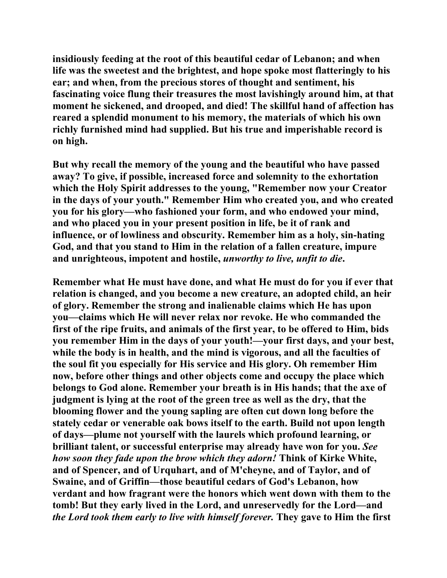**insidiously feeding at the root of this beautiful cedar of Lebanon; and when life was the sweetest and the brightest, and hope spoke most flatteringly to his ear; and when, from the precious stores of thought and sentiment, his fascinating voice flung their treasures the most lavishingly around him, at that moment he sickened, and drooped, and died! The skillful hand of affection has reared a splendid monument to his memory, the materials of which his own richly furnished mind had supplied. But his true and imperishable record is on high.** 

**But why recall the memory of the young and the beautiful who have passed away? To give, if possible, increased force and solemnity to the exhortation which the Holy Spirit addresses to the young, "Remember now your Creator in the days of your youth." Remember Him who created you, and who created you for his glory—who fashioned your form, and who endowed your mind, and who placed you in your present position in life, be it of rank and influence, or of lowliness and obscurity. Remember him as a holy, sin-hating God, and that you stand to Him in the relation of a fallen creature, impure and unrighteous, impotent and hostile,** *unworthy to live, unfit to die***.** 

**Remember what He must have done, and what He must do for you if ever that relation is changed, and you become a new creature, an adopted child, an heir of glory. Remember the strong and inalienable claims which He has upon you—claims which He will never relax nor revoke. He who commanded the first of the ripe fruits, and animals of the first year, to be offered to Him, bids you remember Him in the days of your youth!—your first days, and your best, while the body is in health, and the mind is vigorous, and all the faculties of the soul fit you especially for His service and His glory. Oh remember Him now, before other things and other objects come and occupy the place which belongs to God alone. Remember your breath is in His hands; that the axe of judgment is lying at the root of the green tree as well as the dry, that the blooming flower and the young sapling are often cut down long before the stately cedar or venerable oak bows itself to the earth. Build not upon length of days—plume not yourself with the laurels which profound learning, or brilliant talent, or successful enterprise may already have won for you.** *See how soon they fade upon the brow which they adorn!* **Think of Kirke White, and of Spencer, and of Urquhart, and of M'cheyne, and of Taylor, and of Swaine, and of Griffin—those beautiful cedars of God's Lebanon, how verdant and how fragrant were the honors which went down with them to the tomb! But they early lived in the Lord, and unreservedly for the Lord—and**  *the Lord took them early to live with himself forever.* **They gave to Him the first**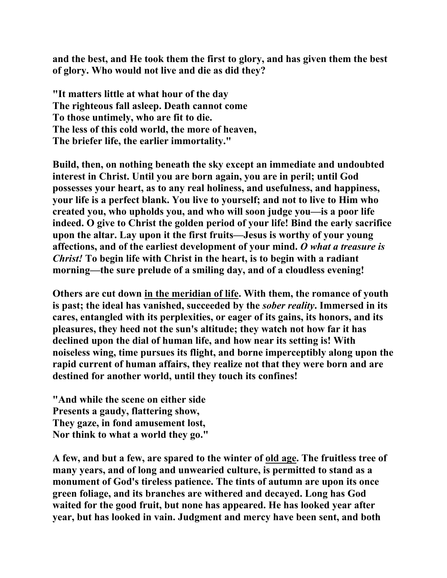**and the best, and He took them the first to glory, and has given them the best of glory. Who would not live and die as did they?** 

**"It matters little at what hour of the day The righteous fall asleep. Death cannot come To those untimely, who are fit to die. The less of this cold world, the more of heaven, The briefer life, the earlier immortality."** 

**Build, then, on nothing beneath the sky except an immediate and undoubted interest in Christ. Until you are born again, you are in peril; until God possesses your heart, as to any real holiness, and usefulness, and happiness, your life is a perfect blank. You live to yourself; and not to live to Him who created you, who upholds you, and who will soon judge you—is a poor life indeed. O give to Christ the golden period of your life! Bind the early sacrifice upon the altar. Lay upon it the first fruits—Jesus is worthy of your young affections, and of the earliest development of your mind.** *O what a treasure is Christ!* **To begin life with Christ in the heart, is to begin with a radiant morning—the sure prelude of a smiling day, and of a cloudless evening!** 

**Others are cut down in the meridian of life. With them, the romance of youth is past; the ideal has vanished, succeeded by the** *sober reality***. Immersed in its cares, entangled with its perplexities, or eager of its gains, its honors, and its pleasures, they heed not the sun's altitude; they watch not how far it has declined upon the dial of human life, and how near its setting is! With noiseless wing, time pursues its flight, and borne imperceptibly along upon the rapid current of human affairs, they realize not that they were born and are destined for another world, until they touch its confines!** 

**"And while the scene on either side Presents a gaudy, flattering show, They gaze, in fond amusement lost, Nor think to what a world they go."** 

**A few, and but a few, are spared to the winter of old age. The fruitless tree of many years, and of long and unwearied culture, is permitted to stand as a monument of God's tireless patience. The tints of autumn are upon its once green foliage, and its branches are withered and decayed. Long has God waited for the good fruit, but none has appeared. He has looked year after year, but has looked in vain. Judgment and mercy have been sent, and both**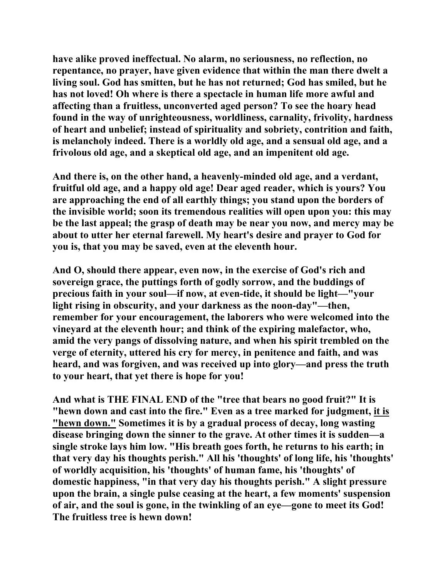**have alike proved ineffectual. No alarm, no seriousness, no reflection, no repentance, no prayer, have given evidence that within the man there dwelt a living soul. God has smitten, but he has not returned; God has smiled, but he has not loved! Oh where is there a spectacle in human life more awful and affecting than a fruitless, unconverted aged person? To see the hoary head found in the way of unrighteousness, worldliness, carnality, frivolity, hardness of heart and unbelief; instead of spirituality and sobriety, contrition and faith, is melancholy indeed. There is a worldly old age, and a sensual old age, and a frivolous old age, and a skeptical old age, and an impenitent old age.** 

**And there is, on the other hand, a heavenly-minded old age, and a verdant, fruitful old age, and a happy old age! Dear aged reader, which is yours? You are approaching the end of all earthly things; you stand upon the borders of the invisible world; soon its tremendous realities will open upon you: this may be the last appeal; the grasp of death may be near you now, and mercy may be about to utter her eternal farewell. My heart's desire and prayer to God for you is, that you may be saved, even at the eleventh hour.** 

**And O, should there appear, even now, in the exercise of God's rich and sovereign grace, the puttings forth of godly sorrow, and the buddings of precious faith in your soul—if now, at even-tide, it should be light—"your light rising in obscurity, and your darkness as the noon-day"—then, remember for your encouragement, the laborers who were welcomed into the vineyard at the eleventh hour; and think of the expiring malefactor, who, amid the very pangs of dissolving nature, and when his spirit trembled on the verge of eternity, uttered his cry for mercy, in penitence and faith, and was heard, and was forgiven, and was received up into glory—and press the truth to your heart, that yet there is hope for you!** 

**And what is THE FINAL END of the "tree that bears no good fruit?" It is "hewn down and cast into the fire." Even as a tree marked for judgment, it is "hewn down." Sometimes it is by a gradual process of decay, long wasting disease bringing down the sinner to the grave. At other times it is sudden—a single stroke lays him low. "His breath goes forth, he returns to his earth; in that very day his thoughts perish." All his 'thoughts' of long life, his 'thoughts' of worldly acquisition, his 'thoughts' of human fame, his 'thoughts' of domestic happiness, "in that very day his thoughts perish." A slight pressure upon the brain, a single pulse ceasing at the heart, a few moments' suspension of air, and the soul is gone, in the twinkling of an eye—gone to meet its God! The fruitless tree is hewn down!**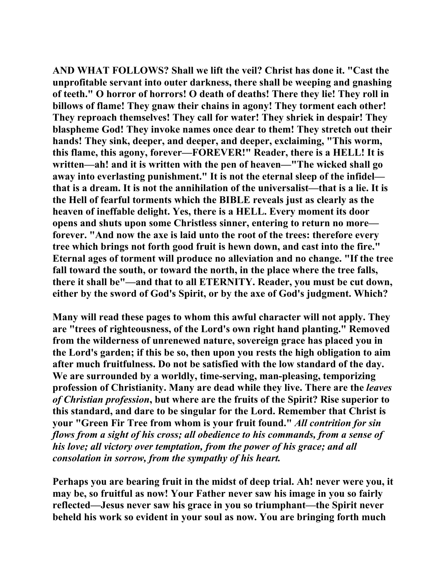**AND WHAT FOLLOWS? Shall we lift the veil? Christ has done it. "Cast the unprofitable servant into outer darkness, there shall be weeping and gnashing of teeth." O horror of horrors! O death of deaths! There they lie! They roll in billows of flame! They gnaw their chains in agony! They torment each other! They reproach themselves! They call for water! They shriek in despair! They blaspheme God! They invoke names once dear to them! They stretch out their hands! They sink, deeper, and deeper, and deeper, exclaiming, "This worm, this flame, this agony, forever—FOREVER!" Reader, there is a HELL! It is written—ah! and it is written with the pen of heaven—"The wicked shall go away into everlasting punishment." It is not the eternal sleep of the infidel that is a dream. It is not the annihilation of the universalist—that is a lie. It is the Hell of fearful torments which the BIBLE reveals just as clearly as the heaven of ineffable delight. Yes, there is a HELL. Every moment its door opens and shuts upon some Christless sinner, entering to return no more forever. "And now the axe is laid unto the root of the trees: therefore every tree which brings not forth good fruit is hewn down, and cast into the fire." Eternal ages of torment will produce no alleviation and no change. "If the tree fall toward the south, or toward the north, in the place where the tree falls, there it shall be"—and that to all ETERNITY. Reader, you must be cut down, either by the sword of God's Spirit, or by the axe of God's judgment. Which?** 

**Many will read these pages to whom this awful character will not apply. They are "trees of righteousness, of the Lord's own right hand planting." Removed from the wilderness of unrenewed nature, sovereign grace has placed you in the Lord's garden; if this be so, then upon you rests the high obligation to aim after much fruitfulness. Do not be satisfied with the low standard of the day. We are surrounded by a worldly, time-serving, man-pleasing, temporizing profession of Christianity. Many are dead while they live. There are the** *leaves of Christian profession***, but where are the fruits of the Spirit? Rise superior to this standard, and dare to be singular for the Lord. Remember that Christ is your "Green Fir Tree from whom is your fruit found."** *All contrition for sin flows from a sight of his cross; all obedience to his commands, from a sense of his love; all victory over temptation, from the power of his grace; and all consolation in sorrow, from the sympathy of his heart.* 

**Perhaps you are bearing fruit in the midst of deep trial. Ah! never were you, it may be, so fruitful as now! Your Father never saw his image in you so fairly reflected—Jesus never saw his grace in you so triumphant—the Spirit never beheld his work so evident in your soul as now. You are bringing forth much**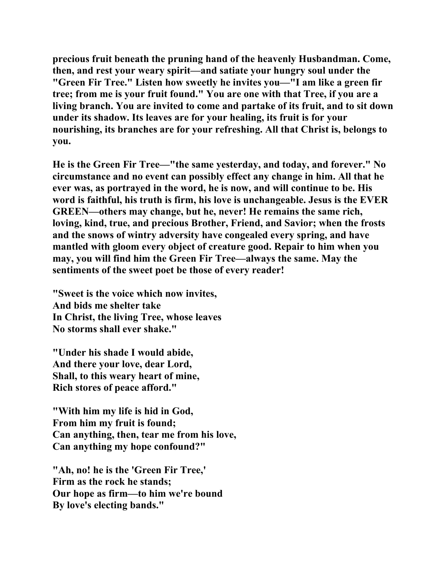**precious fruit beneath the pruning hand of the heavenly Husbandman. Come, then, and rest your weary spirit—and satiate your hungry soul under the "Green Fir Tree." Listen how sweetly he invites you—"I am like a green fir tree; from me is your fruit found." You are one with that Tree, if you are a living branch. You are invited to come and partake of its fruit, and to sit down under its shadow. Its leaves are for your healing, its fruit is for your nourishing, its branches are for your refreshing. All that Christ is, belongs to you.** 

**He is the Green Fir Tree—"the same yesterday, and today, and forever." No circumstance and no event can possibly effect any change in him. All that he ever was, as portrayed in the word, he is now, and will continue to be. His word is faithful, his truth is firm, his love is unchangeable. Jesus is the EVER GREEN—others may change, but he, never! He remains the same rich, loving, kind, true, and precious Brother, Friend, and Savior; when the frosts and the snows of wintry adversity have congealed every spring, and have mantled with gloom every object of creature good. Repair to him when you may, you will find him the Green Fir Tree—always the same. May the sentiments of the sweet poet be those of every reader!** 

**"Sweet is the voice which now invites, And bids me shelter take In Christ, the living Tree, whose leaves No storms shall ever shake."** 

**"Under his shade I would abide, And there your love, dear Lord, Shall, to this weary heart of mine, Rich stores of peace afford."** 

**"With him my life is hid in God, From him my fruit is found; Can anything, then, tear me from his love, Can anything my hope confound?"** 

**"Ah, no! he is the 'Green Fir Tree,' Firm as the rock he stands; Our hope as firm—to him we're bound By love's electing bands."**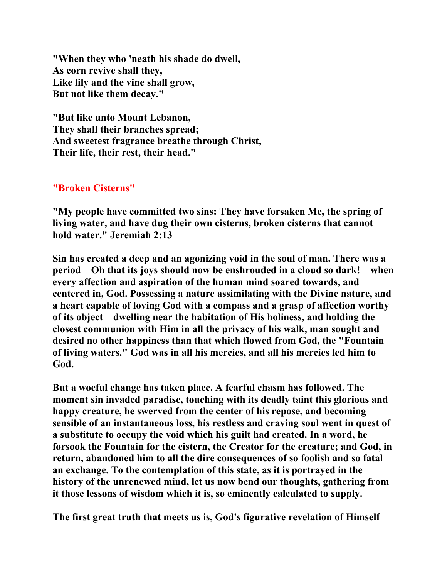**"When they who 'neath his shade do dwell, As corn revive shall they, Like lily and the vine shall grow, But not like them decay."** 

**"But like unto Mount Lebanon, They shall their branches spread; And sweetest fragrance breathe through Christ, Their life, their rest, their head."** 

## **"Broken Cisterns"**

**"My people have committed two sins: They have forsaken Me, the spring of living water, and have dug their own cisterns, broken cisterns that cannot hold water." Jeremiah 2:13** 

**Sin has created a deep and an agonizing void in the soul of man. There was a period—Oh that its joys should now be enshrouded in a cloud so dark!—when every affection and aspiration of the human mind soared towards, and centered in, God. Possessing a nature assimilating with the Divine nature, and a heart capable of loving God with a compass and a grasp of affection worthy of its object—dwelling near the habitation of His holiness, and holding the closest communion with Him in all the privacy of his walk, man sought and desired no other happiness than that which flowed from God, the "Fountain of living waters." God was in all his mercies, and all his mercies led him to God.** 

**But a woeful change has taken place. A fearful chasm has followed. The moment sin invaded paradise, touching with its deadly taint this glorious and happy creature, he swerved from the center of his repose, and becoming sensible of an instantaneous loss, his restless and craving soul went in quest of a substitute to occupy the void which his guilt had created. In a word, he forsook the Fountain for the cistern, the Creator for the creature; and God, in return, abandoned him to all the dire consequences of so foolish and so fatal an exchange. To the contemplation of this state, as it is portrayed in the history of the unrenewed mind, let us now bend our thoughts, gathering from it those lessons of wisdom which it is, so eminently calculated to supply.** 

**The first great truth that meets us is, God's figurative revelation of Himself—**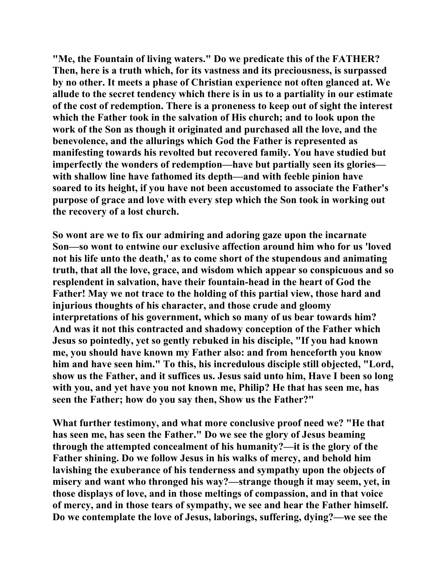**"Me, the Fountain of living waters." Do we predicate this of the FATHER? Then, here is a truth which, for its vastness and its preciousness, is surpassed by no other. It meets a phase of Christian experience not often glanced at. We allude to the secret tendency which there is in us to a partiality in our estimate of the cost of redemption. There is a proneness to keep out of sight the interest which the Father took in the salvation of His church; and to look upon the work of the Son as though it originated and purchased all the love, and the benevolence, and the allurings which God the Father is represented as manifesting towards his revolted but recovered family. You have studied but imperfectly the wonders of redemption—have but partially seen its glories with shallow line have fathomed its depth—and with feeble pinion have soared to its height, if you have not been accustomed to associate the Father's purpose of grace and love with every step which the Son took in working out the recovery of a lost church.** 

**So wont are we to fix our admiring and adoring gaze upon the incarnate Son—so wont to entwine our exclusive affection around him who for us 'loved not his life unto the death,' as to come short of the stupendous and animating truth, that all the love, grace, and wisdom which appear so conspicuous and so resplendent in salvation, have their fountain-head in the heart of God the Father! May we not trace to the holding of this partial view, those hard and injurious thoughts of his character, and those crude and gloomy interpretations of his government, which so many of us bear towards him? And was it not this contracted and shadowy conception of the Father which Jesus so pointedly, yet so gently rebuked in his disciple, "If you had known me, you should have known my Father also: and from henceforth you know him and have seen him." To this, his incredulous disciple still objected, "Lord, show us the Father, and it suffices us. Jesus said unto him, Have I been so long with you, and yet have you not known me, Philip? He that has seen me, has seen the Father; how do you say then, Show us the Father?"** 

**What further testimony, and what more conclusive proof need we? "He that has seen me, has seen the Father." Do we see the glory of Jesus beaming through the attempted concealment of his humanity?—it is the glory of the Father shining. Do we follow Jesus in his walks of mercy, and behold him lavishing the exuberance of his tenderness and sympathy upon the objects of misery and want who thronged his way?—strange though it may seem, yet, in those displays of love, and in those meltings of compassion, and in that voice of mercy, and in those tears of sympathy, we see and hear the Father himself. Do we contemplate the love of Jesus, laborings, suffering, dying?—we see the**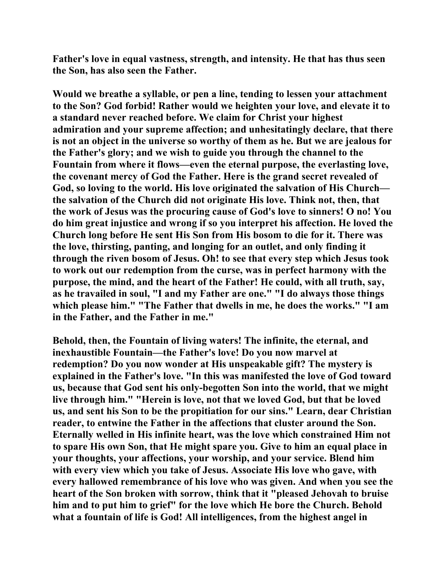**Father's love in equal vastness, strength, and intensity. He that has thus seen the Son, has also seen the Father.** 

**Would we breathe a syllable, or pen a line, tending to lessen your attachment to the Son? God forbid! Rather would we heighten your love, and elevate it to a standard never reached before. We claim for Christ your highest admiration and your supreme affection; and unhesitatingly declare, that there is not an object in the universe so worthy of them as he. But we are jealous for the Father's glory; and we wish to guide you through the channel to the Fountain from where it flows—even the eternal purpose, the everlasting love, the covenant mercy of God the Father. Here is the grand secret revealed of God, so loving to the world. His love originated the salvation of His Church the salvation of the Church did not originate His love. Think not, then, that the work of Jesus was the procuring cause of God's love to sinners! O no! You do him great injustice and wrong if so you interpret his affection. He loved the Church long before He sent His Son from His bosom to die for it. There was the love, thirsting, panting, and longing for an outlet, and only finding it through the riven bosom of Jesus. Oh! to see that every step which Jesus took to work out our redemption from the curse, was in perfect harmony with the purpose, the mind, and the heart of the Father! He could, with all truth, say, as he travailed in soul, "I and my Father are one." "I do always those things which please him." "The Father that dwells in me, he does the works." "I am in the Father, and the Father in me."** 

**Behold, then, the Fountain of living waters! The infinite, the eternal, and inexhaustible Fountain—the Father's love! Do you now marvel at redemption? Do you now wonder at His unspeakable gift? The mystery is explained in the Father's love. "In this was manifested the love of God toward us, because that God sent his only-begotten Son into the world, that we might live through him." "Herein is love, not that we loved God, but that be loved us, and sent his Son to be the propitiation for our sins." Learn, dear Christian reader, to entwine the Father in the affections that cluster around the Son. Eternally welled in His infinite heart, was the love which constrained Him not to spare His own Son, that He might spare you. Give to him an equal place in your thoughts, your affections, your worship, and your service. Blend him with every view which you take of Jesus. Associate His love who gave, with every hallowed remembrance of his love who was given. And when you see the heart of the Son broken with sorrow, think that it "pleased Jehovah to bruise him and to put him to grief" for the love which He bore the Church. Behold what a fountain of life is God! All intelligences, from the highest angel in**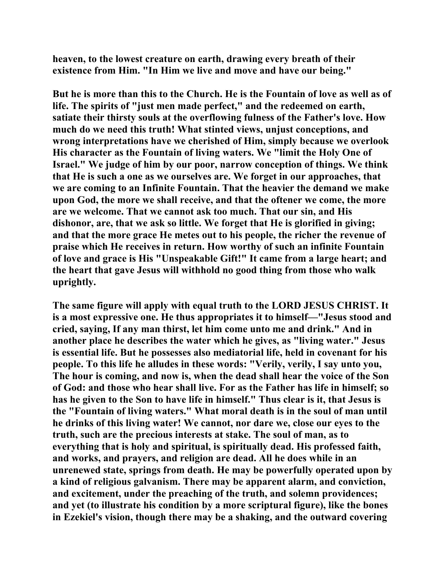**heaven, to the lowest creature on earth, drawing every breath of their existence from Him. "In Him we live and move and have our being."** 

**But he is more than this to the Church. He is the Fountain of love as well as of life. The spirits of "just men made perfect," and the redeemed on earth, satiate their thirsty souls at the overflowing fulness of the Father's love. How much do we need this truth! What stinted views, unjust conceptions, and wrong interpretations have we cherished of Him, simply because we overlook His character as the Fountain of living waters. We "limit the Holy One of Israel." We judge of him by our poor, narrow conception of things. We think that He is such a one as we ourselves are. We forget in our approaches, that we are coming to an Infinite Fountain. That the heavier the demand we make upon God, the more we shall receive, and that the oftener we come, the more are we welcome. That we cannot ask too much. That our sin, and His dishonor, are, that we ask so little. We forget that He is glorified in giving; and that the more grace He metes out to his people, the richer the revenue of praise which He receives in return. How worthy of such an infinite Fountain of love and grace is His "Unspeakable Gift!" It came from a large heart; and the heart that gave Jesus will withhold no good thing from those who walk uprightly.** 

**The same figure will apply with equal truth to the LORD JESUS CHRIST. It is a most expressive one. He thus appropriates it to himself—"Jesus stood and cried, saying, If any man thirst, let him come unto me and drink." And in another place he describes the water which he gives, as "living water." Jesus is essential life. But he possesses also mediatorial life, held in covenant for his people. To this life he alludes in these words: "Verily, verily, I say unto you, The hour is coming, and now is, when the dead shall hear the voice of the Son of God: and those who hear shall live. For as the Father has life in himself; so has he given to the Son to have life in himself." Thus clear is it, that Jesus is the "Fountain of living waters." What moral death is in the soul of man until he drinks of this living water! We cannot, nor dare we, close our eyes to the truth, such are the precious interests at stake. The soul of man, as to everything that is holy and spiritual, is spiritually dead. His professed faith, and works, and prayers, and religion are dead. All he does while in an unrenewed state, springs from death. He may be powerfully operated upon by a kind of religious galvanism. There may be apparent alarm, and conviction, and excitement, under the preaching of the truth, and solemn providences; and yet (to illustrate his condition by a more scriptural figure), like the bones in Ezekiel's vision, though there may be a shaking, and the outward covering**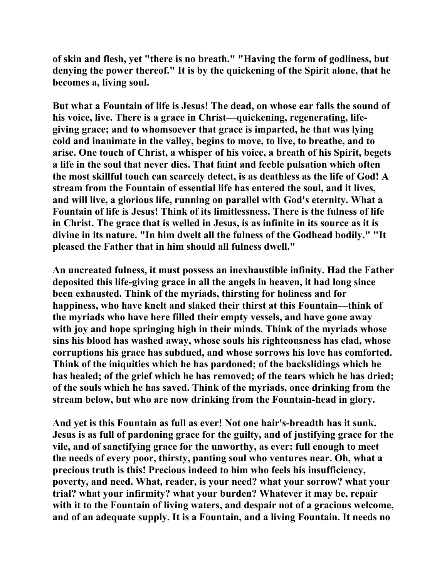**of skin and flesh, yet "there is no breath." "Having the form of godliness, but denying the power thereof." It is by the quickening of the Spirit alone, that he becomes a, living soul.** 

**But what a Fountain of life is Jesus! The dead, on whose ear falls the sound of his voice, live. There is a grace in Christ—quickening, regenerating, lifegiving grace; and to whomsoever that grace is imparted, he that was lying cold and inanimate in the valley, begins to move, to live, to breathe, and to arise. One touch of Christ, a whisper of his voice, a breath of his Spirit, begets a life in the soul that never dies. That faint and feeble pulsation which often the most skillful touch can scarcely detect, is as deathless as the life of God! A stream from the Fountain of essential life has entered the soul, and it lives, and will live, a glorious life, running on parallel with God's eternity. What a Fountain of life is Jesus! Think of its limitlessness. There is the fulness of life in Christ. The grace that is welled in Jesus, is as infinite in its source as it is divine in its nature. "In him dwelt all the fulness of the Godhead bodily." "It pleased the Father that in him should all fulness dwell."** 

**An uncreated fulness, it must possess an inexhaustible infinity. Had the Father deposited this life-giving grace in all the angels in heaven, it had long since been exhausted. Think of the myriads, thirsting for holiness and for happiness, who have knelt and slaked their thirst at this Fountain—think of the myriads who have here filled their empty vessels, and have gone away with joy and hope springing high in their minds. Think of the myriads whose sins his blood has washed away, whose souls his righteousness has clad, whose corruptions his grace has subdued, and whose sorrows his love has comforted. Think of the iniquities which he has pardoned; of the backslidings which he has healed; of the grief which he has removed; of the tears which he has dried; of the souls which he has saved. Think of the myriads, once drinking from the stream below, but who are now drinking from the Fountain-head in glory.** 

**And yet is this Fountain as full as ever! Not one hair's-breadth has it sunk. Jesus is as full of pardoning grace for the guilty, and of justifying grace for the vile, and of sanctifying grace for the unworthy, as ever: full enough to meet the needs of every poor, thirsty, panting soul who ventures near. Oh, what a precious truth is this! Precious indeed to him who feels his insufficiency, poverty, and need. What, reader, is your need? what your sorrow? what your trial? what your infirmity? what your burden? Whatever it may be, repair with it to the Fountain of living waters, and despair not of a gracious welcome, and of an adequate supply. It is a Fountain, and a living Fountain. It needs no**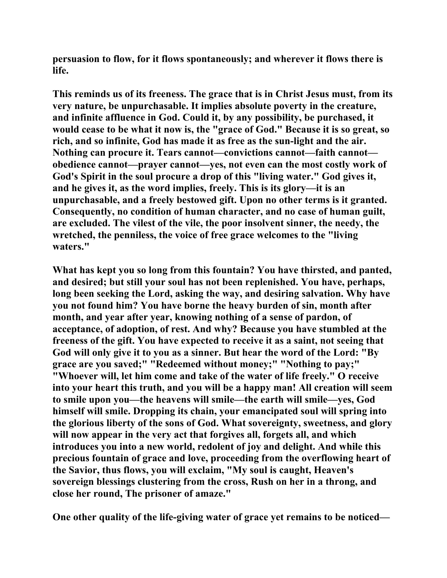**persuasion to flow, for it flows spontaneously; and wherever it flows there is life.** 

**This reminds us of its freeness. The grace that is in Christ Jesus must, from its very nature, be unpurchasable. It implies absolute poverty in the creature, and infinite affluence in God. Could it, by any possibility, be purchased, it would cease to be what it now is, the "grace of God." Because it is so great, so rich, and so infinite, God has made it as free as the sun-light and the air. Nothing can procure it. Tears cannot—convictions cannot—faith cannot obedience cannot—prayer cannot—yes, not even can the most costly work of God's Spirit in the soul procure a drop of this "living water." God gives it, and he gives it, as the word implies, freely. This is its glory—it is an unpurchasable, and a freely bestowed gift. Upon no other terms is it granted. Consequently, no condition of human character, and no case of human guilt, are excluded. The vilest of the vile, the poor insolvent sinner, the needy, the wretched, the penniless, the voice of free grace welcomes to the "living waters."** 

**What has kept you so long from this fountain? You have thirsted, and panted, and desired; but still your soul has not been replenished. You have, perhaps, long been seeking the Lord, asking the way, and desiring salvation. Why have you not found him? You have borne the heavy burden of sin, month after month, and year after year, knowing nothing of a sense of pardon, of acceptance, of adoption, of rest. And why? Because you have stumbled at the freeness of the gift. You have expected to receive it as a saint, not seeing that God will only give it to you as a sinner. But hear the word of the Lord: "By grace are you saved;" "Redeemed without money;" "Nothing to pay;" "Whoever will, let him come and take of the water of life freely." O receive into your heart this truth, and you will be a happy man! All creation will seem to smile upon you—the heavens will smile—the earth will smile—yes, God himself will smile. Dropping its chain, your emancipated soul will spring into the glorious liberty of the sons of God. What sovereignty, sweetness, and glory will now appear in the very act that forgives all, forgets all, and which introduces you into a new world, redolent of joy and delight. And while this precious fountain of grace and love, proceeding from the overflowing heart of the Savior, thus flows, you will exclaim, "My soul is caught, Heaven's sovereign blessings clustering from the cross, Rush on her in a throng, and close her round, The prisoner of amaze."** 

**One other quality of the life-giving water of grace yet remains to be noticed—**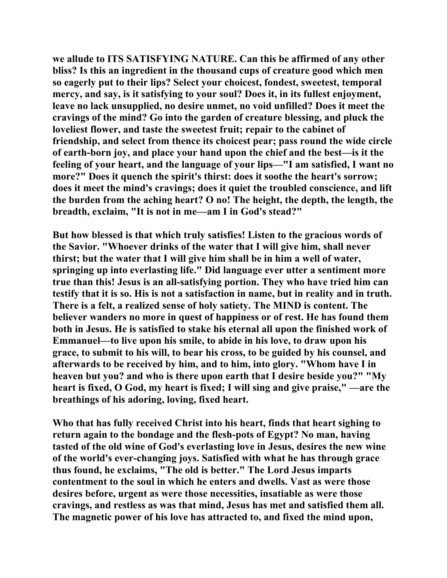**we allude to ITS SATISFYING NATURE. Can this be affirmed of any other bliss? Is this an ingredient in the thousand cups of creature good which men so eagerly put to their lips? Select your choicest, fondest, sweetest, temporal mercy, and say, is it satisfying to your soul? Does it, in its fullest enjoyment, leave no lack unsupplied, no desire unmet, no void unfilled? Does it meet the cravings of the mind? Go into the garden of creature blessing, and pluck the loveliest flower, and taste the sweetest fruit; repair to the cabinet of friendship, and select from thence its choicest pear; pass round the wide circle of earth-born joy, and place your hand upon the chief and the best—is it the feeling of your heart, and the language of your lips—"I am satisfied, I want no more?" Does it quench the spirit's thirst: does it soothe the heart's sorrow; does it meet the mind's cravings; does it quiet the troubled conscience, and lift the burden from the aching heart? O no! The height, the depth, the length, the breadth, exclaim, "It is not in me—am I in God's stead?"** 

**But how blessed is that which truly satisfies! Listen to the gracious words of the Savior. "Whoever drinks of the water that I will give him, shall never thirst; but the water that I will give him shall be in him a well of water, springing up into everlasting life." Did language ever utter a sentiment more true than this! Jesus is an all-satisfying portion. They who have tried him can testify that it is so. His is not a satisfaction in name, but in reality and in truth. There is a felt, a realized sense of holy satiety. The MIND is content. The believer wanders no more in quest of happiness or of rest. He has found them both in Jesus. He is satisfied to stake his eternal all upon the finished work of Emmanuel—to live upon his smile, to abide in his love, to draw upon his grace, to submit to his will, to bear his cross, to be guided by his counsel, and afterwards to be received by him, and to him, into glory. "Whom have I in heaven but you? and who is there upon earth that I desire beside you?" "My heart is fixed, O God, my heart is fixed; I will sing and give praise," —are the breathings of his adoring, loving, fixed heart.** 

**Who that has fully received Christ into his heart, finds that heart sighing to return again to the bondage and the flesh-pots of Egypt? No man, having tasted of the old wine of God's everlasting love in Jesus, desires the new wine of the world's ever-changing joys. Satisfied with what he has through grace thus found, he exclaims, "The old is better." The Lord Jesus imparts contentment to the soul in which he enters and dwells. Vast as were those desires before, urgent as were those necessities, insatiable as were those cravings, and restless as was that mind, Jesus has met and satisfied them all. The magnetic power of his love has attracted to, and fixed the mind upon,**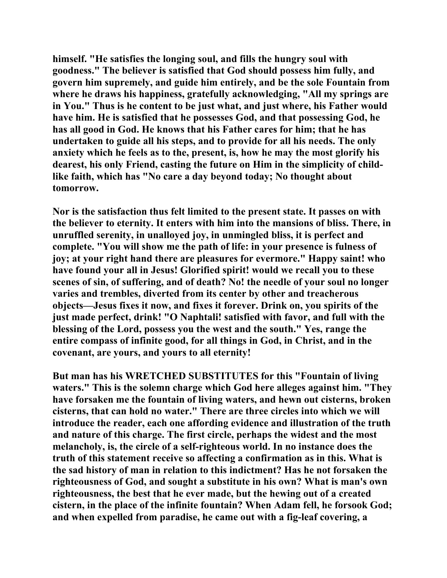**himself. "He satisfies the longing soul, and fills the hungry soul with goodness." The believer is satisfied that God should possess him fully, and govern him supremely, and guide him entirely, and be the sole Fountain from where he draws his happiness, gratefully acknowledging, "All my springs are in You." Thus is he content to be just what, and just where, his Father would have him. He is satisfied that he possesses God, and that possessing God, he has all good in God. He knows that his Father cares for him; that he has undertaken to guide all his steps, and to provide for all his needs. The only anxiety which he feels as to the, present, is, how he may the most glorify his dearest, his only Friend, casting the future on Him in the simplicity of childlike faith, which has "No care a day beyond today; No thought about tomorrow.** 

**Nor is the satisfaction thus felt limited to the present state. It passes on with the believer to eternity. It enters with him into the mansions of bliss. There, in unruffled serenity, in unalloyed joy, in unmingled bliss, it is perfect and complete. "You will show me the path of life: in your presence is fulness of joy; at your right hand there are pleasures for evermore." Happy saint! who have found your all in Jesus! Glorified spirit! would we recall you to these scenes of sin, of suffering, and of death? No! the needle of your soul no longer varies and trembles, diverted from its center by other and treacherous objects—Jesus fixes it now, and fixes it forever. Drink on, you spirits of the just made perfect, drink! "O Naphtali! satisfied with favor, and full with the blessing of the Lord, possess you the west and the south." Yes, range the entire compass of infinite good, for all things in God, in Christ, and in the covenant, are yours, and yours to all eternity!** 

**But man has his WRETCHED SUBSTITUTES for this "Fountain of living waters." This is the solemn charge which God here alleges against him. "They have forsaken me the fountain of living waters, and hewn out cisterns, broken cisterns, that can hold no water." There are three circles into which we will introduce the reader, each one affording evidence and illustration of the truth and nature of this charge. The first circle, perhaps the widest and the most melancholy, is, the circle of a self-righteous world. In no instance does the truth of this statement receive so affecting a confirmation as in this. What is the sad history of man in relation to this indictment? Has he not forsaken the righteousness of God, and sought a substitute in his own? What is man's own righteousness, the best that he ever made, but the hewing out of a created cistern, in the place of the infinite fountain? When Adam fell, he forsook God; and when expelled from paradise, he came out with a fig-leaf covering, a**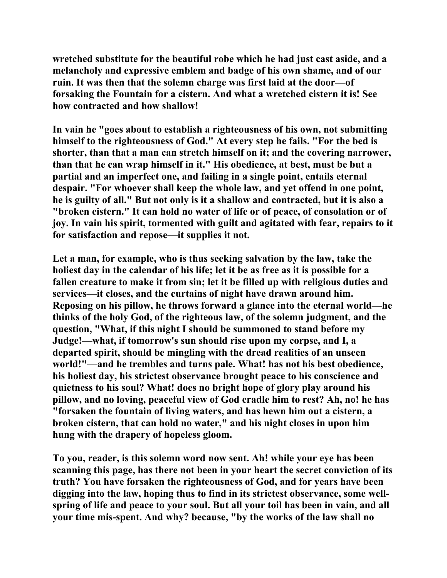**wretched substitute for the beautiful robe which he had just cast aside, and a melancholy and expressive emblem and badge of his own shame, and of our ruin. It was then that the solemn charge was first laid at the door—of forsaking the Fountain for a cistern. And what a wretched cistern it is! See how contracted and how shallow!** 

**In vain he "goes about to establish a righteousness of his own, not submitting himself to the righteousness of God." At every step he fails. "For the bed is shorter, than that a man can stretch himself on it; and the covering narrower, than that he can wrap himself in it." His obedience, at best, must be but a partial and an imperfect one, and failing in a single point, entails eternal despair. "For whoever shall keep the whole law, and yet offend in one point, he is guilty of all." But not only is it a shallow and contracted, but it is also a "broken cistern." It can hold no water of life or of peace, of consolation or of joy. In vain his spirit, tormented with guilt and agitated with fear, repairs to it for satisfaction and repose—it supplies it not.** 

**Let a man, for example, who is thus seeking salvation by the law, take the holiest day in the calendar of his life; let it be as free as it is possible for a fallen creature to make it from sin; let it be filled up with religious duties and services—it closes, and the curtains of night have drawn around him. Reposing on his pillow, he throws forward a glance into the eternal world—he thinks of the holy God, of the righteous law, of the solemn judgment, and the question, "What, if this night I should be summoned to stand before my Judge!—what, if tomorrow's sun should rise upon my corpse, and I, a departed spirit, should be mingling with the dread realities of an unseen world!"—and he trembles and turns pale. What! has not his best obedience, his holiest day, his strictest observance brought peace to his conscience and quietness to his soul? What! does no bright hope of glory play around his pillow, and no loving, peaceful view of God cradle him to rest? Ah, no! he has "forsaken the fountain of living waters, and has hewn him out a cistern, a broken cistern, that can hold no water," and his night closes in upon him hung with the drapery of hopeless gloom.** 

**To you, reader, is this solemn word now sent. Ah! while your eye has been scanning this page, has there not been in your heart the secret conviction of its truth? You have forsaken the righteousness of God, and for years have been digging into the law, hoping thus to find in its strictest observance, some wellspring of life and peace to your soul. But all your toil has been in vain, and all your time mis-spent. And why? because, "by the works of the law shall no**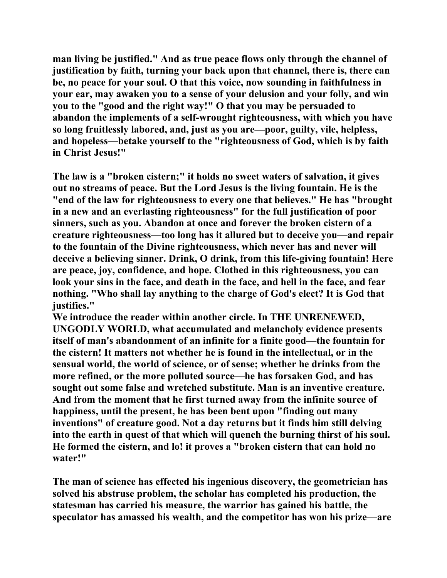**man living be justified." And as true peace flows only through the channel of justification by faith, turning your back upon that channel, there is, there can be, no peace for your soul. O that this voice, now sounding in faithfulness in your ear, may awaken you to a sense of your delusion and your folly, and win you to the "good and the right way!" O that you may be persuaded to abandon the implements of a self-wrought righteousness, with which you have so long fruitlessly labored, and, just as you are—poor, guilty, vile, helpless, and hopeless—betake yourself to the "righteousness of God, which is by faith in Christ Jesus!"** 

**The law is a "broken cistern;" it holds no sweet waters of salvation, it gives out no streams of peace. But the Lord Jesus is the living fountain. He is the "end of the law for righteousness to every one that believes." He has "brought in a new and an everlasting righteousness" for the full justification of poor sinners, such as you. Abandon at once and forever the broken cistern of a creature righteousness—too long has it allured but to deceive you—and repair to the fountain of the Divine righteousness, which never has and never will deceive a believing sinner. Drink, O drink, from this life-giving fountain! Here are peace, joy, confidence, and hope. Clothed in this righteousness, you can look your sins in the face, and death in the face, and hell in the face, and fear nothing. "Who shall lay anything to the charge of God's elect? It is God that justifies."** 

**We introduce the reader within another circle. In THE UNRENEWED, UNGODLY WORLD, what accumulated and melancholy evidence presents itself of man's abandonment of an infinite for a finite good—the fountain for the cistern! It matters not whether he is found in the intellectual, or in the sensual world, the world of science, or of sense; whether he drinks from the more refined, or the more polluted source—he has forsaken God, and has sought out some false and wretched substitute. Man is an inventive creature. And from the moment that he first turned away from the infinite source of happiness, until the present, he has been bent upon "finding out many inventions" of creature good. Not a day returns but it finds him still delving into the earth in quest of that which will quench the burning thirst of his soul. He formed the cistern, and lo! it proves a "broken cistern that can hold no water!"** 

**The man of science has effected his ingenious discovery, the geometrician has solved his abstruse problem, the scholar has completed his production, the statesman has carried his measure, the warrior has gained his battle, the speculator has amassed his wealth, and the competitor has won his prize—are**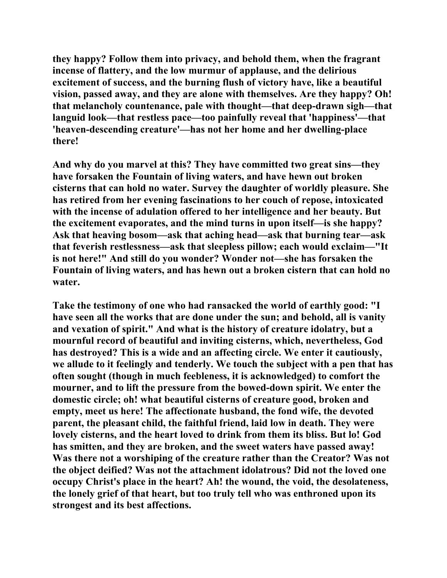**they happy? Follow them into privacy, and behold them, when the fragrant incense of flattery, and the low murmur of applause, and the delirious excitement of success, and the burning flush of victory have, like a beautiful vision, passed away, and they are alone with themselves. Are they happy? Oh! that melancholy countenance, pale with thought—that deep-drawn sigh—that languid look—that restless pace—too painfully reveal that 'happiness'—that 'heaven-descending creature'—has not her home and her dwelling-place there!** 

**And why do you marvel at this? They have committed two great sins—they have forsaken the Fountain of living waters, and have hewn out broken cisterns that can hold no water. Survey the daughter of worldly pleasure. She has retired from her evening fascinations to her couch of repose, intoxicated with the incense of adulation offered to her intelligence and her beauty. But the excitement evaporates, and the mind turns in upon itself—is she happy? Ask that heaving bosom—ask that aching head—ask that burning tear—ask that feverish restlessness—ask that sleepless pillow; each would exclaim—"It is not here!" And still do you wonder? Wonder not—she has forsaken the Fountain of living waters, and has hewn out a broken cistern that can hold no water.** 

**Take the testimony of one who had ransacked the world of earthly good: "I have seen all the works that are done under the sun; and behold, all is vanity and vexation of spirit." And what is the history of creature idolatry, but a mournful record of beautiful and inviting cisterns, which, nevertheless, God has destroyed? This is a wide and an affecting circle. We enter it cautiously, we allude to it feelingly and tenderly. We touch the subject with a pen that has often sought (though in much feebleness, it is acknowledged) to comfort the mourner, and to lift the pressure from the bowed-down spirit. We enter the domestic circle; oh! what beautiful cisterns of creature good, broken and empty, meet us here! The affectionate husband, the fond wife, the devoted parent, the pleasant child, the faithful friend, laid low in death. They were lovely cisterns, and the heart loved to drink from them its bliss. But lo! God has smitten, and they are broken, and the sweet waters have passed away! Was there not a worshiping of the creature rather than the Creator? Was not the object deified? Was not the attachment idolatrous? Did not the loved one occupy Christ's place in the heart? Ah! the wound, the void, the desolateness, the lonely grief of that heart, but too truly tell who was enthroned upon its strongest and its best affections.**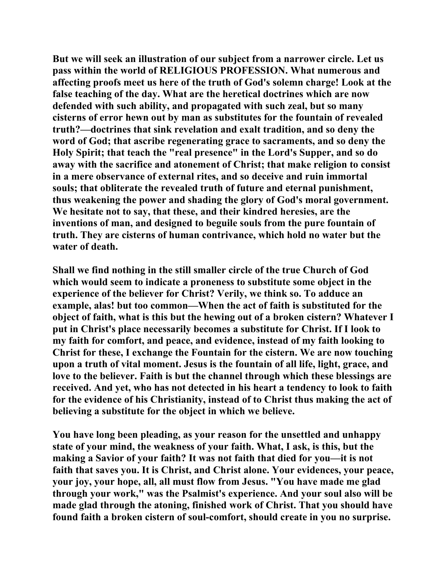**But we will seek an illustration of our subject from a narrower circle. Let us pass within the world of RELIGIOUS PROFESSION. What numerous and affecting proofs meet us here of the truth of God's solemn charge! Look at the false teaching of the day. What are the heretical doctrines which are now defended with such ability, and propagated with such zeal, but so many cisterns of error hewn out by man as substitutes for the fountain of revealed truth?—doctrines that sink revelation and exalt tradition, and so deny the word of God; that ascribe regenerating grace to sacraments, and so deny the Holy Spirit; that teach the "real presence" in the Lord's Supper, and so do away with the sacrifice and atonement of Christ; that make religion to consist in a mere observance of external rites, and so deceive and ruin immortal souls; that obliterate the revealed truth of future and eternal punishment, thus weakening the power and shading the glory of God's moral government. We hesitate not to say, that these, and their kindred heresies, are the inventions of man, and designed to beguile souls from the pure fountain of truth. They are cisterns of human contrivance, which hold no water but the water of death.** 

**Shall we find nothing in the still smaller circle of the true Church of God which would seem to indicate a proneness to substitute some object in the experience of the believer for Christ? Verily, we think so. To adduce an example, alas! but too common—When the act of faith is substituted for the object of faith, what is this but the hewing out of a broken cistern? Whatever I put in Christ's place necessarily becomes a substitute for Christ. If I look to my faith for comfort, and peace, and evidence, instead of my faith looking to Christ for these, I exchange the Fountain for the cistern. We are now touching upon a truth of vital moment. Jesus is the fountain of all life, light, grace, and love to the believer. Faith is but the channel through which these blessings are received. And yet, who has not detected in his heart a tendency to look to faith for the evidence of his Christianity, instead of to Christ thus making the act of believing a substitute for the object in which we believe.** 

**You have long been pleading, as your reason for the unsettled and unhappy state of your mind, the weakness of your faith. What, I ask, is this, but the making a Savior of your faith? It was not faith that died for you—it is not faith that saves you. It is Christ, and Christ alone. Your evidences, your peace, your joy, your hope, all, all must flow from Jesus. "You have made me glad through your work," was the Psalmist's experience. And your soul also will be made glad through the atoning, finished work of Christ. That you should have found faith a broken cistern of soul-comfort, should create in you no surprise.**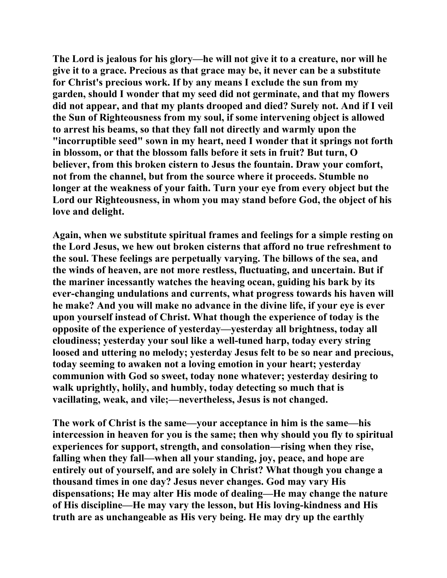**The Lord is jealous for his glory—he will not give it to a creature, nor will he give it to a grace. Precious as that grace may be, it never can be a substitute for Christ's precious work. If by any means I exclude the sun from my garden, should I wonder that my seed did not germinate, and that my flowers did not appear, and that my plants drooped and died? Surely not. And if I veil the Sun of Righteousness from my soul, if some intervening object is allowed to arrest his beams, so that they fall not directly and warmly upon the "incorruptible seed" sown in my heart, need I wonder that it springs not forth in blossom, or that the blossom falls before it sets in fruit? But turn, O believer, from this broken cistern to Jesus the fountain. Draw your comfort, not from the channel, but from the source where it proceeds. Stumble no longer at the weakness of your faith. Turn your eye from every object but the Lord our Righteousness, in whom you may stand before God, the object of his love and delight.** 

**Again, when we substitute spiritual frames and feelings for a simple resting on the Lord Jesus, we hew out broken cisterns that afford no true refreshment to the soul. These feelings are perpetually varying. The billows of the sea, and the winds of heaven, are not more restless, fluctuating, and uncertain. But if the mariner incessantly watches the heaving ocean, guiding his bark by its ever-changing undulations and currents, what progress towards his haven will he make? And you will make no advance in the divine life, if your eye is ever upon yourself instead of Christ. What though the experience of today is the opposite of the experience of yesterday—yesterday all brightness, today all cloudiness; yesterday your soul like a well-tuned harp, today every string loosed and uttering no melody; yesterday Jesus felt to be so near and precious, today seeming to awaken not a loving emotion in your heart; yesterday communion with God so sweet, today none whatever; yesterday desiring to walk uprightly, holily, and humbly, today detecting so much that is vacillating, weak, and vile;—nevertheless, Jesus is not changed.** 

**The work of Christ is the same—your acceptance in him is the same—his intercession in heaven for you is the same; then why should you fly to spiritual experiences for support, strength, and consolation—rising when they rise, falling when they fall—when all your standing, joy, peace, and hope are entirely out of yourself, and are solely in Christ? What though you change a thousand times in one day? Jesus never changes. God may vary His dispensations; He may alter His mode of dealing—He may change the nature of His discipline—He may vary the lesson, but His loving-kindness and His truth are as unchangeable as His very being. He may dry up the earthly**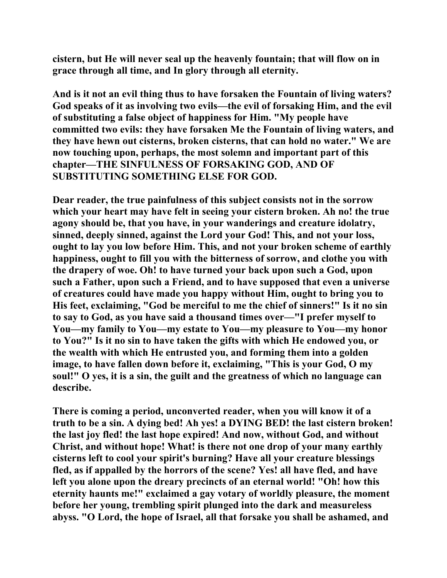**cistern, but He will never seal up the heavenly fountain; that will flow on in grace through all time, and In glory through all eternity.** 

**And is it not an evil thing thus to have forsaken the Fountain of living waters? God speaks of it as involving two evils—the evil of forsaking Him, and the evil of substituting a false object of happiness for Him. "My people have committed two evils: they have forsaken Me the Fountain of living waters, and they have hewn out cisterns, broken cisterns, that can hold no water." We are now touching upon, perhaps, the most solemn and important part of this chapter—THE SINFULNESS OF FORSAKING GOD, AND OF SUBSTITUTING SOMETHING ELSE FOR GOD.** 

**Dear reader, the true painfulness of this subject consists not in the sorrow which your heart may have felt in seeing your cistern broken. Ah no! the true agony should be, that you have, in your wanderings and creature idolatry, sinned, deeply sinned, against the Lord your God! This, and not your loss, ought to lay you low before Him. This, and not your broken scheme of earthly happiness, ought to fill you with the bitterness of sorrow, and clothe you with the drapery of woe. Oh! to have turned your back upon such a God, upon such a Father, upon such a Friend, and to have supposed that even a universe of creatures could have made you happy without Him, ought to bring you to His feet, exclaiming, "God be merciful to me the chief of sinners!" Is it no sin to say to God, as you have said a thousand times over—"I prefer myself to You—my family to You—my estate to You—my pleasure to You—my honor to You?" Is it no sin to have taken the gifts with which He endowed you, or the wealth with which He entrusted you, and forming them into a golden image, to have fallen down before it, exclaiming, "This is your God, O my soul!" O yes, it is a sin, the guilt and the greatness of which no language can describe.** 

**There is coming a period, unconverted reader, when you will know it of a truth to be a sin. A dying bed! Ah yes! a DYING BED! the last cistern broken! the last joy fled! the last hope expired! And now, without God, and without Christ, and without hope! What! is there not one drop of your many earthly cisterns left to cool your spirit's burning? Have all your creature blessings fled, as if appalled by the horrors of the scene? Yes! all have fled, and have left you alone upon the dreary precincts of an eternal world! "Oh! how this eternity haunts me!" exclaimed a gay votary of worldly pleasure, the moment before her young, trembling spirit plunged into the dark and measureless abyss. "O Lord, the hope of Israel, all that forsake you shall be ashamed, and**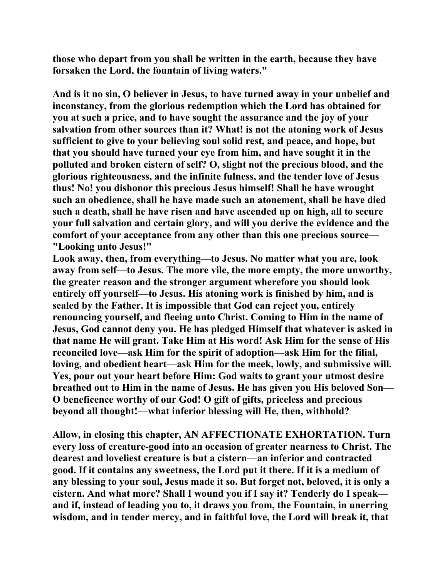**those who depart from you shall be written in the earth, because they have forsaken the Lord, the fountain of living waters."** 

**And is it no sin, O believer in Jesus, to have turned away in your unbelief and inconstancy, from the glorious redemption which the Lord has obtained for you at such a price, and to have sought the assurance and the joy of your salvation from other sources than it? What! is not the atoning work of Jesus sufficient to give to your believing soul solid rest, and peace, and hope, but that you should have turned your eye from him, and have sought it in the polluted and broken cistern of self? O, slight not the precious blood, and the glorious righteousness, and the infinite fulness, and the tender love of Jesus thus! No! you dishonor this precious Jesus himself! Shall he have wrought such an obedience, shall he have made such an atonement, shall he have died such a death, shall he have risen and have ascended up on high, all to secure your full salvation and certain glory, and will you derive the evidence and the comfort of your acceptance from any other than this one precious source— "Looking unto Jesus!"** 

**Look away, then, from everything—to Jesus. No matter what you are, look away from self—to Jesus. The more vile, the more empty, the more unworthy, the greater reason and the stronger argument wherefore you should look entirely off yourself—to Jesus. His atoning work is finished by him, and is sealed by the Father. It is impossible that God can reject you, entirely renouncing yourself, and fleeing unto Christ. Coming to Him in the name of Jesus, God cannot deny you. He has pledged Himself that whatever is asked in that name He will grant. Take Him at His word! Ask Him for the sense of His reconciled love—ask Him for the spirit of adoption—ask Him for the filial, loving, and obedient heart—ask Him for the meek, lowly, and submissive will. Yes, pour out your heart before Him: God waits to grant your utmost desire breathed out to Him in the name of Jesus. He has given you His beloved Son— O beneficence worthy of our God! O gift of gifts, priceless and precious beyond all thought!—what inferior blessing will He, then, withhold?** 

**Allow, in closing this chapter, AN AFFECTIONATE EXHORTATION. Turn every loss of creature-good into an occasion of greater nearness to Christ. The dearest and loveliest creature is but a cistern—an inferior and contracted good. If it contains any sweetness, the Lord put it there. If it is a medium of any blessing to your soul, Jesus made it so. But forget not, beloved, it is only a cistern. And what more? Shall I wound you if I say it? Tenderly do I speak and if, instead of leading you to, it draws you from, the Fountain, in unerring wisdom, and in tender mercy, and in faithful love, the Lord will break it, that**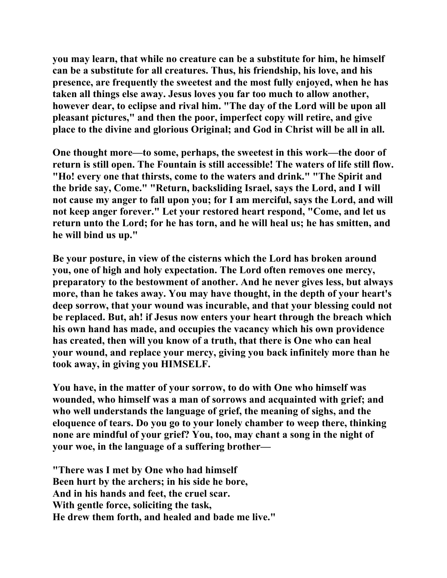**you may learn, that while no creature can be a substitute for him, he himself can be a substitute for all creatures. Thus, his friendship, his love, and his presence, are frequently the sweetest and the most fully enjoyed, when he has taken all things else away. Jesus loves you far too much to allow another, however dear, to eclipse and rival him. "The day of the Lord will be upon all pleasant pictures," and then the poor, imperfect copy will retire, and give place to the divine and glorious Original; and God in Christ will be all in all.** 

**One thought more—to some, perhaps, the sweetest in this work—the door of return is still open. The Fountain is still accessible! The waters of life still flow. "Ho! every one that thirsts, come to the waters and drink." "The Spirit and the bride say, Come." "Return, backsliding Israel, says the Lord, and I will not cause my anger to fall upon you; for I am merciful, says the Lord, and will not keep anger forever." Let your restored heart respond, "Come, and let us return unto the Lord; for he has torn, and he will heal us; he has smitten, and he will bind us up."** 

**Be your posture, in view of the cisterns which the Lord has broken around you, one of high and holy expectation. The Lord often removes one mercy, preparatory to the bestowment of another. And he never gives less, but always more, than he takes away. You may have thought, in the depth of your heart's deep sorrow, that your wound was incurable, and that your blessing could not be replaced. But, ah! if Jesus now enters your heart through the breach which his own hand has made, and occupies the vacancy which his own providence has created, then will you know of a truth, that there is One who can heal your wound, and replace your mercy, giving you back infinitely more than he took away, in giving you HIMSELF.** 

**You have, in the matter of your sorrow, to do with One who himself was wounded, who himself was a man of sorrows and acquainted with grief; and who well understands the language of grief, the meaning of sighs, and the eloquence of tears. Do you go to your lonely chamber to weep there, thinking none are mindful of your grief? You, too, may chant a song in the night of your woe, in the language of a suffering brother—** 

**"There was I met by One who had himself Been hurt by the archers; in his side he bore, And in his hands and feet, the cruel scar. With gentle force, soliciting the task, He drew them forth, and healed and bade me live."**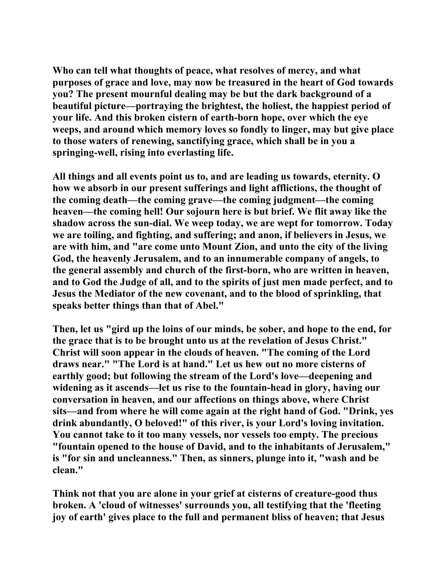**Who can tell what thoughts of peace, what resolves of mercy, and what purposes of grace and love, may now be treasured in the heart of God towards you? The present mournful dealing may be but the dark background of a beautiful picture—portraying the brightest, the holiest, the happiest period of your life. And this broken cistern of earth-born hope, over which the eye weeps, and around which memory loves so fondly to linger, may but give place to those waters of renewing, sanctifying grace, which shall be in you a springing-well, rising into everlasting life.** 

**All things and all events point us to, and are leading us towards, eternity. O how we absorb in our present sufferings and light afflictions, the thought of the coming death—the coming grave—the coming judgment—the coming heaven—the coming hell! Our sojourn here is but brief. We flit away like the shadow across the sun-dial. We weep today, we are wept for tomorrow. Today we are toiling, and fighting, and suffering; and anon, if believers in Jesus, we are with him, and "are come unto Mount Zion, and unto the city of the living God, the heavenly Jerusalem, and to an innumerable company of angels, to the general assembly and church of the first-born, who are written in heaven, and to God the Judge of all, and to the spirits of just men made perfect, and to Jesus the Mediator of the new covenant, and to the blood of sprinkling, that speaks better things than that of Abel."** 

**Then, let us "gird up the loins of our minds, be sober, and hope to the end, for the grace that is to be brought unto us at the revelation of Jesus Christ." Christ will soon appear in the clouds of heaven. "The coming of the Lord draws near." "The Lord is at hand." Let us hew out no more cisterns of earthly good; but following the stream of the Lord's love—deepening and widening as it ascends—let us rise to the fountain-head in glory, having our conversation in heaven, and our affections on things above, where Christ sits—and from where he will come again at the right hand of God. "Drink, yes drink abundantly, O beloved!" of this river, is your Lord's loving invitation. You cannot take to it too many vessels, nor vessels too empty. The precious "fountain opened to the house of David, and to the inhabitants of Jerusalem," is "for sin and uncleanness." Then, as sinners, plunge into it, "wash and be clean."** 

**Think not that you are alone in your grief at cisterns of creature-good thus broken. A 'cloud of witnesses' surrounds you, all testifying that the 'fleeting joy of earth' gives place to the full and permanent bliss of heaven; that Jesus**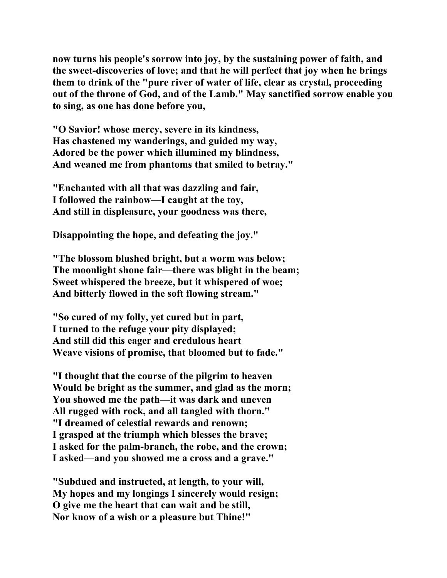**now turns his people's sorrow into joy, by the sustaining power of faith, and the sweet-discoveries of love; and that he will perfect that joy when he brings them to drink of the "pure river of water of life, clear as crystal, proceeding out of the throne of God, and of the Lamb." May sanctified sorrow enable you to sing, as one has done before you,** 

**"O Savior! whose mercy, severe in its kindness, Has chastened my wanderings, and guided my way, Adored be the power which illumined my blindness, And weaned me from phantoms that smiled to betray."** 

**"Enchanted with all that was dazzling and fair, I followed the rainbow—I caught at the toy, And still in displeasure, your goodness was there,** 

**Disappointing the hope, and defeating the joy."** 

**"The blossom blushed bright, but a worm was below; The moonlight shone fair—there was blight in the beam; Sweet whispered the breeze, but it whispered of woe; And bitterly flowed in the soft flowing stream."** 

**"So cured of my folly, yet cured but in part, I turned to the refuge your pity displayed; And still did this eager and credulous heart Weave visions of promise, that bloomed but to fade."** 

**"I thought that the course of the pilgrim to heaven Would be bright as the summer, and glad as the morn; You showed me the path—it was dark and uneven All rugged with rock, and all tangled with thorn." "I dreamed of celestial rewards and renown; I grasped at the triumph which blesses the brave; I asked for the palm-branch, the robe, and the crown; I asked—and you showed me a cross and a grave."** 

**"Subdued and instructed, at length, to your will, My hopes and my longings I sincerely would resign; O give me the heart that can wait and be still, Nor know of a wish or a pleasure but Thine!"**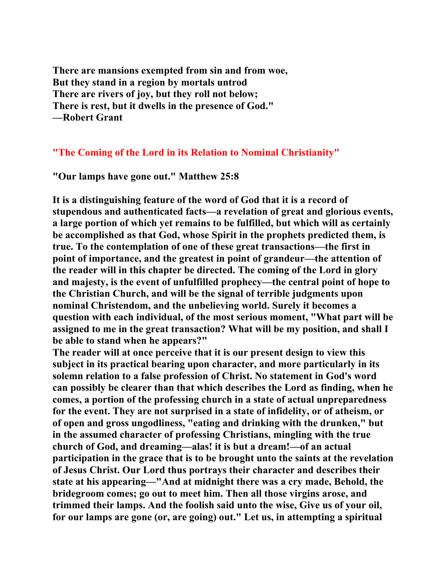**There are mansions exempted from sin and from woe, But they stand in a region by mortals untrod There are rivers of joy, but they roll not below; There is rest, but it dwells in the presence of God." —Robert Grant** 

## **"The Coming of the Lord in its Relation to Nominal Christianity"**

**"Our lamps have gone out." Matthew 25:8** 

**It is a distinguishing feature of the word of God that it is a record of stupendous and authenticated facts—a revelation of great and glorious events, a large portion of which yet remains to be fulfilled, but which will as certainly be accomplished as that God, whose Spirit in the prophets predicted them, is true. To the contemplation of one of these great transactions—the first in point of importance, and the greatest in point of grandeur—the attention of the reader will in this chapter be directed. The coming of the Lord in glory and majesty, is the event of unfulfilled prophecy—the central point of hope to the Christian Church, and will be the signal of terrible judgments upon nominal Christendom, and the unbelieving world. Surely it becomes a question with each individual, of the most serious moment, "What part will be assigned to me in the great transaction? What will be my position, and shall I be able to stand when he appears?"** 

**The reader will at once perceive that it is our present design to view this subject in its practical bearing upon character, and more particularly in its solemn relation to a false profession of Christ. No statement in God's word can possibly be clearer than that which describes the Lord as finding, when he comes, a portion of the professing church in a state of actual unpreparedness for the event. They are not surprised in a state of infidelity, or of atheism, or of open and gross ungodliness, "eating and drinking with the drunken," but in the assumed character of professing Christians, mingling with the true church of God, and dreaming—alas! it is but a dream!—of an actual participation in the grace that is to be brought unto the saints at the revelation of Jesus Christ. Our Lord thus portrays their character and describes their state at his appearing—"And at midnight there was a cry made, Behold, the bridegroom comes; go out to meet him. Then all those virgins arose, and trimmed their lamps. And the foolish said unto the wise, Give us of your oil, for our lamps are gone (or, are going) out." Let us, in attempting a spiritual**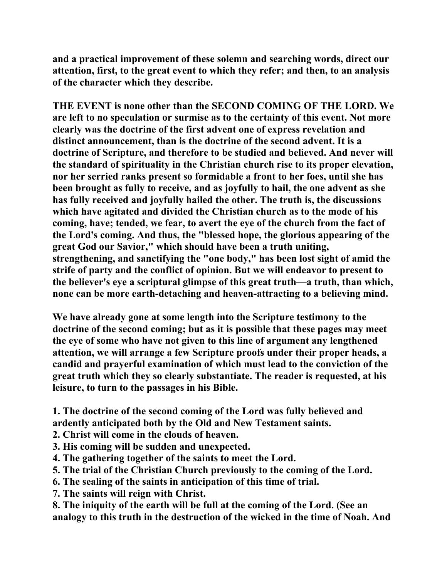**and a practical improvement of these solemn and searching words, direct our attention, first, to the great event to which they refer; and then, to an analysis of the character which they describe.** 

**THE EVENT is none other than the SECOND COMING OF THE LORD. We are left to no speculation or surmise as to the certainty of this event. Not more clearly was the doctrine of the first advent one of express revelation and distinct announcement, than is the doctrine of the second advent. It is a doctrine of Scripture, and therefore to be studied and believed. And never will the standard of spirituality in the Christian church rise to its proper elevation, nor her serried ranks present so formidable a front to her foes, until she has been brought as fully to receive, and as joyfully to hail, the one advent as she has fully received and joyfully hailed the other. The truth is, the discussions which have agitated and divided the Christian church as to the mode of his coming, have; tended, we fear, to avert the eye of the church from the fact of the Lord's coming. And thus, the "blessed hope, the glorious appearing of the great God our Savior," which should have been a truth uniting, strengthening, and sanctifying the "one body," has been lost sight of amid the strife of party and the conflict of opinion. But we will endeavor to present to the believer's eye a scriptural glimpse of this great truth—a truth, than which, none can be more earth-detaching and heaven-attracting to a believing mind.** 

**We have already gone at some length into the Scripture testimony to the doctrine of the second coming; but as it is possible that these pages may meet the eye of some who have not given to this line of argument any lengthened attention, we will arrange a few Scripture proofs under their proper heads, a candid and prayerful examination of which must lead to the conviction of the great truth which they so clearly substantiate. The reader is requested, at his leisure, to turn to the passages in his Bible.** 

**1. The doctrine of the second coming of the Lord was fully believed and ardently anticipated both by the Old and New Testament saints.** 

- **2. Christ will come in the clouds of heaven.**
- **3. His coming will be sudden and unexpected.**
- **4. The gathering together of the saints to meet the Lord.**
- **5. The trial of the Christian Church previously to the coming of the Lord.**
- **6. The sealing of the saints in anticipation of this time of trial.**
- **7. The saints will reign with Christ.**
- **8. The iniquity of the earth will be full at the coming of the Lord. (See an analogy to this truth in the destruction of the wicked in the time of Noah. And**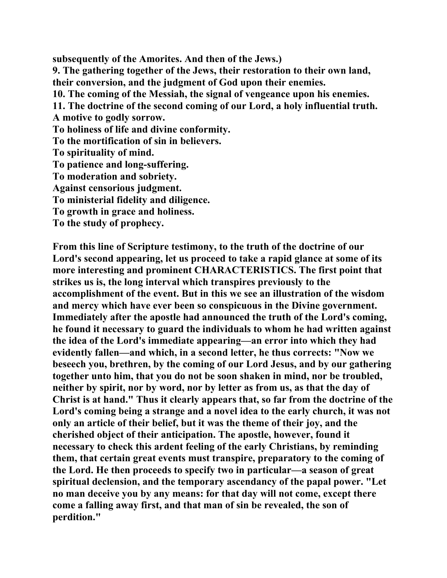**subsequently of the Amorites. And then of the Jews.) 9. The gathering together of the Jews, their restoration to their own land, their conversion, and the judgment of God upon their enemies. 10. The coming of the Messiah, the signal of vengeance upon his enemies. 11. The doctrine of the second coming of our Lord, a holy influential truth. A motive to godly sorrow. To holiness of life and divine conformity. To the mortification of sin in believers. To spirituality of mind. To patience and long-suffering. To moderation and sobriety. Against censorious judgment. To ministerial fidelity and diligence. To growth in grace and holiness. To the study of prophecy.** 

**From this line of Scripture testimony, to the truth of the doctrine of our Lord's second appearing, let us proceed to take a rapid glance at some of its more interesting and prominent CHARACTERISTICS. The first point that strikes us is, the long interval which transpires previously to the accomplishment of the event. But in this we see an illustration of the wisdom and mercy which have ever been so conspicuous in the Divine government. Immediately after the apostle had announced the truth of the Lord's coming, he found it necessary to guard the individuals to whom he had written against the idea of the Lord's immediate appearing—an error into which they had evidently fallen—and which, in a second letter, he thus corrects: "Now we beseech you, brethren, by the coming of our Lord Jesus, and by our gathering together unto him, that you do not be soon shaken in mind, nor be troubled, neither by spirit, nor by word, nor by letter as from us, as that the day of Christ is at hand." Thus it clearly appears that, so far from the doctrine of the Lord's coming being a strange and a novel idea to the early church, it was not only an article of their belief, but it was the theme of their joy, and the cherished object of their anticipation. The apostle, however, found it necessary to check this ardent feeling of the early Christians, by reminding them, that certain great events must transpire, preparatory to the coming of the Lord. He then proceeds to specify two in particular—a season of great spiritual declension, and the temporary ascendancy of the papal power. "Let no man deceive you by any means: for that day will not come, except there come a falling away first, and that man of sin be revealed, the son of perdition."**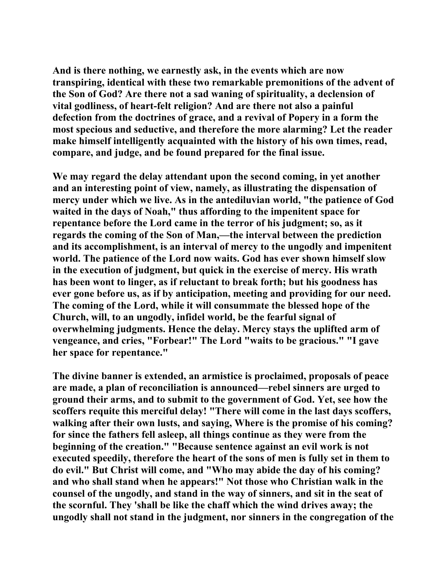**And is there nothing, we earnestly ask, in the events which are now transpiring, identical with these two remarkable premonitions of the advent of the Son of God? Are there not a sad waning of spirituality, a declension of vital godliness, of heart-felt religion? And are there not also a painful defection from the doctrines of grace, and a revival of Popery in a form the most specious and seductive, and therefore the more alarming? Let the reader make himself intelligently acquainted with the history of his own times, read, compare, and judge, and be found prepared for the final issue.** 

**We may regard the delay attendant upon the second coming, in yet another and an interesting point of view, namely, as illustrating the dispensation of mercy under which we live. As in the antediluvian world, "the patience of God waited in the days of Noah," thus affording to the impenitent space for repentance before the Lord came in the terror of his judgment; so, as it regards the coming of the Son of Man,—the interval between the prediction and its accomplishment, is an interval of mercy to the ungodly and impenitent world. The patience of the Lord now waits. God has ever shown himself slow in the execution of judgment, but quick in the exercise of mercy. His wrath has been wont to linger, as if reluctant to break forth; but his goodness has ever gone before us, as if by anticipation, meeting and providing for our need. The coming of the Lord, while it will consummate the blessed hope of the Church, will, to an ungodly, infidel world, be the fearful signal of overwhelming judgments. Hence the delay. Mercy stays the uplifted arm of vengeance, and cries, "Forbear!" The Lord "waits to be gracious." "I gave her space for repentance."** 

**The divine banner is extended, an armistice is proclaimed, proposals of peace are made, a plan of reconciliation is announced—rebel sinners are urged to ground their arms, and to submit to the government of God. Yet, see how the scoffers requite this merciful delay! "There will come in the last days scoffers, walking after their own lusts, and saying, Where is the promise of his coming? for since the fathers fell asleep, all things continue as they were from the beginning of the creation." "Because sentence against an evil work is not executed speedily, therefore the heart of the sons of men is fully set in them to do evil." But Christ will come, and "Who may abide the day of his coming? and who shall stand when he appears!" Not those who Christian walk in the counsel of the ungodly, and stand in the way of sinners, and sit in the seat of the scornful. They 'shall be like the chaff which the wind drives away; the ungodly shall not stand in the judgment, nor sinners in the congregation of the**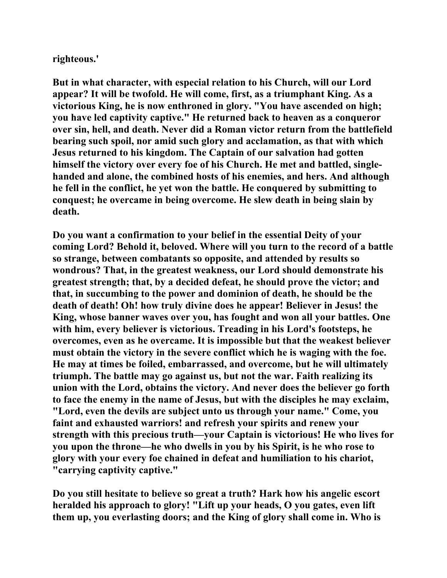**righteous.'** 

**But in what character, with especial relation to his Church, will our Lord appear? It will be twofold. He will come, first, as a triumphant King. As a victorious King, he is now enthroned in glory. "You have ascended on high; you have led captivity captive." He returned back to heaven as a conqueror over sin, hell, and death. Never did a Roman victor return from the battlefield bearing such spoil, nor amid such glory and acclamation, as that with which Jesus returned to his kingdom. The Captain of our salvation had gotten himself the victory over every foe of his Church. He met and battled, singlehanded and alone, the combined hosts of his enemies, and hers. And although he fell in the conflict, he yet won the battle. He conquered by submitting to conquest; he overcame in being overcome. He slew death in being slain by death.** 

**Do you want a confirmation to your belief in the essential Deity of your coming Lord? Behold it, beloved. Where will you turn to the record of a battle so strange, between combatants so opposite, and attended by results so wondrous? That, in the greatest weakness, our Lord should demonstrate his greatest strength; that, by a decided defeat, he should prove the victor; and that, in succumbing to the power and dominion of death, he should be the death of death! Oh! how truly divine does he appear! Believer in Jesus! the King, whose banner waves over you, has fought and won all your battles. One with him, every believer is victorious. Treading in his Lord's footsteps, he overcomes, even as he overcame. It is impossible but that the weakest believer must obtain the victory in the severe conflict which he is waging with the foe. He may at times be foiled, embarrassed, and overcome, but he will ultimately triumph. The battle may go against us, but not the war. Faith realizing its union with the Lord, obtains the victory. And never does the believer go forth to face the enemy in the name of Jesus, but with the disciples he may exclaim, "Lord, even the devils are subject unto us through your name." Come, you faint and exhausted warriors! and refresh your spirits and renew your strength with this precious truth—your Captain is victorious! He who lives for you upon the throne—he who dwells in you by his Spirit, is he who rose to glory with your every foe chained in defeat and humiliation to his chariot, "carrying captivity captive."** 

**Do you still hesitate to believe so great a truth? Hark how his angelic escort heralded his approach to glory! "Lift up your heads, O you gates, even lift them up, you everlasting doors; and the King of glory shall come in. Who is**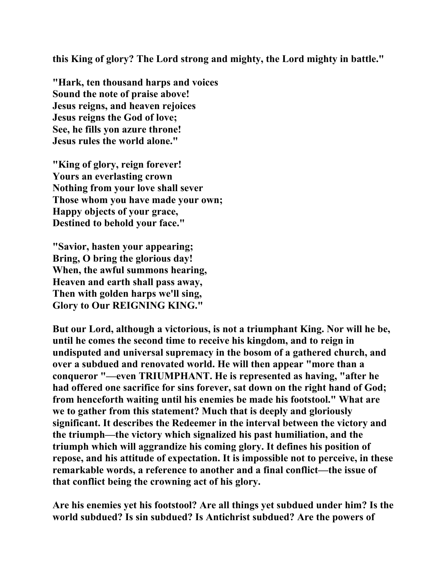**this King of glory? The Lord strong and mighty, the Lord mighty in battle."** 

**"Hark, ten thousand harps and voices Sound the note of praise above! Jesus reigns, and heaven rejoices Jesus reigns the God of love; See, he fills yon azure throne! Jesus rules the world alone."** 

**"King of glory, reign forever! Yours an everlasting crown Nothing from your love shall sever Those whom you have made your own; Happy objects of your grace, Destined to behold your face."** 

**"Savior, hasten your appearing; Bring, O bring the glorious day! When, the awful summons hearing, Heaven and earth shall pass away, Then with golden harps we'll sing, Glory to Our REIGNING KING."** 

**But our Lord, although a victorious, is not a triumphant King. Nor will he be, until he comes the second time to receive his kingdom, and to reign in undisputed and universal supremacy in the bosom of a gathered church, and over a subdued and renovated world. He will then appear "more than a conqueror "—even TRIUMPHANT. He is represented as having, "after he had offered one sacrifice for sins forever, sat down on the right hand of God; from henceforth waiting until his enemies be made his footstool." What are we to gather from this statement? Much that is deeply and gloriously significant. It describes the Redeemer in the interval between the victory and the triumph—the victory which signalized his past humiliation, and the triumph which will aggrandize his coming glory. It defines his position of repose, and his attitude of expectation. It is impossible not to perceive, in these remarkable words, a reference to another and a final conflict—the issue of that conflict being the crowning act of his glory.** 

**Are his enemies yet his footstool? Are all things yet subdued under him? Is the world subdued? Is sin subdued? Is Antichrist subdued? Are the powers of**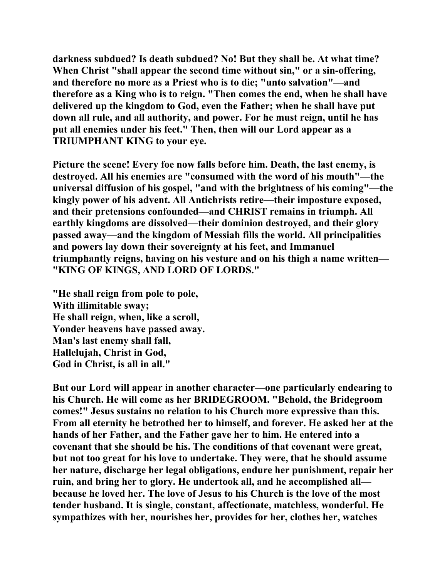**darkness subdued? Is death subdued? No! But they shall be. At what time? When Christ "shall appear the second time without sin," or a sin-offering, and therefore no more as a Priest who is to die; "unto salvation"—and therefore as a King who is to reign. "Then comes the end, when he shall have delivered up the kingdom to God, even the Father; when he shall have put down all rule, and all authority, and power. For he must reign, until he has put all enemies under his feet." Then, then will our Lord appear as a TRIUMPHANT KING to your eye.** 

**Picture the scene! Every foe now falls before him. Death, the last enemy, is destroyed. All his enemies are "consumed with the word of his mouth"—the universal diffusion of his gospel, "and with the brightness of his coming"—the kingly power of his advent. All Antichrists retire—their imposture exposed, and their pretensions confounded—and CHRIST remains in triumph. All earthly kingdoms are dissolved—their dominion destroyed, and their glory passed away—and the kingdom of Messiah fills the world. All principalities and powers lay down their sovereignty at his feet, and Immanuel triumphantly reigns, having on his vesture and on his thigh a name written— "KING OF KINGS, AND LORD OF LORDS."** 

**"He shall reign from pole to pole, With illimitable sway; He shall reign, when, like a scroll, Yonder heavens have passed away. Man's last enemy shall fall, Hallelujah, Christ in God, God in Christ, is all in all."** 

**But our Lord will appear in another character—one particularly endearing to his Church. He will come as her BRIDEGROOM. "Behold, the Bridegroom comes!" Jesus sustains no relation to his Church more expressive than this. From all eternity he betrothed her to himself, and forever. He asked her at the hands of her Father, and the Father gave her to him. He entered into a covenant that she should be his. The conditions of that covenant were great, but not too great for his love to undertake. They were, that he should assume her nature, discharge her legal obligations, endure her punishment, repair her ruin, and bring her to glory. He undertook all, and he accomplished all because he loved her. The love of Jesus to his Church is the love of the most tender husband. It is single, constant, affectionate, matchless, wonderful. He sympathizes with her, nourishes her, provides for her, clothes her, watches**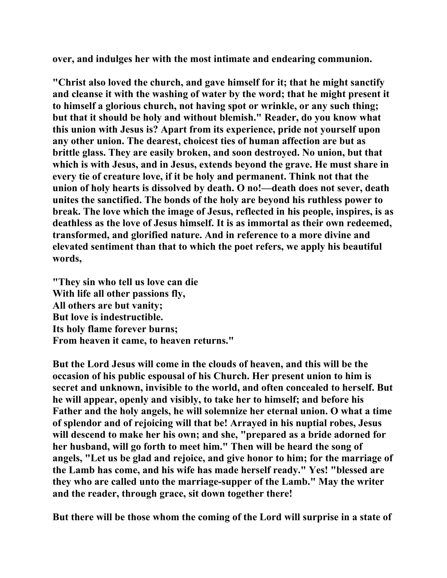**over, and indulges her with the most intimate and endearing communion.** 

**"Christ also loved the church, and gave himself for it; that he might sanctify and cleanse it with the washing of water by the word; that he might present it to himself a glorious church, not having spot or wrinkle, or any such thing; but that it should be holy and without blemish." Reader, do you know what this union with Jesus is? Apart from its experience, pride not yourself upon any other union. The dearest, choicest ties of human affection are but as brittle glass. They are easily broken, and soon destroyed. No union, but that which is with Jesus, and in Jesus, extends beyond the grave. He must share in every tie of creature love, if it be holy and permanent. Think not that the union of holy hearts is dissolved by death. O no!—death does not sever, death unites the sanctified. The bonds of the holy are beyond his ruthless power to break. The love which the image of Jesus, reflected in his people, inspires, is as deathless as the love of Jesus himself. It is as immortal as their own redeemed, transformed, and glorified nature. And in reference to a more divine and elevated sentiment than that to which the poet refers, we apply his beautiful words,** 

**"They sin who tell us love can die With life all other passions fly, All others are but vanity; But love is indestructible. Its holy flame forever burns; From heaven it came, to heaven returns."** 

**But the Lord Jesus will come in the clouds of heaven, and this will be the occasion of his public espousal of his Church. Her present union to him is secret and unknown, invisible to the world, and often concealed to herself. But he will appear, openly and visibly, to take her to himself; and before his Father and the holy angels, he will solemnize her eternal union. O what a time of splendor and of rejoicing will that be! Arrayed in his nuptial robes, Jesus will descend to make her his own; and she, "prepared as a bride adorned for her husband, will go forth to meet him." Then will be heard the song of angels, "Let us be glad and rejoice, and give honor to him; for the marriage of the Lamb has come, and his wife has made herself ready." Yes! "blessed are they who are called unto the marriage-supper of the Lamb." May the writer and the reader, through grace, sit down together there!** 

**But there will be those whom the coming of the Lord will surprise in a state of**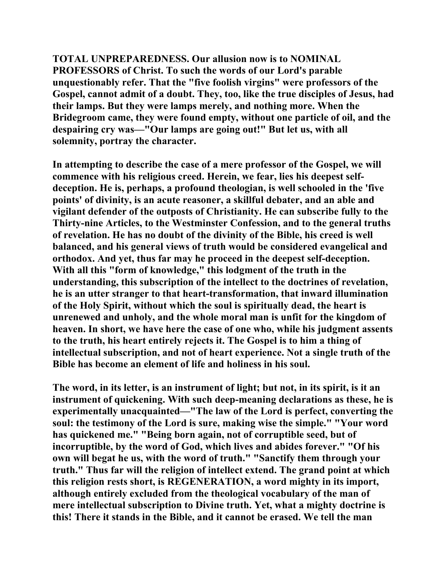**TOTAL UNPREPAREDNESS. Our allusion now is to NOMINAL PROFESSORS of Christ. To such the words of our Lord's parable unquestionably refer. That the "five foolish virgins" were professors of the Gospel, cannot admit of a doubt. They, too, like the true disciples of Jesus, had their lamps. But they were lamps merely, and nothing more. When the Bridegroom came, they were found empty, without one particle of oil, and the despairing cry was—"Our lamps are going out!" But let us, with all solemnity, portray the character.** 

**In attempting to describe the case of a mere professor of the Gospel, we will commence with his religious creed. Herein, we fear, lies his deepest selfdeception. He is, perhaps, a profound theologian, is well schooled in the 'five points' of divinity, is an acute reasoner, a skillful debater, and an able and vigilant defender of the outposts of Christianity. He can subscribe fully to the Thirty-nine Articles, to the Westminster Confession, and to the general truths of revelation. He has no doubt of the divinity of the Bible, his creed is well balanced, and his general views of truth would be considered evangelical and orthodox. And yet, thus far may he proceed in the deepest self-deception. With all this "form of knowledge," this lodgment of the truth in the understanding, this subscription of the intellect to the doctrines of revelation, he is an utter stranger to that heart-transformation, that inward illumination of the Holy Spirit, without which the soul is spiritually dead, the heart is unrenewed and unholy, and the whole moral man is unfit for the kingdom of heaven. In short, we have here the case of one who, while his judgment assents to the truth, his heart entirely rejects it. The Gospel is to him a thing of intellectual subscription, and not of heart experience. Not a single truth of the Bible has become an element of life and holiness in his soul.** 

**The word, in its letter, is an instrument of light; but not, in its spirit, is it an instrument of quickening. With such deep-meaning declarations as these, he is experimentally unacquainted—"The law of the Lord is perfect, converting the soul: the testimony of the Lord is sure, making wise the simple." "Your word has quickened me." "Being born again, not of corruptible seed, but of incorruptible, by the word of God, which lives and abides forever." "Of his own will begat he us, with the word of truth." "Sanctify them through your truth." Thus far will the religion of intellect extend. The grand point at which this religion rests short, is REGENERATION, a word mighty in its import, although entirely excluded from the theological vocabulary of the man of mere intellectual subscription to Divine truth. Yet, what a mighty doctrine is this! There it stands in the Bible, and it cannot be erased. We tell the man**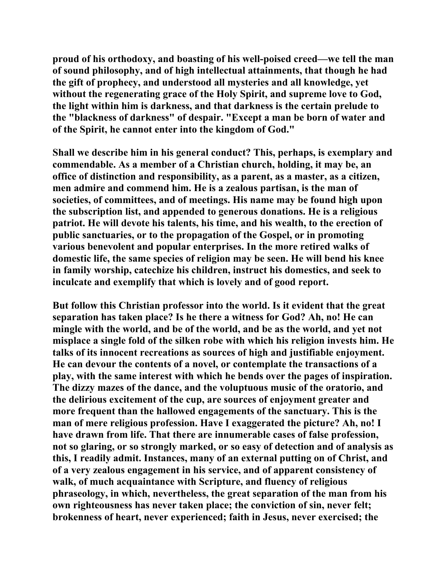**proud of his orthodoxy, and boasting of his well-poised creed—we tell the man of sound philosophy, and of high intellectual attainments, that though he had the gift of prophecy, and understood all mysteries and all knowledge, yet without the regenerating grace of the Holy Spirit, and supreme love to God, the light within him is darkness, and that darkness is the certain prelude to the "blackness of darkness" of despair. "Except a man be born of water and of the Spirit, he cannot enter into the kingdom of God."** 

**Shall we describe him in his general conduct? This, perhaps, is exemplary and commendable. As a member of a Christian church, holding, it may be, an office of distinction and responsibility, as a parent, as a master, as a citizen, men admire and commend him. He is a zealous partisan, is the man of societies, of committees, and of meetings. His name may be found high upon the subscription list, and appended to generous donations. He is a religious patriot. He will devote his talents, his time, and his wealth, to the erection of public sanctuaries, or to the propagation of the Gospel, or in promoting various benevolent and popular enterprises. In the more retired walks of domestic life, the same species of religion may be seen. He will bend his knee in family worship, catechize his children, instruct his domestics, and seek to inculcate and exemplify that which is lovely and of good report.** 

**But follow this Christian professor into the world. Is it evident that the great separation has taken place? Is he there a witness for God? Ah, no! He can mingle with the world, and be of the world, and be as the world, and yet not misplace a single fold of the silken robe with which his religion invests him. He talks of its innocent recreations as sources of high and justifiable enjoyment. He can devour the contents of a novel, or contemplate the transactions of a play, with the same interest with which he bends over the pages of inspiration. The dizzy mazes of the dance, and the voluptuous music of the oratorio, and the delirious excitement of the cup, are sources of enjoyment greater and more frequent than the hallowed engagements of the sanctuary. This is the man of mere religious profession. Have I exaggerated the picture? Ah, no! I have drawn from life. That there are innumerable cases of false profession, not so glaring, or so strongly marked, or so easy of detection and of analysis as this, I readily admit. Instances, many of an external putting on of Christ, and of a very zealous engagement in his service, and of apparent consistency of walk, of much acquaintance with Scripture, and fluency of religious phraseology, in which, nevertheless, the great separation of the man from his own righteousness has never taken place; the conviction of sin, never felt; brokenness of heart, never experienced; faith in Jesus, never exercised; the**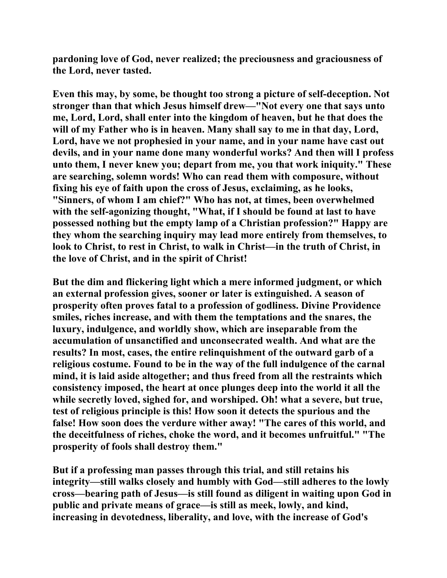**pardoning love of God, never realized; the preciousness and graciousness of the Lord, never tasted.** 

**Even this may, by some, be thought too strong a picture of self-deception. Not stronger than that which Jesus himself drew—"Not every one that says unto me, Lord, Lord, shall enter into the kingdom of heaven, but he that does the will of my Father who is in heaven. Many shall say to me in that day, Lord, Lord, have we not prophesied in your name, and in your name have cast out devils, and in your name done many wonderful works? And then will I profess unto them, I never knew you; depart from me, you that work iniquity." These are searching, solemn words! Who can read them with composure, without fixing his eye of faith upon the cross of Jesus, exclaiming, as he looks, "Sinners, of whom I am chief?" Who has not, at times, been overwhelmed with the self-agonizing thought, "What, if I should be found at last to have possessed nothing but the empty lamp of a Christian profession?" Happy are they whom the searching inquiry may lead more entirely from themselves, to look to Christ, to rest in Christ, to walk in Christ—in the truth of Christ, in the love of Christ, and in the spirit of Christ!** 

**But the dim and flickering light which a mere informed judgment, or which an external profession gives, sooner or later is extinguished. A season of prosperity often proves fatal to a profession of godliness. Divine Providence smiles, riches increase, and with them the temptations and the snares, the luxury, indulgence, and worldly show, which are inseparable from the accumulation of unsanctified and unconsecrated wealth. And what are the results? In most, cases, the entire relinquishment of the outward garb of a religious costume. Found to be in the way of the full indulgence of the carnal mind, it is laid aside altogether; and thus freed from all the restraints which consistency imposed, the heart at once plunges deep into the world it all the while secretly loved, sighed for, and worshiped. Oh! what a severe, but true, test of religious principle is this! How soon it detects the spurious and the false! How soon does the verdure wither away! "The cares of this world, and the deceitfulness of riches, choke the word, and it becomes unfruitful." "The prosperity of fools shall destroy them."** 

**But if a professing man passes through this trial, and still retains his integrity—still walks closely and humbly with God—still adheres to the lowly cross—bearing path of Jesus—is still found as diligent in waiting upon God in public and private means of grace—is still as meek, lowly, and kind, increasing in devotedness, liberality, and love, with the increase of God's**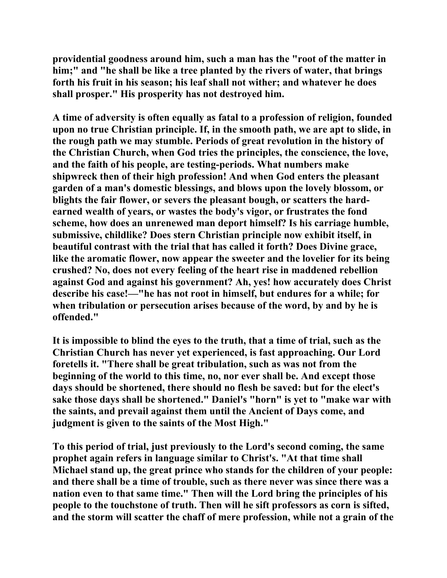**providential goodness around him, such a man has the "root of the matter in him;" and "he shall be like a tree planted by the rivers of water, that brings forth his fruit in his season; his leaf shall not wither; and whatever he does shall prosper." His prosperity has not destroyed him.** 

**A time of adversity is often equally as fatal to a profession of religion, founded upon no true Christian principle. If, in the smooth path, we are apt to slide, in the rough path we may stumble. Periods of great revolution in the history of the Christian Church, when God tries the principles, the conscience, the love, and the faith of his people, are testing-periods. What numbers make shipwreck then of their high profession! And when God enters the pleasant garden of a man's domestic blessings, and blows upon the lovely blossom, or blights the fair flower, or severs the pleasant bough, or scatters the hardearned wealth of years, or wastes the body's vigor, or frustrates the fond scheme, how does an unrenewed man deport himself? Is his carriage humble, submissive, childlike? Does stern Christian principle now exhibit itself, in beautiful contrast with the trial that has called it forth? Does Divine grace, like the aromatic flower, now appear the sweeter and the lovelier for its being crushed? No, does not every feeling of the heart rise in maddened rebellion against God and against his government? Ah, yes! how accurately does Christ describe his case!—"he has not root in himself, but endures for a while; for when tribulation or persecution arises because of the word, by and by he is offended."** 

**It is impossible to blind the eyes to the truth, that a time of trial, such as the Christian Church has never yet experienced, is fast approaching. Our Lord foretells it. "There shall be great tribulation, such as was not from the beginning of the world to this time, no, nor ever shall be. And except those days should be shortened, there should no flesh be saved: but for the elect's sake those days shall be shortened." Daniel's "horn" is yet to "make war with the saints, and prevail against them until the Ancient of Days come, and judgment is given to the saints of the Most High."** 

**To this period of trial, just previously to the Lord's second coming, the same prophet again refers in language similar to Christ's. "At that time shall Michael stand up, the great prince who stands for the children of your people: and there shall be a time of trouble, such as there never was since there was a nation even to that same time." Then will the Lord bring the principles of his people to the touchstone of truth. Then will he sift professors as corn is sifted, and the storm will scatter the chaff of mere profession, while not a grain of the**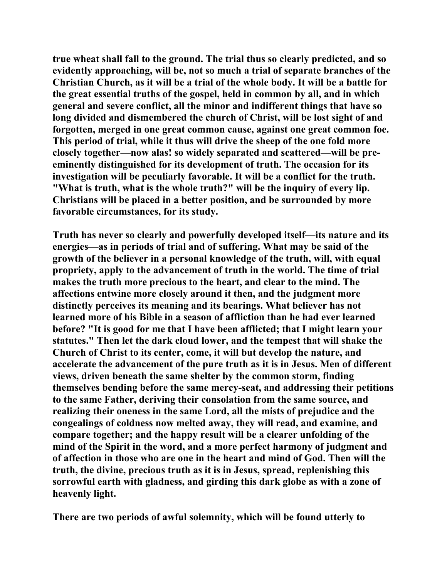**true wheat shall fall to the ground. The trial thus so clearly predicted, and so evidently approaching, will be, not so much a trial of separate branches of the Christian Church, as it will be a trial of the whole body. It will be a battle for the great essential truths of the gospel, held in common by all, and in which general and severe conflict, all the minor and indifferent things that have so long divided and dismembered the church of Christ, will be lost sight of and forgotten, merged in one great common cause, against one great common foe. This period of trial, while it thus will drive the sheep of the one fold more closely together—now alas! so widely separated and scattered—will be preeminently distinguished for its development of truth. The occasion for its investigation will be peculiarly favorable. It will be a conflict for the truth. "What is truth, what is the whole truth?" will be the inquiry of every lip. Christians will be placed in a better position, and be surrounded by more favorable circumstances, for its study.** 

**Truth has never so clearly and powerfully developed itself—its nature and its energies—as in periods of trial and of suffering. What may be said of the growth of the believer in a personal knowledge of the truth, will, with equal propriety, apply to the advancement of truth in the world. The time of trial makes the truth more precious to the heart, and clear to the mind. The affections entwine more closely around it then, and the judgment more distinctly perceives its meaning and its bearings. What believer has not learned more of his Bible in a season of affliction than he had ever learned before? "It is good for me that I have been afflicted; that I might learn your statutes." Then let the dark cloud lower, and the tempest that will shake the Church of Christ to its center, come, it will but develop the nature, and accelerate the advancement of the pure truth as it is in Jesus. Men of different views, driven beneath the same shelter by the common storm, finding themselves bending before the same mercy-seat, and addressing their petitions to the same Father, deriving their consolation from the same source, and realizing their oneness in the same Lord, all the mists of prejudice and the congealings of coldness now melted away, they will read, and examine, and compare together; and the happy result will be a clearer unfolding of the mind of the Spirit in the word, and a more perfect harmony of judgment and of affection in those who are one in the heart and mind of God. Then will the truth, the divine, precious truth as it is in Jesus, spread, replenishing this sorrowful earth with gladness, and girding this dark globe as with a zone of heavenly light.** 

**There are two periods of awful solemnity, which will be found utterly to**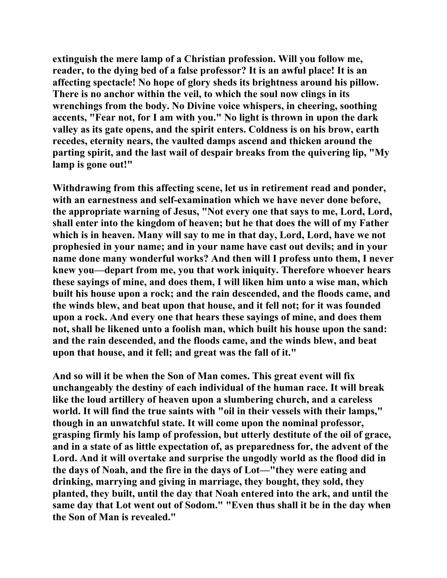**extinguish the mere lamp of a Christian profession. Will you follow me, reader, to the dying bed of a false professor? It is an awful place! It is an affecting spectacle! No hope of glory sheds its brightness around his pillow. There is no anchor within the veil, to which the soul now clings in its wrenchings from the body. No Divine voice whispers, in cheering, soothing accents, "Fear not, for I am with you." No light is thrown in upon the dark valley as its gate opens, and the spirit enters. Coldness is on his brow, earth recedes, eternity nears, the vaulted damps ascend and thicken around the parting spirit, and the last wail of despair breaks from the quivering lip, "My lamp is gone out!"** 

**Withdrawing from this affecting scene, let us in retirement read and ponder, with an earnestness and self-examination which we have never done before, the appropriate warning of Jesus, "Not every one that says to me, Lord, Lord, shall enter into the kingdom of heaven; but he that does the will of my Father which is in heaven. Many will say to me in that day, Lord, Lord, have we not prophesied in your name; and in your name have cast out devils; and in your name done many wonderful works? And then will I profess unto them, I never knew you—depart from me, you that work iniquity. Therefore whoever hears these sayings of mine, and does them, I will liken him unto a wise man, which built his house upon a rock; and the rain descended, and the floods came, and the winds blew, and beat upon that house, and it fell not; for it was founded upon a rock. And every one that hears these sayings of mine, and does them not, shall be likened unto a foolish man, which built his house upon the sand: and the rain descended, and the floods came, and the winds blew, and beat upon that house, and it fell; and great was the fall of it."** 

**And so will it be when the Son of Man comes. This great event will fix unchangeably the destiny of each individual of the human race. It will break like the loud artillery of heaven upon a slumbering church, and a careless world. It will find the true saints with "oil in their vessels with their lamps," though in an unwatchful state. It will come upon the nominal professor, grasping firmly his lamp of profession, but utterly destitute of the oil of grace, and in a state of as little expectation of, as preparedness for, the advent of the Lord. And it will overtake and surprise the ungodly world as the flood did in the days of Noah, and the fire in the days of Lot—"they were eating and drinking, marrying and giving in marriage, they bought, they sold, they planted, they built, until the day that Noah entered into the ark, and until the same day that Lot went out of Sodom." "Even thus shall it be in the day when the Son of Man is revealed."**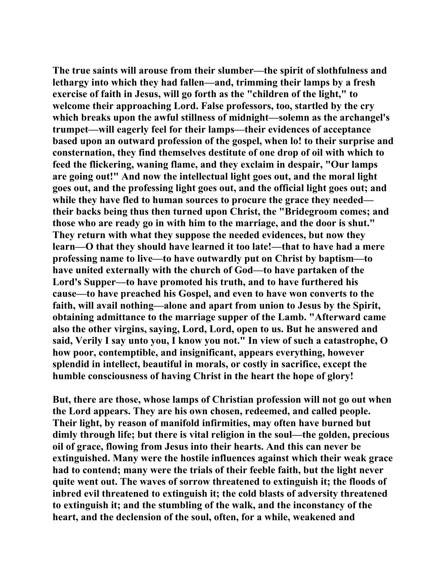**The true saints will arouse from their slumber—the spirit of slothfulness and lethargy into which they had fallen—and, trimming their lamps by a fresh exercise of faith in Jesus, will go forth as the "children of the light," to welcome their approaching Lord. False professors, too, startled by the cry which breaks upon the awful stillness of midnight—solemn as the archangel's trumpet—will eagerly feel for their lamps—their evidences of acceptance based upon an outward profession of the gospel, when lo! to their surprise and consternation, they find themselves destitute of one drop of oil with which to feed the flickering, waning flame, and they exclaim in despair, "Our lamps are going out!" And now the intellectual light goes out, and the moral light goes out, and the professing light goes out, and the official light goes out; and while they have fled to human sources to procure the grace they needed their backs being thus then turned upon Christ, the "Bridegroom comes; and those who are ready go in with him to the marriage, and the door is shut." They return with what they suppose the needed evidences, but now they learn—O that they should have learned it too late!—that to have had a mere professing name to live—to have outwardly put on Christ by baptism—to have united externally with the church of God—to have partaken of the Lord's Supper—to have promoted his truth, and to have furthered his cause—to have preached his Gospel, and even to have won converts to the faith, will avail nothing—alone and apart from union to Jesus by the Spirit, obtaining admittance to the marriage supper of the Lamb. "Afterward came also the other virgins, saying, Lord, Lord, open to us. But he answered and said, Verily I say unto you, I know you not." In view of such a catastrophe, O how poor, contemptible, and insignificant, appears everything, however splendid in intellect, beautiful in morals, or costly in sacrifice, except the humble consciousness of having Christ in the heart the hope of glory!** 

**But, there are those, whose lamps of Christian profession will not go out when the Lord appears. They are his own chosen, redeemed, and called people. Their light, by reason of manifold infirmities, may often have burned but dimly through life; but there is vital religion in the soul—the golden, precious oil of grace, flowing from Jesus into their hearts. And this can never be extinguished. Many were the hostile influences against which their weak grace had to contend; many were the trials of their feeble faith, but the light never quite went out. The waves of sorrow threatened to extinguish it; the floods of inbred evil threatened to extinguish it; the cold blasts of adversity threatened to extinguish it; and the stumbling of the walk, and the inconstancy of the heart, and the declension of the soul, often, for a while, weakened and**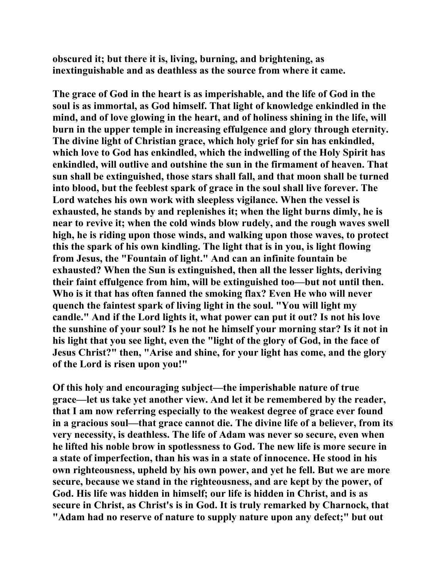**obscured it; but there it is, living, burning, and brightening, as inextinguishable and as deathless as the source from where it came.** 

**The grace of God in the heart is as imperishable, and the life of God in the soul is as immortal, as God himself. That light of knowledge enkindled in the mind, and of love glowing in the heart, and of holiness shining in the life, will burn in the upper temple in increasing effulgence and glory through eternity. The divine light of Christian grace, which holy grief for sin has enkindled, which love to God has enkindled, which the indwelling of the Holy Spirit has enkindled, will outlive and outshine the sun in the firmament of heaven. That sun shall be extinguished, those stars shall fall, and that moon shall be turned into blood, but the feeblest spark of grace in the soul shall live forever. The Lord watches his own work with sleepless vigilance. When the vessel is exhausted, he stands by and replenishes it; when the light burns dimly, he is near to revive it; when the cold winds blow rudely, and the rough waves swell high, he is riding upon those winds, and walking upon those waves, to protect this the spark of his own kindling. The light that is in you, is light flowing from Jesus, the "Fountain of light." And can an infinite fountain be exhausted? When the Sun is extinguished, then all the lesser lights, deriving their faint effulgence from him, will be extinguished too—but not until then. Who is it that has often fanned the smoking flax? Even He who will never quench the faintest spark of living light in the soul. "You will light my candle." And if the Lord lights it, what power can put it out? Is not his love the sunshine of your soul? Is he not he himself your morning star? Is it not in his light that you see light, even the "light of the glory of God, in the face of Jesus Christ?" then, "Arise and shine, for your light has come, and the glory of the Lord is risen upon you!"** 

**Of this holy and encouraging subject—the imperishable nature of true grace—let us take yet another view. And let it be remembered by the reader, that I am now referring especially to the weakest degree of grace ever found in a gracious soul—that grace cannot die. The divine life of a believer, from its very necessity, is deathless. The life of Adam was never so secure, even when he lifted his noble brow in spotlessness to God. The new life is more secure in a state of imperfection, than his was in a state of innocence. He stood in his own righteousness, upheld by his own power, and yet he fell. But we are more secure, because we stand in the righteousness, and are kept by the power, of God. His life was hidden in himself; our life is hidden in Christ, and is as secure in Christ, as Christ's is in God. It is truly remarked by Charnock, that "Adam had no reserve of nature to supply nature upon any defect;" but out**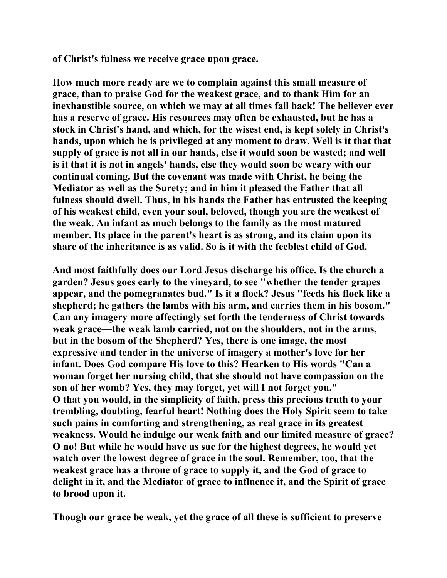**of Christ's fulness we receive grace upon grace.** 

**How much more ready are we to complain against this small measure of grace, than to praise God for the weakest grace, and to thank Him for an inexhaustible source, on which we may at all times fall back! The believer ever has a reserve of grace. His resources may often be exhausted, but he has a stock in Christ's hand, and which, for the wisest end, is kept solely in Christ's hands, upon which he is privileged at any moment to draw. Well is it that that supply of grace is not all in our hands, else it would soon be wasted; and well is it that it is not in angels' hands, else they would soon be weary with our continual coming. But the covenant was made with Christ, he being the Mediator as well as the Surety; and in him it pleased the Father that all fulness should dwell. Thus, in his hands the Father has entrusted the keeping of his weakest child, even your soul, beloved, though you are the weakest of the weak. An infant as much belongs to the family as the most matured member. Its place in the parent's heart is as strong, and its claim upon its share of the inheritance is as valid. So is it with the feeblest child of God.** 

**And most faithfully does our Lord Jesus discharge his office. Is the church a garden? Jesus goes early to the vineyard, to see "whether the tender grapes appear, and the pomegranates bud." Is it a flock? Jesus "feeds his flock like a shepherd; he gathers the lambs with his arm, and carries them in his bosom." Can any imagery more affectingly set forth the tenderness of Christ towards weak grace—the weak lamb carried, not on the shoulders, not in the arms, but in the bosom of the Shepherd? Yes, there is one image, the most expressive and tender in the universe of imagery a mother's love for her infant. Does God compare His love to this? Hearken to His words "Can a woman forget her nursing child, that she should not have compassion on the son of her womb? Yes, they may forget, yet will I not forget you." O that you would, in the simplicity of faith, press this precious truth to your trembling, doubting, fearful heart! Nothing does the Holy Spirit seem to take such pains in comforting and strengthening, as real grace in its greatest weakness. Would he indulge our weak faith and our limited measure of grace? O no! But while he would have us sue for the highest degrees, he would yet watch over the lowest degree of grace in the soul. Remember, too, that the weakest grace has a throne of grace to supply it, and the God of grace to delight in it, and the Mediator of grace to influence it, and the Spirit of grace to brood upon it.** 

**Though our grace be weak, yet the grace of all these is sufficient to preserve**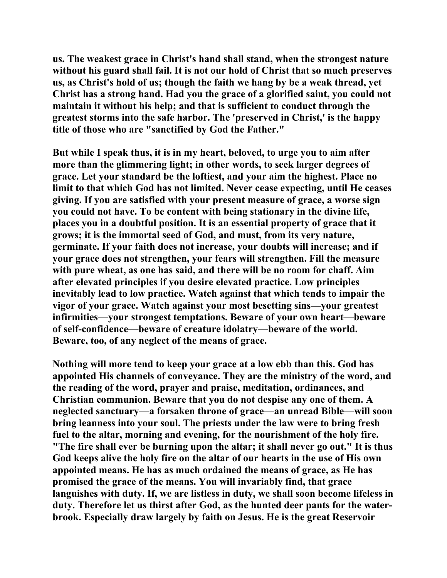**us. The weakest grace in Christ's hand shall stand, when the strongest nature without his guard shall fail. It is not our hold of Christ that so much preserves us, as Christ's hold of us; though the faith we hang by be a weak thread, yet Christ has a strong hand. Had you the grace of a glorified saint, you could not maintain it without his help; and that is sufficient to conduct through the greatest storms into the safe harbor. The 'preserved in Christ,' is the happy title of those who are "sanctified by God the Father."** 

**But while I speak thus, it is in my heart, beloved, to urge you to aim after more than the glimmering light; in other words, to seek larger degrees of grace. Let your standard be the loftiest, and your aim the highest. Place no limit to that which God has not limited. Never cease expecting, until He ceases giving. If you are satisfied with your present measure of grace, a worse sign you could not have. To be content with being stationary in the divine life, places you in a doubtful position. It is an essential property of grace that it grows; it is the immortal seed of God, and must, from its very nature, germinate. If your faith does not increase, your doubts will increase; and if your grace does not strengthen, your fears will strengthen. Fill the measure with pure wheat, as one has said, and there will be no room for chaff. Aim after elevated principles if you desire elevated practice. Low principles inevitably lead to low practice. Watch against that which tends to impair the vigor of your grace. Watch against your most besetting sins—your greatest infirmities—your strongest temptations. Beware of your own heart—beware of self-confidence—beware of creature idolatry—beware of the world. Beware, too, of any neglect of the means of grace.** 

**Nothing will more tend to keep your grace at a low ebb than this. God has appointed His channels of conveyance. They are the ministry of the word, and the reading of the word, prayer and praise, meditation, ordinances, and Christian communion. Beware that you do not despise any one of them. A neglected sanctuary—a forsaken throne of grace—an unread Bible—will soon bring leanness into your soul. The priests under the law were to bring fresh fuel to the altar, morning and evening, for the nourishment of the holy fire. "The fire shall ever be burning upon the altar; it shall never go out." It is thus God keeps alive the holy fire on the altar of our hearts in the use of His own appointed means. He has as much ordained the means of grace, as He has promised the grace of the means. You will invariably find, that grace languishes with duty. If, we are listless in duty, we shall soon become lifeless in duty. Therefore let us thirst after God, as the hunted deer pants for the waterbrook. Especially draw largely by faith on Jesus. He is the great Reservoir**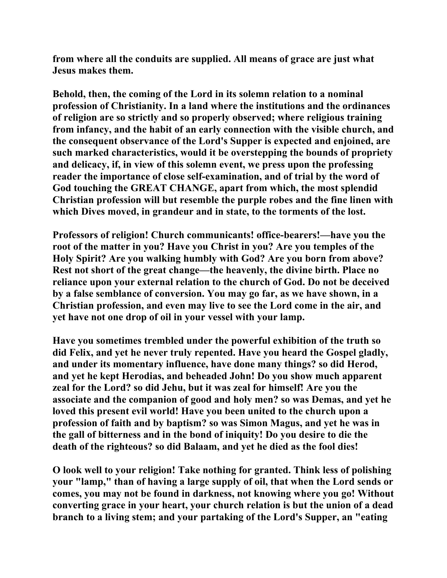**from where all the conduits are supplied. All means of grace are just what Jesus makes them.** 

**Behold, then, the coming of the Lord in its solemn relation to a nominal profession of Christianity. In a land where the institutions and the ordinances of religion are so strictly and so properly observed; where religious training from infancy, and the habit of an early connection with the visible church, and the consequent observance of the Lord's Supper is expected and enjoined, are such marked characteristics, would it be overstepping the bounds of propriety and delicacy, if, in view of this solemn event, we press upon the professing reader the importance of close self-examination, and of trial by the word of God touching the GREAT CHANGE, apart from which, the most splendid Christian profession will but resemble the purple robes and the fine linen with which Dives moved, in grandeur and in state, to the torments of the lost.** 

**Professors of religion! Church communicants! office-bearers!—have you the root of the matter in you? Have you Christ in you? Are you temples of the Holy Spirit? Are you walking humbly with God? Are you born from above? Rest not short of the great change—the heavenly, the divine birth. Place no reliance upon your external relation to the church of God. Do not be deceived by a false semblance of conversion. You may go far, as we have shown, in a Christian profession, and even may live to see the Lord come in the air, and yet have not one drop of oil in your vessel with your lamp.** 

**Have you sometimes trembled under the powerful exhibition of the truth so did Felix, and yet he never truly repented. Have you heard the Gospel gladly, and under its momentary influence, have done many things? so did Herod, and yet he kept Herodias, and beheaded John! Do you show much apparent zeal for the Lord? so did Jehu, but it was zeal for himself! Are you the associate and the companion of good and holy men? so was Demas, and yet he loved this present evil world! Have you been united to the church upon a profession of faith and by baptism? so was Simon Magus, and yet he was in the gall of bitterness and in the bond of iniquity! Do you desire to die the death of the righteous? so did Balaam, and yet he died as the fool dies!** 

**O look well to your religion! Take nothing for granted. Think less of polishing your "lamp," than of having a large supply of oil, that when the Lord sends or comes, you may not be found in darkness, not knowing where you go! Without converting grace in your heart, your church relation is but the union of a dead branch to a living stem; and your partaking of the Lord's Supper, an "eating**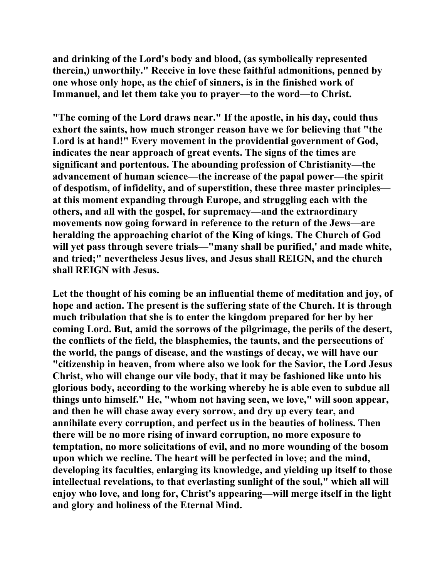**and drinking of the Lord's body and blood, (as symbolically represented therein,) unworthily." Receive in love these faithful admonitions, penned by one whose only hope, as the chief of sinners, is in the finished work of Immanuel, and let them take you to prayer—to the word—to Christ.** 

**"The coming of the Lord draws near." If the apostle, in his day, could thus exhort the saints, how much stronger reason have we for believing that "the Lord is at hand!" Every movement in the providential government of God, indicates the near approach of great events. The signs of the times are significant and portentous. The abounding profession of Christianity—the advancement of human science—the increase of the papal power—the spirit of despotism, of infidelity, and of superstition, these three master principles at this moment expanding through Europe, and struggling each with the others, and all with the gospel, for supremacy—and the extraordinary movements now going forward in reference to the return of the Jews—are heralding the approaching chariot of the King of kings. The Church of God will yet pass through severe trials—"many shall be purified,' and made white, and tried;" nevertheless Jesus lives, and Jesus shall REIGN, and the church shall REIGN with Jesus.** 

**Let the thought of his coming be an influential theme of meditation and joy, of hope and action. The present is the suffering state of the Church. It is through much tribulation that she is to enter the kingdom prepared for her by her coming Lord. But, amid the sorrows of the pilgrimage, the perils of the desert, the conflicts of the field, the blasphemies, the taunts, and the persecutions of the world, the pangs of disease, and the wastings of decay, we will have our "citizenship in heaven, from where also we look for the Savior, the Lord Jesus Christ, who will change our vile body, that it may be fashioned like unto his glorious body, according to the working whereby he is able even to subdue all things unto himself." He, "whom not having seen, we love," will soon appear, and then he will chase away every sorrow, and dry up every tear, and annihilate every corruption, and perfect us in the beauties of holiness. Then there will be no more rising of inward corruption, no more exposure to temptation, no more solicitations of evil, and no more wounding of the bosom upon which we recline. The heart will be perfected in love; and the mind, developing its faculties, enlarging its knowledge, and yielding up itself to those intellectual revelations, to that everlasting sunlight of the soul," which all will enjoy who love, and long for, Christ's appearing—will merge itself in the light and glory and holiness of the Eternal Mind.**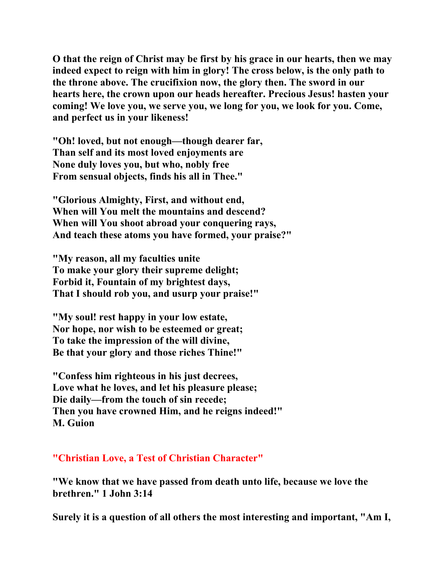**O that the reign of Christ may be first by his grace in our hearts, then we may indeed expect to reign with him in glory! The cross below, is the only path to the throne above. The crucifixion now, the glory then. The sword in our hearts here, the crown upon our heads hereafter. Precious Jesus! hasten your coming! We love you, we serve you, we long for you, we look for you. Come, and perfect us in your likeness!** 

**"Oh! loved, but not enough—though dearer far, Than self and its most loved enjoyments are None duly loves you, but who, nobly free From sensual objects, finds his all in Thee."** 

**"Glorious Almighty, First, and without end, When will You melt the mountains and descend? When will You shoot abroad your conquering rays, And teach these atoms you have formed, your praise?"** 

**"My reason, all my faculties unite To make your glory their supreme delight; Forbid it, Fountain of my brightest days, That I should rob you, and usurp your praise!"** 

**"My soul! rest happy in your low estate, Nor hope, nor wish to be esteemed or great; To take the impression of the will divine, Be that your glory and those riches Thine!"** 

**"Confess him righteous in his just decrees, Love what he loves, and let his pleasure please; Die daily—from the touch of sin recede; Then you have crowned Him, and he reigns indeed!" M. Guion** 

## **"Christian Love, a Test of Christian Character"**

**"We know that we have passed from death unto life, because we love the brethren." 1 John 3:14** 

**Surely it is a question of all others the most interesting and important, "Am I,**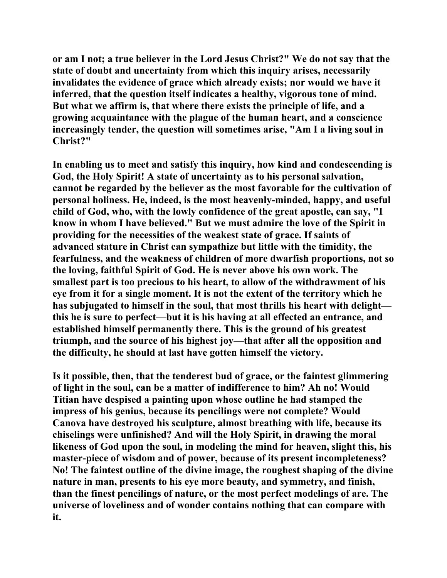**or am I not; a true believer in the Lord Jesus Christ?" We do not say that the state of doubt and uncertainty from which this inquiry arises, necessarily invalidates the evidence of grace which already exists; nor would we have it inferred, that the question itself indicates a healthy, vigorous tone of mind. But what we affirm is, that where there exists the principle of life, and a growing acquaintance with the plague of the human heart, and a conscience increasingly tender, the question will sometimes arise, "Am I a living soul in Christ?"** 

**In enabling us to meet and satisfy this inquiry, how kind and condescending is God, the Holy Spirit! A state of uncertainty as to his personal salvation, cannot be regarded by the believer as the most favorable for the cultivation of personal holiness. He, indeed, is the most heavenly-minded, happy, and useful child of God, who, with the lowly confidence of the great apostle, can say, "I know in whom I have believed." But we must admire the love of the Spirit in providing for the necessities of the weakest state of grace. If saints of advanced stature in Christ can sympathize but little with the timidity, the fearfulness, and the weakness of children of more dwarfish proportions, not so the loving, faithful Spirit of God. He is never above his own work. The smallest part is too precious to his heart, to allow of the withdrawment of his eye from it for a single moment. It is not the extent of the territory which he has subjugated to himself in the soul, that most thrills his heart with delight this he is sure to perfect—but it is his having at all effected an entrance, and established himself permanently there. This is the ground of his greatest triumph, and the source of his highest joy—that after all the opposition and the difficulty, he should at last have gotten himself the victory.** 

**Is it possible, then, that the tenderest bud of grace, or the faintest glimmering of light in the soul, can be a matter of indifference to him? Ah no! Would Titian have despised a painting upon whose outline he had stamped the impress of his genius, because its pencilings were not complete? Would Canova have destroyed his sculpture, almost breathing with life, because its chiselings were unfinished? And will the Holy Spirit, in drawing the moral likeness of God upon the soul, in modeling the mind for heaven, slight this, his master-piece of wisdom and of power, because of its present incompleteness? No! The faintest outline of the divine image, the roughest shaping of the divine nature in man, presents to his eye more beauty, and symmetry, and finish, than the finest pencilings of nature, or the most perfect modelings of are. The universe of loveliness and of wonder contains nothing that can compare with it.**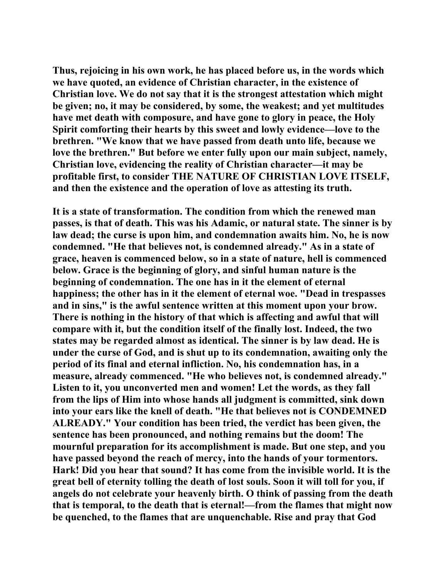**Thus, rejoicing in his own work, he has placed before us, in the words which we have quoted, an evidence of Christian character, in the existence of Christian love. We do not say that it is the strongest attestation which might be given; no, it may be considered, by some, the weakest; and yet multitudes have met death with composure, and have gone to glory in peace, the Holy Spirit comforting their hearts by this sweet and lowly evidence—love to the brethren. "We know that we have passed from death unto life, because we love the brethren." But before we enter fully upon our main subject, namely, Christian love, evidencing the reality of Christian character—it may be profitable first, to consider THE NATURE OF CHRISTIAN LOVE ITSELF, and then the existence and the operation of love as attesting its truth.** 

**It is a state of transformation. The condition from which the renewed man passes, is that of death. This was his Adamic, or natural state. The sinner is by law dead; the curse is upon him, and condemnation awaits him. No, he is now condemned. "He that believes not, is condemned already." As in a state of grace, heaven is commenced below, so in a state of nature, hell is commenced below. Grace is the beginning of glory, and sinful human nature is the beginning of condemnation. The one has in it the element of eternal happiness; the other has in it the element of eternal woe. "Dead in trespasses and in sins," is the awful sentence written at this moment upon your brow. There is nothing in the history of that which is affecting and awful that will compare with it, but the condition itself of the finally lost. Indeed, the two states may be regarded almost as identical. The sinner is by law dead. He is under the curse of God, and is shut up to its condemnation, awaiting only the period of its final and eternal infliction. No, his condemnation has, in a measure, already commenced. "He who believes not, is condemned already." Listen to it, you unconverted men and women! Let the words, as they fall from the lips of Him into whose hands all judgment is committed, sink down into your ears like the knell of death. "He that believes not is CONDEMNED ALREADY." Your condition has been tried, the verdict has been given, the sentence has been pronounced, and nothing remains but the doom! The mournful preparation for its accomplishment is made. But one step, and you have passed beyond the reach of mercy, into the hands of your tormentors. Hark! Did you hear that sound? It has come from the invisible world. It is the great bell of eternity tolling the death of lost souls. Soon it will toll for you, if angels do not celebrate your heavenly birth. O think of passing from the death that is temporal, to the death that is eternal!—from the flames that might now be quenched, to the flames that are unquenchable. Rise and pray that God**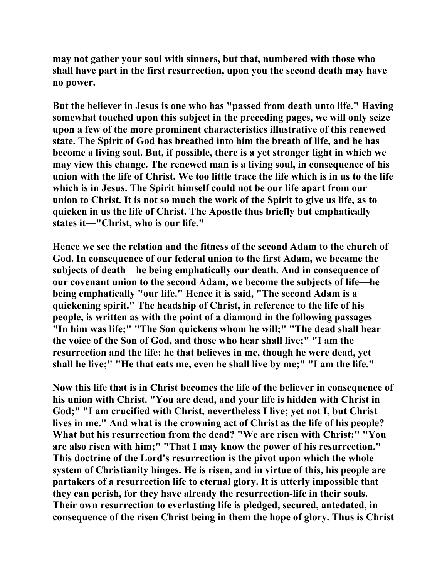**may not gather your soul with sinners, but that, numbered with those who shall have part in the first resurrection, upon you the second death may have no power.** 

**But the believer in Jesus is one who has "passed from death unto life." Having somewhat touched upon this subject in the preceding pages, we will only seize upon a few of the more prominent characteristics illustrative of this renewed state. The Spirit of God has breathed into him the breath of life, and he has become a living soul. But, if possible, there is a yet stronger light in which we may view this change. The renewed man is a living soul, in consequence of his union with the life of Christ. We too little trace the life which is in us to the life which is in Jesus. The Spirit himself could not be our life apart from our union to Christ. It is not so much the work of the Spirit to give us life, as to quicken in us the life of Christ. The Apostle thus briefly but emphatically states it—"Christ, who is our life."** 

**Hence we see the relation and the fitness of the second Adam to the church of God. In consequence of our federal union to the first Adam, we became the subjects of death—he being emphatically our death. And in consequence of our covenant union to the second Adam, we become the subjects of life—he being emphatically "our life." Hence it is said, "The second Adam is a quickening spirit." The headship of Christ, in reference to the life of his people, is written as with the point of a diamond in the following passages— "In him was life;" "The Son quickens whom he will;" "The dead shall hear the voice of the Son of God, and those who hear shall live;" "I am the resurrection and the life: he that believes in me, though he were dead, yet shall he live;" "He that eats me, even he shall live by me;" "I am the life."** 

**Now this life that is in Christ becomes the life of the believer in consequence of his union with Christ. "You are dead, and your life is hidden with Christ in God;" "I am crucified with Christ, nevertheless I live; yet not I, but Christ lives in me." And what is the crowning act of Christ as the life of his people? What but his resurrection from the dead? "We are risen with Christ;" "You are also risen with him;" "That I may know the power of his resurrection." This doctrine of the Lord's resurrection is the pivot upon which the whole system of Christianity hinges. He is risen, and in virtue of this, his people are partakers of a resurrection life to eternal glory. It is utterly impossible that they can perish, for they have already the resurrection-life in their souls. Their own resurrection to everlasting life is pledged, secured, antedated, in consequence of the risen Christ being in them the hope of glory. Thus is Christ**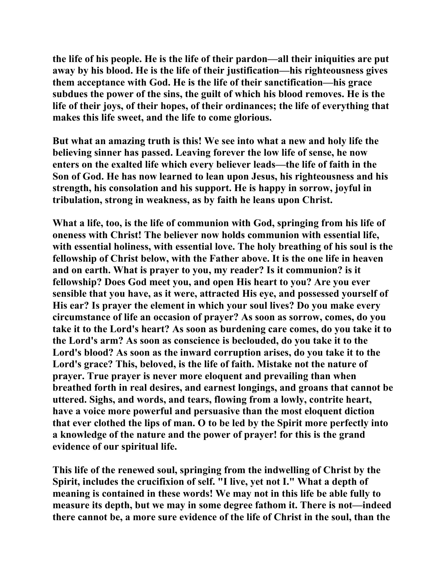**the life of his people. He is the life of their pardon—all their iniquities are put away by his blood. He is the life of their justification—his righteousness gives them acceptance with God. He is the life of their sanctification—his grace subdues the power of the sins, the guilt of which his blood removes. He is the life of their joys, of their hopes, of their ordinances; the life of everything that makes this life sweet, and the life to come glorious.** 

**But what an amazing truth is this! We see into what a new and holy life the believing sinner has passed. Leaving forever the low life of sense, he now enters on the exalted life which every believer leads—the life of faith in the Son of God. He has now learned to lean upon Jesus, his righteousness and his strength, his consolation and his support. He is happy in sorrow, joyful in tribulation, strong in weakness, as by faith he leans upon Christ.** 

**What a life, too, is the life of communion with God, springing from his life of oneness with Christ! The believer now holds communion with essential life, with essential holiness, with essential love. The holy breathing of his soul is the fellowship of Christ below, with the Father above. It is the one life in heaven and on earth. What is prayer to you, my reader? Is it communion? is it fellowship? Does God meet you, and open His heart to you? Are you ever sensible that you have, as it were, attracted His eye, and possessed yourself of His ear? Is prayer the element in which your soul lives? Do you make every circumstance of life an occasion of prayer? As soon as sorrow, comes, do you take it to the Lord's heart? As soon as burdening care comes, do you take it to the Lord's arm? As soon as conscience is beclouded, do you take it to the Lord's blood? As soon as the inward corruption arises, do you take it to the Lord's grace? This, beloved, is the life of faith. Mistake not the nature of prayer. True prayer is never more eloquent and prevailing than when breathed forth in real desires, and earnest longings, and groans that cannot be uttered. Sighs, and words, and tears, flowing from a lowly, contrite heart, have a voice more powerful and persuasive than the most eloquent diction that ever clothed the lips of man. O to be led by the Spirit more perfectly into a knowledge of the nature and the power of prayer! for this is the grand evidence of our spiritual life.** 

**This life of the renewed soul, springing from the indwelling of Christ by the Spirit, includes the crucifixion of self. "I live, yet not I." What a depth of meaning is contained in these words! We may not in this life be able fully to measure its depth, but we may in some degree fathom it. There is not—indeed there cannot be, a more sure evidence of the life of Christ in the soul, than the**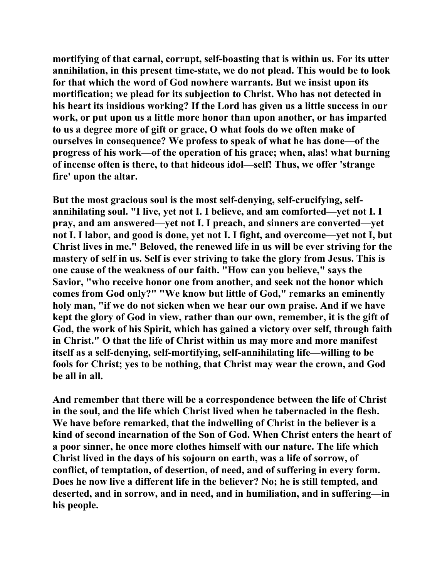**mortifying of that carnal, corrupt, self-boasting that is within us. For its utter annihilation, in this present time-state, we do not plead. This would be to look for that which the word of God nowhere warrants. But we insist upon its mortification; we plead for its subjection to Christ. Who has not detected in his heart its insidious working? If the Lord has given us a little success in our work, or put upon us a little more honor than upon another, or has imparted to us a degree more of gift or grace, O what fools do we often make of ourselves in consequence? We profess to speak of what he has done—of the progress of his work—of the operation of his grace; when, alas! what burning of incense often is there, to that hideous idol—self! Thus, we offer 'strange fire' upon the altar.** 

**But the most gracious soul is the most self-denying, self-crucifying, selfannihilating soul. "I live, yet not I. I believe, and am comforted—yet not I. I pray, and am answered—yet not I. I preach, and sinners are converted—yet not I. I labor, and good is done, yet not I. I fight, and overcome—yet not I, but Christ lives in me." Beloved, the renewed life in us will be ever striving for the mastery of self in us. Self is ever striving to take the glory from Jesus. This is one cause of the weakness of our faith. "How can you believe," says the Savior, "who receive honor one from another, and seek not the honor which comes from God only?" "We know but little of God," remarks an eminently holy man, "if we do not sicken when we hear our own praise. And if we have kept the glory of God in view, rather than our own, remember, it is the gift of God, the work of his Spirit, which has gained a victory over self, through faith in Christ." O that the life of Christ within us may more and more manifest itself as a self-denying, self-mortifying, self-annihilating life—willing to be fools for Christ; yes to be nothing, that Christ may wear the crown, and God be all in all.** 

**And remember that there will be a correspondence between the life of Christ in the soul, and the life which Christ lived when he tabernacled in the flesh. We have before remarked, that the indwelling of Christ in the believer is a kind of second incarnation of the Son of God. When Christ enters the heart of a poor sinner, he once more clothes himself with our nature. The life which Christ lived in the days of his sojourn on earth, was a life of sorrow, of conflict, of temptation, of desertion, of need, and of suffering in every form. Does he now live a different life in the believer? No; he is still tempted, and deserted, and in sorrow, and in need, and in humiliation, and in suffering—in his people.**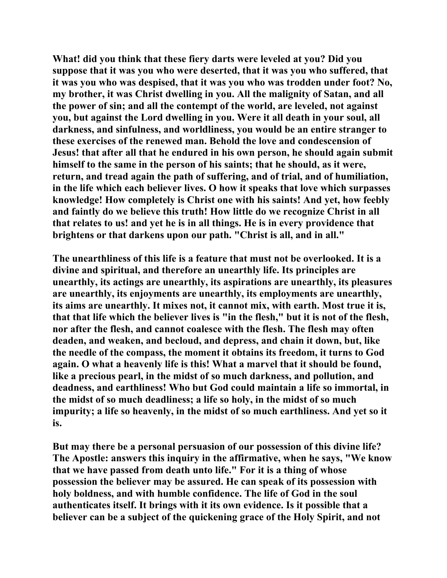**What! did you think that these fiery darts were leveled at you? Did you suppose that it was you who were deserted, that it was you who suffered, that it was you who was despised, that it was you who was trodden under foot? No, my brother, it was Christ dwelling in you. All the malignity of Satan, and all the power of sin; and all the contempt of the world, are leveled, not against you, but against the Lord dwelling in you. Were it all death in your soul, all darkness, and sinfulness, and worldliness, you would be an entire stranger to these exercises of the renewed man. Behold the love and condescension of Jesus! that after all that he endured in his own person, he should again submit himself to the same in the person of his saints; that he should, as it were, return, and tread again the path of suffering, and of trial, and of humiliation, in the life which each believer lives. O how it speaks that love which surpasses knowledge! How completely is Christ one with his saints! And yet, how feebly and faintly do we believe this truth! How little do we recognize Christ in all that relates to us! and yet he is in all things. He is in every providence that brightens or that darkens upon our path. "Christ is all, and in all."** 

**The unearthliness of this life is a feature that must not be overlooked. It is a divine and spiritual, and therefore an unearthly life. Its principles are unearthly, its actings are unearthly, its aspirations are unearthly, its pleasures are unearthly, its enjoyments are unearthly, its employments are unearthly, its aims are unearthly. It mixes not, it cannot mix, with earth. Most true it is, that that life which the believer lives is "in the flesh," but it is not of the flesh, nor after the flesh, and cannot coalesce with the flesh. The flesh may often deaden, and weaken, and becloud, and depress, and chain it down, but, like the needle of the compass, the moment it obtains its freedom, it turns to God again. O what a heavenly life is this! What a marvel that it should be found, like a precious pearl, in the midst of so much darkness, and pollution, and deadness, and earthliness! Who but God could maintain a life so immortal, in the midst of so much deadliness; a life so holy, in the midst of so much impurity; a life so heavenly, in the midst of so much earthliness. And yet so it is.** 

**But may there be a personal persuasion of our possession of this divine life? The Apostle: answers this inquiry in the affirmative, when he says, "We know that we have passed from death unto life." For it is a thing of whose possession the believer may be assured. He can speak of its possession with holy boldness, and with humble confidence. The life of God in the soul authenticates itself. It brings with it its own evidence. Is it possible that a believer can be a subject of the quickening grace of the Holy Spirit, and not**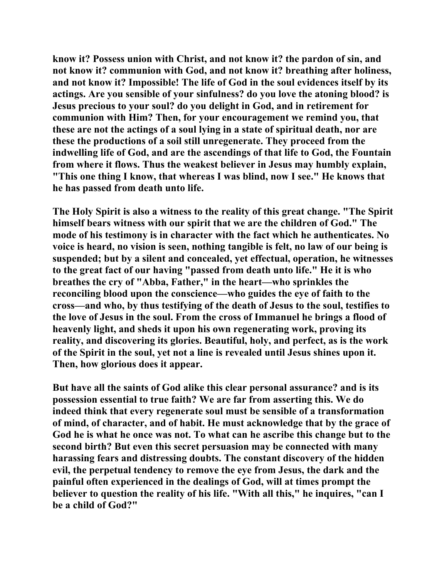**know it? Possess union with Christ, and not know it? the pardon of sin, and not know it? communion with God, and not know it? breathing after holiness, and not know it? Impossible! The life of God in the soul evidences itself by its actings. Are you sensible of your sinfulness? do you love the atoning blood? is Jesus precious to your soul? do you delight in God, and in retirement for communion with Him? Then, for your encouragement we remind you, that these are not the actings of a soul lying in a state of spiritual death, nor are these the productions of a soil still unregenerate. They proceed from the indwelling life of God, and are the ascendings of that life to God, the Fountain from where it flows. Thus the weakest believer in Jesus may humbly explain, "This one thing I know, that whereas I was blind, now I see." He knows that he has passed from death unto life.** 

**The Holy Spirit is also a witness to the reality of this great change. "The Spirit himself bears witness with our spirit that we are the children of God." The mode of his testimony is in character with the fact which he authenticates. No voice is heard, no vision is seen, nothing tangible is felt, no law of our being is suspended; but by a silent and concealed, yet effectual, operation, he witnesses to the great fact of our having "passed from death unto life." He it is who breathes the cry of "Abba, Father," in the heart—who sprinkles the reconciling blood upon the conscience—who guides the eye of faith to the cross—and who, by thus testifying of the death of Jesus to the soul, testifies to the love of Jesus in the soul. From the cross of Immanuel he brings a flood of heavenly light, and sheds it upon his own regenerating work, proving its reality, and discovering its glories. Beautiful, holy, and perfect, as is the work of the Spirit in the soul, yet not a line is revealed until Jesus shines upon it. Then, how glorious does it appear.** 

**But have all the saints of God alike this clear personal assurance? and is its possession essential to true faith? We are far from asserting this. We do indeed think that every regenerate soul must be sensible of a transformation of mind, of character, and of habit. He must acknowledge that by the grace of God he is what he once was not. To what can he ascribe this change but to the second birth? But even this secret persuasion may be connected with many harassing fears and distressing doubts. The constant discovery of the hidden evil, the perpetual tendency to remove the eye from Jesus, the dark and the painful often experienced in the dealings of God, will at times prompt the believer to question the reality of his life. "With all this," he inquires, "can I be a child of God?"**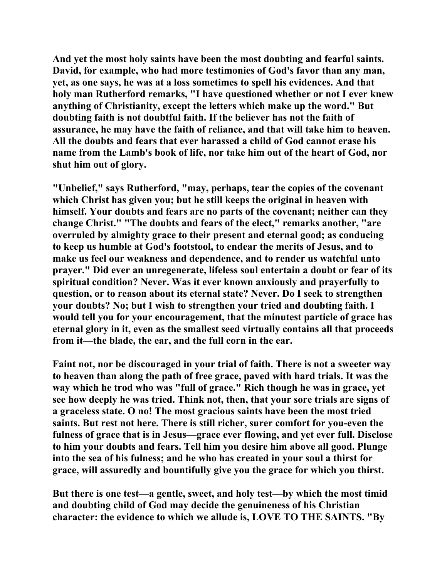**And yet the most holy saints have been the most doubting and fearful saints. David, for example, who had more testimonies of God's favor than any man, yet, as one says, he was at a loss sometimes to spell his evidences. And that holy man Rutherford remarks, "I have questioned whether or not I ever knew anything of Christianity, except the letters which make up the word." But doubting faith is not doubtful faith. If the believer has not the faith of assurance, he may have the faith of reliance, and that will take him to heaven. All the doubts and fears that ever harassed a child of God cannot erase his name from the Lamb's book of life, nor take him out of the heart of God, nor shut him out of glory.** 

**"Unbelief," says Rutherford, "may, perhaps, tear the copies of the covenant which Christ has given you; but he still keeps the original in heaven with himself. Your doubts and fears are no parts of the covenant; neither can they change Christ." "The doubts and fears of the elect," remarks another, "are overruled by almighty grace to their present and eternal good; as conducing to keep us humble at God's footstool, to endear the merits of Jesus, and to make us feel our weakness and dependence, and to render us watchful unto prayer." Did ever an unregenerate, lifeless soul entertain a doubt or fear of its spiritual condition? Never. Was it ever known anxiously and prayerfully to question, or to reason about its eternal state? Never. Do I seek to strengthen your doubts? No; but I wish to strengthen your tried and doubting faith. I would tell you for your encouragement, that the minutest particle of grace has eternal glory in it, even as the smallest seed virtually contains all that proceeds from it—the blade, the ear, and the full corn in the ear.** 

**Faint not, nor be discouraged in your trial of faith. There is not a sweeter way to heaven than along the path of free grace, paved with hard trials. It was the way which he trod who was "full of grace." Rich though he was in grace, yet see how deeply he was tried. Think not, then, that your sore trials are signs of a graceless state. O no! The most gracious saints have been the most tried saints. But rest not here. There is still richer, surer comfort for you-even the fulness of grace that is in Jesus—grace ever flowing, and yet ever full. Disclose to him your doubts and fears. Tell him you desire him above all good. Plunge into the sea of his fulness; and he who has created in your soul a thirst for grace, will assuredly and bountifully give you the grace for which you thirst.** 

**But there is one test—a gentle, sweet, and holy test—by which the most timid and doubting child of God may decide the genuineness of his Christian character: the evidence to which we allude is, LOVE TO THE SAINTS. "By**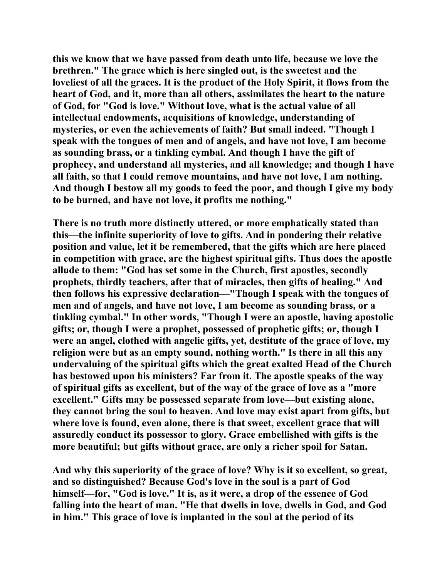**this we know that we have passed from death unto life, because we love the brethren." The grace which is here singled out, is the sweetest and the loveliest of all the graces. It is the product of the Holy Spirit, it flows from the heart of God, and it, more than all others, assimilates the heart to the nature of God, for "God is love." Without love, what is the actual value of all intellectual endowments, acquisitions of knowledge, understanding of mysteries, or even the achievements of faith? But small indeed. "Though I speak with the tongues of men and of angels, and have not love, I am become as sounding brass, or a tinkling cymbal. And though I have the gift of prophecy, and understand all mysteries, and all knowledge; and though I have all faith, so that I could remove mountains, and have not love, I am nothing. And though I bestow all my goods to feed the poor, and though I give my body to be burned, and have not love, it profits me nothing."** 

**There is no truth more distinctly uttered, or more emphatically stated than this—the infinite superiority of love to gifts. And in pondering their relative position and value, let it be remembered, that the gifts which are here placed in competition with grace, are the highest spiritual gifts. Thus does the apostle allude to them: "God has set some in the Church, first apostles, secondly prophets, thirdly teachers, after that of miracles, then gifts of healing." And then follows his expressive declaration—"Though I speak with the tongues of men and of angels, and have not love, I am become as sounding brass, or a tinkling cymbal." In other words, "Though I were an apostle, having apostolic gifts; or, though I were a prophet, possessed of prophetic gifts; or, though I were an angel, clothed with angelic gifts, yet, destitute of the grace of love, my religion were but as an empty sound, nothing worth." Is there in all this any undervaluing of the spiritual gifts which the great exalted Head of the Church has bestowed upon his ministers? Far from it. The apostle speaks of the way of spiritual gifts as excellent, but of the way of the grace of love as a "more excellent." Gifts may be possessed separate from love—but existing alone, they cannot bring the soul to heaven. And love may exist apart from gifts, but where love is found, even alone, there is that sweet, excellent grace that will assuredly conduct its possessor to glory. Grace embellished with gifts is the more beautiful; but gifts without grace, are only a richer spoil for Satan.** 

**And why this superiority of the grace of love? Why is it so excellent, so great, and so distinguished? Because God's love in the soul is a part of God himself—for, "God is love." It is, as it were, a drop of the essence of God falling into the heart of man. "He that dwells in love, dwells in God, and God in him." This grace of love is implanted in the soul at the period of its**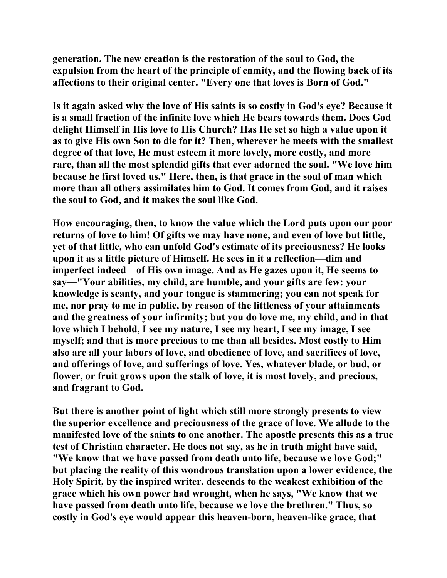**generation. The new creation is the restoration of the soul to God, the expulsion from the heart of the principle of enmity, and the flowing back of its affections to their original center. "Every one that loves is Born of God."** 

**Is it again asked why the love of His saints is so costly in God's eye? Because it is a small fraction of the infinite love which He bears towards them. Does God delight Himself in His love to His Church? Has He set so high a value upon it as to give His own Son to die for it? Then, wherever he meets with the smallest degree of that love, He must esteem it more lovely, more costly, and more rare, than all the most splendid gifts that ever adorned the soul. "We love him because he first loved us." Here, then, is that grace in the soul of man which more than all others assimilates him to God. It comes from God, and it raises the soul to God, and it makes the soul like God.** 

**How encouraging, then, to know the value which the Lord puts upon our poor returns of love to him! Of gifts we may have none, and even of love but little, yet of that little, who can unfold God's estimate of its preciousness? He looks upon it as a little picture of Himself. He sees in it a reflection—dim and imperfect indeed—of His own image. And as He gazes upon it, He seems to say—"Your abilities, my child, are humble, and your gifts are few: your knowledge is scanty, and your tongue is stammering; you can not speak for me, nor pray to me in public, by reason of the littleness of your attainments and the greatness of your infirmity; but you do love me, my child, and in that love which I behold, I see my nature, I see my heart, I see my image, I see myself; and that is more precious to me than all besides. Most costly to Him also are all your labors of love, and obedience of love, and sacrifices of love, and offerings of love, and sufferings of love. Yes, whatever blade, or bud, or flower, or fruit grows upon the stalk of love, it is most lovely, and precious, and fragrant to God.** 

**But there is another point of light which still more strongly presents to view the superior excellence and preciousness of the grace of love. We allude to the manifested love of the saints to one another. The apostle presents this as a true test of Christian character. He does not say, as he in truth might have said, "We know that we have passed from death unto life, because we love God;" but placing the reality of this wondrous translation upon a lower evidence, the Holy Spirit, by the inspired writer, descends to the weakest exhibition of the grace which his own power had wrought, when he says, "We know that we have passed from death unto life, because we love the brethren." Thus, so costly in God's eye would appear this heaven-born, heaven-like grace, that**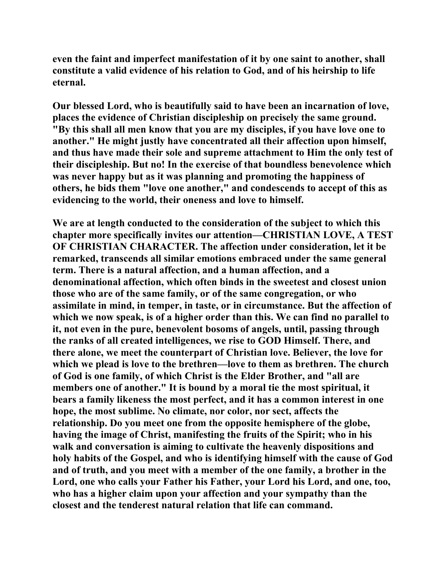**even the faint and imperfect manifestation of it by one saint to another, shall constitute a valid evidence of his relation to God, and of his heirship to life eternal.** 

**Our blessed Lord, who is beautifully said to have been an incarnation of love, places the evidence of Christian discipleship on precisely the same ground. "By this shall all men know that you are my disciples, if you have love one to another." He might justly have concentrated all their affection upon himself, and thus have made their sole and supreme attachment to Him the only test of their discipleship. But no! In the exercise of that boundless benevolence which was never happy but as it was planning and promoting the happiness of others, he bids them "love one another," and condescends to accept of this as evidencing to the world, their oneness and love to himself.** 

**We are at length conducted to the consideration of the subject to which this chapter more specifically invites our attention—CHRISTIAN LOVE, A TEST OF CHRISTIAN CHARACTER. The affection under consideration, let it be remarked, transcends all similar emotions embraced under the same general term. There is a natural affection, and a human affection, and a denominational affection, which often binds in the sweetest and closest union those who are of the same family, or of the same congregation, or who assimilate in mind, in temper, in taste, or in circumstance. But the affection of which we now speak, is of a higher order than this. We can find no parallel to it, not even in the pure, benevolent bosoms of angels, until, passing through the ranks of all created intelligences, we rise to GOD Himself. There, and there alone, we meet the counterpart of Christian love. Believer, the love for which we plead is love to the brethren—love to them as brethren. The church of God is one family, of which Christ is the Elder Brother, and "all are members one of another." It is bound by a moral tie the most spiritual, it bears a family likeness the most perfect, and it has a common interest in one hope, the most sublime. No climate, nor color, nor sect, affects the relationship. Do you meet one from the opposite hemisphere of the globe, having the image of Christ, manifesting the fruits of the Spirit; who in his walk and conversation is aiming to cultivate the heavenly dispositions and holy habits of the Gospel, and who is identifying himself with the cause of God and of truth, and you meet with a member of the one family, a brother in the Lord, one who calls your Father his Father, your Lord his Lord, and one, too, who has a higher claim upon your affection and your sympathy than the closest and the tenderest natural relation that life can command.**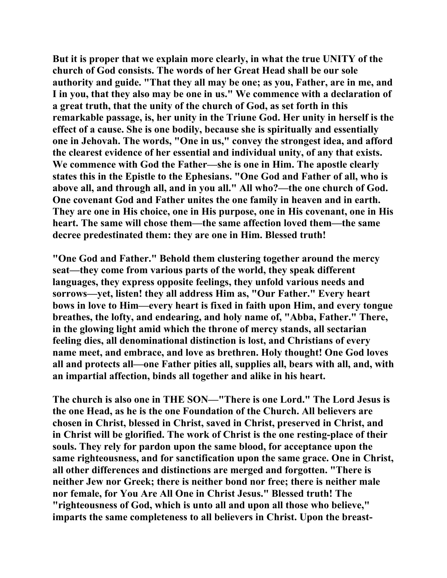**But it is proper that we explain more clearly, in what the true UNITY of the church of God consists. The words of her Great Head shall be our sole authority and guide. "That they all may be one; as you, Father, are in me, and I in you, that they also may be one in us." We commence with a declaration of a great truth, that the unity of the church of God, as set forth in this remarkable passage, is, her unity in the Triune God. Her unity in herself is the effect of a cause. She is one bodily, because she is spiritually and essentially one in Jehovah. The words, "One in us," convey the strongest idea, and afford the clearest evidence of her essential and individual unity, of any that exists. We commence with God the Father—she is one in Him. The apostle clearly states this in the Epistle to the Ephesians. "One God and Father of all, who is above all, and through all, and in you all." All who?—the one church of God. One covenant God and Father unites the one family in heaven and in earth. They are one in His choice, one in His purpose, one in His covenant, one in His heart. The same will chose them—the same affection loved them—the same decree predestinated them: they are one in Him. Blessed truth!** 

**"One God and Father." Behold them clustering together around the mercy seat—they come from various parts of the world, they speak different languages, they express opposite feelings, they unfold various needs and sorrows—yet, listen! they all address Him as, "Our Father." Every heart bows in love to Him—every heart is fixed in faith upon Him, and every tongue breathes, the lofty, and endearing, and holy name of, "Abba, Father." There, in the glowing light amid which the throne of mercy stands, all sectarian feeling dies, all denominational distinction is lost, and Christians of every name meet, and embrace, and love as brethren. Holy thought! One God loves all and protects all—one Father pities all, supplies all, bears with all, and, with an impartial affection, binds all together and alike in his heart.** 

**The church is also one in THE SON—"There is one Lord." The Lord Jesus is the one Head, as he is the one Foundation of the Church. All believers are chosen in Christ, blessed in Christ, saved in Christ, preserved in Christ, and in Christ will be glorified. The work of Christ is the one resting-place of their souls. They rely for pardon upon the same blood, for acceptance upon the same righteousness, and for sanctification upon the same grace. One in Christ, all other differences and distinctions are merged and forgotten. "There is neither Jew nor Greek; there is neither bond nor free; there is neither male nor female, for You Are All One in Christ Jesus." Blessed truth! The "righteousness of God, which is unto all and upon all those who believe," imparts the same completeness to all believers in Christ. Upon the breast-**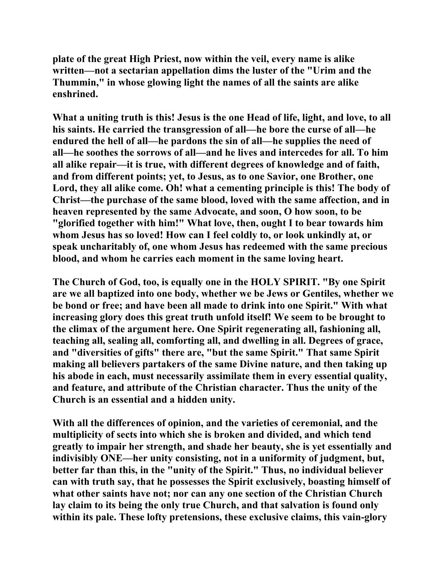**plate of the great High Priest, now within the veil, every name is alike written—not a sectarian appellation dims the luster of the "Urim and the Thummin," in whose glowing light the names of all the saints are alike enshrined.** 

**What a uniting truth is this! Jesus is the one Head of life, light, and love, to all his saints. He carried the transgression of all—he bore the curse of all—he endured the hell of all—he pardons the sin of all—he supplies the need of all—he soothes the sorrows of all—and he lives and intercedes for all. To him all alike repair—it is true, with different degrees of knowledge and of faith, and from different points; yet, to Jesus, as to one Savior, one Brother, one Lord, they all alike come. Oh! what a cementing principle is this! The body of Christ—the purchase of the same blood, loved with the same affection, and in heaven represented by the same Advocate, and soon, O how soon, to be "glorified together with him!" What love, then, ought I to bear towards him whom Jesus has so loved! How can I feel coldly to, or look unkindly at, or speak uncharitably of, one whom Jesus has redeemed with the same precious blood, and whom he carries each moment in the same loving heart.** 

**The Church of God, too, is equally one in the HOLY SPIRIT. "By one Spirit are we all baptized into one body, whether we be Jews or Gentiles, whether we be bond or free; and have been all made to drink into one Spirit." With what increasing glory does this great truth unfold itself! We seem to be brought to the climax of the argument here. One Spirit regenerating all, fashioning all, teaching all, sealing all, comforting all, and dwelling in all. Degrees of grace, and "diversities of gifts" there are, "but the same Spirit." That same Spirit making all believers partakers of the same Divine nature, and then taking up his abode in each, must necessarily assimilate them in every essential quality, and feature, and attribute of the Christian character. Thus the unity of the Church is an essential and a hidden unity.** 

**With all the differences of opinion, and the varieties of ceremonial, and the multiplicity of sects into which she is broken and divided, and which tend greatly to impair her strength, and shade her beauty, she is yet essentially and indivisibly ONE—her unity consisting, not in a uniformity of judgment, but, better far than this, in the "unity of the Spirit." Thus, no individual believer can with truth say, that he possesses the Spirit exclusively, boasting himself of what other saints have not; nor can any one section of the Christian Church lay claim to its being the only true Church, and that salvation is found only within its pale. These lofty pretensions, these exclusive claims, this vain-glory**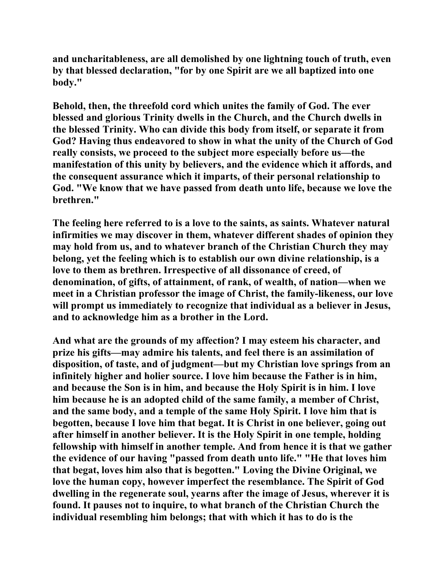**and uncharitableness, are all demolished by one lightning touch of truth, even by that blessed declaration, "for by one Spirit are we all baptized into one body."** 

**Behold, then, the threefold cord which unites the family of God. The ever blessed and glorious Trinity dwells in the Church, and the Church dwells in the blessed Trinity. Who can divide this body from itself, or separate it from God? Having thus endeavored to show in what the unity of the Church of God really consists, we proceed to the subject more especially before us—the manifestation of this unity by believers, and the evidence which it affords, and the consequent assurance which it imparts, of their personal relationship to God. "We know that we have passed from death unto life, because we love the brethren."** 

**The feeling here referred to is a love to the saints, as saints. Whatever natural infirmities we may discover in them, whatever different shades of opinion they may hold from us, and to whatever branch of the Christian Church they may belong, yet the feeling which is to establish our own divine relationship, is a love to them as brethren. Irrespective of all dissonance of creed, of denomination, of gifts, of attainment, of rank, of wealth, of nation—when we meet in a Christian professor the image of Christ, the family-likeness, our love will prompt us immediately to recognize that individual as a believer in Jesus, and to acknowledge him as a brother in the Lord.** 

**And what are the grounds of my affection? I may esteem his character, and prize his gifts—may admire his talents, and feel there is an assimilation of disposition, of taste, and of judgment—but my Christian love springs from an infinitely higher and holier source. I love him because the Father is in him, and because the Son is in him, and because the Holy Spirit is in him. I love him because he is an adopted child of the same family, a member of Christ, and the same body, and a temple of the same Holy Spirit. I love him that is begotten, because I love him that begat. It is Christ in one believer, going out after himself in another believer. It is the Holy Spirit in one temple, holding fellowship with himself in another temple. And from hence it is that we gather the evidence of our having "passed from death unto life." "He that loves him that begat, loves him also that is begotten." Loving the Divine Original, we love the human copy, however imperfect the resemblance. The Spirit of God dwelling in the regenerate soul, yearns after the image of Jesus, wherever it is found. It pauses not to inquire, to what branch of the Christian Church the individual resembling him belongs; that with which it has to do is the**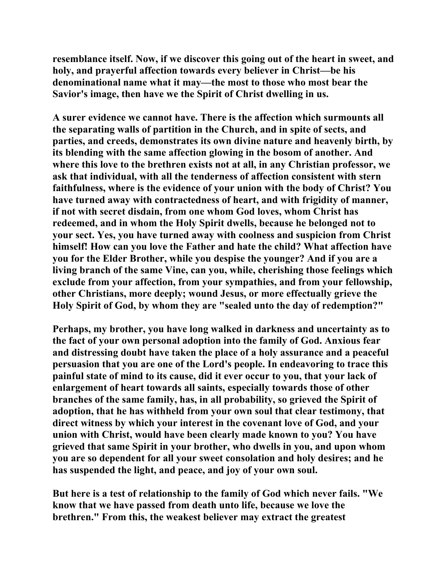**resemblance itself. Now, if we discover this going out of the heart in sweet, and holy, and prayerful affection towards every believer in Christ—be his denominational name what it may—the most to those who most bear the Savior's image, then have we the Spirit of Christ dwelling in us.** 

**A surer evidence we cannot have. There is the affection which surmounts all the separating walls of partition in the Church, and in spite of sects, and parties, and creeds, demonstrates its own divine nature and heavenly birth, by its blending with the same affection glowing in the bosom of another. And where this love to the brethren exists not at all, in any Christian professor, we ask that individual, with all the tenderness of affection consistent with stern faithfulness, where is the evidence of your union with the body of Christ? You have turned away with contractedness of heart, and with frigidity of manner, if not with secret disdain, from one whom God loves, whom Christ has redeemed, and in whom the Holy Spirit dwells, because he belonged not to your sect. Yes, you have turned away with coolness and suspicion from Christ himself! How can you love the Father and hate the child? What affection have you for the Elder Brother, while you despise the younger? And if you are a living branch of the same Vine, can you, while, cherishing those feelings which exclude from your affection, from your sympathies, and from your fellowship, other Christians, more deeply; wound Jesus, or more effectually grieve the Holy Spirit of God, by whom they are "sealed unto the day of redemption?"** 

**Perhaps, my brother, you have long walked in darkness and uncertainty as to the fact of your own personal adoption into the family of God. Anxious fear and distressing doubt have taken the place of a holy assurance and a peaceful persuasion that you are one of the Lord's people. In endeavoring to trace this painful state of mind to its cause, did it ever occur to you, that your lack of enlargement of heart towards all saints, especially towards those of other branches of the same family, has, in all probability, so grieved the Spirit of adoption, that he has withheld from your own soul that clear testimony, that direct witness by which your interest in the covenant love of God, and your union with Christ, would have been clearly made known to you? You have grieved that same Spirit in your brother, who dwells in you, and upon whom you are so dependent for all your sweet consolation and holy desires; and he has suspended the light, and peace, and joy of your own soul.** 

**But here is a test of relationship to the family of God which never fails. "We know that we have passed from death unto life, because we love the brethren." From this, the weakest believer may extract the greatest**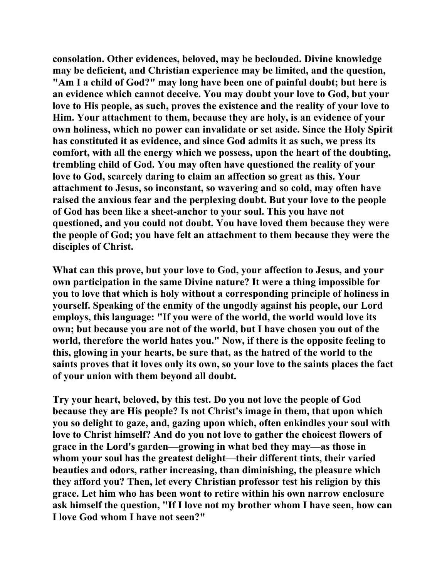**consolation. Other evidences, beloved, may be beclouded. Divine knowledge may be deficient, and Christian experience may be limited, and the question, "Am I a child of God?" may long have been one of painful doubt; but here is an evidence which cannot deceive. You may doubt your love to God, but your love to His people, as such, proves the existence and the reality of your love to Him. Your attachment to them, because they are holy, is an evidence of your own holiness, which no power can invalidate or set aside. Since the Holy Spirit has constituted it as evidence, and since God admits it as such, we press its comfort, with all the energy which we possess, upon the heart of the doubting, trembling child of God. You may often have questioned the reality of your love to God, scarcely daring to claim an affection so great as this. Your attachment to Jesus, so inconstant, so wavering and so cold, may often have raised the anxious fear and the perplexing doubt. But your love to the people of God has been like a sheet-anchor to your soul. This you have not questioned, and you could not doubt. You have loved them because they were the people of God; you have felt an attachment to them because they were the disciples of Christ.** 

**What can this prove, but your love to God, your affection to Jesus, and your own participation in the same Divine nature? It were a thing impossible for you to love that which is holy without a corresponding principle of holiness in yourself. Speaking of the enmity of the ungodly against his people, our Lord employs, this language: "If you were of the world, the world would love its own; but because you are not of the world, but I have chosen you out of the world, therefore the world hates you." Now, if there is the opposite feeling to this, glowing in your hearts, be sure that, as the hatred of the world to the saints proves that it loves only its own, so your love to the saints places the fact of your union with them beyond all doubt.** 

**Try your heart, beloved, by this test. Do you not love the people of God because they are His people? Is not Christ's image in them, that upon which you so delight to gaze, and, gazing upon which, often enkindles your soul with love to Christ himself? And do you not love to gather the choicest flowers of grace in the Lord's garden—growing in what bed they may—as those in whom your soul has the greatest delight—their different tints, their varied beauties and odors, rather increasing, than diminishing, the pleasure which they afford you? Then, let every Christian professor test his religion by this grace. Let him who has been wont to retire within his own narrow enclosure ask himself the question, "If I love not my brother whom I have seen, how can I love God whom I have not seen?"**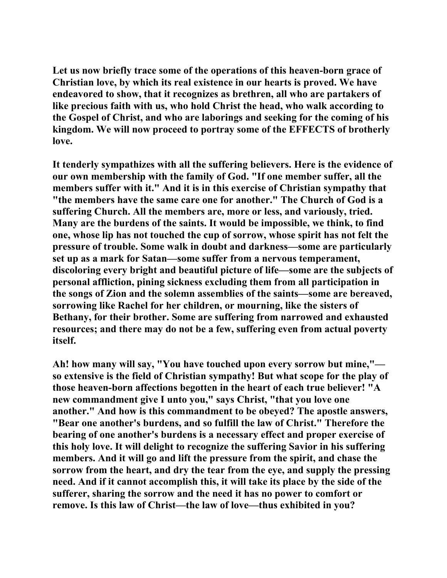**Let us now briefly trace some of the operations of this heaven-born grace of Christian love, by which its real existence in our hearts is proved. We have endeavored to show, that it recognizes as brethren, all who are partakers of like precious faith with us, who hold Christ the head, who walk according to the Gospel of Christ, and who are laborings and seeking for the coming of his kingdom. We will now proceed to portray some of the EFFECTS of brotherly love.** 

**It tenderly sympathizes with all the suffering believers. Here is the evidence of our own membership with the family of God. "If one member suffer, all the members suffer with it." And it is in this exercise of Christian sympathy that "the members have the same care one for another." The Church of God is a suffering Church. All the members are, more or less, and variously, tried. Many are the burdens of the saints. It would be impossible, we think, to find one, whose lip has not touched the cup of sorrow, whose spirit has not felt the pressure of trouble. Some walk in doubt and darkness—some are particularly set up as a mark for Satan—some suffer from a nervous temperament, discoloring every bright and beautiful picture of life—some are the subjects of personal affliction, pining sickness excluding them from all participation in the songs of Zion and the solemn assemblies of the saints—some are bereaved, sorrowing like Rachel for her children, or mourning, like the sisters of Bethany, for their brother. Some are suffering from narrowed and exhausted resources; and there may do not be a few, suffering even from actual poverty itself.** 

**Ah! how many will say, "You have touched upon every sorrow but mine," so extensive is the field of Christian sympathy! But what scope for the play of those heaven-born affections begotten in the heart of each true believer! "A new commandment give I unto you," says Christ, "that you love one another." And how is this commandment to be obeyed? The apostle answers, "Bear one another's burdens, and so fulfill the law of Christ." Therefore the bearing of one another's burdens is a necessary effect and proper exercise of this holy love. It will delight to recognize the suffering Savior in his suffering members. And it will go and lift the pressure from the spirit, and chase the sorrow from the heart, and dry the tear from the eye, and supply the pressing need. And if it cannot accomplish this, it will take its place by the side of the sufferer, sharing the sorrow and the need it has no power to comfort or remove. Is this law of Christ—the law of love—thus exhibited in you?**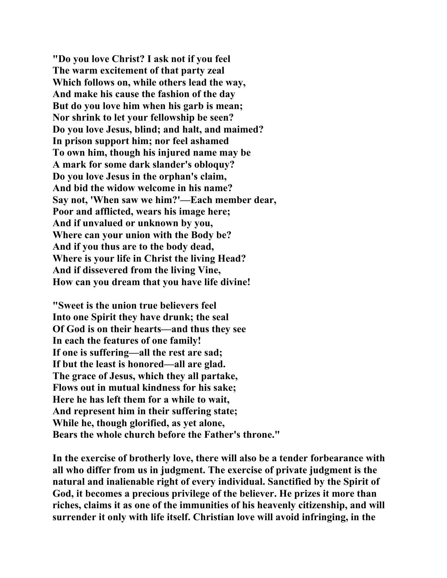**"Do you love Christ? I ask not if you feel The warm excitement of that party zeal Which follows on, while others lead the way, And make his cause the fashion of the day But do you love him when his garb is mean; Nor shrink to let your fellowship be seen? Do you love Jesus, blind; and halt, and maimed? In prison support him; nor feel ashamed To own him, though his injured name may be A mark for some dark slander's obloquy? Do you love Jesus in the orphan's claim, And bid the widow welcome in his name? Say not, 'When saw we him?'—Each member dear, Poor and afflicted, wears his image here; And if unvalued or unknown by you, Where can your union with the Body be? And if you thus are to the body dead, Where is your life in Christ the living Head? And if dissevered from the living Vine, How can you dream that you have life divine!** 

**"Sweet is the union true believers feel Into one Spirit they have drunk; the seal Of God is on their hearts—and thus they see In each the features of one family! If one is suffering—all the rest are sad; If but the least is honored—all are glad. The grace of Jesus, which they all partake, Flows out in mutual kindness for his sake; Here he has left them for a while to wait, And represent him in their suffering state; While he, though glorified, as yet alone, Bears the whole church before the Father's throne."** 

**In the exercise of brotherly love, there will also be a tender forbearance with all who differ from us in judgment. The exercise of private judgment is the natural and inalienable right of every individual. Sanctified by the Spirit of God, it becomes a precious privilege of the believer. He prizes it more than riches, claims it as one of the immunities of his heavenly citizenship, and will surrender it only with life itself. Christian love will avoid infringing, in the**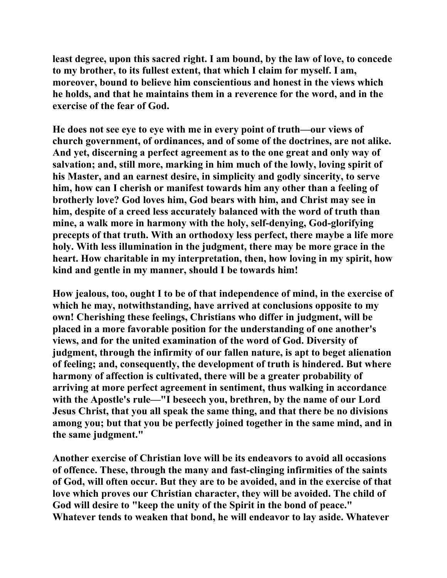**least degree, upon this sacred right. I am bound, by the law of love, to concede to my brother, to its fullest extent, that which I claim for myself. I am, moreover, bound to believe him conscientious and honest in the views which he holds, and that he maintains them in a reverence for the word, and in the exercise of the fear of God.** 

**He does not see eye to eye with me in every point of truth—our views of church government, of ordinances, and of some of the doctrines, are not alike. And yet, discerning a perfect agreement as to the one great and only way of salvation; and, still more, marking in him much of the lowly, loving spirit of his Master, and an earnest desire, in simplicity and godly sincerity, to serve him, how can I cherish or manifest towards him any other than a feeling of brotherly love? God loves him, God bears with him, and Christ may see in him, despite of a creed less accurately balanced with the word of truth than mine, a walk more in harmony with the holy, self-denying, God-glorifying precepts of that truth. With an orthodoxy less perfect, there maybe a life more holy. With less illumination in the judgment, there may be more grace in the heart. How charitable in my interpretation, then, how loving in my spirit, how kind and gentle in my manner, should I be towards him!** 

**How jealous, too, ought I to be of that independence of mind, in the exercise of which he may, notwithstanding, have arrived at conclusions opposite to my own! Cherishing these feelings, Christians who differ in judgment, will be placed in a more favorable position for the understanding of one another's views, and for the united examination of the word of God. Diversity of judgment, through the infirmity of our fallen nature, is apt to beget alienation of feeling; and, consequently, the development of truth is hindered. But where harmony of affection is cultivated, there will be a greater probability of arriving at more perfect agreement in sentiment, thus walking in accordance with the Apostle's rule—"I beseech you, brethren, by the name of our Lord Jesus Christ, that you all speak the same thing, and that there be no divisions among you; but that you be perfectly joined together in the same mind, and in the same judgment."** 

**Another exercise of Christian love will be its endeavors to avoid all occasions of offence. These, through the many and fast-clinging infirmities of the saints of God, will often occur. But they are to be avoided, and in the exercise of that love which proves our Christian character, they will be avoided. The child of God will desire to "keep the unity of the Spirit in the bond of peace." Whatever tends to weaken that bond, he will endeavor to lay aside. Whatever**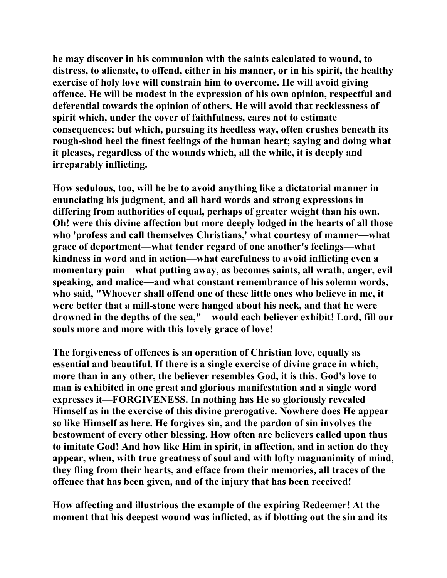**he may discover in his communion with the saints calculated to wound, to distress, to alienate, to offend, either in his manner, or in his spirit, the healthy exercise of holy love will constrain him to overcome. He will avoid giving offence. He will be modest in the expression of his own opinion, respectful and deferential towards the opinion of others. He will avoid that recklessness of spirit which, under the cover of faithfulness, cares not to estimate consequences; but which, pursuing its heedless way, often crushes beneath its rough-shod heel the finest feelings of the human heart; saying and doing what it pleases, regardless of the wounds which, all the while, it is deeply and irreparably inflicting.** 

**How sedulous, too, will he be to avoid anything like a dictatorial manner in enunciating his judgment, and all hard words and strong expressions in differing from authorities of equal, perhaps of greater weight than his own. Oh! were this divine affection but more deeply lodged in the hearts of all those who 'profess and call themselves Christians,' what courtesy of manner—what grace of deportment—what tender regard of one another's feelings—what kindness in word and in action—what carefulness to avoid inflicting even a momentary pain—what putting away, as becomes saints, all wrath, anger, evil speaking, and malice—and what constant remembrance of his solemn words, who said, "Whoever shall offend one of these little ones who believe in me, it were better that a mill-stone were hanged about his neck, and that he were drowned in the depths of the sea,"—would each believer exhibit! Lord, fill our souls more and more with this lovely grace of love!** 

**The forgiveness of offences is an operation of Christian love, equally as essential and beautiful. If there is a single exercise of divine grace in which, more than in any other, the believer resembles God, it is this. God's love to man is exhibited in one great and glorious manifestation and a single word expresses it—FORGIVENESS. In nothing has He so gloriously revealed Himself as in the exercise of this divine prerogative. Nowhere does He appear so like Himself as here. He forgives sin, and the pardon of sin involves the bestowment of every other blessing. How often are believers called upon thus to imitate God! And how like Him in spirit, in affection, and in action do they appear, when, with true greatness of soul and with lofty magnanimity of mind, they fling from their hearts, and efface from their memories, all traces of the offence that has been given, and of the injury that has been received!** 

**How affecting and illustrious the example of the expiring Redeemer! At the moment that his deepest wound was inflicted, as if blotting out the sin and its**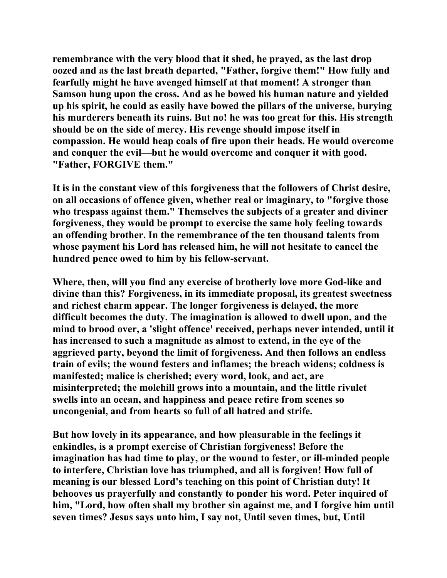**remembrance with the very blood that it shed, he prayed, as the last drop oozed and as the last breath departed, "Father, forgive them!" How fully and fearfully might he have avenged himself at that moment! A stronger than Samson hung upon the cross. And as he bowed his human nature and yielded up his spirit, he could as easily have bowed the pillars of the universe, burying his murderers beneath its ruins. But no! he was too great for this. His strength should be on the side of mercy. His revenge should impose itself in compassion. He would heap coals of fire upon their heads. He would overcome and conquer the evil—but he would overcome and conquer it with good. "Father, FORGIVE them."** 

**It is in the constant view of this forgiveness that the followers of Christ desire, on all occasions of offence given, whether real or imaginary, to "forgive those who trespass against them." Themselves the subjects of a greater and diviner forgiveness, they would be prompt to exercise the same holy feeling towards an offending brother. In the remembrance of the ten thousand talents from whose payment his Lord has released him, he will not hesitate to cancel the hundred pence owed to him by his fellow-servant.** 

**Where, then, will you find any exercise of brotherly love more God-like and divine than this? Forgiveness, in its immediate proposal, its greatest sweetness and richest charm appear. The longer forgiveness is delayed, the more difficult becomes the duty. The imagination is allowed to dwell upon, and the mind to brood over, a 'slight offence' received, perhaps never intended, until it has increased to such a magnitude as almost to extend, in the eye of the aggrieved party, beyond the limit of forgiveness. And then follows an endless train of evils; the wound festers and inflames; the breach widens; coldness is manifested; malice is cherished; every word, look, and act, are misinterpreted; the molehill grows into a mountain, and the little rivulet swells into an ocean, and happiness and peace retire from scenes so uncongenial, and from hearts so full of all hatred and strife.** 

**But how lovely in its appearance, and how pleasurable in the feelings it enkindles, is a prompt exercise of Christian forgiveness! Before the imagination has had time to play, or the wound to fester, or ill-minded people to interfere, Christian love has triumphed, and all is forgiven! How full of meaning is our blessed Lord's teaching on this point of Christian duty! It behooves us prayerfully and constantly to ponder his word. Peter inquired of him, "Lord, how often shall my brother sin against me, and I forgive him until seven times? Jesus says unto him, I say not, Until seven times, but, Until**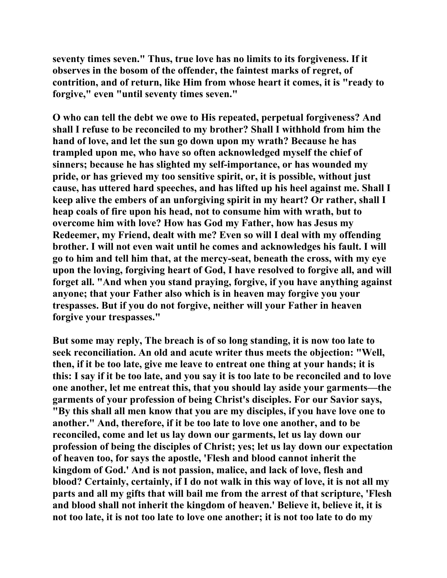**seventy times seven." Thus, true love has no limits to its forgiveness. If it observes in the bosom of the offender, the faintest marks of regret, of contrition, and of return, like Him from whose heart it comes, it is "ready to forgive," even "until seventy times seven."** 

**O who can tell the debt we owe to His repeated, perpetual forgiveness? And shall I refuse to be reconciled to my brother? Shall I withhold from him the hand of love, and let the sun go down upon my wrath? Because he has trampled upon me, who have so often acknowledged myself the chief of sinners; because he has slighted my self-importance, or has wounded my pride, or has grieved my too sensitive spirit, or, it is possible, without just cause, has uttered hard speeches, and has lifted up his heel against me. Shall I keep alive the embers of an unforgiving spirit in my heart? Or rather, shall I heap coals of fire upon his head, not to consume him with wrath, but to overcome him with love? How has God my Father, how has Jesus my Redeemer, my Friend, dealt with me? Even so will I deal with my offending brother. I will not even wait until he comes and acknowledges his fault. I will go to him and tell him that, at the mercy-seat, beneath the cross, with my eye upon the loving, forgiving heart of God, I have resolved to forgive all, and will forget all. "And when you stand praying, forgive, if you have anything against anyone; that your Father also which is in heaven may forgive you your trespasses. But if you do not forgive, neither will your Father in heaven forgive your trespasses."** 

**But some may reply, The breach is of so long standing, it is now too late to seek reconciliation. An old and acute writer thus meets the objection: "Well, then, if it be too late, give me leave to entreat one thing at your hands; it is this: I say if it be too late, and you say it is too late to be reconciled and to love one another, let me entreat this, that you should lay aside your garments—the garments of your profession of being Christ's disciples. For our Savior says, "By this shall all men know that you are my disciples, if you have love one to another." And, therefore, if it be too late to love one another, and to be reconciled, come and let us lay down our garments, let us lay down our profession of being the disciples of Christ; yes; let us lay down our expectation of heaven too, for says the apostle, 'Flesh and blood cannot inherit the kingdom of God.' And is not passion, malice, and lack of love, flesh and blood? Certainly, certainly, if I do not walk in this way of love, it is not all my parts and all my gifts that will bail me from the arrest of that scripture, 'Flesh and blood shall not inherit the kingdom of heaven.' Believe it, believe it, it is not too late, it is not too late to love one another; it is not too late to do my**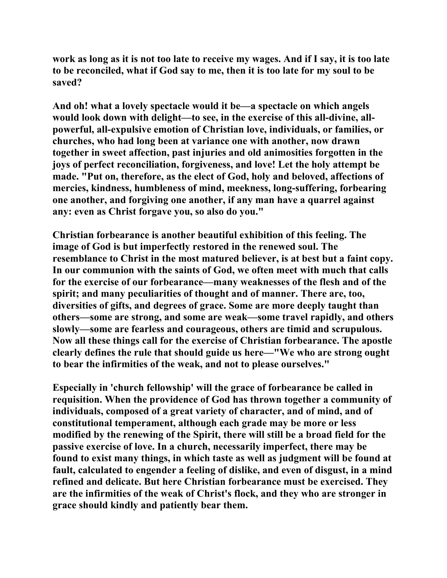**work as long as it is not too late to receive my wages. And if I say, it is too late to be reconciled, what if God say to me, then it is too late for my soul to be saved?** 

**And oh! what a lovely spectacle would it be—a spectacle on which angels would look down with delight—to see, in the exercise of this all-divine, allpowerful, all-expulsive emotion of Christian love, individuals, or families, or churches, who had long been at variance one with another, now drawn together in sweet affection, past injuries and old animosities forgotten in the joys of perfect reconciliation, forgiveness, and love! Let the holy attempt be made. "Put on, therefore, as the elect of God, holy and beloved, affections of mercies, kindness, humbleness of mind, meekness, long-suffering, forbearing one another, and forgiving one another, if any man have a quarrel against any: even as Christ forgave you, so also do you."** 

**Christian forbearance is another beautiful exhibition of this feeling. The image of God is but imperfectly restored in the renewed soul. The resemblance to Christ in the most matured believer, is at best but a faint copy. In our communion with the saints of God, we often meet with much that calls for the exercise of our forbearance—many weaknesses of the flesh and of the spirit; and many peculiarities of thought and of manner. There are, too, diversities of gifts, and degrees of grace. Some are more deeply taught than others—some are strong, and some are weak—some travel rapidly, and others slowly—some are fearless and courageous, others are timid and scrupulous. Now all these things call for the exercise of Christian forbearance. The apostle clearly defines the rule that should guide us here—"We who are strong ought to bear the infirmities of the weak, and not to please ourselves."** 

**Especially in 'church fellowship' will the grace of forbearance be called in requisition. When the providence of God has thrown together a community of individuals, composed of a great variety of character, and of mind, and of constitutional temperament, although each grade may be more or less modified by the renewing of the Spirit, there will still be a broad field for the passive exercise of love. In a church, necessarily imperfect, there may be found to exist many things, in which taste as well as judgment will be found at fault, calculated to engender a feeling of dislike, and even of disgust, in a mind refined and delicate. But here Christian forbearance must be exercised. They are the infirmities of the weak of Christ's flock, and they who are stronger in grace should kindly and patiently bear them.**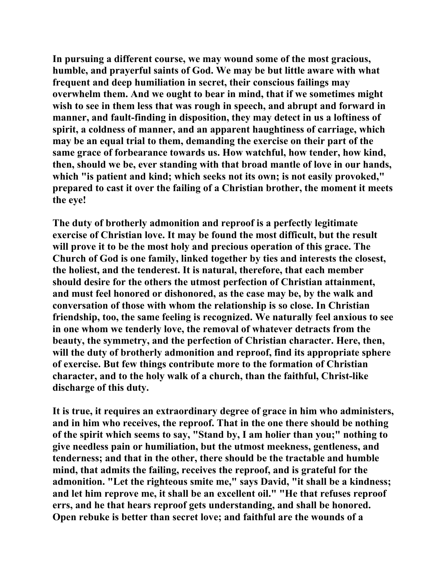**In pursuing a different course, we may wound some of the most gracious, humble, and prayerful saints of God. We may be but little aware with what frequent and deep humiliation in secret, their conscious failings may overwhelm them. And we ought to bear in mind, that if we sometimes might wish to see in them less that was rough in speech, and abrupt and forward in manner, and fault-finding in disposition, they may detect in us a loftiness of spirit, a coldness of manner, and an apparent haughtiness of carriage, which may be an equal trial to them, demanding the exercise on their part of the same grace of forbearance towards us. How watchful, how tender, how kind, then, should we be, ever standing with that broad mantle of love in our hands, which "is patient and kind; which seeks not its own; is not easily provoked," prepared to cast it over the failing of a Christian brother, the moment it meets the eye!** 

**The duty of brotherly admonition and reproof is a perfectly legitimate exercise of Christian love. It may be found the most difficult, but the result will prove it to be the most holy and precious operation of this grace. The Church of God is one family, linked together by ties and interests the closest, the holiest, and the tenderest. It is natural, therefore, that each member should desire for the others the utmost perfection of Christian attainment, and must feel honored or dishonored, as the case may be, by the walk and conversation of those with whom the relationship is so close. In Christian friendship, too, the same feeling is recognized. We naturally feel anxious to see in one whom we tenderly love, the removal of whatever detracts from the beauty, the symmetry, and the perfection of Christian character. Here, then, will the duty of brotherly admonition and reproof, find its appropriate sphere of exercise. But few things contribute more to the formation of Christian character, and to the holy walk of a church, than the faithful, Christ-like discharge of this duty.** 

**It is true, it requires an extraordinary degree of grace in him who administers, and in him who receives, the reproof. That in the one there should be nothing of the spirit which seems to say, "Stand by, I am holier than you;" nothing to give needless pain or humiliation, but the utmost meekness, gentleness, and tenderness; and that in the other, there should be the tractable and humble mind, that admits the failing, receives the reproof, and is grateful for the admonition. "Let the righteous smite me," says David, "it shall be a kindness; and let him reprove me, it shall be an excellent oil." "He that refuses reproof errs, and he that hears reproof gets understanding, and shall be honored. Open rebuke is better than secret love; and faithful are the wounds of a**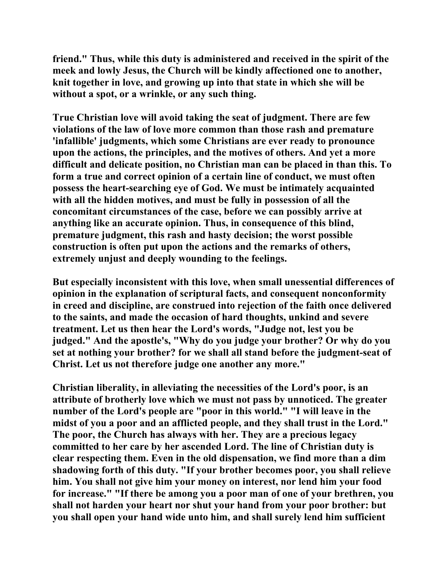**friend." Thus, while this duty is administered and received in the spirit of the meek and lowly Jesus, the Church will be kindly affectioned one to another, knit together in love, and growing up into that state in which she will be without a spot, or a wrinkle, or any such thing.** 

**True Christian love will avoid taking the seat of judgment. There are few violations of the law of love more common than those rash and premature 'infallible' judgments, which some Christians are ever ready to pronounce upon the actions, the principles, and the motives of others. And yet a more difficult and delicate position, no Christian man can be placed in than this. To form a true and correct opinion of a certain line of conduct, we must often possess the heart-searching eye of God. We must be intimately acquainted with all the hidden motives, and must be fully in possession of all the concomitant circumstances of the case, before we can possibly arrive at anything like an accurate opinion. Thus, in consequence of this blind, premature judgment, this rash and hasty decision; the worst possible construction is often put upon the actions and the remarks of others, extremely unjust and deeply wounding to the feelings.** 

**But especially inconsistent with this love, when small unessential differences of opinion in the explanation of scriptural facts, and consequent nonconformity in creed and discipline, are construed into rejection of the faith once delivered to the saints, and made the occasion of hard thoughts, unkind and severe treatment. Let us then hear the Lord's words, "Judge not, lest you be judged." And the apostle's, "Why do you judge your brother? Or why do you set at nothing your brother? for we shall all stand before the judgment-seat of Christ. Let us not therefore judge one another any more."** 

**Christian liberality, in alleviating the necessities of the Lord's poor, is an attribute of brotherly love which we must not pass by unnoticed. The greater number of the Lord's people are "poor in this world." "I will leave in the midst of you a poor and an afflicted people, and they shall trust in the Lord." The poor, the Church has always with her. They are a precious legacy committed to her care by her ascended Lord. The line of Christian duty is clear respecting them. Even in the old dispensation, we find more than a dim shadowing forth of this duty. "If your brother becomes poor, you shall relieve him. You shall not give him your money on interest, nor lend him your food for increase." "If there be among you a poor man of one of your brethren, you shall not harden your heart nor shut your hand from your poor brother: but you shall open your hand wide unto him, and shall surely lend him sufficient**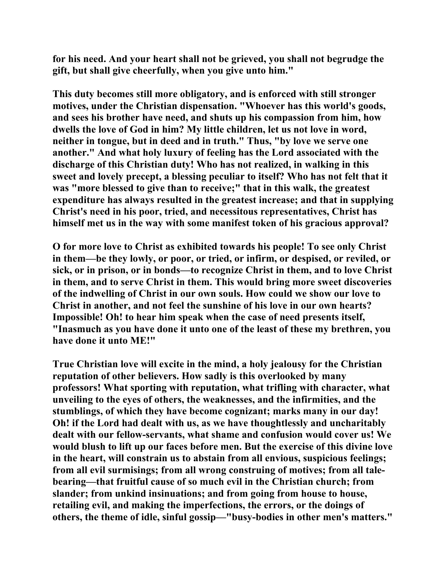**for his need. And your heart shall not be grieved, you shall not begrudge the gift, but shall give cheerfully, when you give unto him."** 

**This duty becomes still more obligatory, and is enforced with still stronger motives, under the Christian dispensation. "Whoever has this world's goods, and sees his brother have need, and shuts up his compassion from him, how dwells the love of God in him? My little children, let us not love in word, neither in tongue, but in deed and in truth." Thus, "by love we serve one another." And what holy luxury of feeling has the Lord associated with the discharge of this Christian duty! Who has not realized, in walking in this sweet and lovely precept, a blessing peculiar to itself? Who has not felt that it was "more blessed to give than to receive;" that in this walk, the greatest expenditure has always resulted in the greatest increase; and that in supplying Christ's need in his poor, tried, and necessitous representatives, Christ has himself met us in the way with some manifest token of his gracious approval?** 

**O for more love to Christ as exhibited towards his people! To see only Christ in them—be they lowly, or poor, or tried, or infirm, or despised, or reviled, or sick, or in prison, or in bonds—to recognize Christ in them, and to love Christ in them, and to serve Christ in them. This would bring more sweet discoveries of the indwelling of Christ in our own souls. How could we show our love to Christ in another, and not feel the sunshine of his love in our own hearts? Impossible! Oh! to hear him speak when the case of need presents itself, "Inasmuch as you have done it unto one of the least of these my brethren, you have done it unto ME!"** 

**True Christian love will excite in the mind, a holy jealousy for the Christian reputation of other believers. How sadly is this overlooked by many professors! What sporting with reputation, what trifling with character, what unveiling to the eyes of others, the weaknesses, and the infirmities, and the stumblings, of which they have become cognizant; marks many in our day! Oh! if the Lord had dealt with us, as we have thoughtlessly and uncharitably dealt with our fellow-servants, what shame and confusion would cover us! We would blush to lift up our faces before men. But the exercise of this divine love in the heart, will constrain us to abstain from all envious, suspicious feelings; from all evil surmisings; from all wrong construing of motives; from all talebearing—that fruitful cause of so much evil in the Christian church; from slander; from unkind insinuations; and from going from house to house, retailing evil, and making the imperfections, the errors, or the doings of others, the theme of idle, sinful gossip—"busy-bodies in other men's matters."**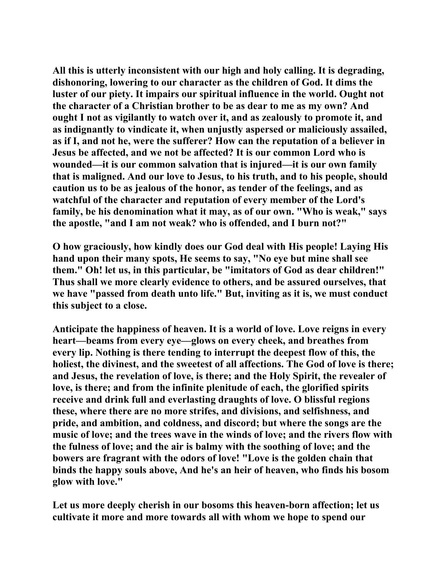**All this is utterly inconsistent with our high and holy calling. It is degrading, dishonoring, lowering to our character as the children of God. It dims the luster of our piety. It impairs our spiritual influence in the world. Ought not the character of a Christian brother to be as dear to me as my own? And ought I not as vigilantly to watch over it, and as zealously to promote it, and as indignantly to vindicate it, when unjustly aspersed or maliciously assailed, as if I, and not he, were the sufferer? How can the reputation of a believer in Jesus be affected, and we not be affected? It is our common Lord who is wounded—it is our common salvation that is injured—it is our own family that is maligned. And our love to Jesus, to his truth, and to his people, should caution us to be as jealous of the honor, as tender of the feelings, and as watchful of the character and reputation of every member of the Lord's family, be his denomination what it may, as of our own. "Who is weak," says the apostle, "and I am not weak? who is offended, and I burn not?"** 

**O how graciously, how kindly does our God deal with His people! Laying His hand upon their many spots, He seems to say, "No eye but mine shall see them." Oh! let us, in this particular, be "imitators of God as dear children!" Thus shall we more clearly evidence to others, and be assured ourselves, that we have "passed from death unto life." But, inviting as it is, we must conduct this subject to a close.** 

**Anticipate the happiness of heaven. It is a world of love. Love reigns in every heart—beams from every eye—glows on every cheek, and breathes from every lip. Nothing is there tending to interrupt the deepest flow of this, the holiest, the divinest, and the sweetest of all affections. The God of love is there; and Jesus, the revelation of love, is there; and the Holy Spirit, the revealer of love, is there; and from the infinite plenitude of each, the glorified spirits receive and drink full and everlasting draughts of love. O blissful regions these, where there are no more strifes, and divisions, and selfishness, and pride, and ambition, and coldness, and discord; but where the songs are the music of love; and the trees wave in the winds of love; and the rivers flow with the fulness of love; and the air is balmy with the soothing of love; and the bowers are fragrant with the odors of love! "Love is the golden chain that binds the happy souls above, And he's an heir of heaven, who finds his bosom glow with love."** 

**Let us more deeply cherish in our bosoms this heaven-born affection; let us cultivate it more and more towards all with whom we hope to spend our**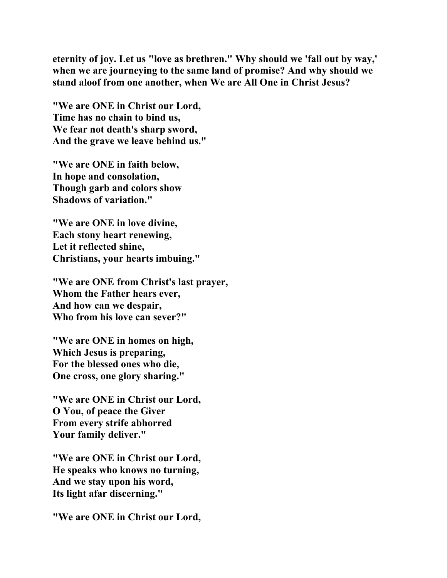**eternity of joy. Let us "love as brethren." Why should we 'fall out by way,' when we are journeying to the same land of promise? And why should we stand aloof from one another, when We are All One in Christ Jesus?** 

**"We are ONE in Christ our Lord, Time has no chain to bind us, We fear not death's sharp sword, And the grave we leave behind us."** 

**"We are ONE in faith below, In hope and consolation, Though garb and colors show Shadows of variation."** 

**"We are ONE in love divine, Each stony heart renewing, Let it reflected shine, Christians, your hearts imbuing."** 

**"We are ONE from Christ's last prayer, Whom the Father hears ever, And how can we despair, Who from his love can sever?"** 

**"We are ONE in homes on high, Which Jesus is preparing, For the blessed ones who die, One cross, one glory sharing."** 

**"We are ONE in Christ our Lord, O You, of peace the Giver From every strife abhorred Your family deliver."** 

**"We are ONE in Christ our Lord, He speaks who knows no turning, And we stay upon his word, Its light afar discerning."** 

**"We are ONE in Christ our Lord,**